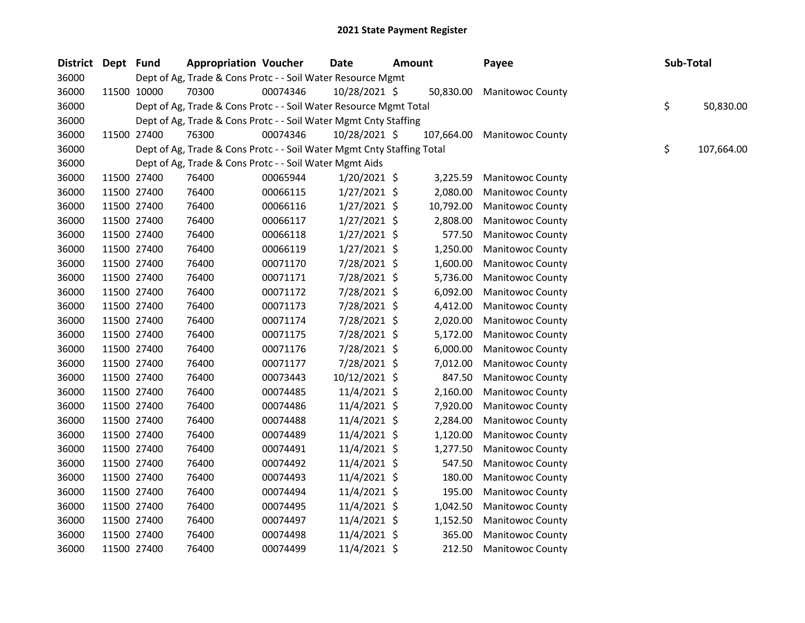| District | Dept Fund |             | <b>Appropriation Voucher</b>                                           |          | Date           | <b>Amount</b> |            | Payee                   | Sub-Total |            |
|----------|-----------|-------------|------------------------------------------------------------------------|----------|----------------|---------------|------------|-------------------------|-----------|------------|
| 36000    |           |             | Dept of Ag, Trade & Cons Protc - - Soil Water Resource Mgmt            |          |                |               |            |                         |           |            |
| 36000    |           | 11500 10000 | 70300                                                                  | 00074346 | 10/28/2021 \$  |               | 50,830.00  | <b>Manitowoc County</b> |           |            |
| 36000    |           |             | Dept of Ag, Trade & Cons Protc - - Soil Water Resource Mgmt Total      |          |                |               |            |                         | \$        | 50,830.00  |
| 36000    |           |             | Dept of Ag, Trade & Cons Protc - - Soil Water Mgmt Cnty Staffing       |          |                |               |            |                         |           |            |
| 36000    |           | 11500 27400 | 76300                                                                  | 00074346 | 10/28/2021 \$  |               | 107,664.00 | <b>Manitowoc County</b> |           |            |
| 36000    |           |             | Dept of Ag, Trade & Cons Protc - - Soil Water Mgmt Cnty Staffing Total |          |                |               |            |                         | \$        | 107,664.00 |
| 36000    |           |             | Dept of Ag, Trade & Cons Protc - - Soil Water Mgmt Aids                |          |                |               |            |                         |           |            |
| 36000    |           | 11500 27400 | 76400                                                                  | 00065944 | $1/20/2021$ \$ |               | 3,225.59   | <b>Manitowoc County</b> |           |            |
| 36000    |           | 11500 27400 | 76400                                                                  | 00066115 | $1/27/2021$ \$ |               | 2,080.00   | <b>Manitowoc County</b> |           |            |
| 36000    |           | 11500 27400 | 76400                                                                  | 00066116 | $1/27/2021$ \$ |               | 10,792.00  | Manitowoc County        |           |            |
| 36000    |           | 11500 27400 | 76400                                                                  | 00066117 | $1/27/2021$ \$ |               | 2,808.00   | Manitowoc County        |           |            |
| 36000    |           | 11500 27400 | 76400                                                                  | 00066118 | $1/27/2021$ \$ |               | 577.50     | <b>Manitowoc County</b> |           |            |
| 36000    |           | 11500 27400 | 76400                                                                  | 00066119 | $1/27/2021$ \$ |               | 1,250.00   | <b>Manitowoc County</b> |           |            |
| 36000    |           | 11500 27400 | 76400                                                                  | 00071170 | 7/28/2021 \$   |               | 1,600.00   | Manitowoc County        |           |            |
| 36000    |           | 11500 27400 | 76400                                                                  | 00071171 | 7/28/2021 \$   |               | 5,736.00   | <b>Manitowoc County</b> |           |            |
| 36000    |           | 11500 27400 | 76400                                                                  | 00071172 | 7/28/2021 \$   |               | 6,092.00   | Manitowoc County        |           |            |
| 36000    |           | 11500 27400 | 76400                                                                  | 00071173 | 7/28/2021 \$   |               | 4,412.00   | Manitowoc County        |           |            |
| 36000    |           | 11500 27400 | 76400                                                                  | 00071174 | 7/28/2021 \$   |               | 2,020.00   | <b>Manitowoc County</b> |           |            |
| 36000    |           | 11500 27400 | 76400                                                                  | 00071175 | 7/28/2021 \$   |               | 5,172.00   | <b>Manitowoc County</b> |           |            |
| 36000    |           | 11500 27400 | 76400                                                                  | 00071176 | 7/28/2021 \$   |               | 6,000.00   | Manitowoc County        |           |            |
| 36000    |           | 11500 27400 | 76400                                                                  | 00071177 | 7/28/2021 \$   |               | 7,012.00   | <b>Manitowoc County</b> |           |            |
| 36000    |           | 11500 27400 | 76400                                                                  | 00073443 | 10/12/2021 \$  |               | 847.50     | <b>Manitowoc County</b> |           |            |
| 36000    |           | 11500 27400 | 76400                                                                  | 00074485 | 11/4/2021 \$   |               | 2,160.00   | Manitowoc County        |           |            |
| 36000    |           | 11500 27400 | 76400                                                                  | 00074486 | 11/4/2021 \$   |               | 7,920.00   | <b>Manitowoc County</b> |           |            |
| 36000    |           | 11500 27400 | 76400                                                                  | 00074488 | $11/4/2021$ \$ |               | 2,284.00   | <b>Manitowoc County</b> |           |            |
| 36000    |           | 11500 27400 | 76400                                                                  | 00074489 | $11/4/2021$ \$ |               | 1,120.00   | <b>Manitowoc County</b> |           |            |
| 36000    |           | 11500 27400 | 76400                                                                  | 00074491 | 11/4/2021 \$   |               | 1,277.50   | Manitowoc County        |           |            |
| 36000    |           | 11500 27400 | 76400                                                                  | 00074492 | 11/4/2021 \$   |               | 547.50     | Manitowoc County        |           |            |
| 36000    |           | 11500 27400 | 76400                                                                  | 00074493 | 11/4/2021 \$   |               | 180.00     | Manitowoc County        |           |            |
| 36000    |           | 11500 27400 | 76400                                                                  | 00074494 | 11/4/2021 \$   |               | 195.00     | <b>Manitowoc County</b> |           |            |
| 36000    |           | 11500 27400 | 76400                                                                  | 00074495 | $11/4/2021$ \$ |               | 1,042.50   | Manitowoc County        |           |            |
| 36000    |           | 11500 27400 | 76400                                                                  | 00074497 | $11/4/2021$ \$ | 1,152.50      |            | Manitowoc County        |           |            |
| 36000    |           | 11500 27400 | 76400                                                                  | 00074498 | 11/4/2021 \$   |               | 365.00     | Manitowoc County        |           |            |
| 36000    |           | 11500 27400 | 76400                                                                  | 00074499 | 11/4/2021 \$   |               | 212.50     | <b>Manitowoc County</b> |           |            |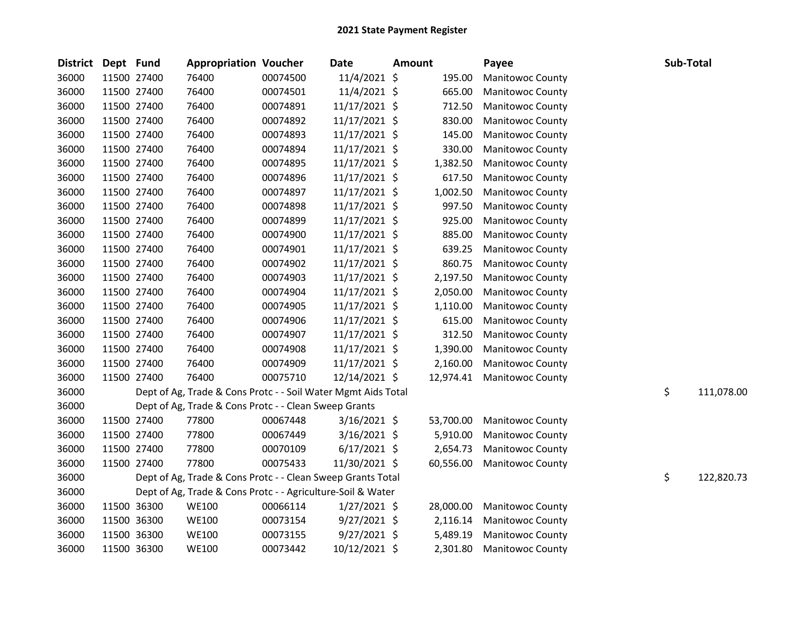| District Dept Fund |             |             | <b>Appropriation Voucher</b>                                  |          | <b>Date</b>    | <b>Amount</b> |          | Payee                   | Sub-Total        |
|--------------------|-------------|-------------|---------------------------------------------------------------|----------|----------------|---------------|----------|-------------------------|------------------|
| 36000              | 11500 27400 |             | 76400                                                         | 00074500 | $11/4/2021$ \$ |               | 195.00   | Manitowoc County        |                  |
| 36000              | 11500 27400 |             | 76400                                                         | 00074501 | 11/4/2021 \$   |               | 665.00   | Manitowoc County        |                  |
| 36000              | 11500 27400 |             | 76400                                                         | 00074891 | 11/17/2021 \$  |               | 712.50   | Manitowoc County        |                  |
| 36000              |             | 11500 27400 | 76400                                                         | 00074892 | 11/17/2021 \$  |               | 830.00   | <b>Manitowoc County</b> |                  |
| 36000              |             | 11500 27400 | 76400                                                         | 00074893 | 11/17/2021 \$  |               | 145.00   | Manitowoc County        |                  |
| 36000              | 11500 27400 |             | 76400                                                         | 00074894 | 11/17/2021 \$  |               | 330.00   | Manitowoc County        |                  |
| 36000              | 11500 27400 |             | 76400                                                         | 00074895 | 11/17/2021 \$  |               | 1,382.50 | <b>Manitowoc County</b> |                  |
| 36000              | 11500 27400 |             | 76400                                                         | 00074896 | 11/17/2021 \$  |               | 617.50   | <b>Manitowoc County</b> |                  |
| 36000              |             | 11500 27400 | 76400                                                         | 00074897 | 11/17/2021 \$  |               | 1,002.50 | Manitowoc County        |                  |
| 36000              |             | 11500 27400 | 76400                                                         | 00074898 | 11/17/2021 \$  |               | 997.50   | Manitowoc County        |                  |
| 36000              |             | 11500 27400 | 76400                                                         | 00074899 | 11/17/2021 \$  |               | 925.00   | Manitowoc County        |                  |
| 36000              |             | 11500 27400 | 76400                                                         | 00074900 | 11/17/2021 \$  |               | 885.00   | Manitowoc County        |                  |
| 36000              | 11500 27400 |             | 76400                                                         | 00074901 | 11/17/2021 \$  |               | 639.25   | Manitowoc County        |                  |
| 36000              | 11500 27400 |             | 76400                                                         | 00074902 | 11/17/2021 \$  |               | 860.75   | <b>Manitowoc County</b> |                  |
| 36000              | 11500 27400 |             | 76400                                                         | 00074903 | 11/17/2021 \$  |               | 2,197.50 | <b>Manitowoc County</b> |                  |
| 36000              | 11500 27400 |             | 76400                                                         | 00074904 | 11/17/2021 \$  |               | 2,050.00 | Manitowoc County        |                  |
| 36000              | 11500 27400 |             | 76400                                                         | 00074905 | 11/17/2021 \$  |               | 1,110.00 | Manitowoc County        |                  |
| 36000              |             | 11500 27400 | 76400                                                         | 00074906 | 11/17/2021 \$  |               | 615.00   | Manitowoc County        |                  |
| 36000              |             | 11500 27400 | 76400                                                         | 00074907 | 11/17/2021 \$  |               | 312.50   | Manitowoc County        |                  |
| 36000              | 11500 27400 |             | 76400                                                         | 00074908 | 11/17/2021 \$  |               | 1,390.00 | Manitowoc County        |                  |
| 36000              | 11500 27400 |             | 76400                                                         | 00074909 | 11/17/2021 \$  |               | 2,160.00 | <b>Manitowoc County</b> |                  |
| 36000              | 11500 27400 |             | 76400                                                         | 00075710 | 12/14/2021 \$  | 12,974.41     |          | <b>Manitowoc County</b> |                  |
| 36000              |             |             | Dept of Ag, Trade & Cons Protc - - Soil Water Mgmt Aids Total |          |                |               |          |                         | \$<br>111,078.00 |
| 36000              |             |             | Dept of Ag, Trade & Cons Protc - - Clean Sweep Grants         |          |                |               |          |                         |                  |
| 36000              |             | 11500 27400 | 77800                                                         | 00067448 | $3/16/2021$ \$ | 53,700.00     |          | Manitowoc County        |                  |
| 36000              |             | 11500 27400 | 77800                                                         | 00067449 | $3/16/2021$ \$ |               | 5,910.00 | Manitowoc County        |                  |
| 36000              |             | 11500 27400 | 77800                                                         | 00070109 | $6/17/2021$ \$ |               | 2,654.73 | Manitowoc County        |                  |
| 36000              |             | 11500 27400 | 77800                                                         | 00075433 | 11/30/2021 \$  | 60,556.00     |          | Manitowoc County        |                  |
| 36000              |             |             | Dept of Ag, Trade & Cons Protc - - Clean Sweep Grants Total   |          |                |               |          |                         | \$<br>122,820.73 |
| 36000              |             |             | Dept of Ag, Trade & Cons Protc - - Agriculture-Soil & Water   |          |                |               |          |                         |                  |
| 36000              | 11500 36300 |             | <b>WE100</b>                                                  | 00066114 | $1/27/2021$ \$ | 28,000.00     |          | <b>Manitowoc County</b> |                  |
| 36000              | 11500 36300 |             | <b>WE100</b>                                                  | 00073154 | $9/27/2021$ \$ |               | 2,116.14 | <b>Manitowoc County</b> |                  |
| 36000              |             | 11500 36300 | <b>WE100</b>                                                  | 00073155 | $9/27/2021$ \$ |               | 5,489.19 | Manitowoc County        |                  |
| 36000              |             | 11500 36300 | <b>WE100</b>                                                  | 00073442 | 10/12/2021 \$  |               | 2,301.80 | <b>Manitowoc County</b> |                  |
|                    |             |             |                                                               |          |                |               |          |                         |                  |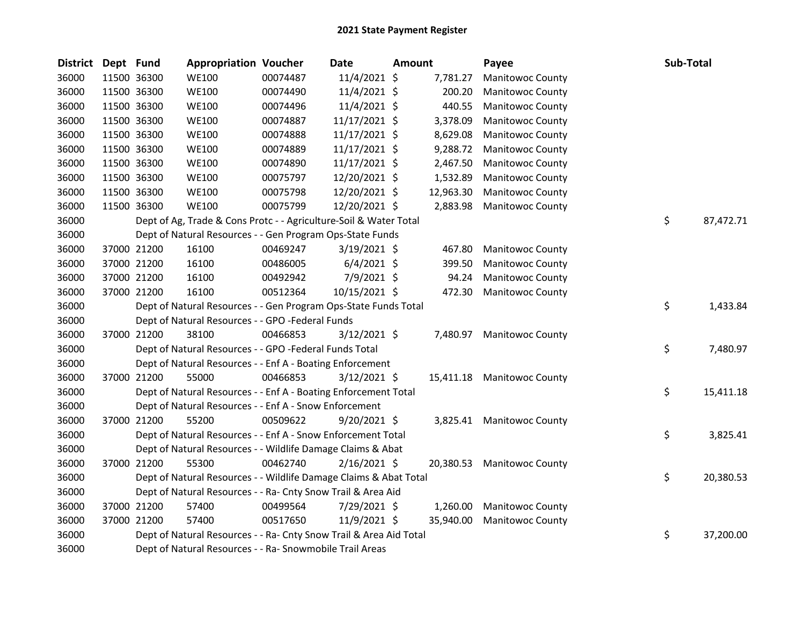| District Dept Fund |             | <b>Appropriation Voucher</b>                                       |          | <b>Date</b>     | <b>Amount</b> |           | Payee                     | Sub-Total |           |
|--------------------|-------------|--------------------------------------------------------------------|----------|-----------------|---------------|-----------|---------------------------|-----------|-----------|
| 36000              | 11500 36300 | <b>WE100</b>                                                       | 00074487 | 11/4/2021 \$    |               | 7,781.27  | Manitowoc County          |           |           |
| 36000              | 11500 36300 | <b>WE100</b>                                                       | 00074490 | 11/4/2021 \$    |               | 200.20    | Manitowoc County          |           |           |
| 36000              | 11500 36300 | <b>WE100</b>                                                       | 00074496 | 11/4/2021 \$    |               | 440.55    | <b>Manitowoc County</b>   |           |           |
| 36000              | 11500 36300 | <b>WE100</b>                                                       | 00074887 | 11/17/2021 \$   |               | 3,378.09  | Manitowoc County          |           |           |
| 36000              | 11500 36300 | <b>WE100</b>                                                       | 00074888 | 11/17/2021 \$   |               | 8,629.08  | Manitowoc County          |           |           |
| 36000              | 11500 36300 | <b>WE100</b>                                                       | 00074889 | 11/17/2021 \$   |               | 9,288.72  | <b>Manitowoc County</b>   |           |           |
| 36000              | 11500 36300 | <b>WE100</b>                                                       | 00074890 | $11/17/2021$ \$ |               | 2,467.50  | <b>Manitowoc County</b>   |           |           |
| 36000              | 11500 36300 | <b>WE100</b>                                                       | 00075797 | 12/20/2021 \$   |               | 1,532.89  | Manitowoc County          |           |           |
| 36000              | 11500 36300 | <b>WE100</b>                                                       | 00075798 | 12/20/2021 \$   |               | 12,963.30 | Manitowoc County          |           |           |
| 36000              | 11500 36300 | <b>WE100</b>                                                       | 00075799 | 12/20/2021 \$   |               | 2,883.98  | Manitowoc County          |           |           |
| 36000              |             | Dept of Ag, Trade & Cons Protc - - Agriculture-Soil & Water Total  |          |                 |               |           |                           | \$        | 87,472.71 |
| 36000              |             | Dept of Natural Resources - - Gen Program Ops-State Funds          |          |                 |               |           |                           |           |           |
| 36000              | 37000 21200 | 16100                                                              | 00469247 | $3/19/2021$ \$  |               | 467.80    | Manitowoc County          |           |           |
| 36000              | 37000 21200 | 16100                                                              | 00486005 | $6/4/2021$ \$   |               | 399.50    | Manitowoc County          |           |           |
| 36000              | 37000 21200 | 16100                                                              | 00492942 | 7/9/2021 \$     |               | 94.24     | Manitowoc County          |           |           |
| 36000              | 37000 21200 | 16100                                                              | 00512364 | 10/15/2021 \$   |               | 472.30    | Manitowoc County          |           |           |
| 36000              |             | Dept of Natural Resources - - Gen Program Ops-State Funds Total    |          |                 |               |           |                           | \$        | 1,433.84  |
| 36000              |             | Dept of Natural Resources - - GPO -Federal Funds                   |          |                 |               |           |                           |           |           |
| 36000              | 37000 21200 | 38100                                                              | 00466853 | $3/12/2021$ \$  |               |           | 7,480.97 Manitowoc County |           |           |
| 36000              |             | Dept of Natural Resources - - GPO -Federal Funds Total             |          |                 |               |           |                           | \$        | 7,480.97  |
| 36000              |             | Dept of Natural Resources - - Enf A - Boating Enforcement          |          |                 |               |           |                           |           |           |
| 36000              | 37000 21200 | 55000                                                              | 00466853 | $3/12/2021$ \$  |               | 15,411.18 | <b>Manitowoc County</b>   |           |           |
| 36000              |             | Dept of Natural Resources - - Enf A - Boating Enforcement Total    |          |                 |               |           |                           | \$        | 15,411.18 |
| 36000              |             | Dept of Natural Resources - - Enf A - Snow Enforcement             |          |                 |               |           |                           |           |           |
| 36000              | 37000 21200 | 55200                                                              | 00509622 | $9/20/2021$ \$  |               |           | 3,825.41 Manitowoc County |           |           |
| 36000              |             | Dept of Natural Resources - - Enf A - Snow Enforcement Total       |          |                 |               |           |                           | \$        | 3,825.41  |
| 36000              |             | Dept of Natural Resources - - Wildlife Damage Claims & Abat        |          |                 |               |           |                           |           |           |
| 36000              | 37000 21200 | 55300                                                              | 00462740 | $2/16/2021$ \$  |               | 20,380.53 | <b>Manitowoc County</b>   |           |           |
| 36000              |             | Dept of Natural Resources - - Wildlife Damage Claims & Abat Total  |          |                 |               |           |                           | \$        | 20,380.53 |
| 36000              |             | Dept of Natural Resources - - Ra- Cnty Snow Trail & Area Aid       |          |                 |               |           |                           |           |           |
| 36000              | 37000 21200 | 57400                                                              | 00499564 | 7/29/2021 \$    |               | 1,260.00  | Manitowoc County          |           |           |
| 36000              | 37000 21200 | 57400                                                              | 00517650 | 11/9/2021 \$    |               | 35,940.00 | <b>Manitowoc County</b>   |           |           |
| 36000              |             | Dept of Natural Resources - - Ra- Cnty Snow Trail & Area Aid Total |          |                 |               |           |                           | \$        | 37,200.00 |
| 36000              |             | Dept of Natural Resources - - Ra- Snowmobile Trail Areas           |          |                 |               |           |                           |           |           |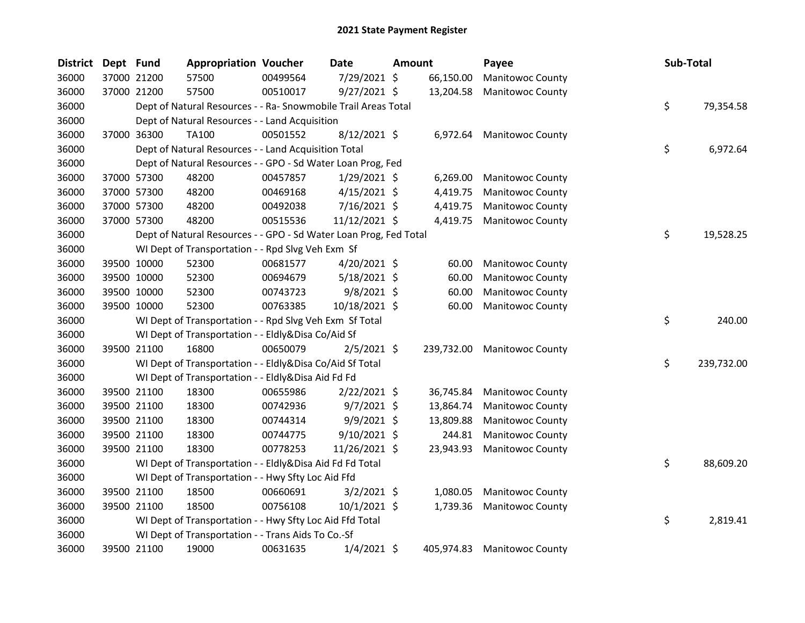| District | Dept Fund |             | <b>Appropriation Voucher</b>                                      |          | Date           | Amount |            | Payee                       | Sub-Total |            |
|----------|-----------|-------------|-------------------------------------------------------------------|----------|----------------|--------|------------|-----------------------------|-----------|------------|
| 36000    |           | 37000 21200 | 57500                                                             | 00499564 | 7/29/2021 \$   |        | 66,150.00  | Manitowoc County            |           |            |
| 36000    |           | 37000 21200 | 57500                                                             | 00510017 | $9/27/2021$ \$ |        | 13,204.58  | Manitowoc County            |           |            |
| 36000    |           |             | Dept of Natural Resources - - Ra- Snowmobile Trail Areas Total    |          |                |        |            |                             | \$        | 79,354.58  |
| 36000    |           |             | Dept of Natural Resources - - Land Acquisition                    |          |                |        |            |                             |           |            |
| 36000    |           | 37000 36300 | TA100                                                             | 00501552 | 8/12/2021 \$   |        |            | 6,972.64 Manitowoc County   |           |            |
| 36000    |           |             | Dept of Natural Resources - - Land Acquisition Total              |          |                |        |            |                             | \$        | 6,972.64   |
| 36000    |           |             | Dept of Natural Resources - - GPO - Sd Water Loan Prog, Fed       |          |                |        |            |                             |           |            |
| 36000    |           | 37000 57300 | 48200                                                             | 00457857 | $1/29/2021$ \$ |        | 6,269.00   | <b>Manitowoc County</b>     |           |            |
| 36000    |           | 37000 57300 | 48200                                                             | 00469168 | $4/15/2021$ \$ |        | 4,419.75   | <b>Manitowoc County</b>     |           |            |
| 36000    |           | 37000 57300 | 48200                                                             | 00492038 | 7/16/2021 \$   |        | 4,419.75   | Manitowoc County            |           |            |
| 36000    |           | 37000 57300 | 48200                                                             | 00515536 | 11/12/2021 \$  |        | 4,419.75   | <b>Manitowoc County</b>     |           |            |
| 36000    |           |             | Dept of Natural Resources - - GPO - Sd Water Loan Prog, Fed Total |          |                |        |            |                             | \$        | 19,528.25  |
| 36000    |           |             | WI Dept of Transportation - - Rpd Slvg Veh Exm Sf                 |          |                |        |            |                             |           |            |
| 36000    |           | 39500 10000 | 52300                                                             | 00681577 | $4/20/2021$ \$ |        | 60.00      | Manitowoc County            |           |            |
| 36000    |           | 39500 10000 | 52300                                                             | 00694679 | 5/18/2021 \$   |        | 60.00      | Manitowoc County            |           |            |
| 36000    |           | 39500 10000 | 52300                                                             | 00743723 | $9/8/2021$ \$  |        | 60.00      | Manitowoc County            |           |            |
| 36000    |           | 39500 10000 | 52300                                                             | 00763385 | 10/18/2021 \$  |        | 60.00      | Manitowoc County            |           |            |
| 36000    |           |             | WI Dept of Transportation - - Rpd Slvg Veh Exm Sf Total           |          |                |        |            |                             | \$        | 240.00     |
| 36000    |           |             | WI Dept of Transportation - - Eldly&Disa Co/Aid Sf                |          |                |        |            |                             |           |            |
| 36000    |           | 39500 21100 | 16800                                                             | 00650079 | $2/5/2021$ \$  |        |            | 239,732.00 Manitowoc County |           |            |
| 36000    |           |             | WI Dept of Transportation - - Eldly&Disa Co/Aid Sf Total          |          |                |        |            |                             | \$        | 239,732.00 |
| 36000    |           |             | WI Dept of Transportation - - Eldly&Disa Aid Fd Fd                |          |                |        |            |                             |           |            |
| 36000    |           | 39500 21100 | 18300                                                             | 00655986 | $2/22/2021$ \$ |        | 36,745.84  | Manitowoc County            |           |            |
| 36000    |           | 39500 21100 | 18300                                                             | 00742936 | $9/7/2021$ \$  |        | 13,864.74  | Manitowoc County            |           |            |
| 36000    |           | 39500 21100 | 18300                                                             | 00744314 | $9/9/2021$ \$  |        | 13,809.88  | <b>Manitowoc County</b>     |           |            |
| 36000    |           | 39500 21100 | 18300                                                             | 00744775 | 9/10/2021 \$   |        | 244.81     | Manitowoc County            |           |            |
| 36000    |           | 39500 21100 | 18300                                                             | 00778253 | 11/26/2021 \$  |        | 23,943.93  | Manitowoc County            |           |            |
| 36000    |           |             | WI Dept of Transportation - - Eldly&Disa Aid Fd Fd Total          |          |                |        |            |                             | \$        | 88,609.20  |
| 36000    |           |             | WI Dept of Transportation - - Hwy Sfty Loc Aid Ffd                |          |                |        |            |                             |           |            |
| 36000    |           | 39500 21100 | 18500                                                             | 00660691 | $3/2/2021$ \$  |        | 1,080.05   | Manitowoc County            |           |            |
| 36000    |           | 39500 21100 | 18500                                                             | 00756108 | $10/1/2021$ \$ |        | 1,739.36   | Manitowoc County            |           |            |
| 36000    |           |             | WI Dept of Transportation - - Hwy Sfty Loc Aid Ffd Total          |          |                |        |            |                             | \$        | 2,819.41   |
| 36000    |           |             | WI Dept of Transportation - - Trans Aids To Co.-Sf                |          |                |        |            |                             |           |            |
| 36000    |           | 39500 21100 | 19000                                                             | 00631635 | $1/4/2021$ \$  |        | 405,974.83 | <b>Manitowoc County</b>     |           |            |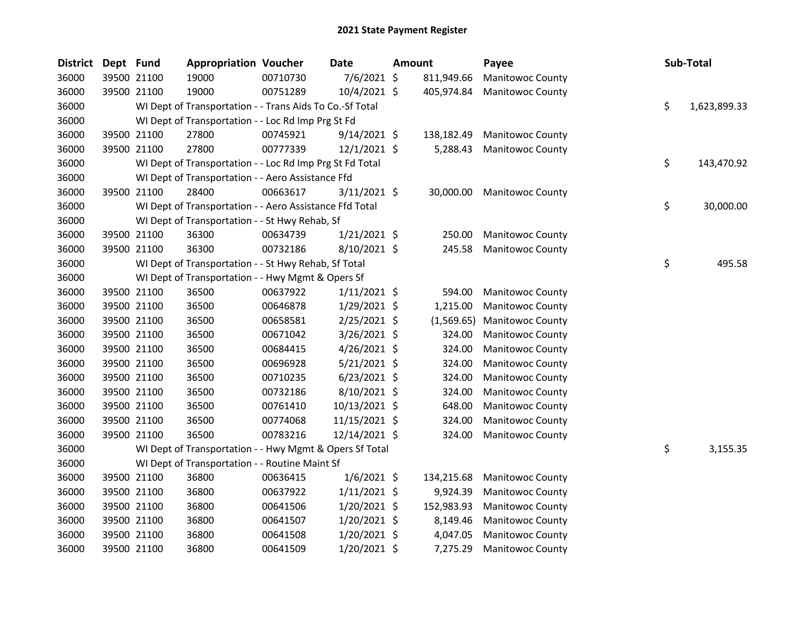| <b>District</b> | Dept Fund   |             | <b>Appropriation Voucher</b>                             |          | Date           | Amount |            | Payee                       | Sub-Total |    |              |
|-----------------|-------------|-------------|----------------------------------------------------------|----------|----------------|--------|------------|-----------------------------|-----------|----|--------------|
| 36000           |             | 39500 21100 | 19000                                                    | 00710730 | 7/6/2021 \$    |        | 811,949.66 | Manitowoc County            |           |    |              |
| 36000           |             | 39500 21100 | 19000                                                    | 00751289 | 10/4/2021 \$   |        | 405,974.84 | Manitowoc County            |           |    |              |
| 36000           |             |             | WI Dept of Transportation - - Trans Aids To Co.-Sf Total |          |                |        |            |                             |           | \$ | 1,623,899.33 |
| 36000           |             |             | WI Dept of Transportation - - Loc Rd Imp Prg St Fd       |          |                |        |            |                             |           |    |              |
| 36000           |             | 39500 21100 | 27800                                                    | 00745921 | $9/14/2021$ \$ |        | 138,182.49 | <b>Manitowoc County</b>     |           |    |              |
| 36000           |             | 39500 21100 | 27800                                                    | 00777339 | $12/1/2021$ \$ |        | 5,288.43   | <b>Manitowoc County</b>     |           |    |              |
| 36000           |             |             | WI Dept of Transportation - - Loc Rd Imp Prg St Fd Total |          |                |        |            |                             |           | \$ | 143,470.92   |
| 36000           |             |             | WI Dept of Transportation - - Aero Assistance Ffd        |          |                |        |            |                             |           |    |              |
| 36000           |             | 39500 21100 | 28400                                                    | 00663617 | $3/11/2021$ \$ |        | 30,000.00  | <b>Manitowoc County</b>     |           |    |              |
| 36000           |             |             | WI Dept of Transportation - - Aero Assistance Ffd Total  |          |                |        |            |                             |           | \$ | 30,000.00    |
| 36000           |             |             | WI Dept of Transportation - - St Hwy Rehab, Sf           |          |                |        |            |                             |           |    |              |
| 36000           |             | 39500 21100 | 36300                                                    | 00634739 | $1/21/2021$ \$ |        | 250.00     | Manitowoc County            |           |    |              |
| 36000           |             | 39500 21100 | 36300                                                    | 00732186 | 8/10/2021 \$   |        | 245.58     | <b>Manitowoc County</b>     |           |    |              |
| 36000           |             |             | WI Dept of Transportation - - St Hwy Rehab, Sf Total     |          |                |        |            |                             |           | \$ | 495.58       |
| 36000           |             |             | WI Dept of Transportation - - Hwy Mgmt & Opers Sf        |          |                |        |            |                             |           |    |              |
| 36000           |             | 39500 21100 | 36500                                                    | 00637922 | $1/11/2021$ \$ |        | 594.00     | Manitowoc County            |           |    |              |
| 36000           |             | 39500 21100 | 36500                                                    | 00646878 | 1/29/2021 \$   |        | 1,215.00   | Manitowoc County            |           |    |              |
| 36000           |             | 39500 21100 | 36500                                                    | 00658581 | 2/25/2021 \$   |        |            | (1,569.65) Manitowoc County |           |    |              |
| 36000           |             | 39500 21100 | 36500                                                    | 00671042 | 3/26/2021 \$   |        | 324.00     | Manitowoc County            |           |    |              |
| 36000           | 39500 21100 |             | 36500                                                    | 00684415 | $4/26/2021$ \$ |        | 324.00     | <b>Manitowoc County</b>     |           |    |              |
| 36000           |             | 39500 21100 | 36500                                                    | 00696928 | $5/21/2021$ \$ |        | 324.00     | <b>Manitowoc County</b>     |           |    |              |
| 36000           |             | 39500 21100 | 36500                                                    | 00710235 | $6/23/2021$ \$ |        | 324.00     | Manitowoc County            |           |    |              |
| 36000           |             | 39500 21100 | 36500                                                    | 00732186 | 8/10/2021 \$   |        | 324.00     | Manitowoc County            |           |    |              |
| 36000           |             | 39500 21100 | 36500                                                    | 00761410 | 10/13/2021 \$  |        | 648.00     | Manitowoc County            |           |    |              |
| 36000           |             | 39500 21100 | 36500                                                    | 00774068 | 11/15/2021 \$  |        | 324.00     | Manitowoc County            |           |    |              |
| 36000           |             | 39500 21100 | 36500                                                    | 00783216 | 12/14/2021 \$  |        | 324.00     | <b>Manitowoc County</b>     |           |    |              |
| 36000           |             |             | WI Dept of Transportation - - Hwy Mgmt & Opers Sf Total  |          |                |        |            |                             |           | \$ | 3,155.35     |
| 36000           |             |             | WI Dept of Transportation - - Routine Maint Sf           |          |                |        |            |                             |           |    |              |
| 36000           |             | 39500 21100 | 36800                                                    | 00636415 | $1/6/2021$ \$  |        | 134,215.68 | <b>Manitowoc County</b>     |           |    |              |
| 36000           |             | 39500 21100 | 36800                                                    | 00637922 | $1/11/2021$ \$ |        | 9,924.39   | <b>Manitowoc County</b>     |           |    |              |
| 36000           | 39500 21100 |             | 36800                                                    | 00641506 | 1/20/2021 \$   |        | 152,983.93 | <b>Manitowoc County</b>     |           |    |              |
| 36000           | 39500 21100 |             | 36800                                                    | 00641507 | $1/20/2021$ \$ |        | 8,149.46   | <b>Manitowoc County</b>     |           |    |              |
| 36000           |             | 39500 21100 | 36800                                                    | 00641508 | $1/20/2021$ \$ |        | 4,047.05   | Manitowoc County            |           |    |              |
| 36000           |             | 39500 21100 | 36800                                                    | 00641509 | $1/20/2021$ \$ |        | 7,275.29   | <b>Manitowoc County</b>     |           |    |              |
|                 |             |             |                                                          |          |                |        |            |                             |           |    |              |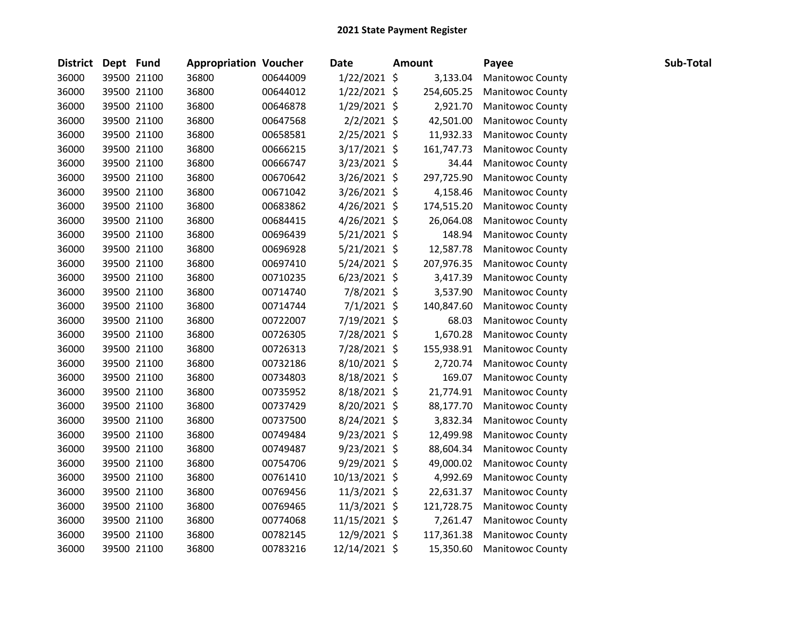| District Dept Fund |             | <b>Appropriation Voucher</b> |          | Date           | <b>Amount</b> |            | Payee                   | Sub-Total |
|--------------------|-------------|------------------------------|----------|----------------|---------------|------------|-------------------------|-----------|
| 36000              | 39500 21100 | 36800                        | 00644009 | $1/22/2021$ \$ |               | 3,133.04   | Manitowoc County        |           |
| 36000              | 39500 21100 | 36800                        | 00644012 | $1/22/2021$ \$ |               | 254,605.25 | <b>Manitowoc County</b> |           |
| 36000              | 39500 21100 | 36800                        | 00646878 | 1/29/2021 \$   |               | 2,921.70   | Manitowoc County        |           |
| 36000              | 39500 21100 | 36800                        | 00647568 | $2/2/2021$ \$  |               | 42,501.00  | Manitowoc County        |           |
| 36000              | 39500 21100 | 36800                        | 00658581 | $2/25/2021$ \$ |               | 11,932.33  | <b>Manitowoc County</b> |           |
| 36000              | 39500 21100 | 36800                        | 00666215 | $3/17/2021$ \$ |               | 161,747.73 | <b>Manitowoc County</b> |           |
| 36000              | 39500 21100 | 36800                        | 00666747 | $3/23/2021$ \$ |               | 34.44      | <b>Manitowoc County</b> |           |
| 36000              | 39500 21100 | 36800                        | 00670642 | $3/26/2021$ \$ |               | 297,725.90 | <b>Manitowoc County</b> |           |
| 36000              | 39500 21100 | 36800                        | 00671042 | 3/26/2021 \$   |               | 4,158.46   | <b>Manitowoc County</b> |           |
| 36000              | 39500 21100 | 36800                        | 00683862 | $4/26/2021$ \$ |               | 174,515.20 | <b>Manitowoc County</b> |           |
| 36000              | 39500 21100 | 36800                        | 00684415 | $4/26/2021$ \$ |               | 26,064.08  | Manitowoc County        |           |
| 36000              | 39500 21100 | 36800                        | 00696439 | 5/21/2021 \$   |               | 148.94     | Manitowoc County        |           |
| 36000              | 39500 21100 | 36800                        | 00696928 | $5/21/2021$ \$ |               | 12,587.78  | <b>Manitowoc County</b> |           |
| 36000              | 39500 21100 | 36800                        | 00697410 | $5/24/2021$ \$ |               | 207,976.35 | Manitowoc County        |           |
| 36000              | 39500 21100 | 36800                        | 00710235 | $6/23/2021$ \$ |               | 3,417.39   | Manitowoc County        |           |
| 36000              | 39500 21100 | 36800                        | 00714740 | 7/8/2021 \$    |               | 3,537.90   | <b>Manitowoc County</b> |           |
| 36000              | 39500 21100 | 36800                        | 00714744 | $7/1/2021$ \$  |               | 140,847.60 | Manitowoc County        |           |
| 36000              | 39500 21100 | 36800                        | 00722007 | 7/19/2021 \$   |               | 68.03      | <b>Manitowoc County</b> |           |
| 36000              | 39500 21100 | 36800                        | 00726305 | 7/28/2021 \$   |               | 1,670.28   | Manitowoc County        |           |
| 36000              | 39500 21100 | 36800                        | 00726313 | 7/28/2021 \$   |               | 155,938.91 | <b>Manitowoc County</b> |           |
| 36000              | 39500 21100 | 36800                        | 00732186 | 8/10/2021 \$   |               | 2,720.74   | <b>Manitowoc County</b> |           |
| 36000              | 39500 21100 | 36800                        | 00734803 | 8/18/2021 \$   |               | 169.07     | <b>Manitowoc County</b> |           |
| 36000              | 39500 21100 | 36800                        | 00735952 | 8/18/2021 \$   |               | 21,774.91  | Manitowoc County        |           |
| 36000              | 39500 21100 | 36800                        | 00737429 | 8/20/2021 \$   |               | 88,177.70  | <b>Manitowoc County</b> |           |
| 36000              | 39500 21100 | 36800                        | 00737500 | 8/24/2021 \$   |               | 3,832.34   | <b>Manitowoc County</b> |           |
| 36000              | 39500 21100 | 36800                        | 00749484 | $9/23/2021$ \$ |               | 12,499.98  | <b>Manitowoc County</b> |           |
| 36000              | 39500 21100 | 36800                        | 00749487 | $9/23/2021$ \$ |               | 88,604.34  | <b>Manitowoc County</b> |           |
| 36000              | 39500 21100 | 36800                        | 00754706 | $9/29/2021$ \$ |               | 49,000.02  | <b>Manitowoc County</b> |           |
| 36000              | 39500 21100 | 36800                        | 00761410 | 10/13/2021 \$  |               | 4,992.69   | <b>Manitowoc County</b> |           |
| 36000              | 39500 21100 | 36800                        | 00769456 | $11/3/2021$ \$ |               | 22,631.37  | <b>Manitowoc County</b> |           |
| 36000              | 39500 21100 | 36800                        | 00769465 | 11/3/2021 \$   |               | 121,728.75 | <b>Manitowoc County</b> |           |
| 36000              | 39500 21100 | 36800                        | 00774068 | 11/15/2021 \$  |               | 7,261.47   | Manitowoc County        |           |
| 36000              | 39500 21100 | 36800                        | 00782145 | 12/9/2021 \$   |               | 117,361.38 | Manitowoc County        |           |
| 36000              | 39500 21100 | 36800                        | 00783216 | 12/14/2021 \$  |               | 15,350.60  | <b>Manitowoc County</b> |           |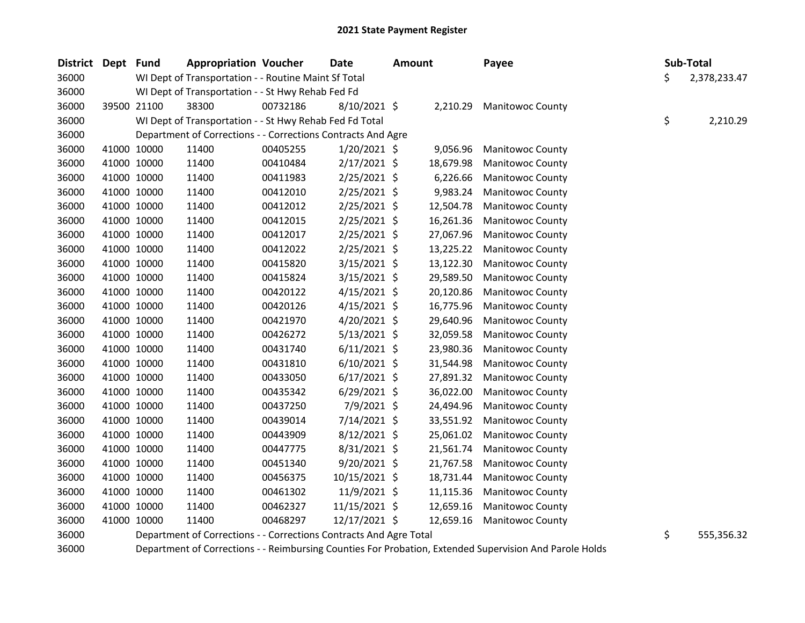| District Dept Fund |             |             | <b>Appropriation Voucher</b>                                       |          | <b>Date</b>    | <b>Amount</b> |           | Payee                   |    | Sub-Total    |
|--------------------|-------------|-------------|--------------------------------------------------------------------|----------|----------------|---------------|-----------|-------------------------|----|--------------|
| 36000              |             |             | WI Dept of Transportation - - Routine Maint Sf Total               |          |                |               |           |                         | \$ | 2,378,233.47 |
| 36000              |             |             | WI Dept of Transportation - - St Hwy Rehab Fed Fd                  |          |                |               |           |                         |    |              |
| 36000              |             | 39500 21100 | 38300                                                              | 00732186 | 8/10/2021 \$   |               | 2,210.29  | Manitowoc County        |    |              |
| 36000              |             |             | WI Dept of Transportation - - St Hwy Rehab Fed Fd Total            |          |                |               |           |                         | \$ | 2,210.29     |
| 36000              |             |             | Department of Corrections - - Corrections Contracts And Agre       |          |                |               |           |                         |    |              |
| 36000              |             | 41000 10000 | 11400                                                              | 00405255 | $1/20/2021$ \$ |               | 9,056.96  | <b>Manitowoc County</b> |    |              |
| 36000              |             | 41000 10000 | 11400                                                              | 00410484 | $2/17/2021$ \$ |               | 18,679.98 | <b>Manitowoc County</b> |    |              |
| 36000              |             | 41000 10000 | 11400                                                              | 00411983 | $2/25/2021$ \$ |               | 6,226.66  | Manitowoc County        |    |              |
| 36000              |             | 41000 10000 | 11400                                                              | 00412010 | 2/25/2021 \$   |               | 9,983.24  | Manitowoc County        |    |              |
| 36000              |             | 41000 10000 | 11400                                                              | 00412012 | 2/25/2021 \$   |               | 12,504.78 | Manitowoc County        |    |              |
| 36000              |             | 41000 10000 | 11400                                                              | 00412015 | $2/25/2021$ \$ |               | 16,261.36 | Manitowoc County        |    |              |
| 36000              |             | 41000 10000 | 11400                                                              | 00412017 | 2/25/2021 \$   |               | 27,067.96 | <b>Manitowoc County</b> |    |              |
| 36000              | 41000 10000 |             | 11400                                                              | 00412022 | $2/25/2021$ \$ |               | 13,225.22 | <b>Manitowoc County</b> |    |              |
| 36000              |             | 41000 10000 | 11400                                                              | 00415820 | $3/15/2021$ \$ |               | 13,122.30 | <b>Manitowoc County</b> |    |              |
| 36000              |             | 41000 10000 | 11400                                                              | 00415824 | $3/15/2021$ \$ |               | 29,589.50 | <b>Manitowoc County</b> |    |              |
| 36000              |             | 41000 10000 | 11400                                                              | 00420122 | $4/15/2021$ \$ |               | 20,120.86 | <b>Manitowoc County</b> |    |              |
| 36000              |             | 41000 10000 | 11400                                                              | 00420126 | $4/15/2021$ \$ |               | 16,775.96 | <b>Manitowoc County</b> |    |              |
| 36000              |             | 41000 10000 | 11400                                                              | 00421970 | 4/20/2021 \$   |               | 29,640.96 | Manitowoc County        |    |              |
| 36000              |             | 41000 10000 | 11400                                                              | 00426272 | $5/13/2021$ \$ |               | 32,059.58 | Manitowoc County        |    |              |
| 36000              |             | 41000 10000 | 11400                                                              | 00431740 | $6/11/2021$ \$ |               | 23,980.36 | <b>Manitowoc County</b> |    |              |
| 36000              |             | 41000 10000 | 11400                                                              | 00431810 | $6/10/2021$ \$ |               | 31,544.98 | Manitowoc County        |    |              |
| 36000              |             | 41000 10000 | 11400                                                              | 00433050 | $6/17/2021$ \$ |               | 27,891.32 | <b>Manitowoc County</b> |    |              |
| 36000              |             | 41000 10000 | 11400                                                              | 00435342 | $6/29/2021$ \$ |               | 36,022.00 | <b>Manitowoc County</b> |    |              |
| 36000              |             | 41000 10000 | 11400                                                              | 00437250 | 7/9/2021 \$    |               | 24,494.96 | Manitowoc County        |    |              |
| 36000              |             | 41000 10000 | 11400                                                              | 00439014 | 7/14/2021 \$   |               | 33,551.92 | <b>Manitowoc County</b> |    |              |
| 36000              |             | 41000 10000 | 11400                                                              | 00443909 | 8/12/2021 \$   |               | 25,061.02 | Manitowoc County        |    |              |
| 36000              |             | 41000 10000 | 11400                                                              | 00447775 | 8/31/2021 \$   |               | 21,561.74 | <b>Manitowoc County</b> |    |              |
| 36000              |             | 41000 10000 | 11400                                                              | 00451340 | 9/20/2021 \$   |               | 21,767.58 | <b>Manitowoc County</b> |    |              |
| 36000              |             | 41000 10000 | 11400                                                              | 00456375 | 10/15/2021 \$  |               | 18,731.44 | <b>Manitowoc County</b> |    |              |
| 36000              |             | 41000 10000 | 11400                                                              | 00461302 | 11/9/2021 \$   |               | 11,115.36 | <b>Manitowoc County</b> |    |              |
| 36000              |             | 41000 10000 | 11400                                                              | 00462327 | 11/15/2021 \$  |               | 12,659.16 | <b>Manitowoc County</b> |    |              |
| 36000              |             | 41000 10000 | 11400                                                              | 00468297 | 12/17/2021 \$  |               | 12,659.16 | Manitowoc County        |    |              |
| 36000              |             |             | Department of Corrections - - Corrections Contracts And Agre Total |          |                |               |           |                         | \$ | 555,356.32   |

Department of Corrections - - Reimbursing Counties For Probation, Extended Supervision And Parole Holds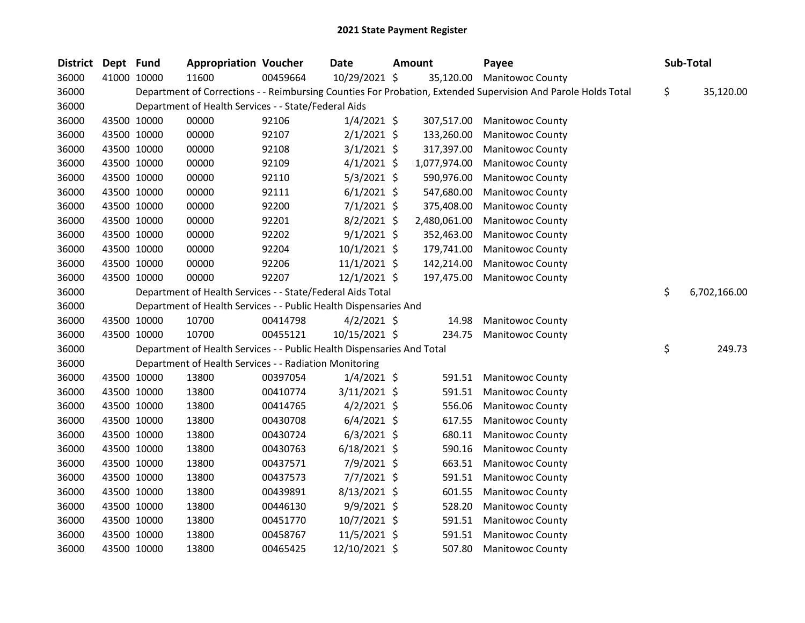| District Dept Fund |             | <b>Appropriation Voucher</b>                                           |          | <b>Date</b>    | <b>Amount</b> |              | Payee                                                                                                         | Sub-Total          |
|--------------------|-------------|------------------------------------------------------------------------|----------|----------------|---------------|--------------|---------------------------------------------------------------------------------------------------------------|--------------------|
| 36000              | 41000 10000 | 11600                                                                  | 00459664 | 10/29/2021 \$  |               | 35,120.00    | Manitowoc County                                                                                              |                    |
| 36000              |             |                                                                        |          |                |               |              | Department of Corrections - - Reimbursing Counties For Probation, Extended Supervision And Parole Holds Total | \$<br>35,120.00    |
| 36000              |             | Department of Health Services - - State/Federal Aids                   |          |                |               |              |                                                                                                               |                    |
| 36000              | 43500 10000 | 00000                                                                  | 92106    | $1/4/2021$ \$  |               | 307,517.00   | <b>Manitowoc County</b>                                                                                       |                    |
| 36000              | 43500 10000 | 00000                                                                  | 92107    | $2/1/2021$ \$  |               | 133,260.00   | <b>Manitowoc County</b>                                                                                       |                    |
| 36000              | 43500 10000 | 00000                                                                  | 92108    | $3/1/2021$ \$  |               | 317,397.00   | <b>Manitowoc County</b>                                                                                       |                    |
| 36000              | 43500 10000 | 00000                                                                  | 92109    | $4/1/2021$ \$  |               | 1,077,974.00 | <b>Manitowoc County</b>                                                                                       |                    |
| 36000              | 43500 10000 | 00000                                                                  | 92110    | $5/3/2021$ \$  |               | 590,976.00   | <b>Manitowoc County</b>                                                                                       |                    |
| 36000              | 43500 10000 | 00000                                                                  | 92111    | $6/1/2021$ \$  |               | 547,680.00   | Manitowoc County                                                                                              |                    |
| 36000              | 43500 10000 | 00000                                                                  | 92200    | $7/1/2021$ \$  |               | 375,408.00   | Manitowoc County                                                                                              |                    |
| 36000              | 43500 10000 | 00000                                                                  | 92201    | 8/2/2021 \$    |               | 2,480,061.00 | Manitowoc County                                                                                              |                    |
| 36000              | 43500 10000 | 00000                                                                  | 92202    | $9/1/2021$ \$  |               | 352,463.00   | <b>Manitowoc County</b>                                                                                       |                    |
| 36000              | 43500 10000 | 00000                                                                  | 92204    | $10/1/2021$ \$ |               | 179,741.00   | <b>Manitowoc County</b>                                                                                       |                    |
| 36000              | 43500 10000 | 00000                                                                  | 92206    | $11/1/2021$ \$ |               | 142,214.00   | Manitowoc County                                                                                              |                    |
| 36000              | 43500 10000 | 00000                                                                  | 92207    | $12/1/2021$ \$ |               | 197,475.00   | Manitowoc County                                                                                              |                    |
| 36000              |             | Department of Health Services - - State/Federal Aids Total             |          |                |               |              |                                                                                                               | \$<br>6,702,166.00 |
| 36000              |             | Department of Health Services - - Public Health Dispensaries And       |          |                |               |              |                                                                                                               |                    |
| 36000              | 43500 10000 | 10700                                                                  | 00414798 | $4/2/2021$ \$  |               | 14.98        | Manitowoc County                                                                                              |                    |
| 36000              | 43500 10000 | 10700                                                                  | 00455121 | 10/15/2021 \$  |               | 234.75       | <b>Manitowoc County</b>                                                                                       |                    |
| 36000              |             | Department of Health Services - - Public Health Dispensaries And Total |          |                |               |              |                                                                                                               | \$<br>249.73       |
| 36000              |             | Department of Health Services - - Radiation Monitoring                 |          |                |               |              |                                                                                                               |                    |
| 36000              | 43500 10000 | 13800                                                                  | 00397054 | $1/4/2021$ \$  |               | 591.51       | <b>Manitowoc County</b>                                                                                       |                    |
| 36000              | 43500 10000 | 13800                                                                  | 00410774 | $3/11/2021$ \$ |               | 591.51       | <b>Manitowoc County</b>                                                                                       |                    |
| 36000              | 43500 10000 | 13800                                                                  | 00414765 | $4/2/2021$ \$  |               | 556.06       | Manitowoc County                                                                                              |                    |
| 36000              | 43500 10000 | 13800                                                                  | 00430708 | $6/4/2021$ \$  |               | 617.55       | Manitowoc County                                                                                              |                    |
| 36000              | 43500 10000 | 13800                                                                  | 00430724 | $6/3/2021$ \$  |               | 680.11       | Manitowoc County                                                                                              |                    |
| 36000              | 43500 10000 | 13800                                                                  | 00430763 | $6/18/2021$ \$ |               | 590.16       | <b>Manitowoc County</b>                                                                                       |                    |
| 36000              | 43500 10000 | 13800                                                                  | 00437571 | 7/9/2021 \$    |               | 663.51       | Manitowoc County                                                                                              |                    |
| 36000              | 43500 10000 | 13800                                                                  | 00437573 | $7/7/2021$ \$  |               | 591.51       | Manitowoc County                                                                                              |                    |
| 36000              | 43500 10000 | 13800                                                                  | 00439891 | 8/13/2021 \$   |               | 601.55       | Manitowoc County                                                                                              |                    |
| 36000              | 43500 10000 | 13800                                                                  | 00446130 | 9/9/2021 \$    |               | 528.20       | Manitowoc County                                                                                              |                    |
| 36000              | 43500 10000 | 13800                                                                  | 00451770 | 10/7/2021 \$   |               | 591.51       | Manitowoc County                                                                                              |                    |
| 36000              | 43500 10000 | 13800                                                                  | 00458767 | 11/5/2021 \$   |               | 591.51       | <b>Manitowoc County</b>                                                                                       |                    |
| 36000              | 43500 10000 | 13800                                                                  | 00465425 | 12/10/2021 \$  |               | 507.80       | <b>Manitowoc County</b>                                                                                       |                    |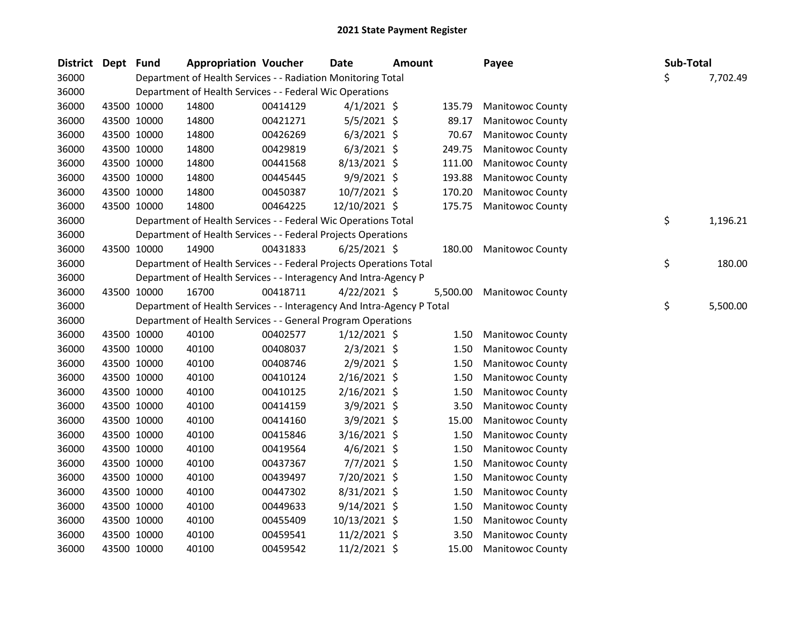| <b>District</b> | Dept Fund   |             | <b>Appropriation Voucher</b>                                           |          | <b>Date</b>    | <b>Amount</b> |          | Payee                   |    | <b>Sub-Total</b> |
|-----------------|-------------|-------------|------------------------------------------------------------------------|----------|----------------|---------------|----------|-------------------------|----|------------------|
| 36000           |             |             | Department of Health Services - - Radiation Monitoring Total           |          |                |               |          |                         | Ś. | 7,702.49         |
| 36000           |             |             | Department of Health Services - - Federal Wic Operations               |          |                |               |          |                         |    |                  |
| 36000           |             | 43500 10000 | 14800                                                                  | 00414129 | $4/1/2021$ \$  |               | 135.79   | <b>Manitowoc County</b> |    |                  |
| 36000           |             | 43500 10000 | 14800                                                                  | 00421271 | $5/5/2021$ \$  |               | 89.17    | Manitowoc County        |    |                  |
| 36000           |             | 43500 10000 | 14800                                                                  | 00426269 | $6/3/2021$ \$  |               | 70.67    | Manitowoc County        |    |                  |
| 36000           | 43500 10000 |             | 14800                                                                  | 00429819 | $6/3/2021$ \$  |               | 249.75   | Manitowoc County        |    |                  |
| 36000           |             | 43500 10000 | 14800                                                                  | 00441568 | $8/13/2021$ \$ |               | 111.00   | <b>Manitowoc County</b> |    |                  |
| 36000           |             | 43500 10000 | 14800                                                                  | 00445445 | 9/9/2021 \$    |               | 193.88   | Manitowoc County        |    |                  |
| 36000           |             | 43500 10000 | 14800                                                                  | 00450387 | 10/7/2021 \$   |               | 170.20   | Manitowoc County        |    |                  |
| 36000           |             | 43500 10000 | 14800                                                                  | 00464225 | 12/10/2021 \$  |               | 175.75   | <b>Manitowoc County</b> |    |                  |
| 36000           |             |             | Department of Health Services - - Federal Wic Operations Total         |          |                |               |          |                         | \$ | 1,196.21         |
| 36000           |             |             | Department of Health Services - - Federal Projects Operations          |          |                |               |          |                         |    |                  |
| 36000           |             | 43500 10000 | 14900                                                                  | 00431833 | $6/25/2021$ \$ |               | 180.00   | Manitowoc County        |    |                  |
| 36000           |             |             | Department of Health Services - - Federal Projects Operations Total    |          |                |               |          |                         | \$ | 180.00           |
| 36000           |             |             | Department of Health Services - - Interagency And Intra-Agency P       |          |                |               |          |                         |    |                  |
| 36000           |             | 43500 10000 | 16700                                                                  | 00418711 | $4/22/2021$ \$ |               | 5,500.00 | Manitowoc County        |    |                  |
| 36000           |             |             | Department of Health Services - - Interagency And Intra-Agency P Total |          |                |               |          |                         | \$ | 5,500.00         |
| 36000           |             |             | Department of Health Services - - General Program Operations           |          |                |               |          |                         |    |                  |
| 36000           |             | 43500 10000 | 40100                                                                  | 00402577 | $1/12/2021$ \$ |               | 1.50     | <b>Manitowoc County</b> |    |                  |
| 36000           |             | 43500 10000 | 40100                                                                  | 00408037 | $2/3/2021$ \$  |               | 1.50     | Manitowoc County        |    |                  |
| 36000           |             | 43500 10000 | 40100                                                                  | 00408746 | $2/9/2021$ \$  |               | 1.50     | <b>Manitowoc County</b> |    |                  |
| 36000           |             | 43500 10000 | 40100                                                                  | 00410124 | 2/16/2021 \$   |               | 1.50     | Manitowoc County        |    |                  |
| 36000           |             | 43500 10000 | 40100                                                                  | 00410125 | 2/16/2021 \$   |               | 1.50     | Manitowoc County        |    |                  |
| 36000           |             | 43500 10000 | 40100                                                                  | 00414159 | 3/9/2021 \$    |               | 3.50     | Manitowoc County        |    |                  |
| 36000           |             | 43500 10000 | 40100                                                                  | 00414160 | 3/9/2021 \$    |               | 15.00    | <b>Manitowoc County</b> |    |                  |
| 36000           |             | 43500 10000 | 40100                                                                  | 00415846 | 3/16/2021 \$   |               | 1.50     | Manitowoc County        |    |                  |
| 36000           |             | 43500 10000 | 40100                                                                  | 00419564 | $4/6/2021$ \$  |               | 1.50     | <b>Manitowoc County</b> |    |                  |
| 36000           |             | 43500 10000 | 40100                                                                  | 00437367 | 7/7/2021 \$    |               | 1.50     | Manitowoc County        |    |                  |
| 36000           |             | 43500 10000 | 40100                                                                  | 00439497 | 7/20/2021 \$   |               | 1.50     | Manitowoc County        |    |                  |
| 36000           |             | 43500 10000 | 40100                                                                  | 00447302 | 8/31/2021 \$   |               | 1.50     | Manitowoc County        |    |                  |
| 36000           |             | 43500 10000 | 40100                                                                  | 00449633 | $9/14/2021$ \$ |               | 1.50     | Manitowoc County        |    |                  |
| 36000           |             | 43500 10000 | 40100                                                                  | 00455409 | 10/13/2021 \$  |               | 1.50     | <b>Manitowoc County</b> |    |                  |
| 36000           |             | 43500 10000 | 40100                                                                  | 00459541 | 11/2/2021 \$   |               | 3.50     | Manitowoc County        |    |                  |
| 36000           |             | 43500 10000 | 40100                                                                  | 00459542 | 11/2/2021 \$   |               | 15.00    | <b>Manitowoc County</b> |    |                  |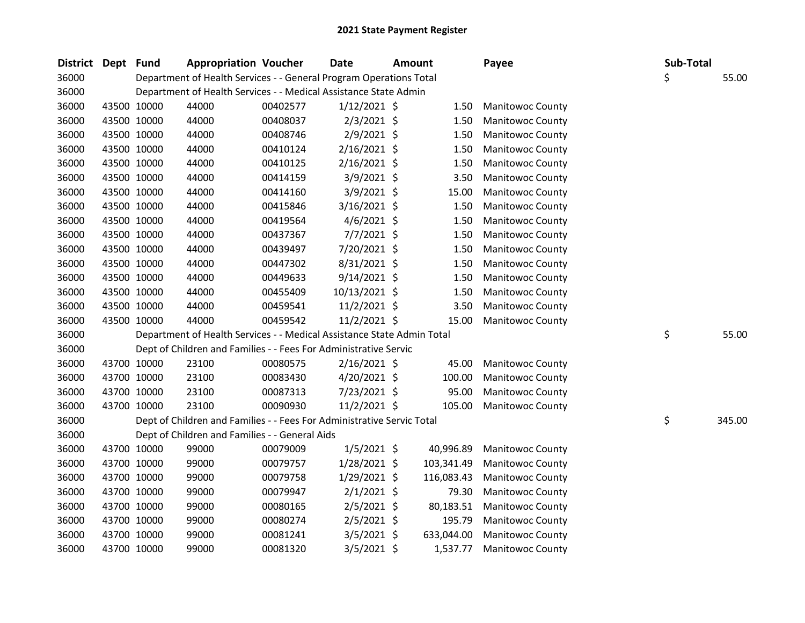| District Dept Fund |             | <b>Appropriation Voucher</b>                                           |          | Date           | <b>Amount</b> |            | Payee                   | Sub-Total |        |
|--------------------|-------------|------------------------------------------------------------------------|----------|----------------|---------------|------------|-------------------------|-----------|--------|
| 36000              |             | Department of Health Services - - General Program Operations Total     |          |                |               |            |                         | \$        | 55.00  |
| 36000              |             | Department of Health Services - - Medical Assistance State Admin       |          |                |               |            |                         |           |        |
| 36000              | 43500 10000 | 44000                                                                  | 00402577 | $1/12/2021$ \$ |               | 1.50       | <b>Manitowoc County</b> |           |        |
| 36000              | 43500 10000 | 44000                                                                  | 00408037 | $2/3/2021$ \$  |               | 1.50       | <b>Manitowoc County</b> |           |        |
| 36000              | 43500 10000 | 44000                                                                  | 00408746 | $2/9/2021$ \$  |               | 1.50       | <b>Manitowoc County</b> |           |        |
| 36000              | 43500 10000 | 44000                                                                  | 00410124 | 2/16/2021 \$   |               | 1.50       | <b>Manitowoc County</b> |           |        |
| 36000              | 43500 10000 | 44000                                                                  | 00410125 | $2/16/2021$ \$ |               | 1.50       | Manitowoc County        |           |        |
| 36000              | 43500 10000 | 44000                                                                  | 00414159 | 3/9/2021 \$    |               | 3.50       | Manitowoc County        |           |        |
| 36000              | 43500 10000 | 44000                                                                  | 00414160 | 3/9/2021 \$    |               | 15.00      | <b>Manitowoc County</b> |           |        |
| 36000              | 43500 10000 | 44000                                                                  | 00415846 | 3/16/2021 \$   |               | 1.50       | Manitowoc County        |           |        |
| 36000              | 43500 10000 | 44000                                                                  | 00419564 | $4/6/2021$ \$  |               | 1.50       | Manitowoc County        |           |        |
| 36000              | 43500 10000 | 44000                                                                  | 00437367 | $7/7/2021$ \$  |               | 1.50       | <b>Manitowoc County</b> |           |        |
| 36000              | 43500 10000 | 44000                                                                  | 00439497 | 7/20/2021 \$   |               | 1.50       | <b>Manitowoc County</b> |           |        |
| 36000              | 43500 10000 | 44000                                                                  | 00447302 | 8/31/2021 \$   |               | 1.50       | Manitowoc County        |           |        |
| 36000              | 43500 10000 | 44000                                                                  | 00449633 | $9/14/2021$ \$ |               | 1.50       | Manitowoc County        |           |        |
| 36000              | 43500 10000 | 44000                                                                  | 00455409 | 10/13/2021 \$  |               | 1.50       | <b>Manitowoc County</b> |           |        |
| 36000              | 43500 10000 | 44000                                                                  | 00459541 | 11/2/2021 \$   |               | 3.50       | Manitowoc County        |           |        |
| 36000              | 43500 10000 | 44000                                                                  | 00459542 | 11/2/2021 \$   |               | 15.00      | Manitowoc County        |           |        |
| 36000              |             | Department of Health Services - - Medical Assistance State Admin Total |          |                |               |            |                         | \$        | 55.00  |
| 36000              |             | Dept of Children and Families - - Fees For Administrative Servic       |          |                |               |            |                         |           |        |
| 36000              | 43700 10000 | 23100                                                                  | 00080575 | $2/16/2021$ \$ |               | 45.00      | <b>Manitowoc County</b> |           |        |
| 36000              | 43700 10000 | 23100                                                                  | 00083430 | $4/20/2021$ \$ |               | 100.00     | Manitowoc County        |           |        |
| 36000              | 43700 10000 | 23100                                                                  | 00087313 | 7/23/2021 \$   |               | 95.00      | Manitowoc County        |           |        |
| 36000              | 43700 10000 | 23100                                                                  | 00090930 | 11/2/2021 \$   |               | 105.00     | <b>Manitowoc County</b> |           |        |
| 36000              |             | Dept of Children and Families - - Fees For Administrative Servic Total |          |                |               |            |                         | \$        | 345.00 |
| 36000              |             | Dept of Children and Families - - General Aids                         |          |                |               |            |                         |           |        |
| 36000              | 43700 10000 | 99000                                                                  | 00079009 | $1/5/2021$ \$  |               | 40,996.89  | Manitowoc County        |           |        |
| 36000              | 43700 10000 | 99000                                                                  | 00079757 | 1/28/2021 \$   |               | 103,341.49 | <b>Manitowoc County</b> |           |        |
| 36000              | 43700 10000 | 99000                                                                  | 00079758 | 1/29/2021 \$   |               | 116,083.43 | Manitowoc County        |           |        |
| 36000              | 43700 10000 | 99000                                                                  | 00079947 | $2/1/2021$ \$  |               | 79.30      | Manitowoc County        |           |        |
| 36000              | 43700 10000 | 99000                                                                  | 00080165 | $2/5/2021$ \$  |               | 80,183.51  | Manitowoc County        |           |        |
| 36000              | 43700 10000 | 99000                                                                  | 00080274 | $2/5/2021$ \$  |               | 195.79     | Manitowoc County        |           |        |
| 36000              | 43700 10000 | 99000                                                                  | 00081241 | $3/5/2021$ \$  |               | 633,044.00 | <b>Manitowoc County</b> |           |        |
| 36000              | 43700 10000 | 99000                                                                  | 00081320 | 3/5/2021 \$    |               | 1,537.77   | <b>Manitowoc County</b> |           |        |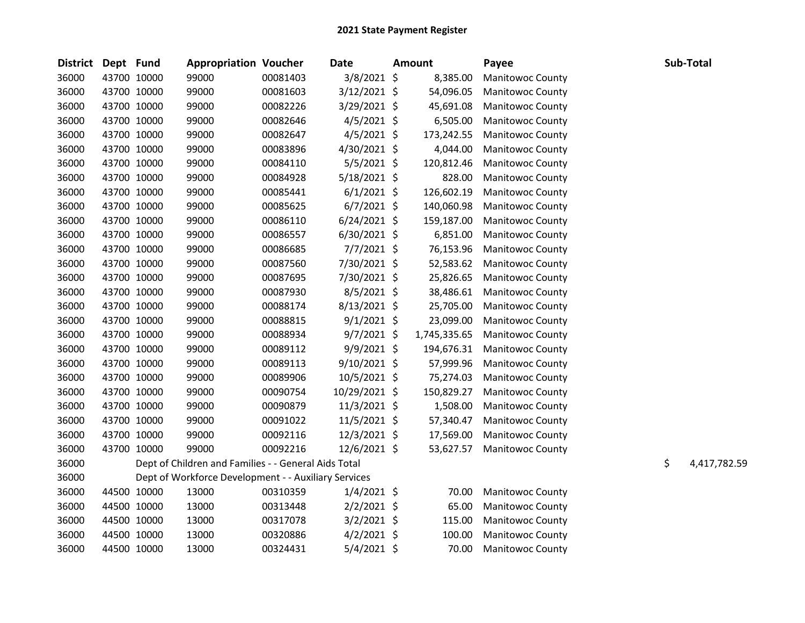| <b>District</b> | Dept Fund   | <b>Appropriation Voucher</b>                         |          | <b>Date</b>    | <b>Amount</b> |              | Payee                   |    | Sub-Total    |
|-----------------|-------------|------------------------------------------------------|----------|----------------|---------------|--------------|-------------------------|----|--------------|
| 36000           | 43700 10000 | 99000                                                | 00081403 | 3/8/2021 \$    |               | 8,385.00     | Manitowoc County        |    |              |
| 36000           | 43700 10000 | 99000                                                | 00081603 | $3/12/2021$ \$ |               | 54,096.05    | Manitowoc County        |    |              |
| 36000           | 43700 10000 | 99000                                                | 00082226 | 3/29/2021 \$   |               | 45,691.08    | Manitowoc County        |    |              |
| 36000           | 43700 10000 | 99000                                                | 00082646 | $4/5/2021$ \$  |               | 6,505.00     | Manitowoc County        |    |              |
| 36000           | 43700 10000 | 99000                                                | 00082647 | $4/5/2021$ \$  |               | 173,242.55   | Manitowoc County        |    |              |
| 36000           | 43700 10000 | 99000                                                | 00083896 | 4/30/2021 \$   |               | 4,044.00     | <b>Manitowoc County</b> |    |              |
| 36000           | 43700 10000 | 99000                                                | 00084110 | $5/5/2021$ \$  |               | 120,812.46   | Manitowoc County        |    |              |
| 36000           | 43700 10000 | 99000                                                | 00084928 | $5/18/2021$ \$ |               | 828.00       | <b>Manitowoc County</b> |    |              |
| 36000           | 43700 10000 | 99000                                                | 00085441 | $6/1/2021$ \$  |               | 126,602.19   | Manitowoc County        |    |              |
| 36000           | 43700 10000 | 99000                                                | 00085625 | $6/7/2021$ \$  |               | 140,060.98   | <b>Manitowoc County</b> |    |              |
| 36000           | 43700 10000 | 99000                                                | 00086110 | $6/24/2021$ \$ |               | 159,187.00   | Manitowoc County        |    |              |
| 36000           | 43700 10000 | 99000                                                | 00086557 | $6/30/2021$ \$ |               | 6,851.00     | Manitowoc County        |    |              |
| 36000           | 43700 10000 | 99000                                                | 00086685 | $7/7/2021$ \$  |               | 76,153.96    | <b>Manitowoc County</b> |    |              |
| 36000           | 43700 10000 | 99000                                                | 00087560 | 7/30/2021 \$   |               | 52,583.62    | Manitowoc County        |    |              |
| 36000           | 43700 10000 | 99000                                                | 00087695 | 7/30/2021 \$   |               | 25,826.65    | <b>Manitowoc County</b> |    |              |
| 36000           | 43700 10000 | 99000                                                | 00087930 | $8/5/2021$ \$  |               | 38,486.61    | <b>Manitowoc County</b> |    |              |
| 36000           | 43700 10000 | 99000                                                | 00088174 | 8/13/2021 \$   |               | 25,705.00    | <b>Manitowoc County</b> |    |              |
| 36000           | 43700 10000 | 99000                                                | 00088815 | $9/1/2021$ \$  |               | 23,099.00    | <b>Manitowoc County</b> |    |              |
| 36000           | 43700 10000 | 99000                                                | 00088934 | $9/7/2021$ \$  |               | 1,745,335.65 | <b>Manitowoc County</b> |    |              |
| 36000           | 43700 10000 | 99000                                                | 00089112 | $9/9/2021$ \$  |               | 194,676.31   | Manitowoc County        |    |              |
| 36000           | 43700 10000 | 99000                                                | 00089113 | $9/10/2021$ \$ |               | 57,999.96    | <b>Manitowoc County</b> |    |              |
| 36000           | 43700 10000 | 99000                                                | 00089906 | 10/5/2021 \$   |               | 75,274.03    | Manitowoc County        |    |              |
| 36000           | 43700 10000 | 99000                                                | 00090754 | 10/29/2021 \$  |               | 150,829.27   | <b>Manitowoc County</b> |    |              |
| 36000           | 43700 10000 | 99000                                                | 00090879 | $11/3/2021$ \$ |               | 1,508.00     | Manitowoc County        |    |              |
| 36000           | 43700 10000 | 99000                                                | 00091022 | $11/5/2021$ \$ |               | 57,340.47    | Manitowoc County        |    |              |
| 36000           | 43700 10000 | 99000                                                | 00092116 | 12/3/2021 \$   |               | 17,569.00    | Manitowoc County        |    |              |
| 36000           | 43700 10000 | 99000                                                | 00092216 | 12/6/2021 \$   |               | 53,627.57    | Manitowoc County        |    |              |
| 36000           |             | Dept of Children and Families - - General Aids Total |          |                |               |              |                         | \$ | 4,417,782.59 |
| 36000           |             | Dept of Workforce Development - - Auxiliary Services |          |                |               |              |                         |    |              |
| 36000           | 44500 10000 | 13000                                                | 00310359 | $1/4/2021$ \$  |               | 70.00        | Manitowoc County        |    |              |
| 36000           | 44500 10000 | 13000                                                | 00313448 | $2/2/2021$ \$  |               | 65.00        | Manitowoc County        |    |              |
| 36000           | 44500 10000 | 13000                                                | 00317078 | 3/2/2021 \$    |               | 115.00       | <b>Manitowoc County</b> |    |              |
| 36000           | 44500 10000 | 13000                                                | 00320886 | $4/2/2021$ \$  |               | 100.00       | Manitowoc County        |    |              |
| 36000           | 44500 10000 | 13000                                                | 00324431 | $5/4/2021$ \$  |               | 70.00        | <b>Manitowoc County</b> |    |              |
|                 |             |                                                      |          |                |               |              |                         |    |              |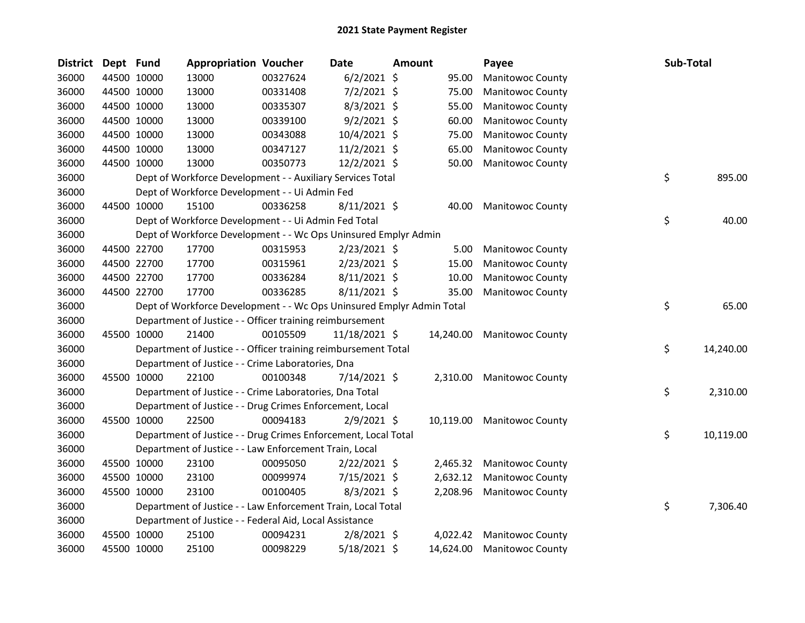| <b>District</b> | Dept Fund |             | <b>Appropriation Voucher</b>                                          |          | Date           | Amount |           | Payee                      | <b>Sub-Total</b> |  |
|-----------------|-----------|-------------|-----------------------------------------------------------------------|----------|----------------|--------|-----------|----------------------------|------------------|--|
| 36000           |           | 44500 10000 | 13000                                                                 | 00327624 | $6/2/2021$ \$  |        | 95.00     | Manitowoc County           |                  |  |
| 36000           |           | 44500 10000 | 13000                                                                 | 00331408 | $7/2/2021$ \$  |        | 75.00     | <b>Manitowoc County</b>    |                  |  |
| 36000           |           | 44500 10000 | 13000                                                                 | 00335307 | 8/3/2021 \$    |        | 55.00     | Manitowoc County           |                  |  |
| 36000           |           | 44500 10000 | 13000                                                                 | 00339100 | $9/2/2021$ \$  |        | 60.00     | <b>Manitowoc County</b>    |                  |  |
| 36000           |           | 44500 10000 | 13000                                                                 | 00343088 | 10/4/2021 \$   |        | 75.00     | <b>Manitowoc County</b>    |                  |  |
| 36000           |           | 44500 10000 | 13000                                                                 | 00347127 | 11/2/2021 \$   |        | 65.00     | Manitowoc County           |                  |  |
| 36000           |           | 44500 10000 | 13000                                                                 | 00350773 | 12/2/2021 \$   |        | 50.00     | Manitowoc County           |                  |  |
| 36000           |           |             | Dept of Workforce Development - - Auxiliary Services Total            |          |                |        |           |                            | \$<br>895.00     |  |
| 36000           |           |             | Dept of Workforce Development - - Ui Admin Fed                        |          |                |        |           |                            |                  |  |
| 36000           |           | 44500 10000 | 15100                                                                 | 00336258 | $8/11/2021$ \$ |        | 40.00     | Manitowoc County           |                  |  |
| 36000           |           |             | Dept of Workforce Development - - Ui Admin Fed Total                  |          |                |        |           |                            | \$<br>40.00      |  |
| 36000           |           |             | Dept of Workforce Development - - Wc Ops Uninsured Emplyr Admin       |          |                |        |           |                            |                  |  |
| 36000           |           | 44500 22700 | 17700                                                                 | 00315953 | $2/23/2021$ \$ |        | 5.00      | Manitowoc County           |                  |  |
| 36000           |           | 44500 22700 | 17700                                                                 | 00315961 | 2/23/2021 \$   |        | 15.00     | Manitowoc County           |                  |  |
| 36000           |           | 44500 22700 | 17700                                                                 | 00336284 | $8/11/2021$ \$ |        | 10.00     | <b>Manitowoc County</b>    |                  |  |
| 36000           |           | 44500 22700 | 17700                                                                 | 00336285 | 8/11/2021 \$   |        | 35.00     | <b>Manitowoc County</b>    |                  |  |
| 36000           |           |             | Dept of Workforce Development - - Wc Ops Uninsured Emplyr Admin Total |          |                |        |           |                            | \$<br>65.00      |  |
| 36000           |           |             | Department of Justice - - Officer training reimbursement              |          |                |        |           |                            |                  |  |
| 36000           |           | 45500 10000 | 21400                                                                 | 00105509 | 11/18/2021 \$  |        |           | 14,240.00 Manitowoc County |                  |  |
| 36000           |           |             | Department of Justice - - Officer training reimbursement Total        |          |                |        |           |                            | \$<br>14,240.00  |  |
| 36000           |           |             | Department of Justice - - Crime Laboratories, Dna                     |          |                |        |           |                            |                  |  |
| 36000           |           | 45500 10000 | 22100                                                                 | 00100348 | $7/14/2021$ \$ |        | 2,310.00  | <b>Manitowoc County</b>    |                  |  |
| 36000           |           |             | Department of Justice - - Crime Laboratories, Dna Total               |          |                |        |           |                            | \$<br>2,310.00   |  |
| 36000           |           |             | Department of Justice - - Drug Crimes Enforcement, Local              |          |                |        |           |                            |                  |  |
| 36000           |           | 45500 10000 | 22500                                                                 | 00094183 | $2/9/2021$ \$  |        |           | 10,119.00 Manitowoc County |                  |  |
| 36000           |           |             | Department of Justice - - Drug Crimes Enforcement, Local Total        |          |                |        |           |                            | \$<br>10,119.00  |  |
| 36000           |           |             | Department of Justice - - Law Enforcement Train, Local                |          |                |        |           |                            |                  |  |
| 36000           |           | 45500 10000 | 23100                                                                 | 00095050 | $2/22/2021$ \$ |        | 2,465.32  | <b>Manitowoc County</b>    |                  |  |
| 36000           |           | 45500 10000 | 23100                                                                 | 00099974 | $7/15/2021$ \$ |        | 2,632.12  | <b>Manitowoc County</b>    |                  |  |
| 36000           |           | 45500 10000 | 23100                                                                 | 00100405 | $8/3/2021$ \$  |        | 2,208.96  | <b>Manitowoc County</b>    |                  |  |
| 36000           |           |             | Department of Justice - - Law Enforcement Train, Local Total          |          |                |        |           |                            | \$<br>7,306.40   |  |
| 36000           |           |             | Department of Justice - - Federal Aid, Local Assistance               |          |                |        |           |                            |                  |  |
| 36000           |           | 45500 10000 | 25100                                                                 | 00094231 | $2/8/2021$ \$  |        | 4,022.42  | <b>Manitowoc County</b>    |                  |  |
| 36000           |           | 45500 10000 | 25100                                                                 | 00098229 | 5/18/2021 \$   |        | 14,624.00 | <b>Manitowoc County</b>    |                  |  |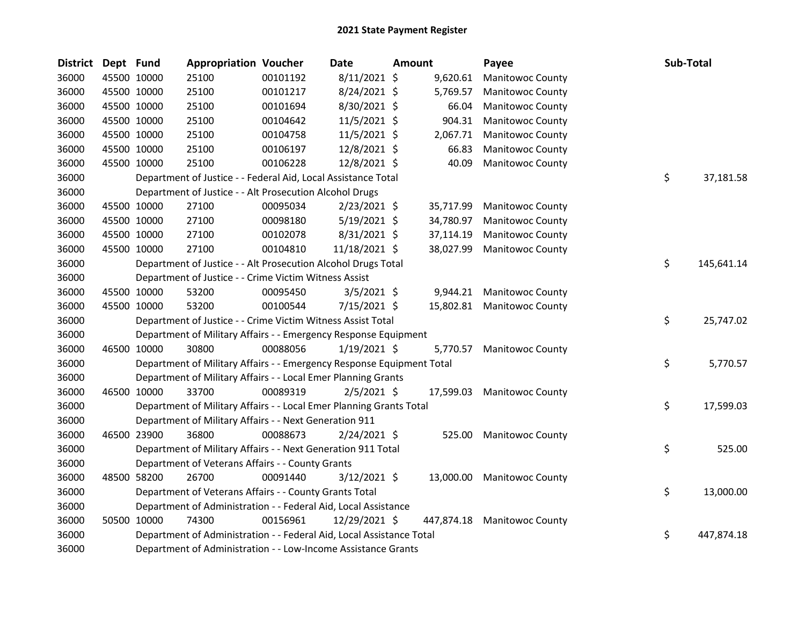| District Dept Fund |             | <b>Appropriation Voucher</b>                                          |          | <b>Date</b>    | Amount |            | Payee                      | Sub-Total        |
|--------------------|-------------|-----------------------------------------------------------------------|----------|----------------|--------|------------|----------------------------|------------------|
| 36000              | 45500 10000 | 25100                                                                 | 00101192 | 8/11/2021 \$   |        | 9,620.61   | Manitowoc County           |                  |
| 36000              | 45500 10000 | 25100                                                                 | 00101217 | 8/24/2021 \$   |        | 5,769.57   | <b>Manitowoc County</b>    |                  |
| 36000              | 45500 10000 | 25100                                                                 | 00101694 | 8/30/2021 \$   |        | 66.04      | Manitowoc County           |                  |
| 36000              | 45500 10000 | 25100                                                                 | 00104642 | 11/5/2021 \$   |        | 904.31     | Manitowoc County           |                  |
| 36000              | 45500 10000 | 25100                                                                 | 00104758 | $11/5/2021$ \$ |        | 2,067.71   | <b>Manitowoc County</b>    |                  |
| 36000              | 45500 10000 | 25100                                                                 | 00106197 | 12/8/2021 \$   |        | 66.83      | Manitowoc County           |                  |
| 36000              | 45500 10000 | 25100                                                                 | 00106228 | 12/8/2021 \$   |        | 40.09      | <b>Manitowoc County</b>    |                  |
| 36000              |             | Department of Justice - - Federal Aid, Local Assistance Total         |          |                |        |            |                            | \$<br>37,181.58  |
| 36000              |             | Department of Justice - - Alt Prosecution Alcohol Drugs               |          |                |        |            |                            |                  |
| 36000              | 45500 10000 | 27100                                                                 | 00095034 | 2/23/2021 \$   |        | 35,717.99  | Manitowoc County           |                  |
| 36000              | 45500 10000 | 27100                                                                 | 00098180 | $5/19/2021$ \$ |        | 34,780.97  | <b>Manitowoc County</b>    |                  |
| 36000              | 45500 10000 | 27100                                                                 | 00102078 | 8/31/2021 \$   |        | 37,114.19  | <b>Manitowoc County</b>    |                  |
| 36000              | 45500 10000 | 27100                                                                 | 00104810 | 11/18/2021 \$  |        | 38,027.99  | <b>Manitowoc County</b>    |                  |
| 36000              |             | Department of Justice - - Alt Prosecution Alcohol Drugs Total         |          |                |        |            |                            | \$<br>145,641.14 |
| 36000              |             | Department of Justice - - Crime Victim Witness Assist                 |          |                |        |            |                            |                  |
| 36000              | 45500 10000 | 53200                                                                 | 00095450 | $3/5/2021$ \$  |        | 9,944.21   | <b>Manitowoc County</b>    |                  |
| 36000              | 45500 10000 | 53200                                                                 | 00100544 | 7/15/2021 \$   |        | 15,802.81  | <b>Manitowoc County</b>    |                  |
| 36000              |             | Department of Justice - - Crime Victim Witness Assist Total           |          |                |        |            |                            | \$<br>25,747.02  |
| 36000              |             | Department of Military Affairs - - Emergency Response Equipment       |          |                |        |            |                            |                  |
| 36000              | 46500 10000 | 30800                                                                 | 00088056 | $1/19/2021$ \$ |        | 5,770.57   | <b>Manitowoc County</b>    |                  |
| 36000              |             | Department of Military Affairs - - Emergency Response Equipment Total |          |                |        |            |                            | \$<br>5,770.57   |
| 36000              |             | Department of Military Affairs - - Local Emer Planning Grants         |          |                |        |            |                            |                  |
| 36000              | 46500 10000 | 33700                                                                 | 00089319 | $2/5/2021$ \$  |        | 17,599.03  | <b>Manitowoc County</b>    |                  |
| 36000              |             | Department of Military Affairs - - Local Emer Planning Grants Total   |          |                |        |            |                            | \$<br>17,599.03  |
| 36000              |             | Department of Military Affairs - - Next Generation 911                |          |                |        |            |                            |                  |
| 36000              | 46500 23900 | 36800                                                                 | 00088673 | $2/24/2021$ \$ |        | 525.00     | <b>Manitowoc County</b>    |                  |
| 36000              |             | Department of Military Affairs - - Next Generation 911 Total          |          |                |        |            |                            | \$<br>525.00     |
| 36000              |             | Department of Veterans Affairs - - County Grants                      |          |                |        |            |                            |                  |
| 36000              | 48500 58200 | 26700                                                                 | 00091440 | $3/12/2021$ \$ |        |            | 13,000.00 Manitowoc County |                  |
| 36000              |             | Department of Veterans Affairs - - County Grants Total                |          |                |        |            |                            | \$<br>13,000.00  |
| 36000              |             | Department of Administration - - Federal Aid, Local Assistance        |          |                |        |            |                            |                  |
| 36000              | 50500 10000 | 74300                                                                 | 00156961 | 12/29/2021 \$  |        | 447,874.18 | <b>Manitowoc County</b>    |                  |
| 36000              |             | Department of Administration - - Federal Aid, Local Assistance Total  |          |                |        |            |                            | \$<br>447,874.18 |
| 36000              |             | Department of Administration - - Low-Income Assistance Grants         |          |                |        |            |                            |                  |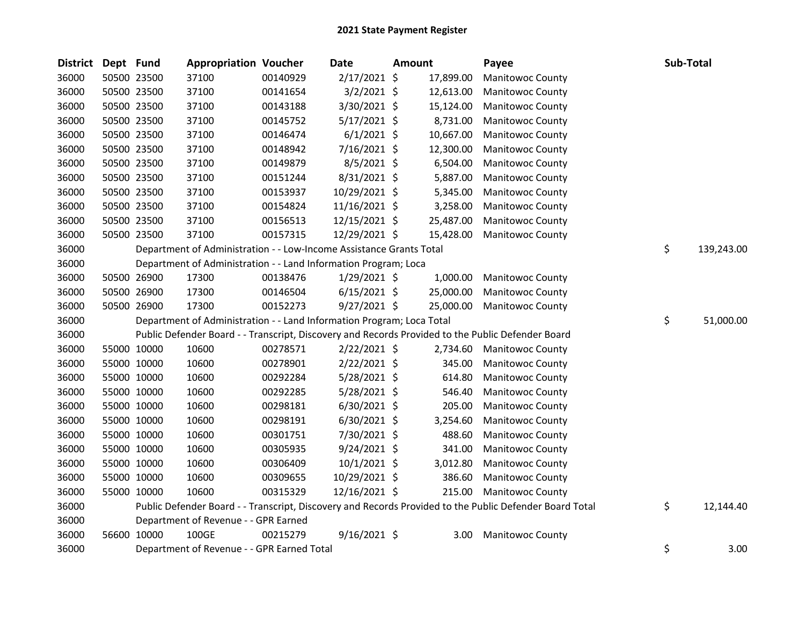| <b>District</b> | Dept Fund |             | <b>Appropriation Voucher</b>                                          |          | <b>Date</b>    | <b>Amount</b> |           | Payee                                                                                                   | Sub-Total        |
|-----------------|-----------|-------------|-----------------------------------------------------------------------|----------|----------------|---------------|-----------|---------------------------------------------------------------------------------------------------------|------------------|
| 36000           |           | 50500 23500 | 37100                                                                 | 00140929 | $2/17/2021$ \$ |               | 17,899.00 | Manitowoc County                                                                                        |                  |
| 36000           |           | 50500 23500 | 37100                                                                 | 00141654 | $3/2/2021$ \$  |               | 12,613.00 | Manitowoc County                                                                                        |                  |
| 36000           |           | 50500 23500 | 37100                                                                 | 00143188 | 3/30/2021 \$   |               | 15,124.00 | Manitowoc County                                                                                        |                  |
| 36000           |           | 50500 23500 | 37100                                                                 | 00145752 | $5/17/2021$ \$ |               | 8,731.00  | Manitowoc County                                                                                        |                  |
| 36000           |           | 50500 23500 | 37100                                                                 | 00146474 | $6/1/2021$ \$  |               | 10,667.00 | <b>Manitowoc County</b>                                                                                 |                  |
| 36000           |           | 50500 23500 | 37100                                                                 | 00148942 | $7/16/2021$ \$ |               | 12,300.00 | Manitowoc County                                                                                        |                  |
| 36000           |           | 50500 23500 | 37100                                                                 | 00149879 | $8/5/2021$ \$  |               | 6,504.00  | <b>Manitowoc County</b>                                                                                 |                  |
| 36000           |           | 50500 23500 | 37100                                                                 | 00151244 | $8/31/2021$ \$ |               | 5,887.00  | <b>Manitowoc County</b>                                                                                 |                  |
| 36000           |           | 50500 23500 | 37100                                                                 | 00153937 | 10/29/2021 \$  |               | 5,345.00  | Manitowoc County                                                                                        |                  |
| 36000           |           | 50500 23500 | 37100                                                                 | 00154824 | 11/16/2021 \$  |               | 3,258.00  | Manitowoc County                                                                                        |                  |
| 36000           |           | 50500 23500 | 37100                                                                 | 00156513 | 12/15/2021 \$  |               | 25,487.00 | Manitowoc County                                                                                        |                  |
| 36000           |           | 50500 23500 | 37100                                                                 | 00157315 | 12/29/2021 \$  |               | 15,428.00 | <b>Manitowoc County</b>                                                                                 |                  |
| 36000           |           |             | Department of Administration - - Low-Income Assistance Grants Total   |          |                |               |           |                                                                                                         | \$<br>139,243.00 |
| 36000           |           |             | Department of Administration - - Land Information Program; Loca       |          |                |               |           |                                                                                                         |                  |
| 36000           |           | 50500 26900 | 17300                                                                 | 00138476 | $1/29/2021$ \$ |               | 1,000.00  | <b>Manitowoc County</b>                                                                                 |                  |
| 36000           |           | 50500 26900 | 17300                                                                 | 00146504 | $6/15/2021$ \$ |               | 25,000.00 | Manitowoc County                                                                                        |                  |
| 36000           |           | 50500 26900 | 17300                                                                 | 00152273 | 9/27/2021 \$   |               | 25,000.00 | Manitowoc County                                                                                        |                  |
| 36000           |           |             | Department of Administration - - Land Information Program; Loca Total |          |                |               |           |                                                                                                         | \$<br>51,000.00  |
| 36000           |           |             |                                                                       |          |                |               |           | Public Defender Board - - Transcript, Discovery and Records Provided to the Public Defender Board       |                  |
| 36000           |           | 55000 10000 | 10600                                                                 | 00278571 | $2/22/2021$ \$ |               | 2,734.60  | <b>Manitowoc County</b>                                                                                 |                  |
| 36000           |           | 55000 10000 | 10600                                                                 | 00278901 | $2/22/2021$ \$ |               | 345.00    | <b>Manitowoc County</b>                                                                                 |                  |
| 36000           |           | 55000 10000 | 10600                                                                 | 00292284 | $5/28/2021$ \$ |               | 614.80    | Manitowoc County                                                                                        |                  |
| 36000           |           | 55000 10000 | 10600                                                                 | 00292285 | $5/28/2021$ \$ |               | 546.40    | Manitowoc County                                                                                        |                  |
| 36000           |           | 55000 10000 | 10600                                                                 | 00298181 | $6/30/2021$ \$ |               | 205.00    | <b>Manitowoc County</b>                                                                                 |                  |
| 36000           |           | 55000 10000 | 10600                                                                 | 00298191 | $6/30/2021$ \$ |               | 3,254.60  | <b>Manitowoc County</b>                                                                                 |                  |
| 36000           |           | 55000 10000 | 10600                                                                 | 00301751 | 7/30/2021 \$   |               | 488.60    | Manitowoc County                                                                                        |                  |
| 36000           |           | 55000 10000 | 10600                                                                 | 00305935 | $9/24/2021$ \$ |               | 341.00    | Manitowoc County                                                                                        |                  |
| 36000           |           | 55000 10000 | 10600                                                                 | 00306409 | $10/1/2021$ \$ |               | 3,012.80  | Manitowoc County                                                                                        |                  |
| 36000           |           | 55000 10000 | 10600                                                                 | 00309655 | 10/29/2021 \$  |               | 386.60    | Manitowoc County                                                                                        |                  |
| 36000           |           | 55000 10000 | 10600                                                                 | 00315329 | 12/16/2021 \$  |               | 215.00    | Manitowoc County                                                                                        |                  |
| 36000           |           |             |                                                                       |          |                |               |           | Public Defender Board - - Transcript, Discovery and Records Provided to the Public Defender Board Total | \$<br>12,144.40  |
| 36000           |           |             | Department of Revenue - - GPR Earned                                  |          |                |               |           |                                                                                                         |                  |
| 36000           |           | 56600 10000 | 100GE                                                                 | 00215279 | $9/16/2021$ \$ |               | 3.00      | Manitowoc County                                                                                        |                  |
| 36000           |           |             | Department of Revenue - - GPR Earned Total                            |          |                |               |           |                                                                                                         | \$<br>3.00       |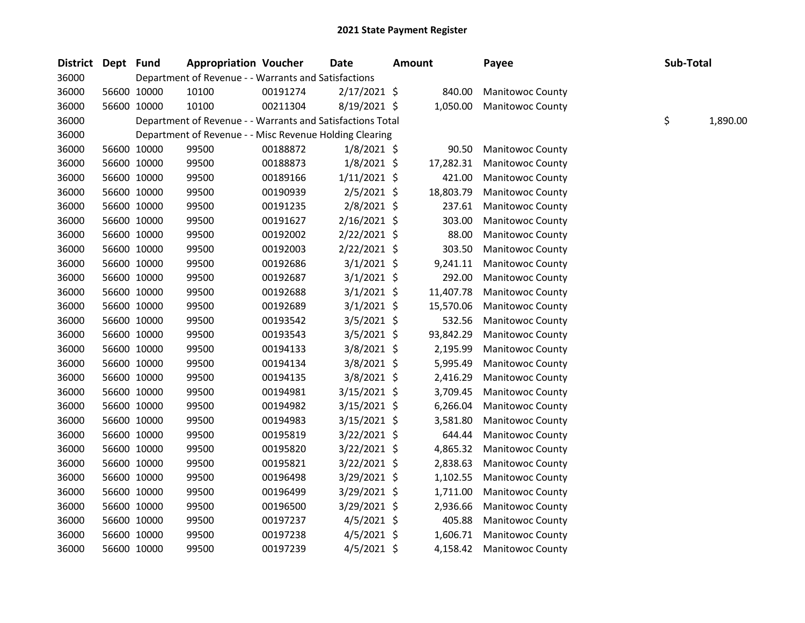| District Dept Fund |             | <b>Appropriation Voucher</b>                               |          | <b>Date</b>    | Amount |           | Payee                   | Sub-Total |          |
|--------------------|-------------|------------------------------------------------------------|----------|----------------|--------|-----------|-------------------------|-----------|----------|
| 36000              |             | Department of Revenue - - Warrants and Satisfactions       |          |                |        |           |                         |           |          |
| 36000              | 56600 10000 | 10100                                                      | 00191274 | $2/17/2021$ \$ |        | 840.00    | <b>Manitowoc County</b> |           |          |
| 36000              | 56600 10000 | 10100                                                      | 00211304 | 8/19/2021 \$   |        | 1,050.00  | <b>Manitowoc County</b> |           |          |
| 36000              |             | Department of Revenue - - Warrants and Satisfactions Total |          |                |        |           |                         | \$        | 1,890.00 |
| 36000              |             | Department of Revenue - - Misc Revenue Holding Clearing    |          |                |        |           |                         |           |          |
| 36000              | 56600 10000 | 99500                                                      | 00188872 | $1/8/2021$ \$  |        | 90.50     | Manitowoc County        |           |          |
| 36000              | 56600 10000 | 99500                                                      | 00188873 | 1/8/2021 \$    |        | 17,282.31 | Manitowoc County        |           |          |
| 36000              | 56600 10000 | 99500                                                      | 00189166 | $1/11/2021$ \$ |        | 421.00    | Manitowoc County        |           |          |
| 36000              | 56600 10000 | 99500                                                      | 00190939 | $2/5/2021$ \$  |        | 18,803.79 | Manitowoc County        |           |          |
| 36000              | 56600 10000 | 99500                                                      | 00191235 | 2/8/2021 \$    |        | 237.61    | Manitowoc County        |           |          |
| 36000              | 56600 10000 | 99500                                                      | 00191627 | $2/16/2021$ \$ |        | 303.00    | <b>Manitowoc County</b> |           |          |
| 36000              | 56600 10000 | 99500                                                      | 00192002 | $2/22/2021$ \$ |        | 88.00     | Manitowoc County        |           |          |
| 36000              | 56600 10000 | 99500                                                      | 00192003 | $2/22/2021$ \$ |        | 303.50    | <b>Manitowoc County</b> |           |          |
| 36000              | 56600 10000 | 99500                                                      | 00192686 | $3/1/2021$ \$  |        | 9,241.11  | Manitowoc County        |           |          |
| 36000              | 56600 10000 | 99500                                                      | 00192687 | $3/1/2021$ \$  |        | 292.00    | <b>Manitowoc County</b> |           |          |
| 36000              | 56600 10000 | 99500                                                      | 00192688 | $3/1/2021$ \$  |        | 11,407.78 | Manitowoc County        |           |          |
| 36000              | 56600 10000 | 99500                                                      | 00192689 | $3/1/2021$ \$  |        | 15,570.06 | Manitowoc County        |           |          |
| 36000              | 56600 10000 | 99500                                                      | 00193542 | 3/5/2021 \$    |        | 532.56    | <b>Manitowoc County</b> |           |          |
| 36000              | 56600 10000 | 99500                                                      | 00193543 | 3/5/2021 \$    |        | 93,842.29 | <b>Manitowoc County</b> |           |          |
| 36000              | 56600 10000 | 99500                                                      | 00194133 | 3/8/2021 \$    |        | 2,195.99  | <b>Manitowoc County</b> |           |          |
| 36000              | 56600 10000 | 99500                                                      | 00194134 | 3/8/2021 \$    |        | 5,995.49  | <b>Manitowoc County</b> |           |          |
| 36000              | 56600 10000 | 99500                                                      | 00194135 | 3/8/2021 \$    |        | 2,416.29  | <b>Manitowoc County</b> |           |          |
| 36000              | 56600 10000 | 99500                                                      | 00194981 | $3/15/2021$ \$ |        | 3,709.45  | <b>Manitowoc County</b> |           |          |
| 36000              | 56600 10000 | 99500                                                      | 00194982 | $3/15/2021$ \$ |        | 6,266.04  | <b>Manitowoc County</b> |           |          |
| 36000              | 56600 10000 | 99500                                                      | 00194983 | $3/15/2021$ \$ |        | 3,581.80  | Manitowoc County        |           |          |
| 36000              | 56600 10000 | 99500                                                      | 00195819 | 3/22/2021 \$   |        | 644.44    | Manitowoc County        |           |          |
| 36000              | 56600 10000 | 99500                                                      | 00195820 | $3/22/2021$ \$ |        | 4,865.32  | <b>Manitowoc County</b> |           |          |
| 36000              | 56600 10000 | 99500                                                      | 00195821 | 3/22/2021 \$   |        | 2,838.63  | Manitowoc County        |           |          |
| 36000              | 56600 10000 | 99500                                                      | 00196498 | 3/29/2021 \$   |        | 1,102.55  | Manitowoc County        |           |          |
| 36000              | 56600 10000 | 99500                                                      | 00196499 | 3/29/2021 \$   |        | 1,711.00  | Manitowoc County        |           |          |
| 36000              | 56600 10000 | 99500                                                      | 00196500 | 3/29/2021 \$   |        | 2,936.66  | Manitowoc County        |           |          |
| 36000              | 56600 10000 | 99500                                                      | 00197237 | $4/5/2021$ \$  |        | 405.88    | Manitowoc County        |           |          |
| 36000              | 56600 10000 | 99500                                                      | 00197238 | $4/5/2021$ \$  |        | 1,606.71  | Manitowoc County        |           |          |
| 36000              | 56600 10000 | 99500                                                      | 00197239 | $4/5/2021$ \$  |        | 4,158.42  | <b>Manitowoc County</b> |           |          |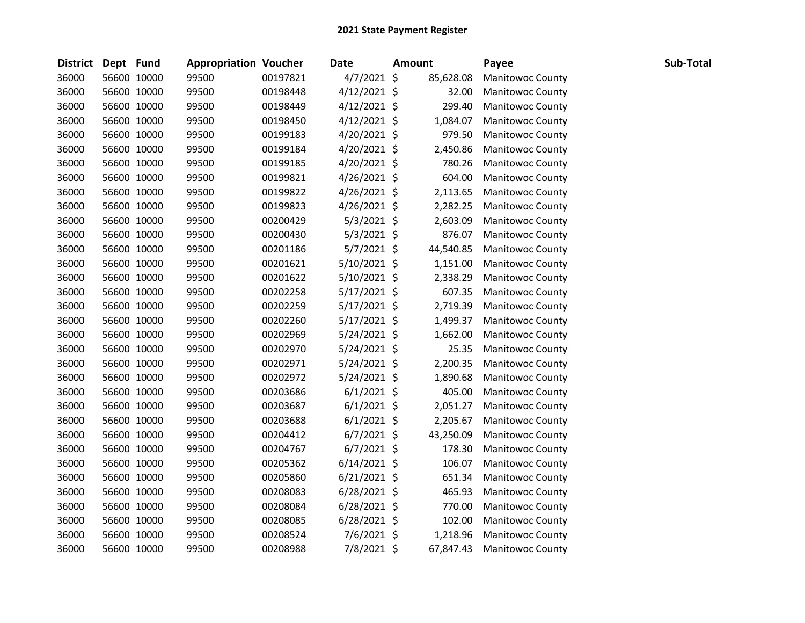| District Dept Fund |             | <b>Appropriation Voucher</b> |          | Date           | <b>Amount</b> | Payee                   | Sub-Total |
|--------------------|-------------|------------------------------|----------|----------------|---------------|-------------------------|-----------|
| 36000              | 56600 10000 | 99500                        | 00197821 | $4/7/2021$ \$  | 85,628.08     | Manitowoc County        |           |
| 36000              | 56600 10000 | 99500                        | 00198448 | $4/12/2021$ \$ | 32.00         | <b>Manitowoc County</b> |           |
| 36000              | 56600 10000 | 99500                        | 00198449 | $4/12/2021$ \$ | 299.40        | <b>Manitowoc County</b> |           |
| 36000              | 56600 10000 | 99500                        | 00198450 | $4/12/2021$ \$ | 1,084.07      | <b>Manitowoc County</b> |           |
| 36000              | 56600 10000 | 99500                        | 00199183 | 4/20/2021 \$   | 979.50        | Manitowoc County        |           |
| 36000              | 56600 10000 | 99500                        | 00199184 | 4/20/2021 \$   | 2,450.86      | <b>Manitowoc County</b> |           |
| 36000              | 56600 10000 | 99500                        | 00199185 | 4/20/2021 \$   | 780.26        | <b>Manitowoc County</b> |           |
| 36000              | 56600 10000 | 99500                        | 00199821 | $4/26/2021$ \$ | 604.00        | <b>Manitowoc County</b> |           |
| 36000              | 56600 10000 | 99500                        | 00199822 | $4/26/2021$ \$ | 2,113.65      | Manitowoc County        |           |
| 36000              | 56600 10000 | 99500                        | 00199823 | 4/26/2021 \$   | 2,282.25      | <b>Manitowoc County</b> |           |
| 36000              | 56600 10000 | 99500                        | 00200429 | $5/3/2021$ \$  | 2,603.09      | <b>Manitowoc County</b> |           |
| 36000              | 56600 10000 | 99500                        | 00200430 | 5/3/2021 \$    | 876.07        | Manitowoc County        |           |
| 36000              | 56600 10000 | 99500                        | 00201186 | $5/7/2021$ \$  | 44,540.85     | <b>Manitowoc County</b> |           |
| 36000              | 56600 10000 | 99500                        | 00201621 | 5/10/2021 \$   | 1,151.00      | <b>Manitowoc County</b> |           |
| 36000              | 56600 10000 | 99500                        | 00201622 | 5/10/2021 \$   | 2,338.29      | <b>Manitowoc County</b> |           |
| 36000              | 56600 10000 | 99500                        | 00202258 | $5/17/2021$ \$ | 607.35        | Manitowoc County        |           |
| 36000              | 56600 10000 | 99500                        | 00202259 | $5/17/2021$ \$ | 2,719.39      | Manitowoc County        |           |
| 36000              | 56600 10000 | 99500                        | 00202260 | $5/17/2021$ \$ | 1,499.37      | Manitowoc County        |           |
| 36000              | 56600 10000 | 99500                        | 00202969 | 5/24/2021 \$   | 1,662.00      | <b>Manitowoc County</b> |           |
| 36000              | 56600 10000 | 99500                        | 00202970 | $5/24/2021$ \$ | 25.35         | <b>Manitowoc County</b> |           |
| 36000              | 56600 10000 | 99500                        | 00202971 | $5/24/2021$ \$ | 2,200.35      | <b>Manitowoc County</b> |           |
| 36000              | 56600 10000 | 99500                        | 00202972 | 5/24/2021 \$   | 1,890.68      | <b>Manitowoc County</b> |           |
| 36000              | 56600 10000 | 99500                        | 00203686 | $6/1/2021$ \$  | 405.00        | <b>Manitowoc County</b> |           |
| 36000              | 56600 10000 | 99500                        | 00203687 | $6/1/2021$ \$  | 2,051.27      | <b>Manitowoc County</b> |           |
| 36000              | 56600 10000 | 99500                        | 00203688 | $6/1/2021$ \$  | 2,205.67      | <b>Manitowoc County</b> |           |
| 36000              | 56600 10000 | 99500                        | 00204412 | $6/7/2021$ \$  | 43,250.09     | Manitowoc County        |           |
| 36000              | 56600 10000 | 99500                        | 00204767 | $6/7/2021$ \$  | 178.30        | <b>Manitowoc County</b> |           |
| 36000              | 56600 10000 | 99500                        | 00205362 | $6/14/2021$ \$ | 106.07        | <b>Manitowoc County</b> |           |
| 36000              | 56600 10000 | 99500                        | 00205860 | $6/21/2021$ \$ | 651.34        | <b>Manitowoc County</b> |           |
| 36000              | 56600 10000 | 99500                        | 00208083 | $6/28/2021$ \$ | 465.93        | <b>Manitowoc County</b> |           |
| 36000              | 56600 10000 | 99500                        | 00208084 | $6/28/2021$ \$ | 770.00        | Manitowoc County        |           |
| 36000              | 56600 10000 | 99500                        | 00208085 | $6/28/2021$ \$ | 102.00        | Manitowoc County        |           |
| 36000              | 56600 10000 | 99500                        | 00208524 | 7/6/2021 \$    | 1,218.96      | Manitowoc County        |           |
| 36000              | 56600 10000 | 99500                        | 00208988 | 7/8/2021 \$    | 67,847.43     | <b>Manitowoc County</b> |           |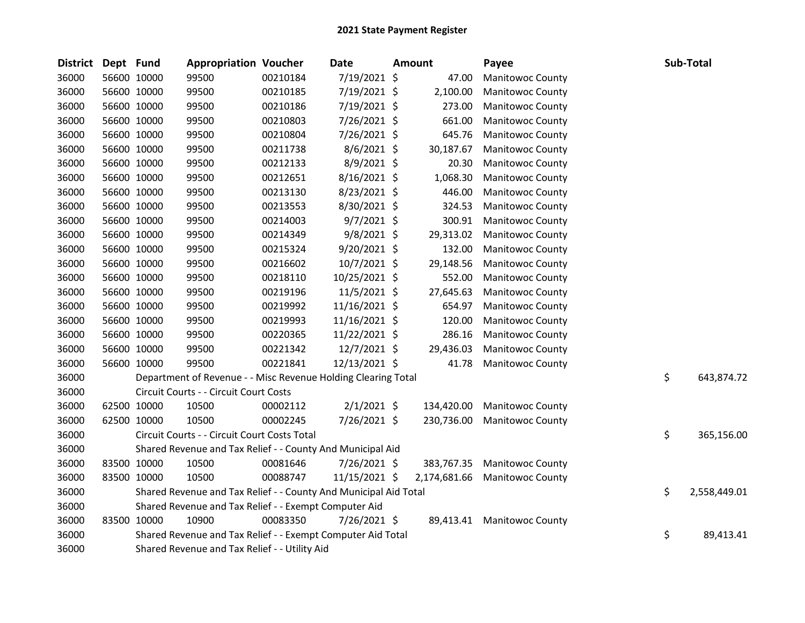| District | Dept Fund   |             | <b>Appropriation Voucher</b>                                     |          | Date          | Amount       | Payee                      |    | Sub-Total    |
|----------|-------------|-------------|------------------------------------------------------------------|----------|---------------|--------------|----------------------------|----|--------------|
| 36000    |             | 56600 10000 | 99500                                                            | 00210184 | 7/19/2021 \$  | 47.00        | Manitowoc County           |    |              |
| 36000    |             | 56600 10000 | 99500                                                            | 00210185 | 7/19/2021 \$  | 2,100.00     | Manitowoc County           |    |              |
| 36000    |             | 56600 10000 | 99500                                                            | 00210186 | 7/19/2021 \$  | 273.00       | <b>Manitowoc County</b>    |    |              |
| 36000    |             | 56600 10000 | 99500                                                            | 00210803 | 7/26/2021 \$  | 661.00       | Manitowoc County           |    |              |
| 36000    |             | 56600 10000 | 99500                                                            | 00210804 | 7/26/2021 \$  | 645.76       | <b>Manitowoc County</b>    |    |              |
| 36000    |             | 56600 10000 | 99500                                                            | 00211738 | 8/6/2021 \$   | 30,187.67    | Manitowoc County           |    |              |
| 36000    |             | 56600 10000 | 99500                                                            | 00212133 | $8/9/2021$ \$ | 20.30        | Manitowoc County           |    |              |
| 36000    |             | 56600 10000 | 99500                                                            | 00212651 | 8/16/2021 \$  | 1,068.30     | Manitowoc County           |    |              |
| 36000    |             | 56600 10000 | 99500                                                            | 00213130 | 8/23/2021 \$  | 446.00       | Manitowoc County           |    |              |
| 36000    |             | 56600 10000 | 99500                                                            | 00213553 | 8/30/2021 \$  | 324.53       | Manitowoc County           |    |              |
| 36000    |             | 56600 10000 | 99500                                                            | 00214003 | $9/7/2021$ \$ | 300.91       | <b>Manitowoc County</b>    |    |              |
| 36000    |             | 56600 10000 | 99500                                                            | 00214349 | $9/8/2021$ \$ | 29,313.02    | Manitowoc County           |    |              |
| 36000    |             | 56600 10000 | 99500                                                            | 00215324 | 9/20/2021 \$  | 132.00       | Manitowoc County           |    |              |
| 36000    |             | 56600 10000 | 99500                                                            | 00216602 | 10/7/2021 \$  | 29,148.56    | Manitowoc County           |    |              |
| 36000    |             | 56600 10000 | 99500                                                            | 00218110 | 10/25/2021 \$ | 552.00       | <b>Manitowoc County</b>    |    |              |
| 36000    |             | 56600 10000 | 99500                                                            | 00219196 | 11/5/2021 \$  | 27,645.63    | Manitowoc County           |    |              |
| 36000    |             | 56600 10000 | 99500                                                            | 00219992 | 11/16/2021 \$ | 654.97       | Manitowoc County           |    |              |
| 36000    |             | 56600 10000 | 99500                                                            | 00219993 | 11/16/2021 \$ | 120.00       | <b>Manitowoc County</b>    |    |              |
| 36000    |             | 56600 10000 | 99500                                                            | 00220365 | 11/22/2021 \$ | 286.16       | <b>Manitowoc County</b>    |    |              |
| 36000    |             | 56600 10000 | 99500                                                            | 00221342 | 12/7/2021 \$  | 29,436.03    | <b>Manitowoc County</b>    |    |              |
| 36000    |             | 56600 10000 | 99500                                                            | 00221841 | 12/13/2021 \$ | 41.78        | <b>Manitowoc County</b>    |    |              |
| 36000    |             |             | Department of Revenue - - Misc Revenue Holding Clearing Total    |          |               |              |                            | \$ | 643,874.72   |
| 36000    |             |             | Circuit Courts - - Circuit Court Costs                           |          |               |              |                            |    |              |
| 36000    | 62500 10000 |             | 10500                                                            | 00002112 | $2/1/2021$ \$ | 134,420.00   | Manitowoc County           |    |              |
| 36000    |             | 62500 10000 | 10500                                                            | 00002245 | 7/26/2021 \$  | 230,736.00   | <b>Manitowoc County</b>    |    |              |
| 36000    |             |             | Circuit Courts - - Circuit Court Costs Total                     |          |               |              |                            | \$ | 365,156.00   |
| 36000    |             |             | Shared Revenue and Tax Relief - - County And Municipal Aid       |          |               |              |                            |    |              |
| 36000    | 83500 10000 |             | 10500                                                            | 00081646 | 7/26/2021 \$  | 383,767.35   | Manitowoc County           |    |              |
| 36000    |             | 83500 10000 | 10500                                                            | 00088747 | 11/15/2021 \$ | 2,174,681.66 | <b>Manitowoc County</b>    |    |              |
| 36000    |             |             | Shared Revenue and Tax Relief - - County And Municipal Aid Total |          |               |              |                            | \$ | 2,558,449.01 |
| 36000    |             |             | Shared Revenue and Tax Relief - - Exempt Computer Aid            |          |               |              |                            |    |              |
| 36000    | 83500 10000 |             | 10900                                                            | 00083350 | 7/26/2021 \$  |              | 89,413.41 Manitowoc County |    |              |
| 36000    |             |             | Shared Revenue and Tax Relief - - Exempt Computer Aid Total      |          |               |              |                            | \$ | 89,413.41    |
| 36000    |             |             | Shared Revenue and Tax Relief - - Utility Aid                    |          |               |              |                            |    |              |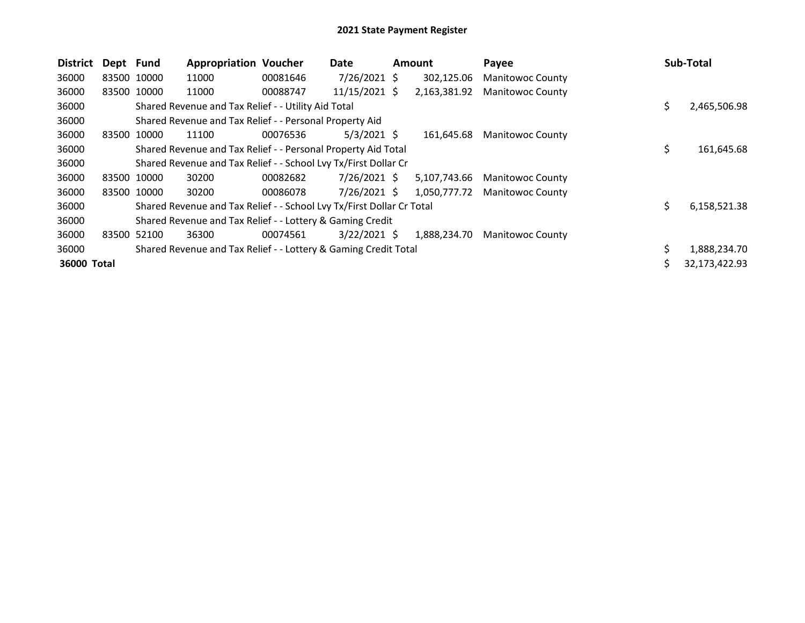| <b>District</b> | Dept Fund   |             | <b>Appropriation Voucher</b>                                          |          | Date           | Amount       | Payee                   | Sub-Total          |
|-----------------|-------------|-------------|-----------------------------------------------------------------------|----------|----------------|--------------|-------------------------|--------------------|
| 36000           | 83500 10000 |             | 11000                                                                 | 00081646 | $7/26/2021$ \$ | 302,125.06   | <b>Manitowoc County</b> |                    |
| 36000           | 83500 10000 |             | 11000                                                                 | 00088747 | 11/15/2021 \$  | 2,163,381.92 | <b>Manitowoc County</b> |                    |
| 36000           |             |             | Shared Revenue and Tax Relief - - Utility Aid Total                   |          |                |              |                         | \$<br>2,465,506.98 |
| 36000           |             |             | Shared Revenue and Tax Relief - - Personal Property Aid               |          |                |              |                         |                    |
| 36000           |             | 83500 10000 | 11100                                                                 | 00076536 | $5/3/2021$ \$  | 161,645.68   | <b>Manitowoc County</b> |                    |
| 36000           |             |             | Shared Revenue and Tax Relief - - Personal Property Aid Total         |          |                |              |                         | \$<br>161,645.68   |
| 36000           |             |             | Shared Revenue and Tax Relief - - School Lvy Tx/First Dollar Cr       |          |                |              |                         |                    |
| 36000           | 83500 10000 |             | 30200                                                                 | 00082682 | $7/26/2021$ \$ | 5,107,743.66 | <b>Manitowoc County</b> |                    |
| 36000           |             | 83500 10000 | 30200                                                                 | 00086078 | $7/26/2021$ \$ | 1,050,777.72 | <b>Manitowoc County</b> |                    |
| 36000           |             |             | Shared Revenue and Tax Relief - - School Lvy Tx/First Dollar Cr Total |          |                |              |                         | \$<br>6,158,521.38 |
| 36000           |             |             | Shared Revenue and Tax Relief - - Lottery & Gaming Credit             |          |                |              |                         |                    |
| 36000           | 83500       | 52100       | 36300                                                                 | 00074561 | $3/22/2021$ \$ | 1,888,234.70 | <b>Manitowoc County</b> |                    |
| 36000           |             |             | Shared Revenue and Tax Relief - - Lottery & Gaming Credit Total       |          |                |              |                         | \$<br>1,888,234.70 |
| 36000 Total     |             |             |                                                                       |          |                |              |                         | 32,173,422.93      |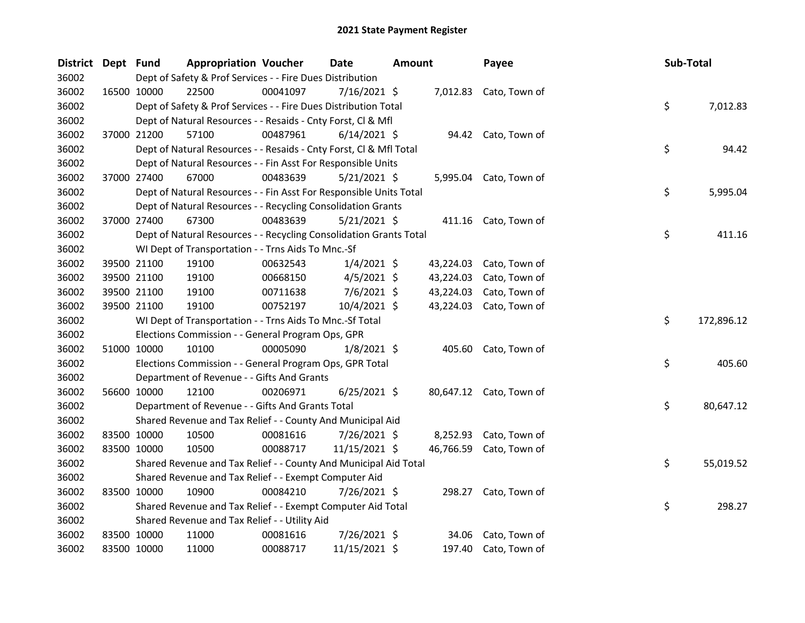| District | Dept Fund |             | <b>Appropriation Voucher</b>                                       |          | Date           | Amount |           | Payee                   | Sub-Total |            |
|----------|-----------|-------------|--------------------------------------------------------------------|----------|----------------|--------|-----------|-------------------------|-----------|------------|
| 36002    |           |             | Dept of Safety & Prof Services - - Fire Dues Distribution          |          |                |        |           |                         |           |            |
| 36002    |           | 16500 10000 | 22500                                                              | 00041097 | 7/16/2021 \$   |        |           | 7,012.83 Cato, Town of  |           |            |
| 36002    |           |             | Dept of Safety & Prof Services - - Fire Dues Distribution Total    |          |                |        |           |                         | \$        | 7,012.83   |
| 36002    |           |             | Dept of Natural Resources - - Resaids - Cnty Forst, Cl & Mfl       |          |                |        |           |                         |           |            |
| 36002    |           | 37000 21200 | 57100                                                              | 00487961 | $6/14/2021$ \$ |        |           | 94.42 Cato, Town of     |           |            |
| 36002    |           |             | Dept of Natural Resources - - Resaids - Cnty Forst, Cl & Mfl Total |          |                |        |           |                         | \$        | 94.42      |
| 36002    |           |             | Dept of Natural Resources - - Fin Asst For Responsible Units       |          |                |        |           |                         |           |            |
| 36002    |           | 37000 27400 | 67000                                                              | 00483639 | $5/21/2021$ \$ |        |           | 5,995.04 Cato, Town of  |           |            |
| 36002    |           |             | Dept of Natural Resources - - Fin Asst For Responsible Units Total |          |                |        |           |                         | \$        | 5,995.04   |
| 36002    |           |             | Dept of Natural Resources - - Recycling Consolidation Grants       |          |                |        |           |                         |           |            |
| 36002    |           | 37000 27400 | 67300                                                              | 00483639 | $5/21/2021$ \$ |        |           | 411.16 Cato, Town of    |           |            |
| 36002    |           |             | Dept of Natural Resources - - Recycling Consolidation Grants Total |          |                |        |           |                         | \$        | 411.16     |
| 36002    |           |             | WI Dept of Transportation - - Trns Aids To Mnc.-Sf                 |          |                |        |           |                         |           |            |
| 36002    |           | 39500 21100 | 19100                                                              | 00632543 | $1/4/2021$ \$  |        | 43,224.03 | Cato, Town of           |           |            |
| 36002    |           | 39500 21100 | 19100                                                              | 00668150 | $4/5/2021$ \$  |        | 43,224.03 | Cato, Town of           |           |            |
| 36002    |           | 39500 21100 | 19100                                                              | 00711638 | $7/6/2021$ \$  |        | 43,224.03 | Cato, Town of           |           |            |
| 36002    |           | 39500 21100 | 19100                                                              | 00752197 | 10/4/2021 \$   |        | 43,224.03 | Cato, Town of           |           |            |
| 36002    |           |             | WI Dept of Transportation - - Trns Aids To Mnc.-Sf Total           |          |                |        |           |                         | \$        | 172,896.12 |
| 36002    |           |             | Elections Commission - - General Program Ops, GPR                  |          |                |        |           |                         |           |            |
| 36002    |           | 51000 10000 | 10100                                                              | 00005090 | $1/8/2021$ \$  |        |           | 405.60 Cato, Town of    |           |            |
| 36002    |           |             | Elections Commission - - General Program Ops, GPR Total            |          |                |        |           |                         | \$        | 405.60     |
| 36002    |           |             | Department of Revenue - - Gifts And Grants                         |          |                |        |           |                         |           |            |
| 36002    |           | 56600 10000 | 12100                                                              | 00206971 | $6/25/2021$ \$ |        |           | 80,647.12 Cato, Town of |           |            |
| 36002    |           |             | Department of Revenue - - Gifts And Grants Total                   |          |                |        |           |                         | \$        | 80,647.12  |
| 36002    |           |             | Shared Revenue and Tax Relief - - County And Municipal Aid         |          |                |        |           |                         |           |            |
| 36002    |           | 83500 10000 | 10500                                                              | 00081616 | 7/26/2021 \$   |        |           | 8,252.93 Cato, Town of  |           |            |
| 36002    |           | 83500 10000 | 10500                                                              | 00088717 | 11/15/2021 \$  |        |           | 46,766.59 Cato, Town of |           |            |
| 36002    |           |             | Shared Revenue and Tax Relief - - County And Municipal Aid Total   |          |                |        |           |                         | \$        | 55,019.52  |
| 36002    |           |             | Shared Revenue and Tax Relief - - Exempt Computer Aid              |          |                |        |           |                         |           |            |
| 36002    |           | 83500 10000 | 10900                                                              | 00084210 | 7/26/2021 \$   |        |           | 298.27 Cato, Town of    |           |            |
| 36002    |           |             | Shared Revenue and Tax Relief - - Exempt Computer Aid Total        |          |                |        |           |                         | \$        | 298.27     |
| 36002    |           |             | Shared Revenue and Tax Relief - - Utility Aid                      |          |                |        |           |                         |           |            |
| 36002    |           | 83500 10000 | 11000                                                              | 00081616 | 7/26/2021 \$   |        | 34.06     | Cato, Town of           |           |            |
| 36002    |           | 83500 10000 | 11000                                                              | 00088717 | 11/15/2021 \$  |        |           | 197.40 Cato, Town of    |           |            |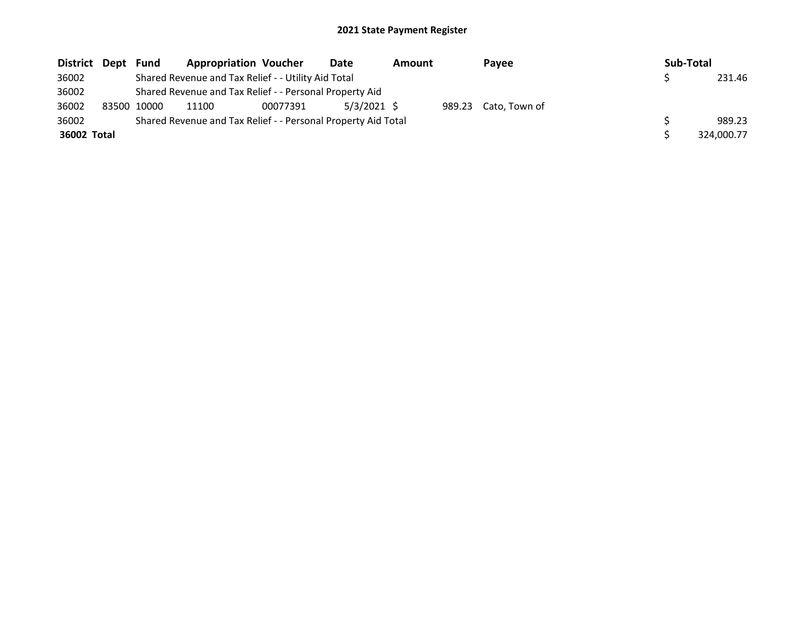| District Dept | Fund        | <b>Appropriation Voucher</b>                                  |          | Date          | <b>Amount</b> | Pavee                | Sub-Total |            |
|---------------|-------------|---------------------------------------------------------------|----------|---------------|---------------|----------------------|-----------|------------|
| 36002         |             | Shared Revenue and Tax Relief - - Utility Aid Total           |          |               |               |                      |           | 231.46     |
| 36002         |             | Shared Revenue and Tax Relief - - Personal Property Aid       |          |               |               |                      |           |            |
| 36002         | 83500 10000 | 11100                                                         | 00077391 | $5/3/2021$ \$ |               | 989.23 Cato, Town of |           |            |
| 36002         |             | Shared Revenue and Tax Relief - - Personal Property Aid Total |          |               |               |                      |           | 989.23     |
| 36002 Total   |             |                                                               |          |               |               |                      |           | 324,000.77 |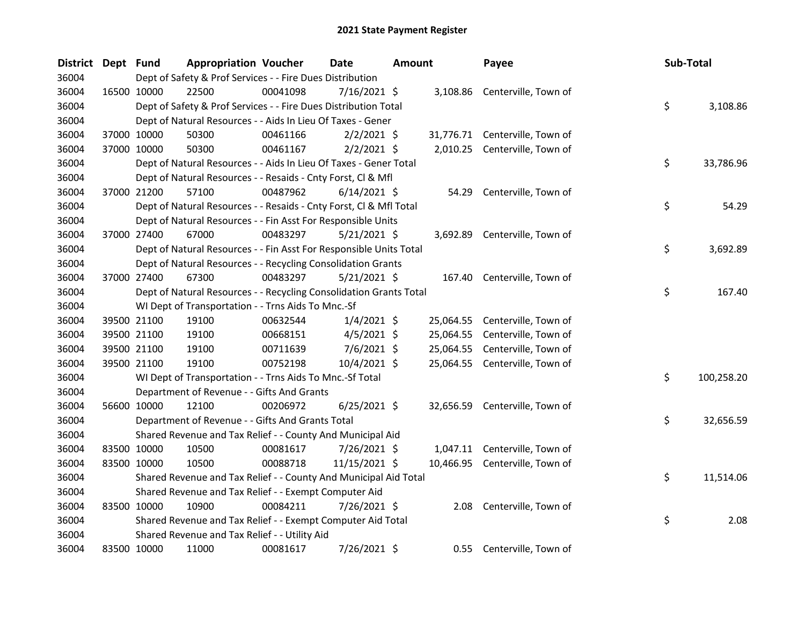| <b>District</b> | Dept Fund   |                      | <b>Appropriation Voucher</b>                                       | <b>Date</b>    | <b>Amount</b> | Payee                          | Sub-Total        |
|-----------------|-------------|----------------------|--------------------------------------------------------------------|----------------|---------------|--------------------------------|------------------|
| 36004           |             |                      | Dept of Safety & Prof Services - - Fire Dues Distribution          |                |               |                                |                  |
| 36004           |             | 22500<br>16500 10000 | 00041098                                                           | 7/16/2021 \$   |               | 3,108.86 Centerville, Town of  |                  |
| 36004           |             |                      | Dept of Safety & Prof Services - - Fire Dues Distribution Total    |                |               |                                | \$<br>3,108.86   |
| 36004           |             |                      | Dept of Natural Resources - - Aids In Lieu Of Taxes - Gener        |                |               |                                |                  |
| 36004           |             | 50300<br>37000 10000 | 00461166                                                           | $2/2/2021$ \$  |               | 31,776.71 Centerville, Town of |                  |
| 36004           |             | 37000 10000<br>50300 | 00461167                                                           | $2/2/2021$ \$  |               | 2,010.25 Centerville, Town of  |                  |
| 36004           |             |                      | Dept of Natural Resources - - Aids In Lieu Of Taxes - Gener Total  |                |               |                                | \$<br>33,786.96  |
| 36004           |             |                      | Dept of Natural Resources - - Resaids - Cnty Forst, Cl & Mfl       |                |               |                                |                  |
| 36004           |             | 37000 21200<br>57100 | 00487962                                                           | $6/14/2021$ \$ | 54.29         | Centerville, Town of           |                  |
| 36004           |             |                      | Dept of Natural Resources - - Resaids - Cnty Forst, Cl & Mfl Total |                |               |                                | \$<br>54.29      |
| 36004           |             |                      | Dept of Natural Resources - - Fin Asst For Responsible Units       |                |               |                                |                  |
| 36004           |             | 37000 27400<br>67000 | 00483297                                                           | 5/21/2021 \$   |               | 3,692.89 Centerville, Town of  |                  |
| 36004           |             |                      | Dept of Natural Resources - - Fin Asst For Responsible Units Total |                |               |                                | \$<br>3,692.89   |
| 36004           |             |                      | Dept of Natural Resources - - Recycling Consolidation Grants       |                |               |                                |                  |
| 36004           | 37000 27400 | 67300                | 00483297                                                           | $5/21/2021$ \$ |               | 167.40 Centerville, Town of    |                  |
| 36004           |             |                      | Dept of Natural Resources - - Recycling Consolidation Grants Total |                |               |                                | \$<br>167.40     |
| 36004           |             |                      | WI Dept of Transportation - - Trns Aids To Mnc.-Sf                 |                |               |                                |                  |
| 36004           |             | 39500 21100<br>19100 | 00632544                                                           | $1/4/2021$ \$  |               | 25,064.55 Centerville, Town of |                  |
| 36004           |             | 39500 21100<br>19100 | 00668151                                                           | $4/5/2021$ \$  |               | 25,064.55 Centerville, Town of |                  |
| 36004           |             | 39500 21100<br>19100 | 00711639                                                           | 7/6/2021 \$    |               | 25,064.55 Centerville, Town of |                  |
| 36004           | 39500 21100 | 19100                | 00752198                                                           | $10/4/2021$ \$ | 25,064.55     | Centerville, Town of           |                  |
| 36004           |             |                      | WI Dept of Transportation - - Trns Aids To Mnc.-Sf Total           |                |               |                                | \$<br>100,258.20 |
| 36004           |             |                      | Department of Revenue - - Gifts And Grants                         |                |               |                                |                  |
| 36004           |             | 56600 10000<br>12100 | 00206972                                                           | $6/25/2021$ \$ |               | 32,656.59 Centerville, Town of |                  |
| 36004           |             |                      | Department of Revenue - - Gifts And Grants Total                   |                |               |                                | \$<br>32,656.59  |
| 36004           |             |                      | Shared Revenue and Tax Relief - - County And Municipal Aid         |                |               |                                |                  |
| 36004           |             | 83500 10000<br>10500 | 00081617                                                           | 7/26/2021 \$   |               | 1,047.11 Centerville, Town of  |                  |
| 36004           | 83500 10000 | 10500                | 00088718                                                           | 11/15/2021 \$  |               | 10,466.95 Centerville, Town of |                  |
| 36004           |             |                      | Shared Revenue and Tax Relief - - County And Municipal Aid Total   |                |               |                                | \$<br>11,514.06  |
| 36004           |             |                      | Shared Revenue and Tax Relief - - Exempt Computer Aid              |                |               |                                |                  |
| 36004           | 83500 10000 | 10900                | 00084211                                                           | 7/26/2021 \$   |               | 2.08 Centerville, Town of      |                  |
| 36004           |             |                      | Shared Revenue and Tax Relief - - Exempt Computer Aid Total        |                |               |                                | \$<br>2.08       |
| 36004           |             |                      | Shared Revenue and Tax Relief - - Utility Aid                      |                |               |                                |                  |
| 36004           | 83500 10000 | 11000                | 00081617                                                           | 7/26/2021 \$   |               | 0.55 Centerville, Town of      |                  |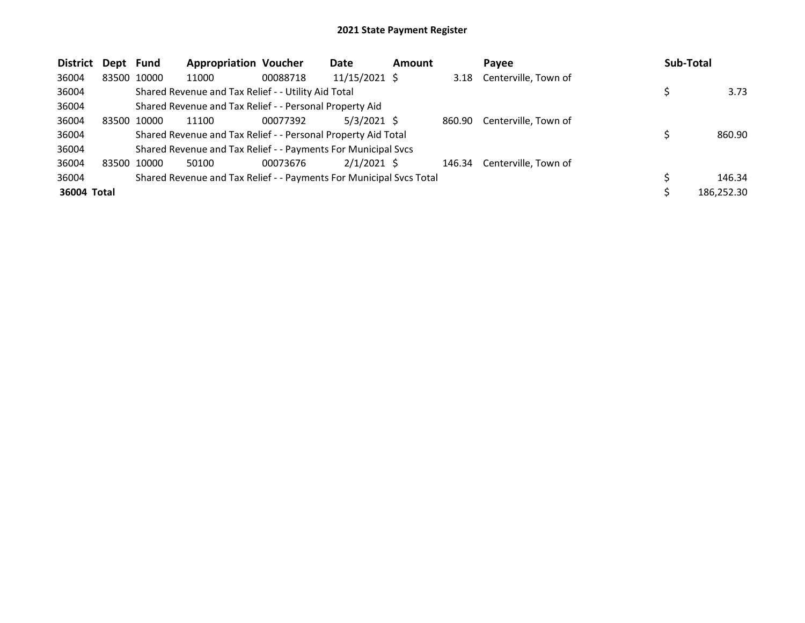| <b>District</b> | Dept Fund   |             | <b>Appropriation Voucher</b>                                        |          | Date            | <b>Amount</b> |        | Pavee                | <b>Sub-Total</b> |
|-----------------|-------------|-------------|---------------------------------------------------------------------|----------|-----------------|---------------|--------|----------------------|------------------|
| 36004           |             | 83500 10000 | 11000                                                               | 00088718 | $11/15/2021$ \$ |               | 3.18   | Centerville, Town of |                  |
| 36004           |             |             | Shared Revenue and Tax Relief - - Utility Aid Total                 |          |                 |               |        |                      | 3.73             |
| 36004           |             |             | Shared Revenue and Tax Relief - - Personal Property Aid             |          |                 |               |        |                      |                  |
| 36004           | 83500 10000 |             | 11100                                                               | 00077392 | $5/3/2021$ \$   |               | 860.90 | Centerville, Town of |                  |
| 36004           |             |             | Shared Revenue and Tax Relief - - Personal Property Aid Total       |          |                 |               |        |                      | 860.90           |
| 36004           |             |             | Shared Revenue and Tax Relief - - Payments For Municipal Svcs       |          |                 |               |        |                      |                  |
| 36004           | 83500 10000 |             | 50100                                                               | 00073676 | $2/1/2021$ \$   |               | 146.34 | Centerville, Town of |                  |
| 36004           |             |             | Shared Revenue and Tax Relief - - Payments For Municipal Svcs Total |          |                 |               |        |                      | 146.34           |
| 36004 Total     |             |             |                                                                     |          |                 |               |        |                      | 186,252.30       |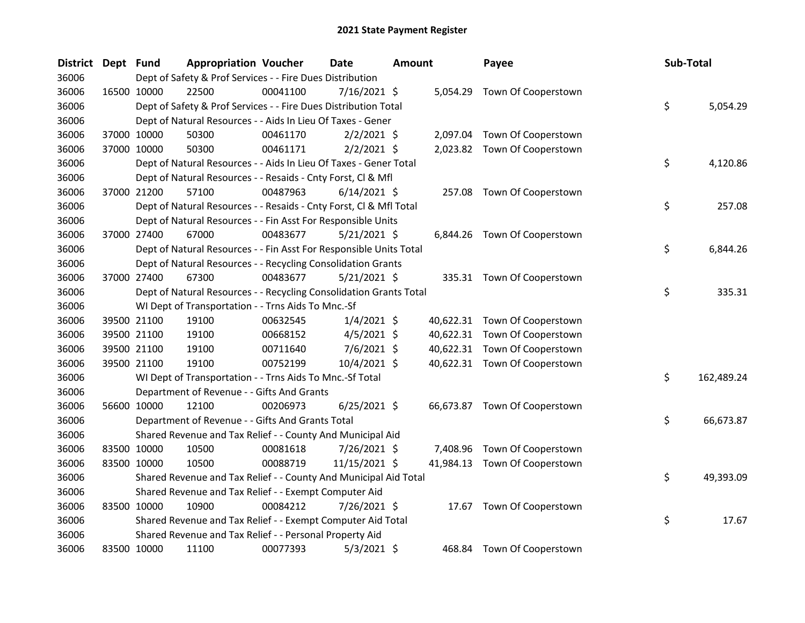| <b>District</b> | Dept Fund |             | <b>Appropriation Voucher</b>                                       |          | <b>Date</b>    | <b>Amount</b> |           | Payee                         | Sub-Total |            |
|-----------------|-----------|-------------|--------------------------------------------------------------------|----------|----------------|---------------|-----------|-------------------------------|-----------|------------|
| 36006           |           |             | Dept of Safety & Prof Services - - Fire Dues Distribution          |          |                |               |           |                               |           |            |
| 36006           |           | 16500 10000 | 22500                                                              | 00041100 | $7/16/2021$ \$ |               |           | 5,054.29 Town Of Cooperstown  |           |            |
| 36006           |           |             | Dept of Safety & Prof Services - - Fire Dues Distribution Total    |          |                |               |           |                               | \$        | 5,054.29   |
| 36006           |           |             | Dept of Natural Resources - - Aids In Lieu Of Taxes - Gener        |          |                |               |           |                               |           |            |
| 36006           |           | 37000 10000 | 50300                                                              | 00461170 | $2/2/2021$ \$  |               | 2,097.04  | Town Of Cooperstown           |           |            |
| 36006           |           | 37000 10000 | 50300                                                              | 00461171 | $2/2/2021$ \$  |               |           | 2,023.82 Town Of Cooperstown  |           |            |
| 36006           |           |             | Dept of Natural Resources - - Aids In Lieu Of Taxes - Gener Total  |          |                |               |           |                               | \$        | 4,120.86   |
| 36006           |           |             | Dept of Natural Resources - - Resaids - Cnty Forst, Cl & Mfl       |          |                |               |           |                               |           |            |
| 36006           |           | 37000 21200 | 57100                                                              | 00487963 | $6/14/2021$ \$ |               | 257.08    | Town Of Cooperstown           |           |            |
| 36006           |           |             | Dept of Natural Resources - - Resaids - Cnty Forst, Cl & Mfl Total |          |                |               |           |                               | \$        | 257.08     |
| 36006           |           |             | Dept of Natural Resources - - Fin Asst For Responsible Units       |          |                |               |           |                               |           |            |
| 36006           |           | 37000 27400 | 67000                                                              | 00483677 | 5/21/2021 \$   |               |           | 6,844.26 Town Of Cooperstown  |           |            |
| 36006           |           |             | Dept of Natural Resources - - Fin Asst For Responsible Units Total |          |                |               |           |                               | \$        | 6,844.26   |
| 36006           |           |             | Dept of Natural Resources - - Recycling Consolidation Grants       |          |                |               |           |                               |           |            |
| 36006           |           | 37000 27400 | 67300                                                              | 00483677 | $5/21/2021$ \$ |               |           | 335.31 Town Of Cooperstown    |           |            |
| 36006           |           |             | Dept of Natural Resources - - Recycling Consolidation Grants Total |          |                |               |           |                               | \$        | 335.31     |
| 36006           |           |             | WI Dept of Transportation - - Trns Aids To Mnc.-Sf                 |          |                |               |           |                               |           |            |
| 36006           |           | 39500 21100 | 19100                                                              | 00632545 | $1/4/2021$ \$  |               |           | 40,622.31 Town Of Cooperstown |           |            |
| 36006           |           | 39500 21100 | 19100                                                              | 00668152 | $4/5/2021$ \$  |               |           | 40,622.31 Town Of Cooperstown |           |            |
| 36006           |           | 39500 21100 | 19100                                                              | 00711640 | $7/6/2021$ \$  |               |           | 40,622.31 Town Of Cooperstown |           |            |
| 36006           |           | 39500 21100 | 19100                                                              | 00752199 | 10/4/2021 \$   |               |           | 40,622.31 Town Of Cooperstown |           |            |
| 36006           |           |             | WI Dept of Transportation - - Trns Aids To Mnc.-Sf Total           |          |                |               |           |                               | \$        | 162,489.24 |
| 36006           |           |             | Department of Revenue - - Gifts And Grants                         |          |                |               |           |                               |           |            |
| 36006           |           | 56600 10000 | 12100                                                              | 00206973 | $6/25/2021$ \$ |               |           | 66,673.87 Town Of Cooperstown |           |            |
| 36006           |           |             | Department of Revenue - - Gifts And Grants Total                   |          |                |               |           |                               | \$        | 66,673.87  |
| 36006           |           |             | Shared Revenue and Tax Relief - - County And Municipal Aid         |          |                |               |           |                               |           |            |
| 36006           |           | 83500 10000 | 10500                                                              | 00081618 | 7/26/2021 \$   |               | 7,408.96  | Town Of Cooperstown           |           |            |
| 36006           |           | 83500 10000 | 10500                                                              | 00088719 | 11/15/2021 \$  |               | 41,984.13 | Town Of Cooperstown           |           |            |
| 36006           |           |             | Shared Revenue and Tax Relief - - County And Municipal Aid Total   |          |                |               |           |                               | \$        | 49,393.09  |
| 36006           |           |             | Shared Revenue and Tax Relief - - Exempt Computer Aid              |          |                |               |           |                               |           |            |
| 36006           |           | 83500 10000 | 10900                                                              | 00084212 | 7/26/2021 \$   |               |           | 17.67 Town Of Cooperstown     |           |            |
| 36006           |           |             | Shared Revenue and Tax Relief - - Exempt Computer Aid Total        |          |                |               |           |                               | \$        | 17.67      |
| 36006           |           |             | Shared Revenue and Tax Relief - - Personal Property Aid            |          |                |               |           |                               |           |            |
| 36006           |           | 83500 10000 | 11100                                                              | 00077393 | $5/3/2021$ \$  |               |           | 468.84 Town Of Cooperstown    |           |            |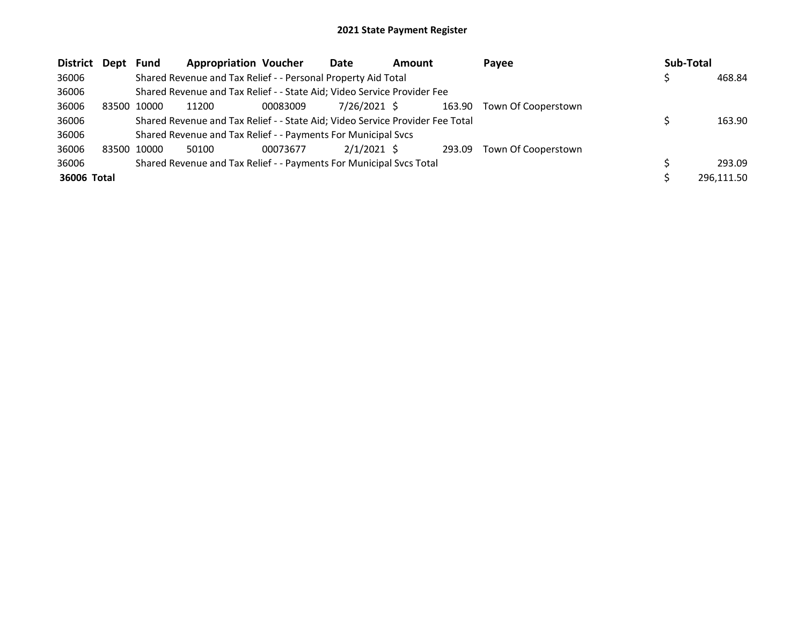| District Dept |       | Fund  | <b>Appropriation Voucher</b>                                                  |          | Date          | <b>Amount</b> |        | Pavee               | Sub-Total |            |
|---------------|-------|-------|-------------------------------------------------------------------------------|----------|---------------|---------------|--------|---------------------|-----------|------------|
| 36006         |       |       | Shared Revenue and Tax Relief - - Personal Property Aid Total                 |          |               |               |        |                     |           | 468.84     |
| 36006         |       |       | Shared Revenue and Tax Relief - - State Aid; Video Service Provider Fee       |          |               |               |        |                     |           |            |
| 36006         | 83500 | 10000 | 11200                                                                         | 00083009 | 7/26/2021 \$  |               | 163.90 | Town Of Cooperstown |           |            |
| 36006         |       |       | Shared Revenue and Tax Relief - - State Aid; Video Service Provider Fee Total |          |               |               |        |                     |           | 163.90     |
| 36006         |       |       | Shared Revenue and Tax Relief - - Payments For Municipal Svcs                 |          |               |               |        |                     |           |            |
| 36006         | 83500 | 10000 | 50100                                                                         | 00073677 | $2/1/2021$ \$ |               | 293.09 | Town Of Cooperstown |           |            |
| 36006         |       |       | Shared Revenue and Tax Relief - - Payments For Municipal Svcs Total           |          |               |               |        |                     |           | 293.09     |
| 36006 Total   |       |       |                                                                               |          |               |               |        |                     |           | 296,111.50 |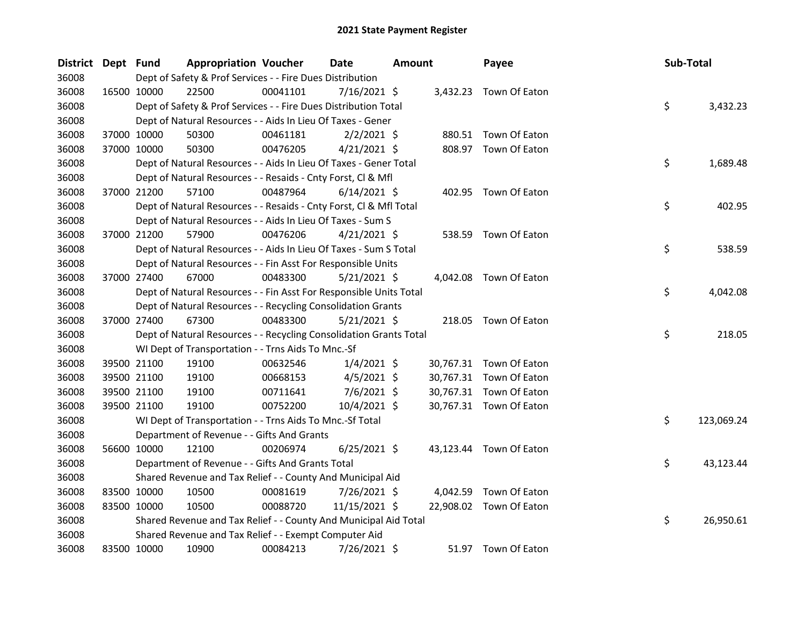| District Dept Fund |             |             | <b>Appropriation Voucher</b>                                       |          | Date           | <b>Amount</b> | Payee                   | Sub-Total |            |
|--------------------|-------------|-------------|--------------------------------------------------------------------|----------|----------------|---------------|-------------------------|-----------|------------|
| 36008              |             |             | Dept of Safety & Prof Services - - Fire Dues Distribution          |          |                |               |                         |           |            |
| 36008              |             | 16500 10000 | 22500                                                              | 00041101 | $7/16/2021$ \$ |               | 3,432.23 Town Of Eaton  |           |            |
| 36008              |             |             | Dept of Safety & Prof Services - - Fire Dues Distribution Total    |          |                |               |                         | \$        | 3,432.23   |
| 36008              |             |             | Dept of Natural Resources - - Aids In Lieu Of Taxes - Gener        |          |                |               |                         |           |            |
| 36008              |             | 37000 10000 | 50300                                                              | 00461181 | $2/2/2021$ \$  |               | 880.51 Town Of Eaton    |           |            |
| 36008              |             | 37000 10000 | 50300                                                              | 00476205 | $4/21/2021$ \$ |               | 808.97 Town Of Eaton    |           |            |
| 36008              |             |             | Dept of Natural Resources - - Aids In Lieu Of Taxes - Gener Total  |          |                |               |                         | \$        | 1,689.48   |
| 36008              |             |             | Dept of Natural Resources - - Resaids - Cnty Forst, Cl & Mfl       |          |                |               |                         |           |            |
| 36008              |             | 37000 21200 | 57100                                                              | 00487964 | $6/14/2021$ \$ |               | 402.95 Town Of Eaton    |           |            |
| 36008              |             |             | Dept of Natural Resources - - Resaids - Cnty Forst, CI & Mfl Total |          |                |               |                         | \$        | 402.95     |
| 36008              |             |             | Dept of Natural Resources - - Aids In Lieu Of Taxes - Sum S        |          |                |               |                         |           |            |
| 36008              |             | 37000 21200 | 57900                                                              | 00476206 | $4/21/2021$ \$ |               | 538.59 Town Of Eaton    |           |            |
| 36008              |             |             | Dept of Natural Resources - - Aids In Lieu Of Taxes - Sum S Total  |          |                |               |                         | \$        | 538.59     |
| 36008              |             |             | Dept of Natural Resources - - Fin Asst For Responsible Units       |          |                |               |                         |           |            |
| 36008              |             | 37000 27400 | 67000                                                              | 00483300 | $5/21/2021$ \$ |               | 4,042.08 Town Of Eaton  |           |            |
| 36008              |             |             | Dept of Natural Resources - - Fin Asst For Responsible Units Total |          |                |               |                         | \$        | 4,042.08   |
| 36008              |             |             | Dept of Natural Resources - - Recycling Consolidation Grants       |          |                |               |                         |           |            |
| 36008              |             | 37000 27400 | 67300                                                              | 00483300 | $5/21/2021$ \$ |               | 218.05 Town Of Eaton    |           |            |
| 36008              |             |             | Dept of Natural Resources - - Recycling Consolidation Grants Total |          |                |               |                         | \$        | 218.05     |
| 36008              |             |             | WI Dept of Transportation - - Trns Aids To Mnc.-Sf                 |          |                |               |                         |           |            |
| 36008              |             | 39500 21100 | 19100                                                              | 00632546 | $1/4/2021$ \$  |               | 30,767.31 Town Of Eaton |           |            |
| 36008              |             | 39500 21100 | 19100                                                              | 00668153 | $4/5/2021$ \$  |               | 30,767.31 Town Of Eaton |           |            |
| 36008              |             | 39500 21100 | 19100                                                              | 00711641 | 7/6/2021 \$    |               | 30,767.31 Town Of Eaton |           |            |
| 36008              |             | 39500 21100 | 19100                                                              | 00752200 | 10/4/2021 \$   |               | 30,767.31 Town Of Eaton |           |            |
| 36008              |             |             | WI Dept of Transportation - - Trns Aids To Mnc.-Sf Total           |          |                |               |                         | \$        | 123,069.24 |
| 36008              |             |             | Department of Revenue - - Gifts And Grants                         |          |                |               |                         |           |            |
| 36008              |             | 56600 10000 | 12100                                                              | 00206974 | $6/25/2021$ \$ |               | 43,123.44 Town Of Eaton |           |            |
| 36008              |             |             | Department of Revenue - - Gifts And Grants Total                   |          |                |               |                         | \$        | 43,123.44  |
| 36008              |             |             | Shared Revenue and Tax Relief - - County And Municipal Aid         |          |                |               |                         |           |            |
| 36008              |             | 83500 10000 | 10500                                                              | 00081619 | 7/26/2021 \$   |               | 4,042.59 Town Of Eaton  |           |            |
| 36008              |             | 83500 10000 | 10500                                                              | 00088720 | 11/15/2021 \$  |               | 22,908.02 Town Of Eaton |           |            |
| 36008              |             |             | Shared Revenue and Tax Relief - - County And Municipal Aid Total   |          |                |               |                         | \$        | 26,950.61  |
| 36008              |             |             | Shared Revenue and Tax Relief - - Exempt Computer Aid              |          |                |               |                         |           |            |
| 36008              | 83500 10000 |             | 10900                                                              | 00084213 | 7/26/2021 \$   |               | 51.97 Town Of Eaton     |           |            |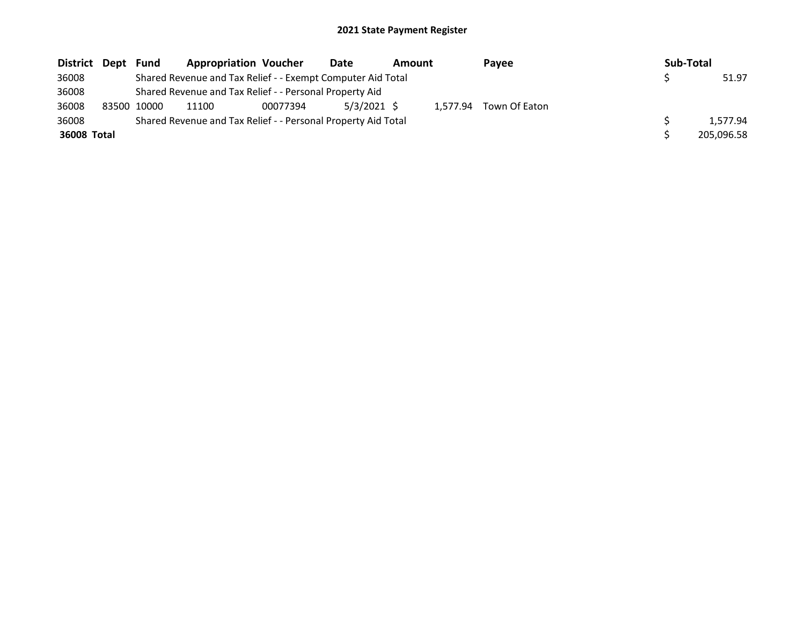| District Dept | Fund        | <b>Appropriation Voucher</b>                                  |          | Date          | <b>Amount</b> |          | Pavee         | Sub-Total |            |
|---------------|-------------|---------------------------------------------------------------|----------|---------------|---------------|----------|---------------|-----------|------------|
| 36008         |             | Shared Revenue and Tax Relief - - Exempt Computer Aid Total   |          |               |               |          |               |           | 51.97      |
| 36008         |             | Shared Revenue and Tax Relief - - Personal Property Aid       |          |               |               |          |               |           |            |
| 36008         | 83500 10000 | 11100                                                         | 00077394 | $5/3/2021$ \$ |               | 1.577.94 | Town Of Eaton |           |            |
| 36008         |             | Shared Revenue and Tax Relief - - Personal Property Aid Total |          |               |               |          |               |           | 1.577.94   |
| 36008 Total   |             |                                                               |          |               |               |          |               |           | 205,096.58 |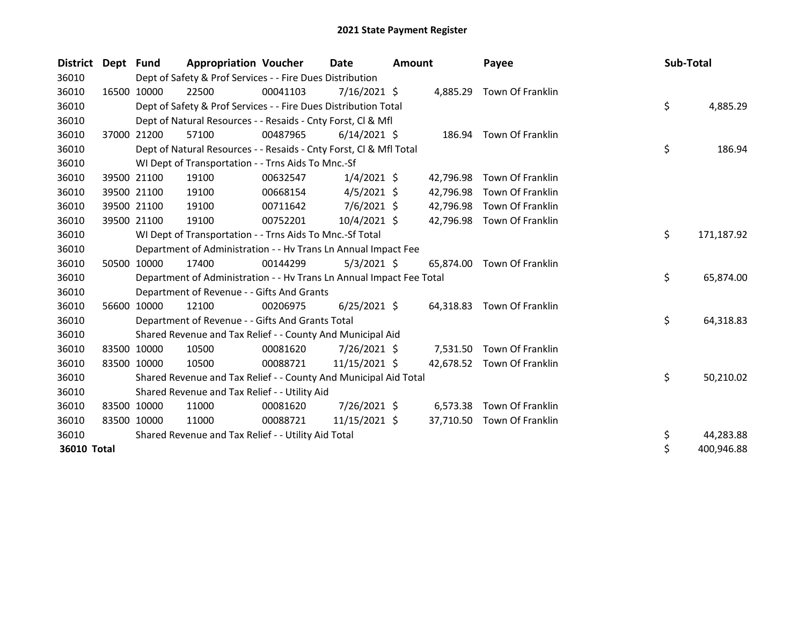| <b>District Dept</b> | Fund        | <b>Appropriation Voucher</b>                                         |          | <b>Date</b>    | Amount |           | Payee                      | Sub-Total |            |
|----------------------|-------------|----------------------------------------------------------------------|----------|----------------|--------|-----------|----------------------------|-----------|------------|
| 36010                |             | Dept of Safety & Prof Services - - Fire Dues Distribution            |          |                |        |           |                            |           |            |
| 36010                | 16500 10000 | 22500                                                                | 00041103 | $7/16/2021$ \$ |        |           | 4,885.29 Town Of Franklin  |           |            |
| 36010                |             | Dept of Safety & Prof Services - - Fire Dues Distribution Total      |          |                |        |           |                            | \$        | 4,885.29   |
| 36010                |             | Dept of Natural Resources - - Resaids - Cnty Forst, CI & Mfl         |          |                |        |           |                            |           |            |
| 36010                | 37000 21200 | 57100                                                                | 00487965 | $6/14/2021$ \$ |        |           | 186.94 Town Of Franklin    |           |            |
| 36010                |             | Dept of Natural Resources - - Resaids - Cnty Forst, CI & Mfl Total   |          |                |        |           |                            | \$        | 186.94     |
| 36010                |             | WI Dept of Transportation - - Trns Aids To Mnc.-Sf                   |          |                |        |           |                            |           |            |
| 36010                | 39500 21100 | 19100                                                                | 00632547 | $1/4/2021$ \$  |        | 42,796.98 | Town Of Franklin           |           |            |
| 36010                | 39500 21100 | 19100                                                                | 00668154 | $4/5/2021$ \$  |        | 42,796.98 | Town Of Franklin           |           |            |
| 36010                | 39500 21100 | 19100                                                                | 00711642 | $7/6/2021$ \$  |        | 42,796.98 | Town Of Franklin           |           |            |
| 36010                | 39500 21100 | 19100                                                                | 00752201 | $10/4/2021$ \$ |        | 42,796.98 | Town Of Franklin           |           |            |
| 36010                |             | WI Dept of Transportation - - Trns Aids To Mnc.-Sf Total             |          |                |        |           |                            | \$        | 171,187.92 |
| 36010                |             | Department of Administration - - Hv Trans Ln Annual Impact Fee       |          |                |        |           |                            |           |            |
| 36010                | 50500 10000 | 17400                                                                | 00144299 | $5/3/2021$ \$  |        | 65,874.00 | Town Of Franklin           |           |            |
| 36010                |             | Department of Administration - - Hv Trans Ln Annual Impact Fee Total |          |                |        |           |                            | \$        | 65,874.00  |
| 36010                |             | Department of Revenue - - Gifts And Grants                           |          |                |        |           |                            |           |            |
| 36010                | 56600 10000 | 12100                                                                | 00206975 | $6/25/2021$ \$ |        |           | 64,318.83 Town Of Franklin |           |            |
| 36010                |             | Department of Revenue - - Gifts And Grants Total                     |          |                |        |           |                            | \$        | 64,318.83  |
| 36010                |             | Shared Revenue and Tax Relief - - County And Municipal Aid           |          |                |        |           |                            |           |            |
| 36010                | 83500 10000 | 10500                                                                | 00081620 | 7/26/2021 \$   |        | 7,531.50  | Town Of Franklin           |           |            |
| 36010                | 83500 10000 | 10500                                                                | 00088721 | 11/15/2021 \$  |        |           | 42,678.52 Town Of Franklin |           |            |
| 36010                |             | Shared Revenue and Tax Relief - - County And Municipal Aid Total     |          |                |        |           |                            | \$        | 50,210.02  |
| 36010                |             | Shared Revenue and Tax Relief - - Utility Aid                        |          |                |        |           |                            |           |            |
| 36010                | 83500 10000 | 11000                                                                | 00081620 | 7/26/2021 \$   |        | 6,573.38  | Town Of Franklin           |           |            |
| 36010                | 83500 10000 | 11000                                                                | 00088721 | 11/15/2021 \$  |        | 37,710.50 | Town Of Franklin           |           |            |
| 36010                |             | Shared Revenue and Tax Relief - - Utility Aid Total                  |          |                |        |           |                            | \$        | 44,283.88  |
| 36010 Total          |             |                                                                      |          |                |        |           |                            | \$        | 400,946.88 |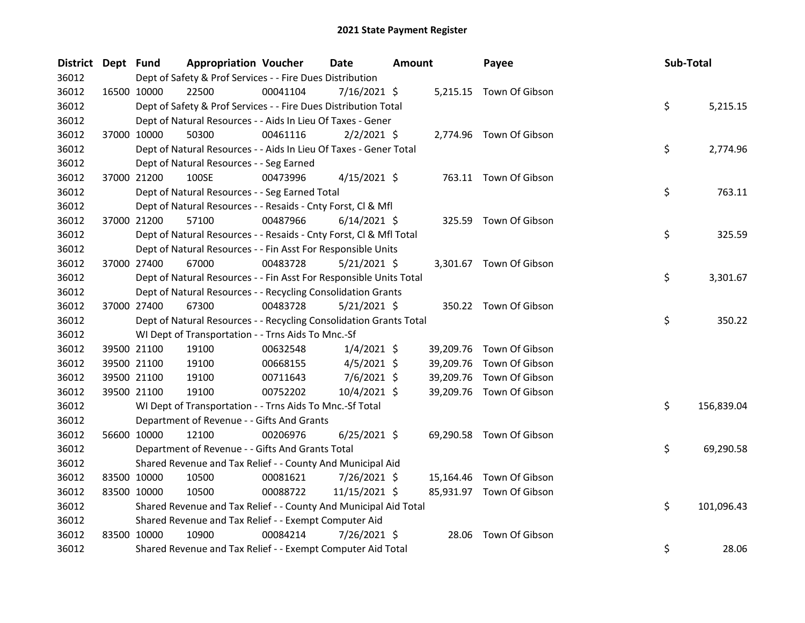| District Dept Fund |             | <b>Appropriation Voucher</b>                                       |          | Date           | <b>Amount</b> |           | Payee                    | Sub-Total |            |
|--------------------|-------------|--------------------------------------------------------------------|----------|----------------|---------------|-----------|--------------------------|-----------|------------|
| 36012              |             | Dept of Safety & Prof Services - - Fire Dues Distribution          |          |                |               |           |                          |           |            |
| 36012              |             | 22500<br>16500 10000                                               | 00041104 | 7/16/2021 \$   |               |           | 5,215.15 Town Of Gibson  |           |            |
| 36012              |             | Dept of Safety & Prof Services - - Fire Dues Distribution Total    |          |                |               |           |                          | \$        | 5,215.15   |
| 36012              |             | Dept of Natural Resources - - Aids In Lieu Of Taxes - Gener        |          |                |               |           |                          |           |            |
| 36012              |             | 37000 10000<br>50300                                               | 00461116 | $2/2/2021$ \$  |               |           | 2,774.96 Town Of Gibson  |           |            |
| 36012              |             | Dept of Natural Resources - - Aids In Lieu Of Taxes - Gener Total  |          |                |               |           |                          | \$        | 2,774.96   |
| 36012              |             | Dept of Natural Resources - - Seg Earned                           |          |                |               |           |                          |           |            |
| 36012              |             | 37000 21200<br>100SE                                               | 00473996 | $4/15/2021$ \$ |               |           | 763.11 Town Of Gibson    |           |            |
| 36012              |             | Dept of Natural Resources - - Seg Earned Total                     |          |                |               |           |                          | \$        | 763.11     |
| 36012              |             | Dept of Natural Resources - - Resaids - Cnty Forst, Cl & Mfl       |          |                |               |           |                          |           |            |
| 36012              |             | 37000 21200<br>57100                                               | 00487966 | $6/14/2021$ \$ |               |           | 325.59 Town Of Gibson    |           |            |
| 36012              |             | Dept of Natural Resources - - Resaids - Cnty Forst, Cl & Mfl Total |          |                |               |           |                          | \$        | 325.59     |
| 36012              |             | Dept of Natural Resources - - Fin Asst For Responsible Units       |          |                |               |           |                          |           |            |
| 36012              |             | 37000 27400<br>67000                                               | 00483728 | $5/21/2021$ \$ |               |           | 3,301.67 Town Of Gibson  |           |            |
| 36012              |             | Dept of Natural Resources - - Fin Asst For Responsible Units Total |          |                |               |           |                          | \$        | 3,301.67   |
| 36012              |             | Dept of Natural Resources - - Recycling Consolidation Grants       |          |                |               |           |                          |           |            |
| 36012              |             | 37000 27400<br>67300                                               | 00483728 | $5/21/2021$ \$ |               |           | 350.22 Town Of Gibson    |           |            |
| 36012              |             | Dept of Natural Resources - - Recycling Consolidation Grants Total |          |                |               |           |                          | \$        | 350.22     |
| 36012              |             | WI Dept of Transportation - - Trns Aids To Mnc.-Sf                 |          |                |               |           |                          |           |            |
| 36012              |             | 39500 21100<br>19100                                               | 00632548 | $1/4/2021$ \$  |               |           | 39,209.76 Town Of Gibson |           |            |
| 36012              |             | 39500 21100<br>19100                                               | 00668155 | $4/5/2021$ \$  |               | 39,209.76 | Town Of Gibson           |           |            |
| 36012              |             | 39500 21100<br>19100                                               | 00711643 | $7/6/2021$ \$  |               | 39,209.76 | Town Of Gibson           |           |            |
| 36012              |             | 39500 21100<br>19100                                               | 00752202 | 10/4/2021 \$   |               |           | 39,209.76 Town Of Gibson |           |            |
| 36012              |             | WI Dept of Transportation - - Trns Aids To Mnc.-Sf Total           |          |                |               |           |                          | \$        | 156,839.04 |
| 36012              |             | Department of Revenue - - Gifts And Grants                         |          |                |               |           |                          |           |            |
| 36012              |             | 56600 10000<br>12100                                               | 00206976 | $6/25/2021$ \$ |               |           | 69,290.58 Town Of Gibson |           |            |
| 36012              |             | Department of Revenue - - Gifts And Grants Total                   |          |                |               |           |                          | \$        | 69,290.58  |
| 36012              |             | Shared Revenue and Tax Relief - - County And Municipal Aid         |          |                |               |           |                          |           |            |
| 36012              |             | 83500 10000<br>10500                                               | 00081621 | 7/26/2021 \$   |               |           | 15,164.46 Town Of Gibson |           |            |
| 36012              |             | 83500 10000<br>10500                                               | 00088722 | 11/15/2021 \$  |               |           | 85,931.97 Town Of Gibson |           |            |
| 36012              |             | Shared Revenue and Tax Relief - - County And Municipal Aid Total   |          |                |               |           |                          | \$        | 101,096.43 |
| 36012              |             | Shared Revenue and Tax Relief - - Exempt Computer Aid              |          |                |               |           |                          |           |            |
| 36012              | 83500 10000 | 10900                                                              | 00084214 | 7/26/2021 \$   |               | 28.06     | Town Of Gibson           |           |            |
| 36012              |             | Shared Revenue and Tax Relief - - Exempt Computer Aid Total        |          |                |               |           |                          | \$        | 28.06      |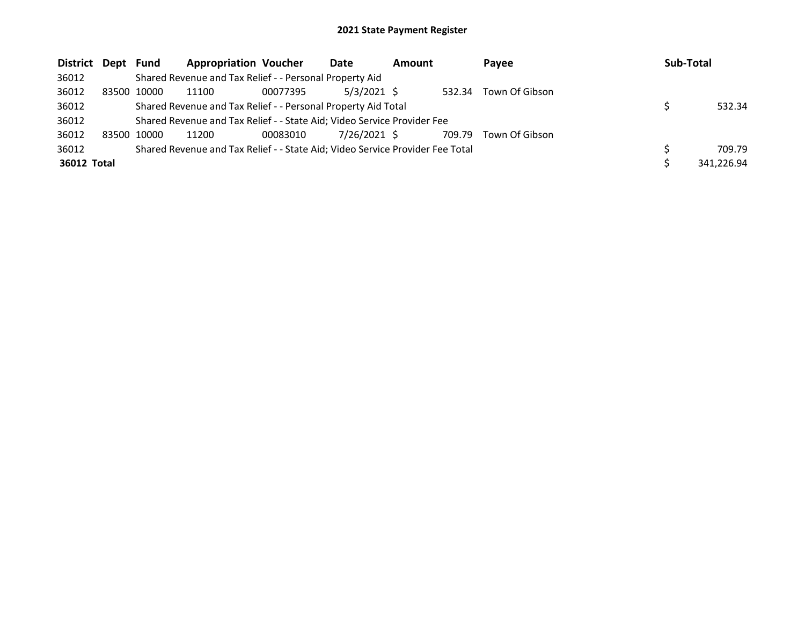| District Dept Fund |             | <b>Appropriation Voucher</b>                                                  |          | Date          | <b>Amount</b> |        | Payee          | Sub-Total |            |
|--------------------|-------------|-------------------------------------------------------------------------------|----------|---------------|---------------|--------|----------------|-----------|------------|
| 36012              |             | Shared Revenue and Tax Relief - - Personal Property Aid                       |          |               |               |        |                |           |            |
| 36012              | 83500 10000 | 11100                                                                         | 00077395 | $5/3/2021$ \$ |               | 532.34 | Town Of Gibson |           |            |
| 36012              |             | Shared Revenue and Tax Relief - - Personal Property Aid Total                 |          |               |               |        |                |           | 532.34     |
| 36012              |             | Shared Revenue and Tax Relief - - State Aid; Video Service Provider Fee       |          |               |               |        |                |           |            |
| 36012              | 83500 10000 | 11200                                                                         | 00083010 | 7/26/2021 \$  |               | 709.79 | Town Of Gibson |           |            |
| 36012              |             | Shared Revenue and Tax Relief - - State Aid; Video Service Provider Fee Total |          |               |               |        |                |           | 709.79     |
| 36012 Total        |             |                                                                               |          |               |               |        |                |           | 341,226.94 |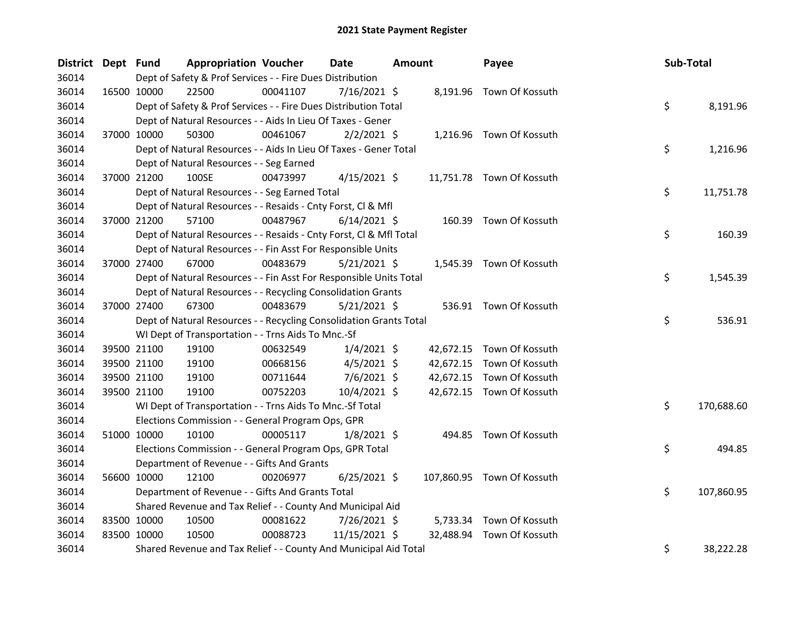| District Dept Fund |             | <b>Appropriation Voucher</b>                                       |          | <b>Date</b>    | <b>Amount</b> | Payee                      | Sub-Total        |
|--------------------|-------------|--------------------------------------------------------------------|----------|----------------|---------------|----------------------------|------------------|
| 36014              |             | Dept of Safety & Prof Services - - Fire Dues Distribution          |          |                |               |                            |                  |
| 36014              |             | 16500 10000<br>22500                                               | 00041107 | 7/16/2021 \$   |               | 8,191.96 Town Of Kossuth   |                  |
| 36014              |             | Dept of Safety & Prof Services - - Fire Dues Distribution Total    |          |                |               |                            | \$<br>8,191.96   |
| 36014              |             | Dept of Natural Resources - - Aids In Lieu Of Taxes - Gener        |          |                |               |                            |                  |
| 36014              |             | 37000 10000<br>50300                                               | 00461067 | $2/2/2021$ \$  |               | 1,216.96 Town Of Kossuth   |                  |
| 36014              |             | Dept of Natural Resources - - Aids In Lieu Of Taxes - Gener Total  |          |                |               |                            | \$<br>1,216.96   |
| 36014              |             | Dept of Natural Resources - - Seg Earned                           |          |                |               |                            |                  |
| 36014              |             | 100SE<br>37000 21200                                               | 00473997 | $4/15/2021$ \$ |               | 11,751.78 Town Of Kossuth  |                  |
| 36014              |             | Dept of Natural Resources - - Seg Earned Total                     |          |                |               |                            | \$<br>11,751.78  |
| 36014              |             | Dept of Natural Resources - - Resaids - Cnty Forst, Cl & Mfl       |          |                |               |                            |                  |
| 36014              |             | 37000 21200<br>57100                                               | 00487967 | $6/14/2021$ \$ |               | 160.39 Town Of Kossuth     |                  |
| 36014              |             | Dept of Natural Resources - - Resaids - Cnty Forst, Cl & Mfl Total |          |                |               |                            | \$<br>160.39     |
| 36014              |             | Dept of Natural Resources - - Fin Asst For Responsible Units       |          |                |               |                            |                  |
| 36014              |             | 37000 27400<br>67000                                               | 00483679 | $5/21/2021$ \$ |               | 1,545.39 Town Of Kossuth   |                  |
| 36014              |             | Dept of Natural Resources - - Fin Asst For Responsible Units Total |          |                |               |                            | \$<br>1,545.39   |
| 36014              |             | Dept of Natural Resources - - Recycling Consolidation Grants       |          |                |               |                            |                  |
| 36014              |             | 37000 27400<br>67300                                               | 00483679 | $5/21/2021$ \$ |               | 536.91 Town Of Kossuth     |                  |
| 36014              |             | Dept of Natural Resources - - Recycling Consolidation Grants Total |          |                |               |                            | \$<br>536.91     |
| 36014              |             | WI Dept of Transportation - - Trns Aids To Mnc.-Sf                 |          |                |               |                            |                  |
| 36014              |             | 39500 21100<br>19100                                               | 00632549 | $1/4/2021$ \$  |               | 42,672.15 Town Of Kossuth  |                  |
| 36014              |             | 39500 21100<br>19100                                               | 00668156 | $4/5/2021$ \$  |               | 42,672.15 Town Of Kossuth  |                  |
| 36014              |             | 39500 21100<br>19100                                               | 00711644 | $7/6/2021$ \$  |               | 42,672.15 Town Of Kossuth  |                  |
| 36014              |             | 39500 21100<br>19100                                               | 00752203 | $10/4/2021$ \$ |               | 42,672.15 Town Of Kossuth  |                  |
| 36014              |             | WI Dept of Transportation - - Trns Aids To Mnc.-Sf Total           |          |                |               |                            | \$<br>170,688.60 |
| 36014              |             | Elections Commission - - General Program Ops, GPR                  |          |                |               |                            |                  |
| 36014              |             | 51000 10000<br>10100                                               | 00005117 | $1/8/2021$ \$  |               | 494.85 Town Of Kossuth     |                  |
| 36014              |             | Elections Commission - - General Program Ops, GPR Total            |          |                |               |                            | \$<br>494.85     |
| 36014              |             | Department of Revenue - - Gifts And Grants                         |          |                |               |                            |                  |
| 36014              |             | 56600 10000<br>12100                                               | 00206977 | $6/25/2021$ \$ |               | 107,860.95 Town Of Kossuth |                  |
| 36014              |             | Department of Revenue - - Gifts And Grants Total                   |          |                |               |                            | \$<br>107,860.95 |
| 36014              |             | Shared Revenue and Tax Relief - - County And Municipal Aid         |          |                |               |                            |                  |
| 36014              | 83500 10000 | 10500                                                              | 00081622 | 7/26/2021 \$   | 5,733.34      | Town Of Kossuth            |                  |
| 36014              | 83500 10000 | 10500                                                              | 00088723 | 11/15/2021 \$  | 32,488.94     | Town Of Kossuth            |                  |
| 36014              |             | Shared Revenue and Tax Relief - - County And Municipal Aid Total   |          |                |               |                            | \$<br>38,222.28  |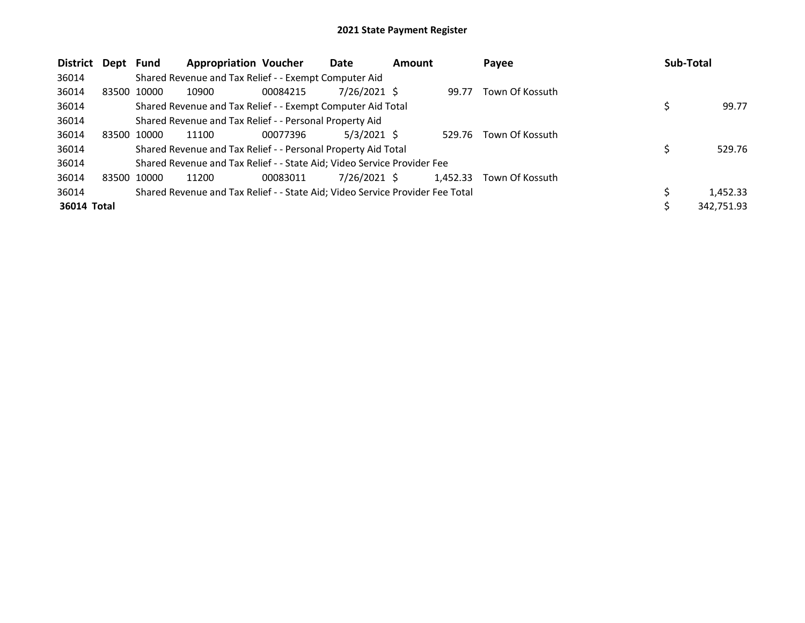| <b>District</b> | Dept | Fund        | <b>Appropriation Voucher</b>                                                  |          | Date         | <b>Amount</b> |          | Payee           | <b>Sub-Total</b> |
|-----------------|------|-------------|-------------------------------------------------------------------------------|----------|--------------|---------------|----------|-----------------|------------------|
| 36014           |      |             | Shared Revenue and Tax Relief - - Exempt Computer Aid                         |          |              |               |          |                 |                  |
| 36014           |      | 83500 10000 | 10900                                                                         | 00084215 | 7/26/2021 \$ |               | 99.77    | Town Of Kossuth |                  |
| 36014           |      |             | Shared Revenue and Tax Relief - - Exempt Computer Aid Total                   |          |              |               |          |                 | 99.77            |
| 36014           |      |             | Shared Revenue and Tax Relief - - Personal Property Aid                       |          |              |               |          |                 |                  |
| 36014           |      | 83500 10000 | 11100                                                                         | 00077396 | 5/3/2021 \$  |               | 529.76   | Town Of Kossuth |                  |
| 36014           |      |             | Shared Revenue and Tax Relief - - Personal Property Aid Total                 |          |              |               |          |                 | 529.76           |
| 36014           |      |             | Shared Revenue and Tax Relief - - State Aid; Video Service Provider Fee       |          |              |               |          |                 |                  |
| 36014           |      | 83500 10000 | 11200                                                                         | 00083011 | 7/26/2021 \$ |               | 1.452.33 | Town Of Kossuth |                  |
| 36014           |      |             | Shared Revenue and Tax Relief - - State Aid; Video Service Provider Fee Total |          |              |               |          |                 | 1.452.33         |
| 36014 Total     |      |             |                                                                               |          |              |               |          |                 | 342,751.93       |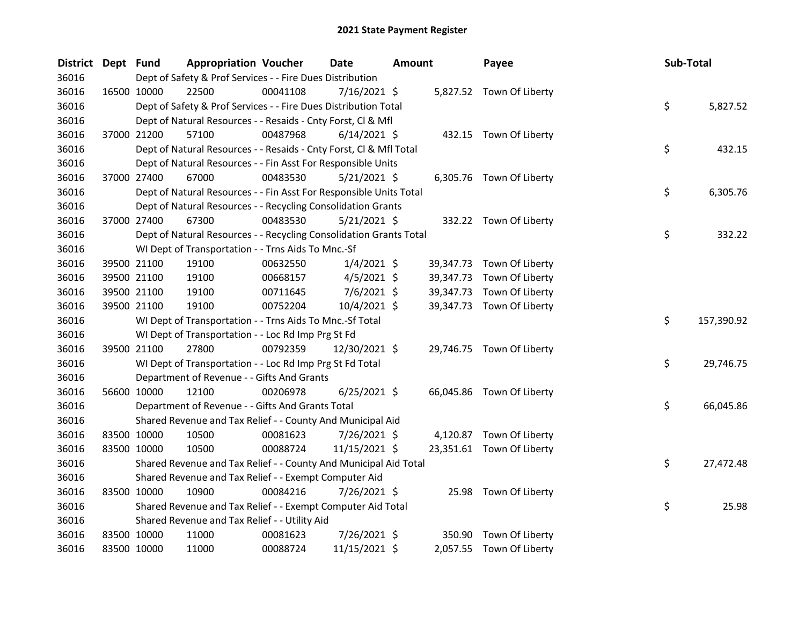| District Dept Fund |             | <b>Appropriation Voucher</b>                                       |          | <b>Date</b>    | <b>Amount</b> |           | Payee                     | Sub-Total |            |
|--------------------|-------------|--------------------------------------------------------------------|----------|----------------|---------------|-----------|---------------------------|-----------|------------|
| 36016              |             | Dept of Safety & Prof Services - - Fire Dues Distribution          |          |                |               |           |                           |           |            |
| 36016              | 16500 10000 | 22500                                                              | 00041108 | 7/16/2021 \$   |               |           | 5,827.52 Town Of Liberty  |           |            |
| 36016              |             | Dept of Safety & Prof Services - - Fire Dues Distribution Total    |          |                |               |           |                           | \$        | 5,827.52   |
| 36016              |             | Dept of Natural Resources - - Resaids - Cnty Forst, Cl & Mfl       |          |                |               |           |                           |           |            |
| 36016              | 37000 21200 | 57100                                                              | 00487968 | $6/14/2021$ \$ |               |           | 432.15 Town Of Liberty    |           |            |
| 36016              |             | Dept of Natural Resources - - Resaids - Cnty Forst, CI & Mfl Total |          |                |               |           |                           | \$        | 432.15     |
| 36016              |             | Dept of Natural Resources - - Fin Asst For Responsible Units       |          |                |               |           |                           |           |            |
| 36016              | 37000 27400 | 67000                                                              | 00483530 | $5/21/2021$ \$ |               |           | 6,305.76 Town Of Liberty  |           |            |
| 36016              |             | Dept of Natural Resources - - Fin Asst For Responsible Units Total |          |                |               |           |                           | \$        | 6,305.76   |
| 36016              |             | Dept of Natural Resources - - Recycling Consolidation Grants       |          |                |               |           |                           |           |            |
| 36016              | 37000 27400 | 67300                                                              | 00483530 | $5/21/2021$ \$ |               |           | 332.22 Town Of Liberty    |           |            |
| 36016              |             | Dept of Natural Resources - - Recycling Consolidation Grants Total |          |                |               |           |                           | \$        | 332.22     |
| 36016              |             | WI Dept of Transportation - - Trns Aids To Mnc.-Sf                 |          |                |               |           |                           |           |            |
| 36016              | 39500 21100 | 19100                                                              | 00632550 | $1/4/2021$ \$  |               | 39,347.73 | Town Of Liberty           |           |            |
| 36016              | 39500 21100 | 19100                                                              | 00668157 | $4/5/2021$ \$  |               | 39,347.73 | Town Of Liberty           |           |            |
| 36016              | 39500 21100 | 19100                                                              | 00711645 | $7/6/2021$ \$  |               | 39,347.73 | Town Of Liberty           |           |            |
| 36016              | 39500 21100 | 19100                                                              | 00752204 | 10/4/2021 \$   |               | 39,347.73 | Town Of Liberty           |           |            |
| 36016              |             | WI Dept of Transportation - - Trns Aids To Mnc.-Sf Total           |          |                |               |           |                           | \$        | 157,390.92 |
| 36016              |             | WI Dept of Transportation - - Loc Rd Imp Prg St Fd                 |          |                |               |           |                           |           |            |
| 36016              | 39500 21100 | 27800                                                              | 00792359 | 12/30/2021 \$  |               |           | 29,746.75 Town Of Liberty |           |            |
| 36016              |             | WI Dept of Transportation - - Loc Rd Imp Prg St Fd Total           |          |                |               |           |                           | \$        | 29,746.75  |
| 36016              |             | Department of Revenue - - Gifts And Grants                         |          |                |               |           |                           |           |            |
| 36016              | 56600 10000 | 12100                                                              | 00206978 | $6/25/2021$ \$ |               |           | 66,045.86 Town Of Liberty |           |            |
| 36016              |             | Department of Revenue - - Gifts And Grants Total                   |          |                |               |           |                           | \$        | 66,045.86  |
| 36016              |             | Shared Revenue and Tax Relief - - County And Municipal Aid         |          |                |               |           |                           |           |            |
| 36016              | 83500 10000 | 10500                                                              | 00081623 | 7/26/2021 \$   |               |           | 4,120.87 Town Of Liberty  |           |            |
| 36016              | 83500 10000 | 10500                                                              | 00088724 | 11/15/2021 \$  |               |           | 23,351.61 Town Of Liberty |           |            |
| 36016              |             | Shared Revenue and Tax Relief - - County And Municipal Aid Total   |          |                |               |           |                           | \$        | 27,472.48  |
| 36016              |             | Shared Revenue and Tax Relief - - Exempt Computer Aid              |          |                |               |           |                           |           |            |
| 36016              | 83500 10000 | 10900                                                              | 00084216 | 7/26/2021 \$   |               |           | 25.98 Town Of Liberty     |           |            |
| 36016              |             | Shared Revenue and Tax Relief - - Exempt Computer Aid Total        |          |                |               |           |                           | \$        | 25.98      |
| 36016              |             | Shared Revenue and Tax Relief - - Utility Aid                      |          |                |               |           |                           |           |            |
| 36016              | 83500 10000 | 11000                                                              | 00081623 | 7/26/2021 \$   |               | 350.90    | Town Of Liberty           |           |            |
| 36016              | 83500 10000 | 11000                                                              | 00088724 | 11/15/2021 \$  |               |           | 2,057.55 Town Of Liberty  |           |            |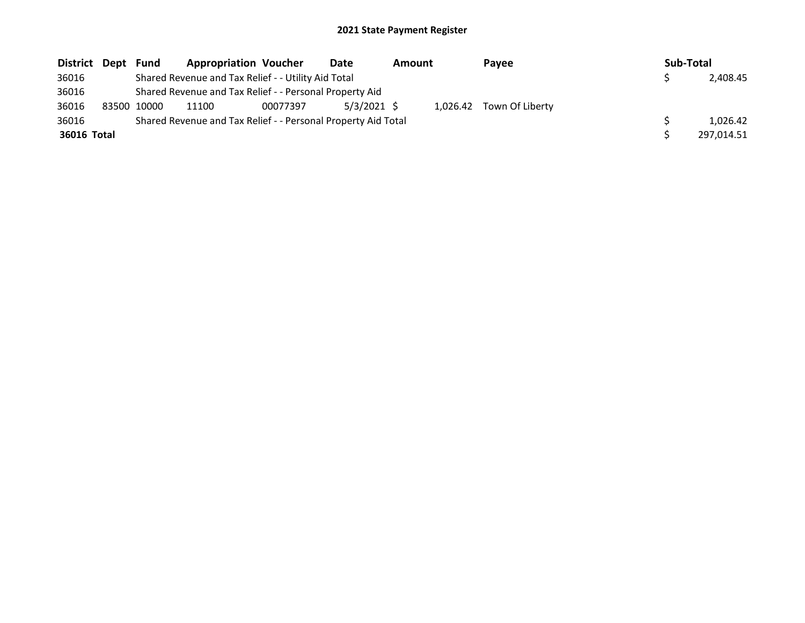| District Dept | Fund        | <b>Appropriation Voucher</b>                                  |          | Date          | <b>Amount</b> | Pavee                    | Sub-Total |            |
|---------------|-------------|---------------------------------------------------------------|----------|---------------|---------------|--------------------------|-----------|------------|
| 36016         |             | Shared Revenue and Tax Relief - - Utility Aid Total           |          |               |               |                          |           | 2,408.45   |
| 36016         |             | Shared Revenue and Tax Relief - - Personal Property Aid       |          |               |               |                          |           |            |
| 36016         | 83500 10000 | 11100                                                         | 00077397 | $5/3/2021$ \$ |               | 1,026.42 Town Of Liberty |           |            |
| 36016         |             | Shared Revenue and Tax Relief - - Personal Property Aid Total |          |               |               |                          |           | 1.026.42   |
| 36016 Total   |             |                                                               |          |               |               |                          |           | 297.014.51 |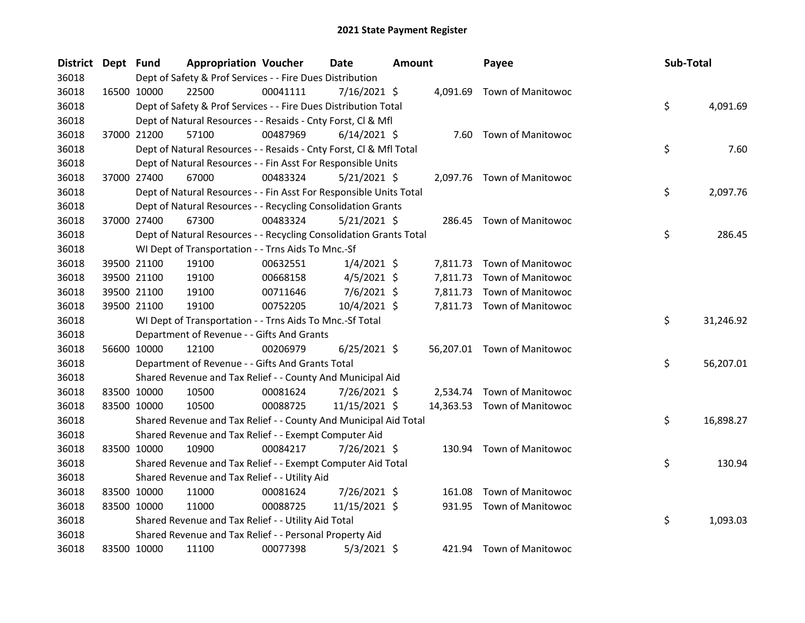| District | Dept Fund |             | <b>Appropriation Voucher</b>                                       |          | Date           | Amount |          | Payee                       | Sub-Total |           |
|----------|-----------|-------------|--------------------------------------------------------------------|----------|----------------|--------|----------|-----------------------------|-----------|-----------|
| 36018    |           |             | Dept of Safety & Prof Services - - Fire Dues Distribution          |          |                |        |          |                             |           |           |
| 36018    |           | 16500 10000 | 22500                                                              | 00041111 | 7/16/2021 \$   |        |          | 4,091.69 Town of Manitowoc  |           |           |
| 36018    |           |             | Dept of Safety & Prof Services - - Fire Dues Distribution Total    |          |                |        |          |                             | \$        | 4,091.69  |
| 36018    |           |             | Dept of Natural Resources - - Resaids - Cnty Forst, Cl & Mfl       |          |                |        |          |                             |           |           |
| 36018    |           | 37000 21200 | 57100                                                              | 00487969 | $6/14/2021$ \$ |        |          | 7.60 Town of Manitowoc      |           |           |
| 36018    |           |             | Dept of Natural Resources - - Resaids - Cnty Forst, Cl & Mfl Total |          |                |        |          |                             | \$        | 7.60      |
| 36018    |           |             | Dept of Natural Resources - - Fin Asst For Responsible Units       |          |                |        |          |                             |           |           |
| 36018    |           | 37000 27400 | 67000                                                              | 00483324 | 5/21/2021 \$   |        |          | 2,097.76 Town of Manitowoc  |           |           |
| 36018    |           |             | Dept of Natural Resources - - Fin Asst For Responsible Units Total |          |                |        |          |                             | \$        | 2,097.76  |
| 36018    |           |             | Dept of Natural Resources - - Recycling Consolidation Grants       |          |                |        |          |                             |           |           |
| 36018    |           | 37000 27400 | 67300                                                              | 00483324 | $5/21/2021$ \$ |        | 286.45   | Town of Manitowoc           |           |           |
| 36018    |           |             | Dept of Natural Resources - - Recycling Consolidation Grants Total |          |                |        |          |                             | \$        | 286.45    |
| 36018    |           |             | WI Dept of Transportation - - Trns Aids To Mnc.-Sf                 |          |                |        |          |                             |           |           |
| 36018    |           | 39500 21100 | 19100                                                              | 00632551 | $1/4/2021$ \$  |        | 7,811.73 | <b>Town of Manitowoc</b>    |           |           |
| 36018    |           | 39500 21100 | 19100                                                              | 00668158 | $4/5/2021$ \$  |        | 7,811.73 | <b>Town of Manitowoc</b>    |           |           |
| 36018    |           | 39500 21100 | 19100                                                              | 00711646 | $7/6/2021$ \$  |        | 7,811.73 | <b>Town of Manitowoc</b>    |           |           |
| 36018    |           | 39500 21100 | 19100                                                              | 00752205 | 10/4/2021 \$   |        |          | 7,811.73 Town of Manitowoc  |           |           |
| 36018    |           |             | WI Dept of Transportation - - Trns Aids To Mnc.-Sf Total           |          |                |        |          |                             | \$        | 31,246.92 |
| 36018    |           |             | Department of Revenue - - Gifts And Grants                         |          |                |        |          |                             |           |           |
| 36018    |           | 56600 10000 | 12100                                                              | 00206979 | $6/25/2021$ \$ |        |          | 56,207.01 Town of Manitowoc |           |           |
| 36018    |           |             | Department of Revenue - - Gifts And Grants Total                   |          |                |        |          |                             | \$        | 56,207.01 |
| 36018    |           |             | Shared Revenue and Tax Relief - - County And Municipal Aid         |          |                |        |          |                             |           |           |
| 36018    |           | 83500 10000 | 10500                                                              | 00081624 | 7/26/2021 \$   |        | 2,534.74 | Town of Manitowoc           |           |           |
| 36018    |           | 83500 10000 | 10500                                                              | 00088725 | 11/15/2021 \$  |        |          | 14,363.53 Town of Manitowoc |           |           |
| 36018    |           |             | Shared Revenue and Tax Relief - - County And Municipal Aid Total   |          |                |        |          |                             | \$        | 16,898.27 |
| 36018    |           |             | Shared Revenue and Tax Relief - - Exempt Computer Aid              |          |                |        |          |                             |           |           |
| 36018    |           | 83500 10000 | 10900                                                              | 00084217 | 7/26/2021 \$   |        | 130.94   | <b>Town of Manitowoc</b>    |           |           |
| 36018    |           |             | Shared Revenue and Tax Relief - - Exempt Computer Aid Total        |          |                |        |          |                             | \$        | 130.94    |
| 36018    |           |             | Shared Revenue and Tax Relief - - Utility Aid                      |          |                |        |          |                             |           |           |
| 36018    |           | 83500 10000 | 11000                                                              | 00081624 | 7/26/2021 \$   |        | 161.08   | <b>Town of Manitowoc</b>    |           |           |
| 36018    |           | 83500 10000 | 11000                                                              | 00088725 | 11/15/2021 \$  |        | 931.95   | <b>Town of Manitowoc</b>    |           |           |
| 36018    |           |             | Shared Revenue and Tax Relief - - Utility Aid Total                |          |                |        |          |                             | \$        | 1,093.03  |
| 36018    |           |             | Shared Revenue and Tax Relief - - Personal Property Aid            |          |                |        |          |                             |           |           |
| 36018    |           | 83500 10000 | 11100                                                              | 00077398 | $5/3/2021$ \$  |        |          | 421.94 Town of Manitowoc    |           |           |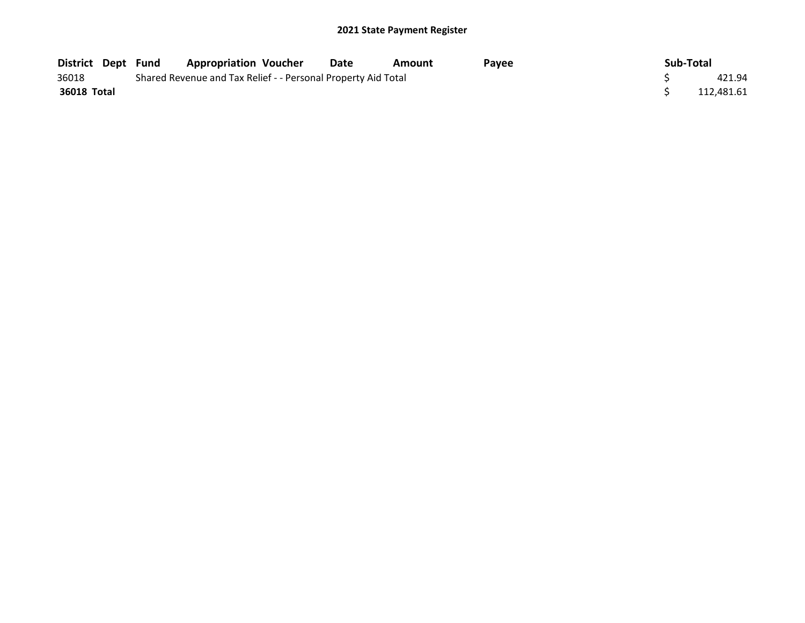| <b>District Dept Fund</b> |  | <b>Appropriation Voucher</b>                                  | Date | Amount | Pavee | Sub-Total |            |
|---------------------------|--|---------------------------------------------------------------|------|--------|-------|-----------|------------|
| 36018                     |  | Shared Revenue and Tax Relief - - Personal Property Aid Total |      |        |       |           | 421.94     |
| <b>36018 Total</b>        |  |                                                               |      |        |       |           | 112.481.61 |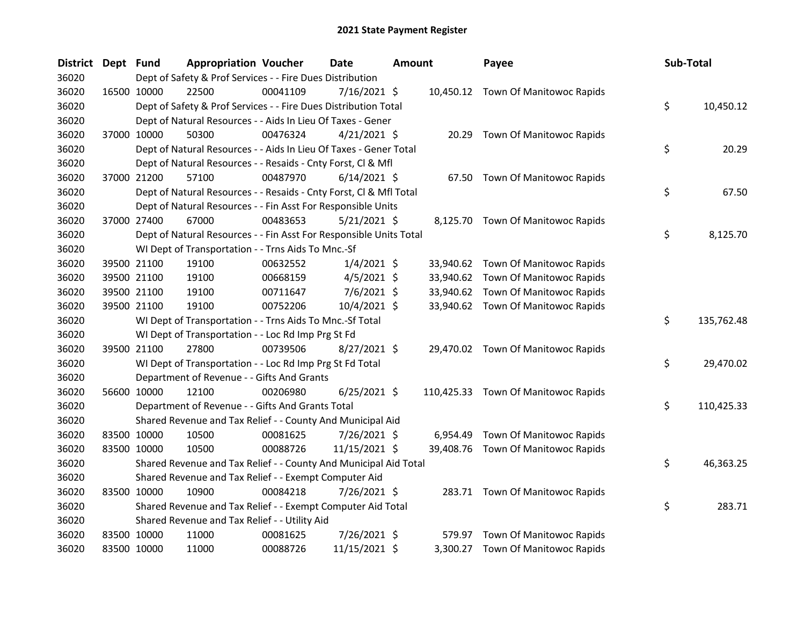| District Dept Fund |             |             | <b>Appropriation Voucher</b>                                       |          | Date           | <b>Amount</b> |           | Payee                               | Sub-Total        |
|--------------------|-------------|-------------|--------------------------------------------------------------------|----------|----------------|---------------|-----------|-------------------------------------|------------------|
| 36020              |             |             | Dept of Safety & Prof Services - - Fire Dues Distribution          |          |                |               |           |                                     |                  |
| 36020              |             | 16500 10000 | 22500                                                              | 00041109 | $7/16/2021$ \$ |               |           | 10,450.12 Town Of Manitowoc Rapids  |                  |
| 36020              |             |             | Dept of Safety & Prof Services - - Fire Dues Distribution Total    |          |                |               |           |                                     | \$<br>10,450.12  |
| 36020              |             |             | Dept of Natural Resources - - Aids In Lieu Of Taxes - Gener        |          |                |               |           |                                     |                  |
| 36020              |             | 37000 10000 | 50300                                                              | 00476324 | $4/21/2021$ \$ |               |           | 20.29 Town Of Manitowoc Rapids      |                  |
| 36020              |             |             | Dept of Natural Resources - - Aids In Lieu Of Taxes - Gener Total  |          |                |               |           |                                     | \$<br>20.29      |
| 36020              |             |             | Dept of Natural Resources - - Resaids - Cnty Forst, Cl & Mfl       |          |                |               |           |                                     |                  |
| 36020              |             | 37000 21200 | 57100                                                              | 00487970 | $6/14/2021$ \$ |               |           | 67.50 Town Of Manitowoc Rapids      |                  |
| 36020              |             |             | Dept of Natural Resources - - Resaids - Cnty Forst, CI & Mfl Total |          |                |               |           |                                     | \$<br>67.50      |
| 36020              |             |             | Dept of Natural Resources - - Fin Asst For Responsible Units       |          |                |               |           |                                     |                  |
| 36020              |             | 37000 27400 | 67000                                                              | 00483653 | $5/21/2021$ \$ |               |           | 8,125.70 Town Of Manitowoc Rapids   |                  |
| 36020              |             |             | Dept of Natural Resources - - Fin Asst For Responsible Units Total |          |                |               |           |                                     | \$<br>8,125.70   |
| 36020              |             |             | WI Dept of Transportation - - Trns Aids To Mnc.-Sf                 |          |                |               |           |                                     |                  |
| 36020              |             | 39500 21100 | 19100                                                              | 00632552 | $1/4/2021$ \$  |               | 33,940.62 | Town Of Manitowoc Rapids            |                  |
| 36020              |             | 39500 21100 | 19100                                                              | 00668159 | $4/5/2021$ \$  |               |           | 33,940.62 Town Of Manitowoc Rapids  |                  |
| 36020              |             | 39500 21100 | 19100                                                              | 00711647 | 7/6/2021 \$    |               |           | 33,940.62 Town Of Manitowoc Rapids  |                  |
| 36020              |             | 39500 21100 | 19100                                                              | 00752206 | 10/4/2021 \$   |               |           | 33,940.62 Town Of Manitowoc Rapids  |                  |
| 36020              |             |             | WI Dept of Transportation - - Trns Aids To Mnc.-Sf Total           |          |                |               |           |                                     | \$<br>135,762.48 |
| 36020              |             |             | WI Dept of Transportation - - Loc Rd Imp Prg St Fd                 |          |                |               |           |                                     |                  |
| 36020              |             | 39500 21100 | 27800                                                              | 00739506 | $8/27/2021$ \$ |               |           | 29,470.02 Town Of Manitowoc Rapids  |                  |
| 36020              |             |             | WI Dept of Transportation - - Loc Rd Imp Prg St Fd Total           |          |                |               |           |                                     | \$<br>29,470.02  |
| 36020              |             |             | Department of Revenue - - Gifts And Grants                         |          |                |               |           |                                     |                  |
| 36020              |             | 56600 10000 | 12100                                                              | 00206980 | $6/25/2021$ \$ |               |           | 110,425.33 Town Of Manitowoc Rapids |                  |
| 36020              |             |             | Department of Revenue - - Gifts And Grants Total                   |          |                |               |           |                                     | \$<br>110,425.33 |
| 36020              |             |             | Shared Revenue and Tax Relief - - County And Municipal Aid         |          |                |               |           |                                     |                  |
| 36020              | 83500 10000 |             | 10500                                                              | 00081625 | 7/26/2021 \$   |               | 6,954.49  | Town Of Manitowoc Rapids            |                  |
| 36020              |             | 83500 10000 | 10500                                                              | 00088726 | 11/15/2021 \$  |               |           | 39,408.76 Town Of Manitowoc Rapids  |                  |
| 36020              |             |             | Shared Revenue and Tax Relief - - County And Municipal Aid Total   |          |                |               |           |                                     | \$<br>46,363.25  |
| 36020              |             |             | Shared Revenue and Tax Relief - - Exempt Computer Aid              |          |                |               |           |                                     |                  |
| 36020              | 83500 10000 |             | 10900                                                              | 00084218 | 7/26/2021 \$   |               |           | 283.71 Town Of Manitowoc Rapids     |                  |
| 36020              |             |             | Shared Revenue and Tax Relief - - Exempt Computer Aid Total        |          |                |               |           |                                     | \$<br>283.71     |
| 36020              |             |             | Shared Revenue and Tax Relief - - Utility Aid                      |          |                |               |           |                                     |                  |
| 36020              |             | 83500 10000 | 11000                                                              | 00081625 | 7/26/2021 \$   |               |           | 579.97 Town Of Manitowoc Rapids     |                  |
| 36020              | 83500 10000 |             | 11000                                                              | 00088726 | 11/15/2021 \$  |               |           | 3,300.27 Town Of Manitowoc Rapids   |                  |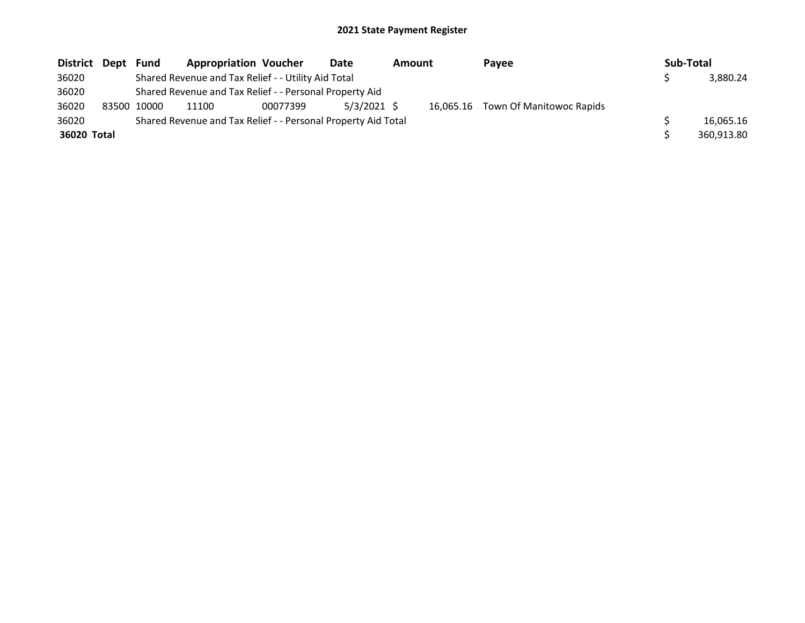| District Dept | Fund        | <b>Appropriation Voucher</b>                                  |          | <b>Date</b>   | <b>Amount</b> | Pavee                              | Sub-Total |            |
|---------------|-------------|---------------------------------------------------------------|----------|---------------|---------------|------------------------------------|-----------|------------|
| 36020         |             | Shared Revenue and Tax Relief - - Utility Aid Total           |          |               |               |                                    |           | 3,880.24   |
| 36020         |             | Shared Revenue and Tax Relief - - Personal Property Aid       |          |               |               |                                    |           |            |
| 36020         | 83500 10000 | 11100                                                         | 00077399 | $5/3/2021$ \$ |               | 16,065.16 Town Of Manitowoc Rapids |           |            |
| 36020         |             | Shared Revenue and Tax Relief - - Personal Property Aid Total |          |               |               |                                    |           | 16,065.16  |
| 36020 Total   |             |                                                               |          |               |               |                                    |           | 360,913.80 |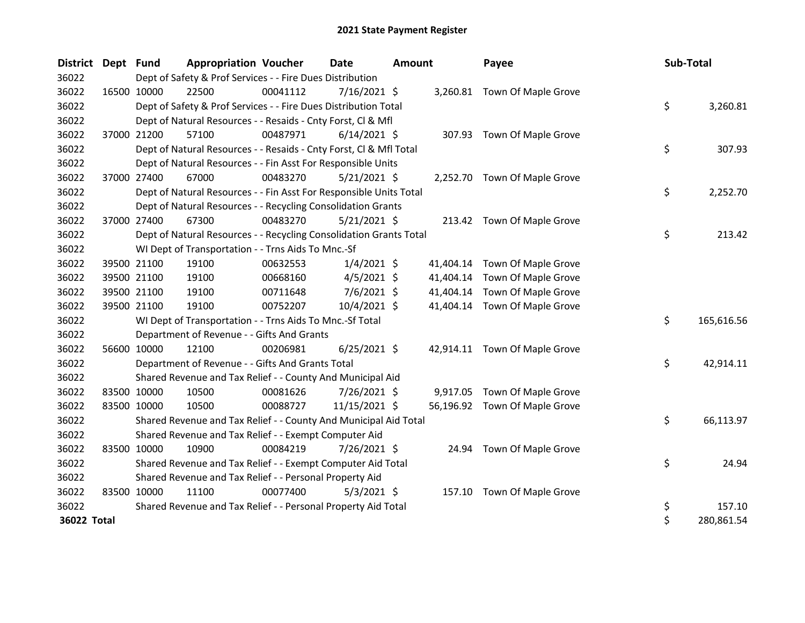| District Dept Fund |             |             | <b>Appropriation Voucher</b>                                       |          | <b>Date</b>    | <b>Amount</b> |           | Payee                         | Sub-Total |            |
|--------------------|-------------|-------------|--------------------------------------------------------------------|----------|----------------|---------------|-----------|-------------------------------|-----------|------------|
| 36022              |             |             | Dept of Safety & Prof Services - - Fire Dues Distribution          |          |                |               |           |                               |           |            |
| 36022              |             | 16500 10000 | 22500                                                              | 00041112 | $7/16/2021$ \$ |               |           | 3,260.81 Town Of Maple Grove  |           |            |
| 36022              |             |             | Dept of Safety & Prof Services - - Fire Dues Distribution Total    |          |                |               |           |                               | \$        | 3,260.81   |
| 36022              |             |             | Dept of Natural Resources - - Resaids - Cnty Forst, Cl & Mfl       |          |                |               |           |                               |           |            |
| 36022              |             | 37000 21200 | 57100                                                              | 00487971 | $6/14/2021$ \$ |               |           | 307.93 Town Of Maple Grove    |           |            |
| 36022              |             |             | Dept of Natural Resources - - Resaids - Cnty Forst, CI & Mfl Total |          |                |               |           |                               | \$        | 307.93     |
| 36022              |             |             | Dept of Natural Resources - - Fin Asst For Responsible Units       |          |                |               |           |                               |           |            |
| 36022              | 37000 27400 |             | 67000                                                              | 00483270 | $5/21/2021$ \$ |               |           | 2,252.70 Town Of Maple Grove  |           |            |
| 36022              |             |             | Dept of Natural Resources - - Fin Asst For Responsible Units Total |          |                |               |           |                               | \$        | 2,252.70   |
| 36022              |             |             | Dept of Natural Resources - - Recycling Consolidation Grants       |          |                |               |           |                               |           |            |
| 36022              | 37000 27400 |             | 67300                                                              | 00483270 | $5/21/2021$ \$ |               |           | 213.42 Town Of Maple Grove    |           |            |
| 36022              |             |             | Dept of Natural Resources - - Recycling Consolidation Grants Total |          |                |               |           |                               | \$        | 213.42     |
| 36022              |             |             | WI Dept of Transportation - - Trns Aids To Mnc.-Sf                 |          |                |               |           |                               |           |            |
| 36022              |             | 39500 21100 | 19100                                                              | 00632553 | $1/4/2021$ \$  |               |           | 41,404.14 Town Of Maple Grove |           |            |
| 36022              |             | 39500 21100 | 19100                                                              | 00668160 | $4/5/2021$ \$  |               | 41,404.14 | Town Of Maple Grove           |           |            |
| 36022              |             | 39500 21100 | 19100                                                              | 00711648 | $7/6/2021$ \$  |               | 41,404.14 | Town Of Maple Grove           |           |            |
| 36022              |             | 39500 21100 | 19100                                                              | 00752207 | 10/4/2021 \$   |               |           | 41,404.14 Town Of Maple Grove |           |            |
| 36022              |             |             | WI Dept of Transportation - - Trns Aids To Mnc.-Sf Total           |          |                |               |           |                               | \$        | 165,616.56 |
| 36022              |             |             | Department of Revenue - - Gifts And Grants                         |          |                |               |           |                               |           |            |
| 36022              |             | 56600 10000 | 12100                                                              | 00206981 | $6/25/2021$ \$ |               |           | 42,914.11 Town Of Maple Grove |           |            |
| 36022              |             |             | Department of Revenue - - Gifts And Grants Total                   |          |                |               |           |                               | \$        | 42,914.11  |
| 36022              |             |             | Shared Revenue and Tax Relief - - County And Municipal Aid         |          |                |               |           |                               |           |            |
| 36022              |             | 83500 10000 | 10500                                                              | 00081626 | 7/26/2021 \$   |               | 9,917.05  | Town Of Maple Grove           |           |            |
| 36022              |             | 83500 10000 | 10500                                                              | 00088727 | 11/15/2021 \$  |               |           | 56,196.92 Town Of Maple Grove |           |            |
| 36022              |             |             | Shared Revenue and Tax Relief - - County And Municipal Aid Total   |          |                |               |           |                               | \$        | 66,113.97  |
| 36022              |             |             | Shared Revenue and Tax Relief - - Exempt Computer Aid              |          |                |               |           |                               |           |            |
| 36022              | 83500 10000 |             | 10900                                                              | 00084219 | 7/26/2021 \$   |               | 24.94     | Town Of Maple Grove           |           |            |
| 36022              |             |             | Shared Revenue and Tax Relief - - Exempt Computer Aid Total        |          |                |               |           |                               | \$        | 24.94      |
| 36022              |             |             | Shared Revenue and Tax Relief - - Personal Property Aid            |          |                |               |           |                               |           |            |
| 36022              |             | 83500 10000 | 11100                                                              | 00077400 | $5/3/2021$ \$  |               |           | 157.10 Town Of Maple Grove    |           |            |
| 36022              |             |             | Shared Revenue and Tax Relief - - Personal Property Aid Total      |          |                |               |           |                               | \$        | 157.10     |
| 36022 Total        |             |             |                                                                    |          |                |               |           |                               | \$        | 280,861.54 |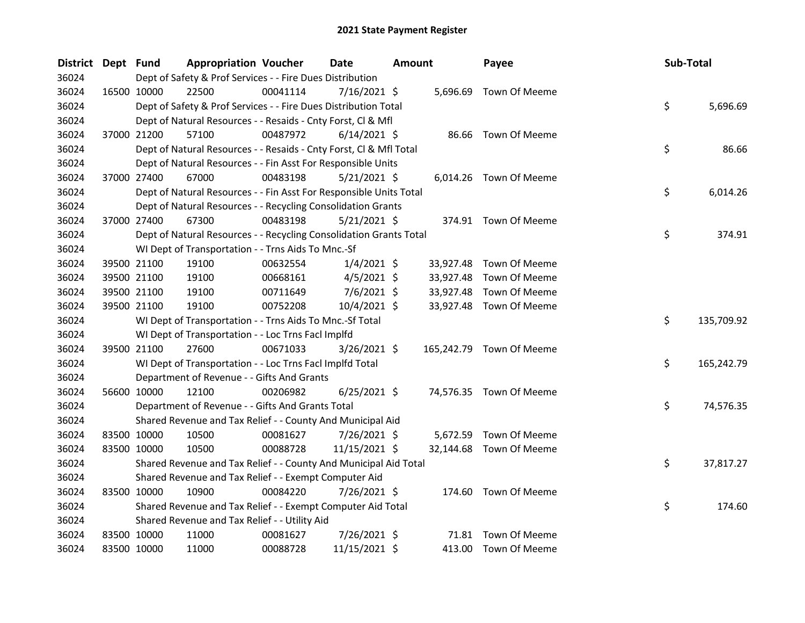| District Dept Fund |             |             | <b>Appropriation Voucher</b>                                       |          | <b>Date</b>    | <b>Amount</b> |           | Payee                    | Sub-Total |            |
|--------------------|-------------|-------------|--------------------------------------------------------------------|----------|----------------|---------------|-----------|--------------------------|-----------|------------|
| 36024              |             |             | Dept of Safety & Prof Services - - Fire Dues Distribution          |          |                |               |           |                          |           |            |
| 36024              |             | 16500 10000 | 22500                                                              | 00041114 | 7/16/2021 \$   |               |           | 5,696.69 Town Of Meeme   |           |            |
| 36024              |             |             | Dept of Safety & Prof Services - - Fire Dues Distribution Total    |          |                |               |           |                          | \$        | 5,696.69   |
| 36024              |             |             | Dept of Natural Resources - - Resaids - Cnty Forst, Cl & Mfl       |          |                |               |           |                          |           |            |
| 36024              |             | 37000 21200 | 57100                                                              | 00487972 | $6/14/2021$ \$ |               |           | 86.66 Town Of Meeme      |           |            |
| 36024              |             |             | Dept of Natural Resources - - Resaids - Cnty Forst, CI & Mfl Total |          |                |               |           |                          | \$        | 86.66      |
| 36024              |             |             | Dept of Natural Resources - - Fin Asst For Responsible Units       |          |                |               |           |                          |           |            |
| 36024              |             | 37000 27400 | 67000                                                              | 00483198 | $5/21/2021$ \$ |               |           | 6,014.26 Town Of Meeme   |           |            |
| 36024              |             |             | Dept of Natural Resources - - Fin Asst For Responsible Units Total |          |                |               |           |                          | \$        | 6,014.26   |
| 36024              |             |             | Dept of Natural Resources - - Recycling Consolidation Grants       |          |                |               |           |                          |           |            |
| 36024              |             | 37000 27400 | 67300                                                              | 00483198 | 5/21/2021 \$   |               |           | 374.91 Town Of Meeme     |           |            |
| 36024              |             |             | Dept of Natural Resources - - Recycling Consolidation Grants Total |          |                |               |           |                          | \$        | 374.91     |
| 36024              |             |             | WI Dept of Transportation - - Trns Aids To Mnc.-Sf                 |          |                |               |           |                          |           |            |
| 36024              |             | 39500 21100 | 19100                                                              | 00632554 | $1/4/2021$ \$  |               | 33,927.48 | Town Of Meeme            |           |            |
| 36024              |             | 39500 21100 | 19100                                                              | 00668161 | $4/5/2021$ \$  |               | 33,927.48 | Town Of Meeme            |           |            |
| 36024              |             | 39500 21100 | 19100                                                              | 00711649 | 7/6/2021 \$    |               | 33,927.48 | Town Of Meeme            |           |            |
| 36024              |             | 39500 21100 | 19100                                                              | 00752208 | 10/4/2021 \$   |               |           | 33,927.48 Town Of Meeme  |           |            |
| 36024              |             |             | WI Dept of Transportation - - Trns Aids To Mnc.-Sf Total           |          |                |               |           |                          | \$        | 135,709.92 |
| 36024              |             |             | WI Dept of Transportation - - Loc Trns Facl Implfd                 |          |                |               |           |                          |           |            |
| 36024              |             | 39500 21100 | 27600                                                              | 00671033 | $3/26/2021$ \$ |               |           | 165,242.79 Town Of Meeme |           |            |
| 36024              |             |             | WI Dept of Transportation - - Loc Trns Facl Implfd Total           |          |                |               |           |                          | \$        | 165,242.79 |
| 36024              |             |             | Department of Revenue - - Gifts And Grants                         |          |                |               |           |                          |           |            |
| 36024              |             | 56600 10000 | 12100                                                              | 00206982 | $6/25/2021$ \$ |               |           | 74,576.35 Town Of Meeme  |           |            |
| 36024              |             |             | Department of Revenue - - Gifts And Grants Total                   |          |                |               |           |                          | \$        | 74,576.35  |
| 36024              |             |             | Shared Revenue and Tax Relief - - County And Municipal Aid         |          |                |               |           |                          |           |            |
| 36024              |             | 83500 10000 | 10500                                                              | 00081627 | 7/26/2021 \$   |               |           | 5,672.59 Town Of Meeme   |           |            |
| 36024              |             | 83500 10000 | 10500                                                              | 00088728 | 11/15/2021 \$  |               |           | 32,144.68 Town Of Meeme  |           |            |
| 36024              |             |             | Shared Revenue and Tax Relief - - County And Municipal Aid Total   |          |                |               |           |                          | \$        | 37,817.27  |
| 36024              |             |             | Shared Revenue and Tax Relief - - Exempt Computer Aid              |          |                |               |           |                          |           |            |
| 36024              | 83500 10000 |             | 10900                                                              | 00084220 | 7/26/2021 \$   |               |           | 174.60 Town Of Meeme     |           |            |
| 36024              |             |             | Shared Revenue and Tax Relief - - Exempt Computer Aid Total        |          |                |               |           |                          | \$        | 174.60     |
| 36024              |             |             | Shared Revenue and Tax Relief - - Utility Aid                      |          |                |               |           |                          |           |            |
| 36024              |             | 83500 10000 | 11000                                                              | 00081627 | 7/26/2021 \$   |               |           | 71.81 Town Of Meeme      |           |            |
| 36024              | 83500 10000 |             | 11000                                                              | 00088728 | 11/15/2021 \$  |               |           | 413.00 Town Of Meeme     |           |            |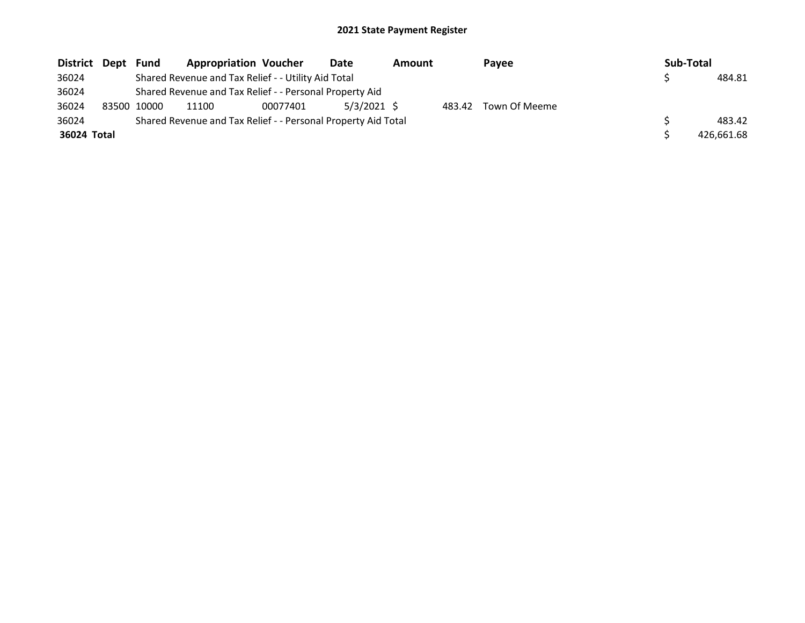| District Dept | Fund        | <b>Appropriation Voucher</b>                                  |          | <b>Date</b>   | <b>Amount</b> |        | Pavee         | Sub-Total |            |
|---------------|-------------|---------------------------------------------------------------|----------|---------------|---------------|--------|---------------|-----------|------------|
| 36024         |             | Shared Revenue and Tax Relief - - Utility Aid Total           |          |               |               |        |               |           | 484.81     |
| 36024         |             | Shared Revenue and Tax Relief - - Personal Property Aid       |          |               |               |        |               |           |            |
| 36024         | 83500 10000 | 11100                                                         | 00077401 | $5/3/2021$ \$ |               | 483.42 | Town Of Meeme |           |            |
| 36024         |             | Shared Revenue and Tax Relief - - Personal Property Aid Total |          |               |               |        |               |           | 483.42     |
| 36024 Total   |             |                                                               |          |               |               |        |               |           | 426.661.68 |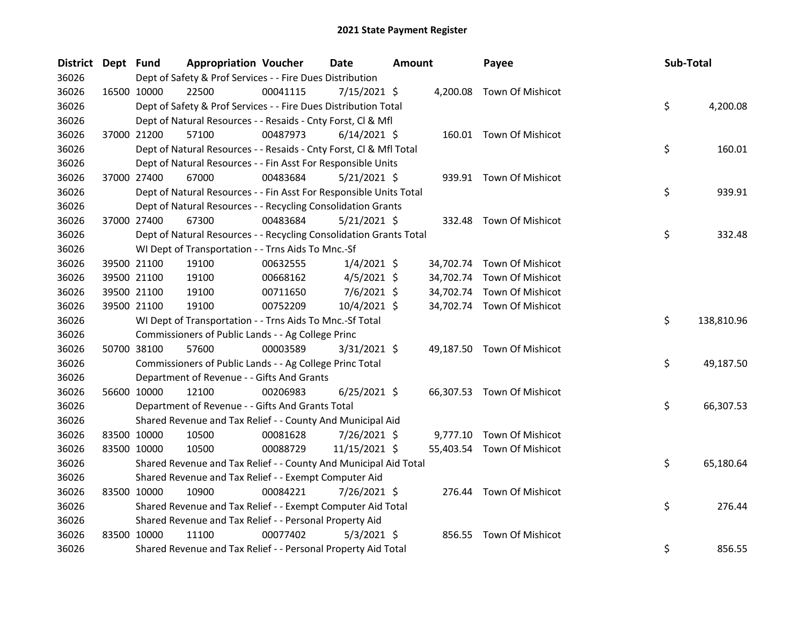| District Dept Fund |             | <b>Appropriation Voucher</b>                                       |          | <b>Date</b>    | <b>Amount</b> |           | Payee                      | Sub-Total |            |
|--------------------|-------------|--------------------------------------------------------------------|----------|----------------|---------------|-----------|----------------------------|-----------|------------|
| 36026              |             | Dept of Safety & Prof Services - - Fire Dues Distribution          |          |                |               |           |                            |           |            |
| 36026              | 16500 10000 | 22500                                                              | 00041115 | 7/15/2021 \$   |               |           | 4,200.08 Town Of Mishicot  |           |            |
| 36026              |             | Dept of Safety & Prof Services - - Fire Dues Distribution Total    |          |                |               |           |                            | \$        | 4,200.08   |
| 36026              |             | Dept of Natural Resources - - Resaids - Cnty Forst, Cl & Mfl       |          |                |               |           |                            |           |            |
| 36026              | 37000 21200 | 57100                                                              | 00487973 | $6/14/2021$ \$ |               |           | 160.01 Town Of Mishicot    |           |            |
| 36026              |             | Dept of Natural Resources - - Resaids - Cnty Forst, CI & Mfl Total |          |                |               |           |                            | \$        | 160.01     |
| 36026              |             | Dept of Natural Resources - - Fin Asst For Responsible Units       |          |                |               |           |                            |           |            |
| 36026              | 37000 27400 | 67000                                                              | 00483684 | $5/21/2021$ \$ |               |           | 939.91 Town Of Mishicot    |           |            |
| 36026              |             | Dept of Natural Resources - - Fin Asst For Responsible Units Total |          |                |               |           |                            | \$        | 939.91     |
| 36026              |             | Dept of Natural Resources - - Recycling Consolidation Grants       |          |                |               |           |                            |           |            |
| 36026              | 37000 27400 | 67300                                                              | 00483684 | 5/21/2021 \$   |               | 332.48    | Town Of Mishicot           |           |            |
| 36026              |             | Dept of Natural Resources - - Recycling Consolidation Grants Total |          |                |               |           |                            | \$        | 332.48     |
| 36026              |             | WI Dept of Transportation - - Trns Aids To Mnc.-Sf                 |          |                |               |           |                            |           |            |
| 36026              | 39500 21100 | 19100                                                              | 00632555 | $1/4/2021$ \$  |               | 34,702.74 | Town Of Mishicot           |           |            |
| 36026              | 39500 21100 | 19100                                                              | 00668162 | $4/5/2021$ \$  |               | 34,702.74 | Town Of Mishicot           |           |            |
| 36026              | 39500 21100 | 19100                                                              | 00711650 | $7/6/2021$ \$  |               | 34,702.74 | Town Of Mishicot           |           |            |
| 36026              | 39500 21100 | 19100                                                              | 00752209 | 10/4/2021 \$   |               |           | 34,702.74 Town Of Mishicot |           |            |
| 36026              |             | WI Dept of Transportation - - Trns Aids To Mnc.-Sf Total           |          |                |               |           |                            | \$        | 138,810.96 |
| 36026              |             | Commissioners of Public Lands - - Ag College Princ                 |          |                |               |           |                            |           |            |
| 36026              | 50700 38100 | 57600                                                              | 00003589 | $3/31/2021$ \$ |               |           | 49,187.50 Town Of Mishicot |           |            |
| 36026              |             | Commissioners of Public Lands - - Ag College Princ Total           |          |                |               |           |                            | \$        | 49,187.50  |
| 36026              |             | Department of Revenue - - Gifts And Grants                         |          |                |               |           |                            |           |            |
| 36026              | 56600 10000 | 12100                                                              | 00206983 | $6/25/2021$ \$ |               |           | 66,307.53 Town Of Mishicot |           |            |
| 36026              |             | Department of Revenue - - Gifts And Grants Total                   |          |                |               |           |                            | \$        | 66,307.53  |
| 36026              |             | Shared Revenue and Tax Relief - - County And Municipal Aid         |          |                |               |           |                            |           |            |
| 36026              | 83500 10000 | 10500                                                              | 00081628 | 7/26/2021 \$   |               |           | 9,777.10 Town Of Mishicot  |           |            |
| 36026              | 83500 10000 | 10500                                                              | 00088729 | 11/15/2021 \$  |               |           | 55,403.54 Town Of Mishicot |           |            |
| 36026              |             | Shared Revenue and Tax Relief - - County And Municipal Aid Total   |          |                |               |           |                            | \$        | 65,180.64  |
| 36026              |             | Shared Revenue and Tax Relief - - Exempt Computer Aid              |          |                |               |           |                            |           |            |
| 36026              | 83500 10000 | 10900                                                              | 00084221 | 7/26/2021 \$   |               |           | 276.44 Town Of Mishicot    |           |            |
| 36026              |             | Shared Revenue and Tax Relief - - Exempt Computer Aid Total        |          |                |               |           |                            | \$        | 276.44     |
| 36026              |             | Shared Revenue and Tax Relief - - Personal Property Aid            |          |                |               |           |                            |           |            |
| 36026              | 83500 10000 | 11100                                                              | 00077402 | $5/3/2021$ \$  |               | 856.55    | Town Of Mishicot           |           |            |
| 36026              |             | Shared Revenue and Tax Relief - - Personal Property Aid Total      |          |                |               |           |                            | \$        | 856.55     |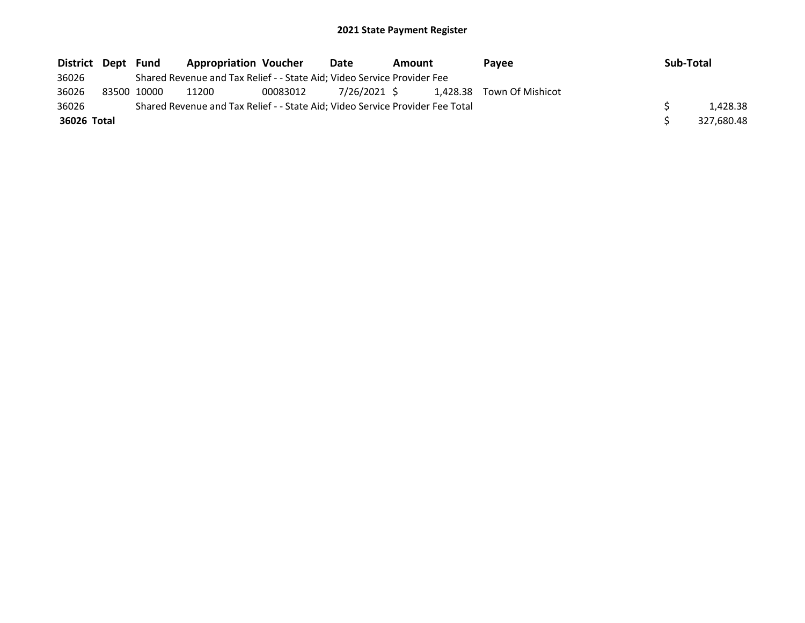| District Dept Fund |             | <b>Appropriation Voucher</b>                                                  |          | Date         | Amount | Pavee                     | Sub-Total |            |
|--------------------|-------------|-------------------------------------------------------------------------------|----------|--------------|--------|---------------------------|-----------|------------|
| 36026              |             | Shared Revenue and Tax Relief - - State Aid; Video Service Provider Fee       |          |              |        |                           |           |            |
| 36026              | 83500 10000 | 11200                                                                         | 00083012 | 7/26/2021 \$ |        | 1,428.38 Town Of Mishicot |           |            |
| 36026              |             | Shared Revenue and Tax Relief - - State Aid; Video Service Provider Fee Total |          |              |        |                           |           | 1.428.38   |
| 36026 Total        |             |                                                                               |          |              |        |                           |           | 327,680.48 |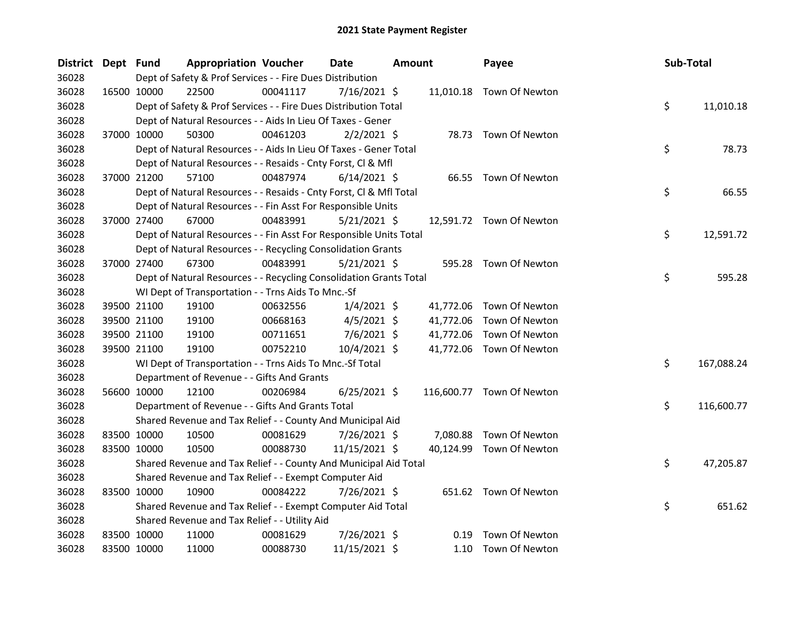| District Dept Fund |             |             | <b>Appropriation Voucher</b>                                       |          | <b>Date</b>    | <b>Amount</b> |           | Payee                     | Sub-Total |            |
|--------------------|-------------|-------------|--------------------------------------------------------------------|----------|----------------|---------------|-----------|---------------------------|-----------|------------|
| 36028              |             |             | Dept of Safety & Prof Services - - Fire Dues Distribution          |          |                |               |           |                           |           |            |
| 36028              |             | 16500 10000 | 22500                                                              | 00041117 | $7/16/2021$ \$ |               |           | 11,010.18 Town Of Newton  |           |            |
| 36028              |             |             | Dept of Safety & Prof Services - - Fire Dues Distribution Total    |          |                |               |           |                           | \$        | 11,010.18  |
| 36028              |             |             | Dept of Natural Resources - - Aids In Lieu Of Taxes - Gener        |          |                |               |           |                           |           |            |
| 36028              |             | 37000 10000 | 50300                                                              | 00461203 | $2/2/2021$ \$  |               |           | 78.73 Town Of Newton      |           |            |
| 36028              |             |             | Dept of Natural Resources - - Aids In Lieu Of Taxes - Gener Total  |          |                |               |           |                           | \$        | 78.73      |
| 36028              |             |             | Dept of Natural Resources - - Resaids - Cnty Forst, Cl & Mfl       |          |                |               |           |                           |           |            |
| 36028              |             | 37000 21200 | 57100                                                              | 00487974 | $6/14/2021$ \$ |               |           | 66.55 Town Of Newton      |           |            |
| 36028              |             |             | Dept of Natural Resources - - Resaids - Cnty Forst, CI & Mfl Total |          |                |               |           |                           | \$        | 66.55      |
| 36028              |             |             | Dept of Natural Resources - - Fin Asst For Responsible Units       |          |                |               |           |                           |           |            |
| 36028              |             | 37000 27400 | 67000                                                              | 00483991 | 5/21/2021 \$   |               |           | 12,591.72 Town Of Newton  |           |            |
| 36028              |             |             | Dept of Natural Resources - - Fin Asst For Responsible Units Total |          |                |               |           |                           | \$        | 12,591.72  |
| 36028              |             |             | Dept of Natural Resources - - Recycling Consolidation Grants       |          |                |               |           |                           |           |            |
| 36028              |             | 37000 27400 | 67300                                                              | 00483991 | $5/21/2021$ \$ |               |           | 595.28 Town Of Newton     |           |            |
| 36028              |             |             | Dept of Natural Resources - - Recycling Consolidation Grants Total |          |                |               |           |                           | \$        | 595.28     |
| 36028              |             |             | WI Dept of Transportation - - Trns Aids To Mnc.-Sf                 |          |                |               |           |                           |           |            |
| 36028              |             | 39500 21100 | 19100                                                              | 00632556 | $1/4/2021$ \$  |               |           | 41,772.06 Town Of Newton  |           |            |
| 36028              |             | 39500 21100 | 19100                                                              | 00668163 | $4/5/2021$ \$  |               | 41,772.06 | Town Of Newton            |           |            |
| 36028              |             | 39500 21100 | 19100                                                              | 00711651 | 7/6/2021 \$    |               | 41,772.06 | Town Of Newton            |           |            |
| 36028              |             | 39500 21100 | 19100                                                              | 00752210 | 10/4/2021 \$   |               | 41,772.06 | Town Of Newton            |           |            |
| 36028              |             |             | WI Dept of Transportation - - Trns Aids To Mnc.-Sf Total           |          |                |               |           |                           | \$        | 167,088.24 |
| 36028              |             |             | Department of Revenue - - Gifts And Grants                         |          |                |               |           |                           |           |            |
| 36028              |             | 56600 10000 | 12100                                                              | 00206984 | $6/25/2021$ \$ |               |           | 116,600.77 Town Of Newton |           |            |
| 36028              |             |             | Department of Revenue - - Gifts And Grants Total                   |          |                |               |           |                           | \$        | 116,600.77 |
| 36028              |             |             | Shared Revenue and Tax Relief - - County And Municipal Aid         |          |                |               |           |                           |           |            |
| 36028              |             | 83500 10000 | 10500                                                              | 00081629 | 7/26/2021 \$   |               | 7,080.88  | Town Of Newton            |           |            |
| 36028              |             | 83500 10000 | 10500                                                              | 00088730 | 11/15/2021 \$  |               |           | 40,124.99 Town Of Newton  |           |            |
| 36028              |             |             | Shared Revenue and Tax Relief - - County And Municipal Aid Total   |          |                |               |           |                           | \$        | 47,205.87  |
| 36028              |             |             | Shared Revenue and Tax Relief - - Exempt Computer Aid              |          |                |               |           |                           |           |            |
| 36028              | 83500 10000 |             | 10900                                                              | 00084222 | 7/26/2021 \$   |               |           | 651.62 Town Of Newton     |           |            |
| 36028              |             |             | Shared Revenue and Tax Relief - - Exempt Computer Aid Total        |          |                |               |           |                           | \$        | 651.62     |
| 36028              |             |             | Shared Revenue and Tax Relief - - Utility Aid                      |          |                |               |           |                           |           |            |
| 36028              |             | 83500 10000 | 11000                                                              | 00081629 | 7/26/2021 \$   |               |           | 0.19 Town Of Newton       |           |            |
| 36028              |             | 83500 10000 | 11000                                                              | 00088730 | 11/15/2021 \$  |               |           | 1.10 Town Of Newton       |           |            |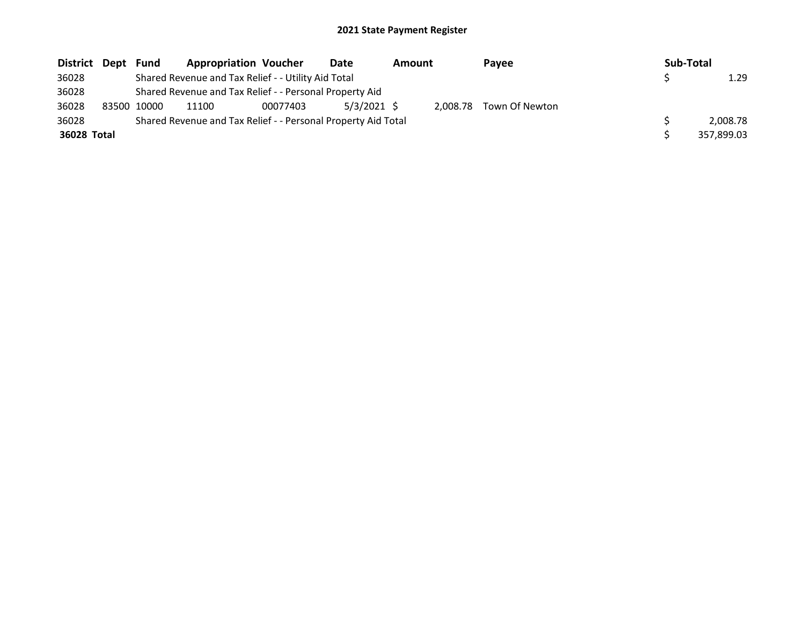| District Dept | Fund        | <b>Appropriation Voucher</b>                                  |          | <b>Date</b>   | <b>Amount</b> |          | Pavee          | Sub-Total |            |
|---------------|-------------|---------------------------------------------------------------|----------|---------------|---------------|----------|----------------|-----------|------------|
| 36028         |             | Shared Revenue and Tax Relief - - Utility Aid Total           |          |               |               |          |                |           | 1.29       |
| 36028         |             | Shared Revenue and Tax Relief - - Personal Property Aid       |          |               |               |          |                |           |            |
| 36028         | 83500 10000 | 11100                                                         | 00077403 | $5/3/2021$ \$ |               | 2.008.78 | Town Of Newton |           |            |
| 36028         |             | Shared Revenue and Tax Relief - - Personal Property Aid Total |          |               |               |          |                |           | 2.008.78   |
| 36028 Total   |             |                                                               |          |               |               |          |                |           | 357,899.03 |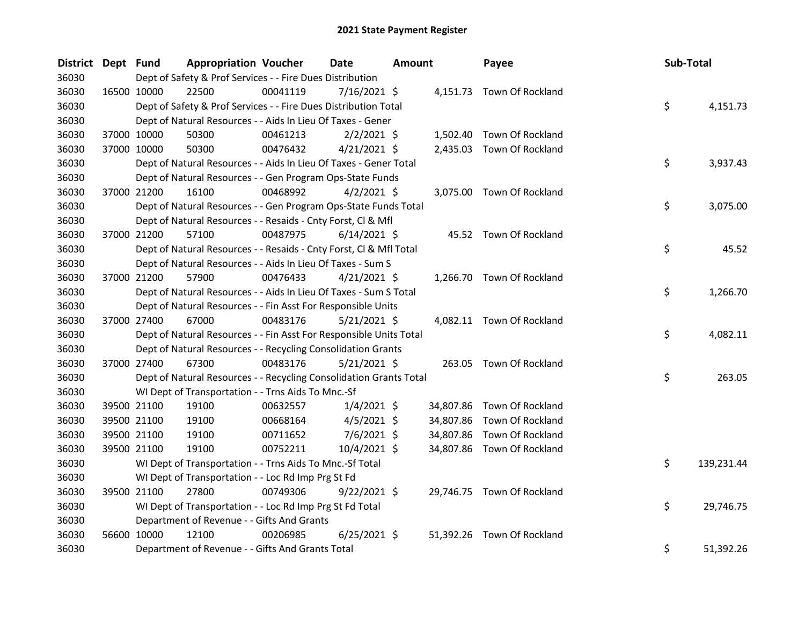| District Dept Fund |             |             | <b>Appropriation Voucher</b>                                       |          | <b>Date</b>    | <b>Amount</b> |           | Payee                      | Sub-Total |            |
|--------------------|-------------|-------------|--------------------------------------------------------------------|----------|----------------|---------------|-----------|----------------------------|-----------|------------|
| 36030              |             |             | Dept of Safety & Prof Services - - Fire Dues Distribution          |          |                |               |           |                            |           |            |
| 36030              |             | 16500 10000 | 22500                                                              | 00041119 | 7/16/2021 \$   |               |           | 4,151.73 Town Of Rockland  |           |            |
| 36030              |             |             | Dept of Safety & Prof Services - - Fire Dues Distribution Total    |          |                |               |           |                            | \$        | 4,151.73   |
| 36030              |             |             | Dept of Natural Resources - - Aids In Lieu Of Taxes - Gener        |          |                |               |           |                            |           |            |
| 36030              |             | 37000 10000 | 50300                                                              | 00461213 | $2/2/2021$ \$  |               |           | 1,502.40 Town Of Rockland  |           |            |
| 36030              |             | 37000 10000 | 50300                                                              | 00476432 | $4/21/2021$ \$ |               |           | 2,435.03 Town Of Rockland  |           |            |
| 36030              |             |             | Dept of Natural Resources - - Aids In Lieu Of Taxes - Gener Total  |          |                |               |           |                            | \$        | 3,937.43   |
| 36030              |             |             | Dept of Natural Resources - - Gen Program Ops-State Funds          |          |                |               |           |                            |           |            |
| 36030              |             | 37000 21200 | 16100                                                              | 00468992 | $4/2/2021$ \$  |               |           | 3,075.00 Town Of Rockland  |           |            |
| 36030              |             |             | Dept of Natural Resources - - Gen Program Ops-State Funds Total    |          |                |               |           |                            | \$        | 3,075.00   |
| 36030              |             |             | Dept of Natural Resources - - Resaids - Cnty Forst, Cl & Mfl       |          |                |               |           |                            |           |            |
| 36030              |             | 37000 21200 | 57100                                                              | 00487975 | $6/14/2021$ \$ |               |           | 45.52 Town Of Rockland     |           |            |
| 36030              |             |             | Dept of Natural Resources - - Resaids - Cnty Forst, CI & Mfl Total |          |                |               |           |                            | \$        | 45.52      |
| 36030              |             |             | Dept of Natural Resources - - Aids In Lieu Of Taxes - Sum S        |          |                |               |           |                            |           |            |
| 36030              |             | 37000 21200 | 57900                                                              | 00476433 | $4/21/2021$ \$ |               |           | 1,266.70 Town Of Rockland  |           |            |
| 36030              |             |             | Dept of Natural Resources - - Aids In Lieu Of Taxes - Sum S Total  |          |                |               |           |                            | \$        | 1,266.70   |
| 36030              |             |             | Dept of Natural Resources - - Fin Asst For Responsible Units       |          |                |               |           |                            |           |            |
| 36030              |             | 37000 27400 | 67000                                                              | 00483176 | $5/21/2021$ \$ |               |           | 4,082.11 Town Of Rockland  |           |            |
| 36030              |             |             | Dept of Natural Resources - - Fin Asst For Responsible Units Total |          |                |               |           |                            | \$        | 4,082.11   |
| 36030              |             |             | Dept of Natural Resources - - Recycling Consolidation Grants       |          |                |               |           |                            |           |            |
| 36030              |             | 37000 27400 | 67300                                                              | 00483176 | $5/21/2021$ \$ |               |           | 263.05 Town Of Rockland    |           |            |
| 36030              |             |             | Dept of Natural Resources - - Recycling Consolidation Grants Total |          |                |               |           |                            | \$        | 263.05     |
| 36030              |             |             | WI Dept of Transportation - - Trns Aids To Mnc.-Sf                 |          |                |               |           |                            |           |            |
| 36030              |             | 39500 21100 | 19100                                                              | 00632557 | $1/4/2021$ \$  |               | 34,807.86 | Town Of Rockland           |           |            |
| 36030              |             | 39500 21100 | 19100                                                              | 00668164 | $4/5/2021$ \$  |               | 34,807.86 | Town Of Rockland           |           |            |
| 36030              | 39500 21100 |             | 19100                                                              | 00711652 | 7/6/2021 \$    |               | 34,807.86 | Town Of Rockland           |           |            |
| 36030              |             | 39500 21100 | 19100                                                              | 00752211 | 10/4/2021 \$   |               |           | 34,807.86 Town Of Rockland |           |            |
| 36030              |             |             | WI Dept of Transportation - - Trns Aids To Mnc.-Sf Total           |          |                |               |           |                            | \$        | 139,231.44 |
| 36030              |             |             | WI Dept of Transportation - - Loc Rd Imp Prg St Fd                 |          |                |               |           |                            |           |            |
| 36030              |             | 39500 21100 | 27800                                                              | 00749306 | $9/22/2021$ \$ |               |           | 29,746.75 Town Of Rockland |           |            |
| 36030              |             |             | WI Dept of Transportation - - Loc Rd Imp Prg St Fd Total           |          |                |               |           |                            | \$        | 29,746.75  |
| 36030              |             |             | Department of Revenue - - Gifts And Grants                         |          |                |               |           |                            |           |            |
| 36030              |             | 56600 10000 | 12100                                                              | 00206985 | $6/25/2021$ \$ |               |           | 51,392.26 Town Of Rockland |           |            |
| 36030              |             |             | Department of Revenue - - Gifts And Grants Total                   |          |                |               |           |                            | \$        | 51,392.26  |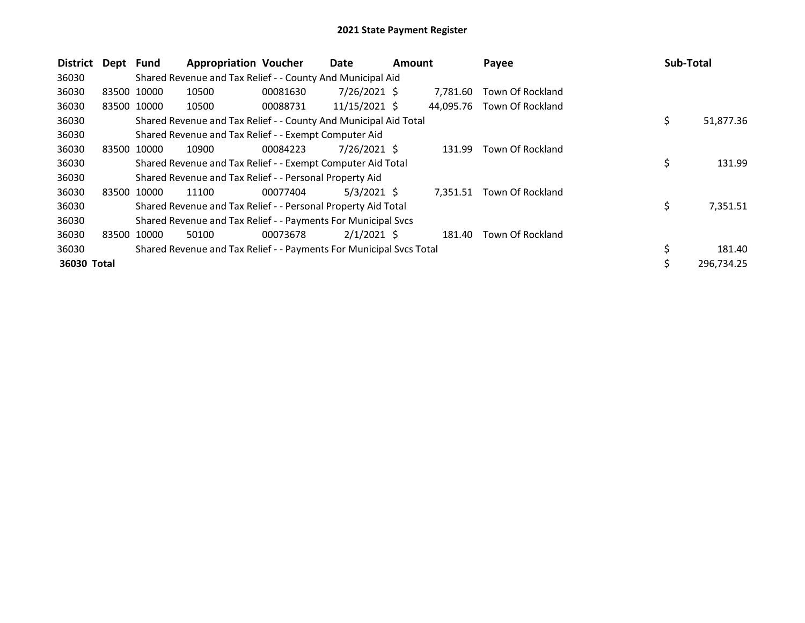| <b>District</b> | Dept        | Fund        | <b>Appropriation Voucher</b>                                        |          | Date<br><b>Amount</b> |  |           | Payee            |  | Sub-Total |            |
|-----------------|-------------|-------------|---------------------------------------------------------------------|----------|-----------------------|--|-----------|------------------|--|-----------|------------|
| 36030           |             |             | Shared Revenue and Tax Relief - - County And Municipal Aid          |          |                       |  |           |                  |  |           |            |
| 36030           | 83500 10000 |             | 10500                                                               | 00081630 | 7/26/2021 \$          |  | 7.781.60  | Town Of Rockland |  |           |            |
| 36030           |             | 83500 10000 | 10500                                                               | 00088731 | 11/15/2021 \$         |  | 44,095.76 | Town Of Rockland |  |           |            |
| 36030           |             |             | Shared Revenue and Tax Relief - - County And Municipal Aid Total    |          |                       |  |           |                  |  | \$        | 51,877.36  |
| 36030           |             |             | Shared Revenue and Tax Relief - - Exempt Computer Aid               |          |                       |  |           |                  |  |           |            |
| 36030           | 83500       | 10000       | 10900                                                               | 00084223 | $7/26/2021$ \$        |  | 131.99    | Town Of Rockland |  |           |            |
| 36030           |             |             | Shared Revenue and Tax Relief - - Exempt Computer Aid Total         |          |                       |  |           |                  |  | \$        | 131.99     |
| 36030           |             |             | Shared Revenue and Tax Relief - - Personal Property Aid             |          |                       |  |           |                  |  |           |            |
| 36030           |             | 83500 10000 | 11100                                                               | 00077404 | $5/3/2021$ \$         |  | 7,351.51  | Town Of Rockland |  |           |            |
| 36030           |             |             | Shared Revenue and Tax Relief - - Personal Property Aid Total       |          |                       |  |           |                  |  | \$        | 7,351.51   |
| 36030           |             |             | Shared Revenue and Tax Relief - - Payments For Municipal Svcs       |          |                       |  |           |                  |  |           |            |
| 36030           | 83500       | 10000       | 50100                                                               | 00073678 | $2/1/2021$ \$         |  | 181.40    | Town Of Rockland |  |           |            |
| 36030           |             |             | Shared Revenue and Tax Relief - - Payments For Municipal Svcs Total |          |                       |  |           |                  |  | \$        | 181.40     |
| 36030 Total     |             |             |                                                                     |          |                       |  |           |                  |  | Ŝ.        | 296,734.25 |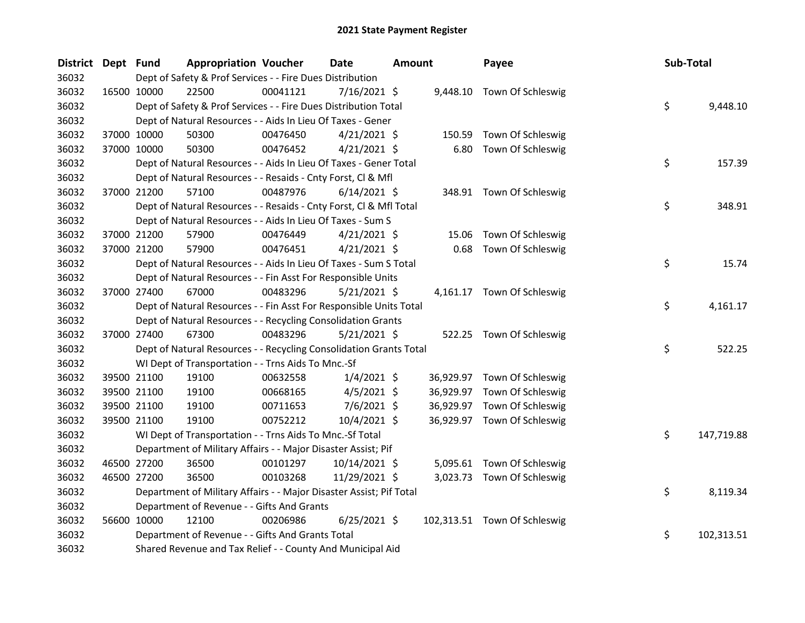| <b>District</b> | Dept Fund |             | <b>Appropriation Voucher</b>                                        |          | Date           | Amount |        | Payee                        | Sub-Total |            |
|-----------------|-----------|-------------|---------------------------------------------------------------------|----------|----------------|--------|--------|------------------------------|-----------|------------|
| 36032           |           |             | Dept of Safety & Prof Services - - Fire Dues Distribution           |          |                |        |        |                              |           |            |
| 36032           |           | 16500 10000 | 22500                                                               | 00041121 | 7/16/2021 \$   |        |        | 9,448.10 Town Of Schleswig   |           |            |
| 36032           |           |             | Dept of Safety & Prof Services - - Fire Dues Distribution Total     |          |                |        |        |                              | \$        | 9,448.10   |
| 36032           |           |             | Dept of Natural Resources - - Aids In Lieu Of Taxes - Gener         |          |                |        |        |                              |           |            |
| 36032           |           | 37000 10000 | 50300                                                               | 00476450 | $4/21/2021$ \$ |        | 150.59 | Town Of Schleswig            |           |            |
| 36032           |           | 37000 10000 | 50300                                                               | 00476452 | $4/21/2021$ \$ |        |        | 6.80 Town Of Schleswig       |           |            |
| 36032           |           |             | Dept of Natural Resources - - Aids In Lieu Of Taxes - Gener Total   |          |                |        |        |                              | \$        | 157.39     |
| 36032           |           |             | Dept of Natural Resources - - Resaids - Cnty Forst, Cl & Mfl        |          |                |        |        |                              |           |            |
| 36032           |           | 37000 21200 | 57100                                                               | 00487976 | $6/14/2021$ \$ |        |        | 348.91 Town Of Schleswig     |           |            |
| 36032           |           |             | Dept of Natural Resources - - Resaids - Cnty Forst, Cl & Mfl Total  |          |                |        |        |                              | \$        | 348.91     |
| 36032           |           |             | Dept of Natural Resources - - Aids In Lieu Of Taxes - Sum S         |          |                |        |        |                              |           |            |
| 36032           |           | 37000 21200 | 57900                                                               | 00476449 | $4/21/2021$ \$ |        |        | 15.06 Town Of Schleswig      |           |            |
| 36032           |           | 37000 21200 | 57900                                                               | 00476451 | $4/21/2021$ \$ |        |        | 0.68 Town Of Schleswig       |           |            |
| 36032           |           |             | Dept of Natural Resources - - Aids In Lieu Of Taxes - Sum S Total   |          |                |        |        |                              | \$        | 15.74      |
| 36032           |           |             | Dept of Natural Resources - - Fin Asst For Responsible Units        |          |                |        |        |                              |           |            |
| 36032           |           | 37000 27400 | 67000                                                               | 00483296 | $5/21/2021$ \$ |        |        | 4,161.17 Town Of Schleswig   |           |            |
| 36032           |           |             | Dept of Natural Resources - - Fin Asst For Responsible Units Total  |          |                |        |        |                              | \$        | 4,161.17   |
| 36032           |           |             | Dept of Natural Resources - - Recycling Consolidation Grants        |          |                |        |        |                              |           |            |
| 36032           |           | 37000 27400 | 67300                                                               | 00483296 | $5/21/2021$ \$ |        |        | 522.25 Town Of Schleswig     |           |            |
| 36032           |           |             | Dept of Natural Resources - - Recycling Consolidation Grants Total  |          |                |        |        |                              | \$        | 522.25     |
| 36032           |           |             | WI Dept of Transportation - - Trns Aids To Mnc.-Sf                  |          |                |        |        |                              |           |            |
| 36032           |           | 39500 21100 | 19100                                                               | 00632558 | $1/4/2021$ \$  |        |        | 36,929.97 Town Of Schleswig  |           |            |
| 36032           |           | 39500 21100 | 19100                                                               | 00668165 | $4/5/2021$ \$  |        |        | 36,929.97 Town Of Schleswig  |           |            |
| 36032           |           | 39500 21100 | 19100                                                               | 00711653 | $7/6/2021$ \$  |        |        | 36,929.97 Town Of Schleswig  |           |            |
| 36032           |           | 39500 21100 | 19100                                                               | 00752212 | 10/4/2021 \$   |        |        | 36,929.97 Town Of Schleswig  |           |            |
| 36032           |           |             | WI Dept of Transportation - - Trns Aids To Mnc.-Sf Total            |          |                |        |        |                              | \$        | 147,719.88 |
| 36032           |           |             | Department of Military Affairs - - Major Disaster Assist; Pif       |          |                |        |        |                              |           |            |
| 36032           |           | 46500 27200 | 36500                                                               | 00101297 | 10/14/2021 \$  |        |        | 5,095.61 Town Of Schleswig   |           |            |
| 36032           |           | 46500 27200 | 36500                                                               | 00103268 | 11/29/2021 \$  |        |        | 3,023.73 Town Of Schleswig   |           |            |
| 36032           |           |             | Department of Military Affairs - - Major Disaster Assist; Pif Total |          |                |        |        |                              | \$        | 8,119.34   |
| 36032           |           |             | Department of Revenue - - Gifts And Grants                          |          |                |        |        |                              |           |            |
| 36032           |           | 56600 10000 | 12100                                                               | 00206986 | $6/25/2021$ \$ |        |        | 102,313.51 Town Of Schleswig |           |            |
| 36032           |           |             | Department of Revenue - - Gifts And Grants Total                    |          |                |        |        |                              | \$        | 102,313.51 |
| 36032           |           |             | Shared Revenue and Tax Relief - - County And Municipal Aid          |          |                |        |        |                              |           |            |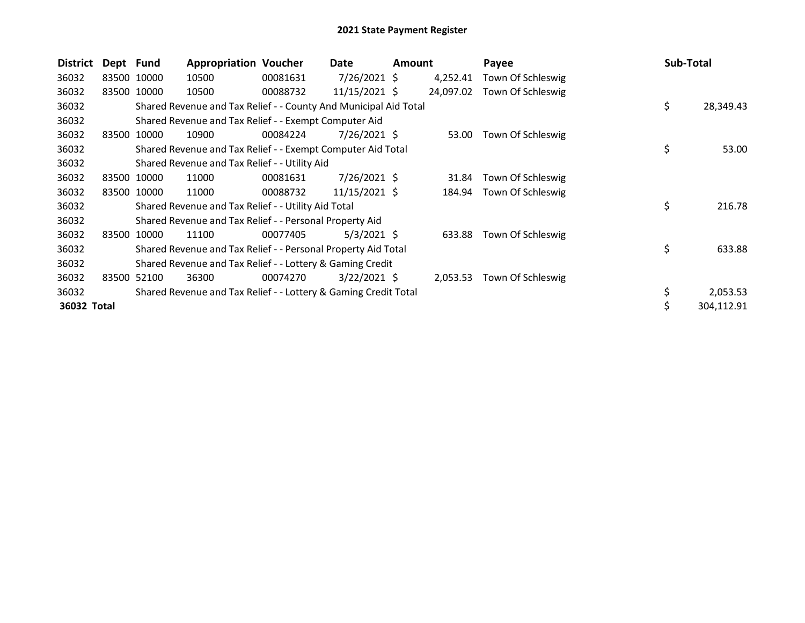| <b>District</b> | Dept Fund |             | <b>Appropriation Voucher</b>                                     |          | Date           | <b>Amount</b> |           | Payee             | <b>Sub-Total</b> |
|-----------------|-----------|-------------|------------------------------------------------------------------|----------|----------------|---------------|-----------|-------------------|------------------|
| 36032           |           | 83500 10000 | 10500                                                            | 00081631 | $7/26/2021$ \$ |               | 4,252.41  | Town Of Schleswig |                  |
| 36032           |           | 83500 10000 | 10500                                                            | 00088732 | 11/15/2021 \$  |               | 24,097.02 | Town Of Schleswig |                  |
| 36032           |           |             | Shared Revenue and Tax Relief - - County And Municipal Aid Total |          |                |               |           |                   | \$<br>28,349.43  |
| 36032           |           |             | Shared Revenue and Tax Relief - - Exempt Computer Aid            |          |                |               |           |                   |                  |
| 36032           | 83500     | 10000       | 10900                                                            | 00084224 | $7/26/2021$ \$ |               | 53.00     | Town Of Schleswig |                  |
| 36032           |           |             | Shared Revenue and Tax Relief - - Exempt Computer Aid Total      |          |                |               |           |                   | \$<br>53.00      |
| 36032           |           |             | Shared Revenue and Tax Relief - - Utility Aid                    |          |                |               |           |                   |                  |
| 36032           |           | 83500 10000 | 11000                                                            | 00081631 | $7/26/2021$ \$ |               | 31.84     | Town Of Schleswig |                  |
| 36032           |           | 83500 10000 | 11000                                                            | 00088732 | 11/15/2021 \$  |               | 184.94    | Town Of Schleswig |                  |
| 36032           |           |             | Shared Revenue and Tax Relief - - Utility Aid Total              |          |                |               |           |                   | \$<br>216.78     |
| 36032           |           |             | Shared Revenue and Tax Relief - - Personal Property Aid          |          |                |               |           |                   |                  |
| 36032           | 83500     | 10000       | 11100                                                            | 00077405 | 5/3/2021 \$    |               | 633.88    | Town Of Schleswig |                  |
| 36032           |           |             | Shared Revenue and Tax Relief - - Personal Property Aid Total    |          |                |               |           |                   | \$<br>633.88     |
| 36032           |           |             | Shared Revenue and Tax Relief - - Lottery & Gaming Credit        |          |                |               |           |                   |                  |
| 36032           |           | 83500 52100 | 36300                                                            | 00074270 | $3/22/2021$ \$ |               | 2,053.53  | Town Of Schleswig |                  |
| 36032           |           |             | Shared Revenue and Tax Relief - - Lottery & Gaming Credit Total  |          |                |               |           |                   | 2,053.53         |
| 36032 Total     |           |             |                                                                  |          |                |               |           |                   | 304,112.91       |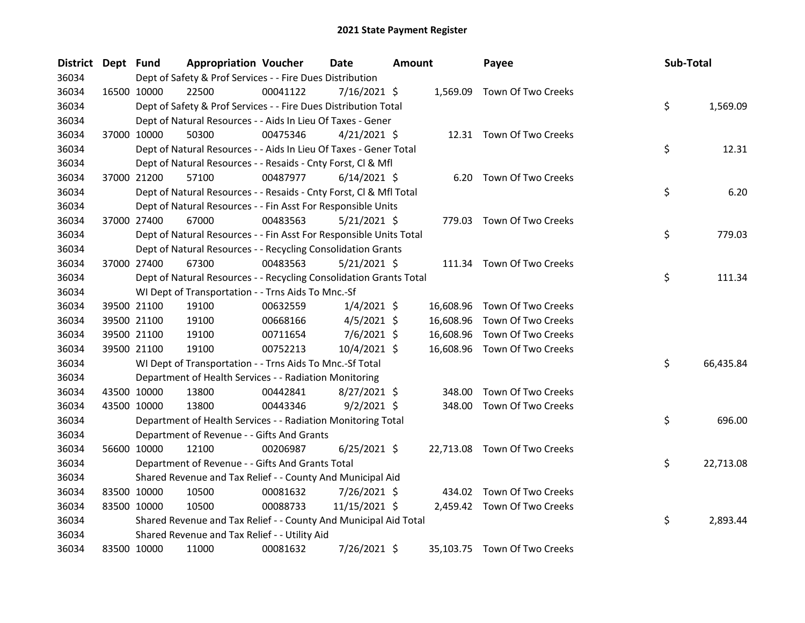| <b>District</b> | Dept Fund | <b>Appropriation Voucher</b>                                       |          | Date           | <b>Amount</b> |           | Payee                        | Sub-Total       |
|-----------------|-----------|--------------------------------------------------------------------|----------|----------------|---------------|-----------|------------------------------|-----------------|
| 36034           |           | Dept of Safety & Prof Services - - Fire Dues Distribution          |          |                |               |           |                              |                 |
| 36034           |           | 22500<br>16500 10000                                               | 00041122 | 7/16/2021 \$   |               |           | 1,569.09 Town Of Two Creeks  |                 |
| 36034           |           | Dept of Safety & Prof Services - - Fire Dues Distribution Total    |          |                |               |           |                              | \$<br>1,569.09  |
| 36034           |           | Dept of Natural Resources - - Aids In Lieu Of Taxes - Gener        |          |                |               |           |                              |                 |
| 36034           |           | 50300<br>37000 10000                                               | 00475346 | $4/21/2021$ \$ |               |           | 12.31 Town Of Two Creeks     |                 |
| 36034           |           | Dept of Natural Resources - - Aids In Lieu Of Taxes - Gener Total  |          |                |               |           |                              | \$<br>12.31     |
| 36034           |           | Dept of Natural Resources - - Resaids - Cnty Forst, Cl & Mfl       |          |                |               |           |                              |                 |
| 36034           |           | 37000 21200<br>57100                                               | 00487977 | $6/14/2021$ \$ |               |           | 6.20 Town Of Two Creeks      |                 |
| 36034           |           | Dept of Natural Resources - - Resaids - Cnty Forst, Cl & Mfl Total |          |                |               |           |                              | \$<br>6.20      |
| 36034           |           | Dept of Natural Resources - - Fin Asst For Responsible Units       |          |                |               |           |                              |                 |
| 36034           |           | 37000 27400<br>67000                                               | 00483563 | $5/21/2021$ \$ |               |           | 779.03 Town Of Two Creeks    |                 |
| 36034           |           | Dept of Natural Resources - - Fin Asst For Responsible Units Total |          |                |               |           |                              | \$<br>779.03    |
| 36034           |           | Dept of Natural Resources - - Recycling Consolidation Grants       |          |                |               |           |                              |                 |
| 36034           |           | 37000 27400<br>67300                                               | 00483563 | $5/21/2021$ \$ |               | 111.34    | Town Of Two Creeks           |                 |
| 36034           |           | Dept of Natural Resources - - Recycling Consolidation Grants Total |          |                |               |           |                              | \$<br>111.34    |
| 36034           |           | WI Dept of Transportation - - Trns Aids To Mnc.-Sf                 |          |                |               |           |                              |                 |
| 36034           |           | 39500 21100<br>19100                                               | 00632559 | $1/4/2021$ \$  |               | 16,608.96 | Town Of Two Creeks           |                 |
| 36034           |           | 39500 21100<br>19100                                               | 00668166 | $4/5/2021$ \$  |               | 16,608.96 | Town Of Two Creeks           |                 |
| 36034           |           | 39500 21100<br>19100                                               | 00711654 | $7/6/2021$ \$  |               | 16,608.96 | Town Of Two Creeks           |                 |
| 36034           |           | 39500 21100<br>19100                                               | 00752213 | 10/4/2021 \$   |               |           | 16,608.96 Town Of Two Creeks |                 |
| 36034           |           | WI Dept of Transportation - - Trns Aids To Mnc.-Sf Total           |          |                |               |           |                              | \$<br>66,435.84 |
| 36034           |           | Department of Health Services - - Radiation Monitoring             |          |                |               |           |                              |                 |
| 36034           |           | 43500 10000<br>13800                                               | 00442841 | $8/27/2021$ \$ |               | 348.00    | Town Of Two Creeks           |                 |
| 36034           |           | 43500 10000<br>13800                                               | 00443346 | $9/2/2021$ \$  |               | 348.00    | Town Of Two Creeks           |                 |
| 36034           |           | Department of Health Services - - Radiation Monitoring Total       |          |                |               |           |                              | \$<br>696.00    |
| 36034           |           | Department of Revenue - - Gifts And Grants                         |          |                |               |           |                              |                 |
| 36034           |           | 56600 10000<br>12100                                               | 00206987 | $6/25/2021$ \$ |               |           | 22,713.08 Town Of Two Creeks |                 |
| 36034           |           | Department of Revenue - - Gifts And Grants Total                   |          |                |               |           |                              | \$<br>22,713.08 |
| 36034           |           | Shared Revenue and Tax Relief - - County And Municipal Aid         |          |                |               |           |                              |                 |
| 36034           |           | 83500 10000<br>10500                                               | 00081632 | 7/26/2021 \$   |               |           | 434.02 Town Of Two Creeks    |                 |
| 36034           |           | 83500 10000<br>10500                                               | 00088733 | 11/15/2021 \$  |               |           | 2,459.42 Town Of Two Creeks  |                 |
| 36034           |           | Shared Revenue and Tax Relief - - County And Municipal Aid Total   |          |                |               |           |                              | \$<br>2,893.44  |
| 36034           |           | Shared Revenue and Tax Relief - - Utility Aid                      |          |                |               |           |                              |                 |
| 36034           |           | 83500 10000<br>11000                                               | 00081632 | 7/26/2021 \$   |               |           | 35,103.75 Town Of Two Creeks |                 |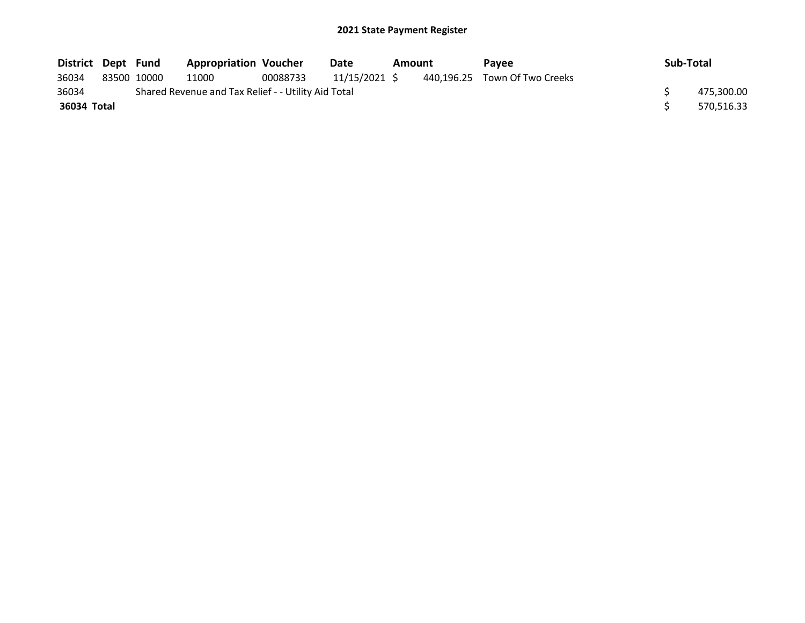| District Dept Fund |             | <b>Appropriation Voucher</b>                        |          | Date          | Amount |  | <b>Pavee</b>                  |  | Sub-Total |            |
|--------------------|-------------|-----------------------------------------------------|----------|---------------|--------|--|-------------------------------|--|-----------|------------|
| 36034              | 83500 10000 | 11000                                               | 00088733 | 11/15/2021 \$ |        |  | 440,196.25 Town Of Two Creeks |  |           |            |
| 36034              |             | Shared Revenue and Tax Relief - - Utility Aid Total |          |               |        |  |                               |  |           | 475,300.00 |
| 36034 Total        |             |                                                     |          |               |        |  |                               |  |           | 570,516.33 |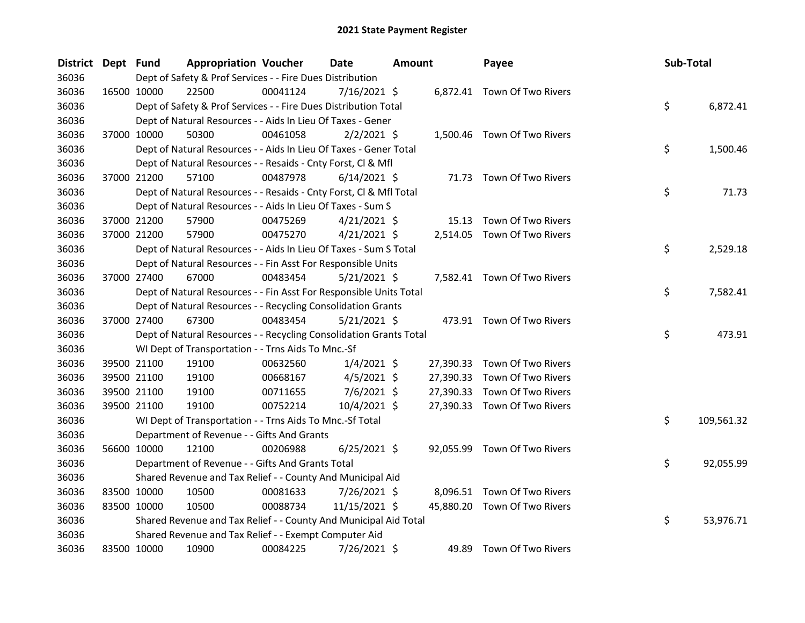| District Dept Fund |             | <b>Appropriation Voucher</b>                                       |          | <b>Date</b>    | <b>Amount</b> |           | Payee                        | Sub-Total |            |
|--------------------|-------------|--------------------------------------------------------------------|----------|----------------|---------------|-----------|------------------------------|-----------|------------|
| 36036              |             | Dept of Safety & Prof Services - - Fire Dues Distribution          |          |                |               |           |                              |           |            |
| 36036              | 16500 10000 | 22500                                                              | 00041124 | $7/16/2021$ \$ |               |           | 6,872.41 Town Of Two Rivers  |           |            |
| 36036              |             | Dept of Safety & Prof Services - - Fire Dues Distribution Total    |          |                |               |           |                              | \$        | 6,872.41   |
| 36036              |             | Dept of Natural Resources - - Aids In Lieu Of Taxes - Gener        |          |                |               |           |                              |           |            |
| 36036              | 37000 10000 | 50300                                                              | 00461058 | $2/2/2021$ \$  |               |           | 1,500.46 Town Of Two Rivers  |           |            |
| 36036              |             | Dept of Natural Resources - - Aids In Lieu Of Taxes - Gener Total  |          |                |               |           |                              | \$        | 1,500.46   |
| 36036              |             | Dept of Natural Resources - - Resaids - Cnty Forst, Cl & Mfl       |          |                |               |           |                              |           |            |
| 36036              | 37000 21200 | 57100                                                              | 00487978 | $6/14/2021$ \$ |               |           | 71.73 Town Of Two Rivers     |           |            |
| 36036              |             | Dept of Natural Resources - - Resaids - Cnty Forst, CI & Mfl Total |          |                |               |           |                              | \$        | 71.73      |
| 36036              |             | Dept of Natural Resources - - Aids In Lieu Of Taxes - Sum S        |          |                |               |           |                              |           |            |
| 36036              | 37000 21200 | 57900                                                              | 00475269 | $4/21/2021$ \$ |               | 15.13     | Town Of Two Rivers           |           |            |
| 36036              | 37000 21200 | 57900                                                              | 00475270 | $4/21/2021$ \$ |               |           | 2,514.05 Town Of Two Rivers  |           |            |
| 36036              |             | Dept of Natural Resources - - Aids In Lieu Of Taxes - Sum S Total  |          |                |               |           |                              | \$        | 2,529.18   |
| 36036              |             | Dept of Natural Resources - - Fin Asst For Responsible Units       |          |                |               |           |                              |           |            |
| 36036              | 37000 27400 | 67000                                                              | 00483454 | $5/21/2021$ \$ |               |           | 7,582.41 Town Of Two Rivers  |           |            |
| 36036              |             | Dept of Natural Resources - - Fin Asst For Responsible Units Total |          |                |               |           |                              | \$        | 7,582.41   |
| 36036              |             | Dept of Natural Resources - - Recycling Consolidation Grants       |          |                |               |           |                              |           |            |
| 36036              | 37000 27400 | 67300                                                              | 00483454 | $5/21/2021$ \$ |               |           | 473.91 Town Of Two Rivers    |           |            |
| 36036              |             | Dept of Natural Resources - - Recycling Consolidation Grants Total |          |                |               |           |                              | \$        | 473.91     |
| 36036              |             | WI Dept of Transportation - - Trns Aids To Mnc.-Sf                 |          |                |               |           |                              |           |            |
| 36036              | 39500 21100 | 19100                                                              | 00632560 | $1/4/2021$ \$  |               | 27,390.33 | Town Of Two Rivers           |           |            |
| 36036              | 39500 21100 | 19100                                                              | 00668167 | $4/5/2021$ \$  |               | 27,390.33 | Town Of Two Rivers           |           |            |
| 36036              | 39500 21100 | 19100                                                              | 00711655 | $7/6/2021$ \$  |               | 27,390.33 | Town Of Two Rivers           |           |            |
| 36036              | 39500 21100 | 19100                                                              | 00752214 | 10/4/2021 \$   |               |           | 27,390.33 Town Of Two Rivers |           |            |
| 36036              |             | WI Dept of Transportation - - Trns Aids To Mnc.-Sf Total           |          |                |               |           |                              | \$        | 109,561.32 |
| 36036              |             | Department of Revenue - - Gifts And Grants                         |          |                |               |           |                              |           |            |
| 36036              | 56600 10000 | 12100                                                              | 00206988 | $6/25/2021$ \$ |               |           | 92,055.99 Town Of Two Rivers |           |            |
| 36036              |             | Department of Revenue - - Gifts And Grants Total                   |          |                |               |           |                              | \$        | 92,055.99  |
| 36036              |             | Shared Revenue and Tax Relief - - County And Municipal Aid         |          |                |               |           |                              |           |            |
| 36036              | 83500 10000 | 10500                                                              | 00081633 | 7/26/2021 \$   |               |           | 8,096.51 Town Of Two Rivers  |           |            |
| 36036              | 83500 10000 | 10500                                                              | 00088734 | 11/15/2021 \$  |               |           | 45,880.20 Town Of Two Rivers |           |            |
| 36036              |             | Shared Revenue and Tax Relief - - County And Municipal Aid Total   |          |                |               |           |                              | \$        | 53,976.71  |
| 36036              |             | Shared Revenue and Tax Relief - - Exempt Computer Aid              |          |                |               |           |                              |           |            |
| 36036              | 83500 10000 | 10900                                                              | 00084225 | 7/26/2021 \$   |               | 49.89     | <b>Town Of Two Rivers</b>    |           |            |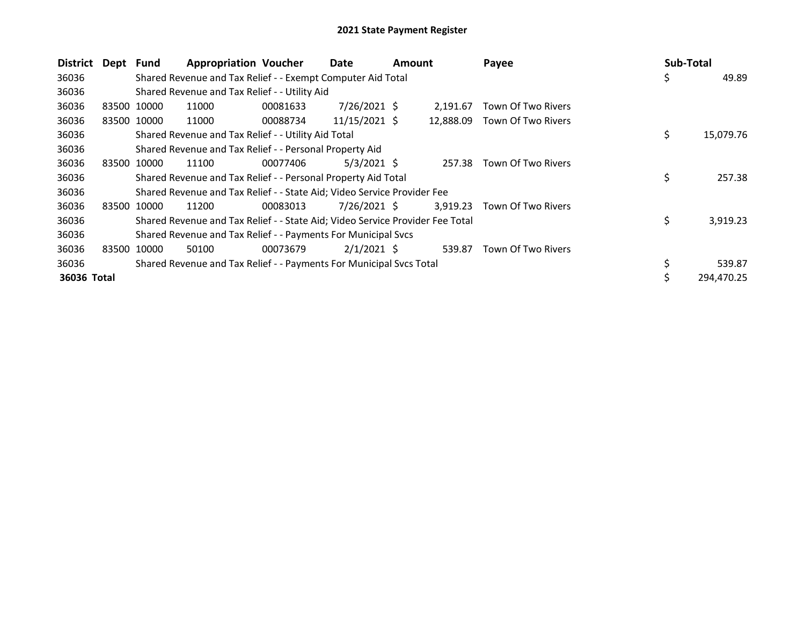| <b>District</b> | Dept Fund |             | <b>Appropriation Voucher</b>                                                  |          | Date            | <b>Amount</b> |           | Payee              | Sub-Total |            |
|-----------------|-----------|-------------|-------------------------------------------------------------------------------|----------|-----------------|---------------|-----------|--------------------|-----------|------------|
| 36036           |           |             | Shared Revenue and Tax Relief - - Exempt Computer Aid Total                   |          |                 |               |           |                    | \$        | 49.89      |
| 36036           |           |             | Shared Revenue and Tax Relief - - Utility Aid                                 |          |                 |               |           |                    |           |            |
| 36036           | 83500     | 10000       | 11000                                                                         | 00081633 | $7/26/2021$ \$  |               | 2.191.67  | Town Of Two Rivers |           |            |
| 36036           |           | 83500 10000 | 11000                                                                         | 00088734 | $11/15/2021$ \$ |               | 12,888.09 | Town Of Two Rivers |           |            |
| 36036           |           |             | Shared Revenue and Tax Relief - - Utility Aid Total                           |          |                 |               |           |                    | \$        | 15,079.76  |
| 36036           |           |             | Shared Revenue and Tax Relief - - Personal Property Aid                       |          |                 |               |           |                    |           |            |
| 36036           |           | 83500 10000 | 11100                                                                         | 00077406 | $5/3/2021$ \$   |               | 257.38    | Town Of Two Rivers |           |            |
| 36036           |           |             | Shared Revenue and Tax Relief - - Personal Property Aid Total                 |          |                 |               |           |                    | \$        | 257.38     |
| 36036           |           |             | Shared Revenue and Tax Relief - - State Aid; Video Service Provider Fee       |          |                 |               |           |                    |           |            |
| 36036           |           | 83500 10000 | 11200                                                                         | 00083013 | $7/26/2021$ \$  |               | 3,919.23  | Town Of Two Rivers |           |            |
| 36036           |           |             | Shared Revenue and Tax Relief - - State Aid; Video Service Provider Fee Total |          |                 |               |           |                    | \$        | 3,919.23   |
| 36036           |           |             | Shared Revenue and Tax Relief - - Payments For Municipal Svcs                 |          |                 |               |           |                    |           |            |
| 36036           | 83500     | 10000       | 50100                                                                         | 00073679 | $2/1/2021$ \$   |               | 539.87    | Town Of Two Rivers |           |            |
| 36036           |           |             | Shared Revenue and Tax Relief - - Payments For Municipal Svcs Total           |          |                 |               |           |                    | \$        | 539.87     |
| 36036 Total     |           |             |                                                                               |          |                 |               |           |                    | Ś         | 294.470.25 |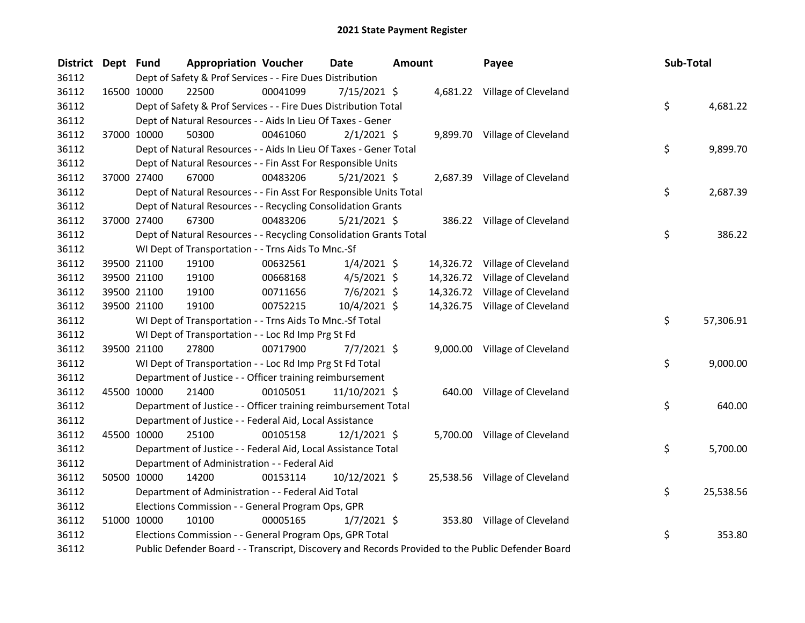| District Dept Fund |             |                                                                    | <b>Appropriation Voucher</b> | <b>Date</b>    | <b>Amount</b> | Payee                                                                                             | Sub-Total |           |
|--------------------|-------------|--------------------------------------------------------------------|------------------------------|----------------|---------------|---------------------------------------------------------------------------------------------------|-----------|-----------|
| 36112              |             | Dept of Safety & Prof Services - - Fire Dues Distribution          |                              |                |               |                                                                                                   |           |           |
| 36112              | 16500 10000 | 22500                                                              | 00041099                     | 7/15/2021 \$   |               | 4,681.22 Village of Cleveland                                                                     |           |           |
| 36112              |             | Dept of Safety & Prof Services - - Fire Dues Distribution Total    |                              |                |               |                                                                                                   | \$        | 4,681.22  |
| 36112              |             | Dept of Natural Resources - - Aids In Lieu Of Taxes - Gener        |                              |                |               |                                                                                                   |           |           |
| 36112              |             | 50300<br>37000 10000                                               | 00461060                     | $2/1/2021$ \$  |               | 9,899.70 Village of Cleveland                                                                     |           |           |
| 36112              |             | Dept of Natural Resources - - Aids In Lieu Of Taxes - Gener Total  |                              |                |               |                                                                                                   | \$        | 9,899.70  |
| 36112              |             | Dept of Natural Resources - - Fin Asst For Responsible Units       |                              |                |               |                                                                                                   |           |           |
| 36112              |             | 37000 27400<br>67000                                               | 00483206                     | $5/21/2021$ \$ |               | 2,687.39 Village of Cleveland                                                                     |           |           |
| 36112              |             | Dept of Natural Resources - - Fin Asst For Responsible Units Total |                              |                |               |                                                                                                   | \$        | 2,687.39  |
| 36112              |             | Dept of Natural Resources - - Recycling Consolidation Grants       |                              |                |               |                                                                                                   |           |           |
| 36112              |             | 37000 27400<br>67300                                               | 00483206                     | $5/21/2021$ \$ |               | 386.22 Village of Cleveland                                                                       |           |           |
| 36112              |             | Dept of Natural Resources - - Recycling Consolidation Grants Total |                              |                |               |                                                                                                   | \$        | 386.22    |
| 36112              |             | WI Dept of Transportation - - Trns Aids To Mnc.-Sf                 |                              |                |               |                                                                                                   |           |           |
| 36112              |             | 39500 21100<br>19100                                               | 00632561                     | $1/4/2021$ \$  |               | 14,326.72 Village of Cleveland                                                                    |           |           |
| 36112              |             | 39500 21100<br>19100                                               | 00668168                     | $4/5/2021$ \$  |               | 14,326.72 Village of Cleveland                                                                    |           |           |
| 36112              |             | 39500 21100<br>19100                                               | 00711656                     | $7/6/2021$ \$  |               | 14,326.72 Village of Cleveland                                                                    |           |           |
| 36112              |             | 19100<br>39500 21100                                               | 00752215                     | 10/4/2021 \$   |               | 14,326.75 Village of Cleveland                                                                    |           |           |
| 36112              |             | WI Dept of Transportation - - Trns Aids To Mnc.-Sf Total           |                              |                |               |                                                                                                   | \$        | 57,306.91 |
| 36112              |             | WI Dept of Transportation - - Loc Rd Imp Prg St Fd                 |                              |                |               |                                                                                                   |           |           |
| 36112              |             | 27800<br>39500 21100                                               | 00717900                     | $7/7/2021$ \$  |               | 9,000.00 Village of Cleveland                                                                     |           |           |
| 36112              |             | WI Dept of Transportation - - Loc Rd Imp Prg St Fd Total           |                              |                |               |                                                                                                   | \$        | 9,000.00  |
| 36112              |             | Department of Justice - - Officer training reimbursement           |                              |                |               |                                                                                                   |           |           |
| 36112              |             | 45500 10000<br>21400                                               | 00105051                     | 11/10/2021 \$  |               | 640.00 Village of Cleveland                                                                       |           |           |
| 36112              |             | Department of Justice - - Officer training reimbursement Total     |                              |                |               |                                                                                                   | \$        | 640.00    |
| 36112              |             | Department of Justice - - Federal Aid, Local Assistance            |                              |                |               |                                                                                                   |           |           |
| 36112              | 45500 10000 | 25100                                                              | 00105158                     | $12/1/2021$ \$ |               | 5,700.00 Village of Cleveland                                                                     |           |           |
| 36112              |             | Department of Justice - - Federal Aid, Local Assistance Total      |                              |                |               |                                                                                                   | \$        | 5,700.00  |
| 36112              |             | Department of Administration - - Federal Aid                       |                              |                |               |                                                                                                   |           |           |
| 36112              | 50500 10000 | 14200                                                              | 00153114                     | 10/12/2021 \$  |               | 25,538.56 Village of Cleveland                                                                    |           |           |
| 36112              |             | Department of Administration - - Federal Aid Total                 |                              |                |               |                                                                                                   | \$        | 25,538.56 |
| 36112              |             | Elections Commission - - General Program Ops, GPR                  |                              |                |               |                                                                                                   |           |           |
| 36112              | 51000 10000 | 10100                                                              | 00005165                     | $1/7/2021$ \$  |               | 353.80 Village of Cleveland                                                                       |           |           |
| 36112              |             | Elections Commission - - General Program Ops, GPR Total            |                              |                |               |                                                                                                   | \$        | 353.80    |
| 36112              |             |                                                                    |                              |                |               | Public Defender Board - - Transcript, Discovery and Records Provided to the Public Defender Board |           |           |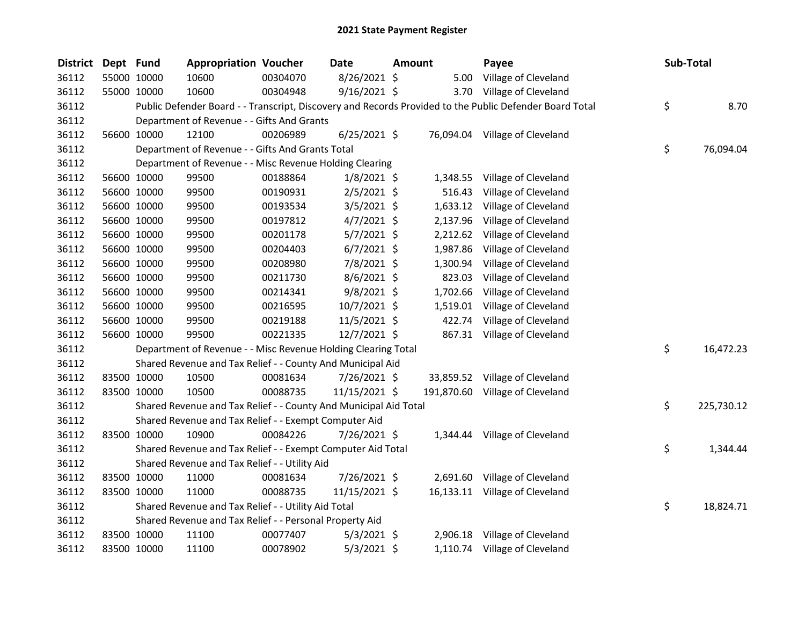| <b>District</b> | Dept Fund |             | <b>Appropriation Voucher</b>                                     |          | <b>Date</b>    | Amount |          | Payee                                                                                                   | Sub-Total        |
|-----------------|-----------|-------------|------------------------------------------------------------------|----------|----------------|--------|----------|---------------------------------------------------------------------------------------------------------|------------------|
| 36112           |           | 55000 10000 | 10600                                                            | 00304070 | 8/26/2021 \$   |        |          | 5.00 Village of Cleveland                                                                               |                  |
| 36112           |           | 55000 10000 | 10600                                                            | 00304948 | $9/16/2021$ \$ |        |          | 3.70 Village of Cleveland                                                                               |                  |
| 36112           |           |             |                                                                  |          |                |        |          | Public Defender Board - - Transcript, Discovery and Records Provided to the Public Defender Board Total | \$<br>8.70       |
| 36112           |           |             | Department of Revenue - - Gifts And Grants                       |          |                |        |          |                                                                                                         |                  |
| 36112           |           | 56600 10000 | 12100                                                            | 00206989 | $6/25/2021$ \$ |        |          | 76,094.04 Village of Cleveland                                                                          |                  |
| 36112           |           |             | Department of Revenue - - Gifts And Grants Total                 |          |                |        |          |                                                                                                         | \$<br>76,094.04  |
| 36112           |           |             | Department of Revenue - - Misc Revenue Holding Clearing          |          |                |        |          |                                                                                                         |                  |
| 36112           |           | 56600 10000 | 99500                                                            | 00188864 | $1/8/2021$ \$  |        | 1,348.55 | Village of Cleveland                                                                                    |                  |
| 36112           |           | 56600 10000 | 99500                                                            | 00190931 | $2/5/2021$ \$  |        | 516.43   | Village of Cleveland                                                                                    |                  |
| 36112           |           | 56600 10000 | 99500                                                            | 00193534 | $3/5/2021$ \$  |        | 1,633.12 | Village of Cleveland                                                                                    |                  |
| 36112           |           | 56600 10000 | 99500                                                            | 00197812 | $4/7/2021$ \$  |        | 2,137.96 | Village of Cleveland                                                                                    |                  |
| 36112           |           | 56600 10000 | 99500                                                            | 00201178 | $5/7/2021$ \$  |        | 2,212.62 | Village of Cleveland                                                                                    |                  |
| 36112           |           | 56600 10000 | 99500                                                            | 00204403 | $6/7/2021$ \$  |        | 1,987.86 | Village of Cleveland                                                                                    |                  |
| 36112           |           | 56600 10000 | 99500                                                            | 00208980 | 7/8/2021 \$    |        | 1,300.94 | Village of Cleveland                                                                                    |                  |
| 36112           |           | 56600 10000 | 99500                                                            | 00211730 | 8/6/2021 \$    |        | 823.03   | Village of Cleveland                                                                                    |                  |
| 36112           |           | 56600 10000 | 99500                                                            | 00214341 | $9/8/2021$ \$  |        | 1,702.66 | Village of Cleveland                                                                                    |                  |
| 36112           |           | 56600 10000 | 99500                                                            | 00216595 | 10/7/2021 \$   |        | 1,519.01 | Village of Cleveland                                                                                    |                  |
| 36112           |           | 56600 10000 | 99500                                                            | 00219188 | 11/5/2021 \$   |        | 422.74   | Village of Cleveland                                                                                    |                  |
| 36112           |           | 56600 10000 | 99500                                                            | 00221335 | 12/7/2021 \$   |        |          | 867.31 Village of Cleveland                                                                             |                  |
| 36112           |           |             | Department of Revenue - - Misc Revenue Holding Clearing Total    |          |                |        |          |                                                                                                         | \$<br>16,472.23  |
| 36112           |           |             | Shared Revenue and Tax Relief - - County And Municipal Aid       |          |                |        |          |                                                                                                         |                  |
| 36112           |           | 83500 10000 | 10500                                                            | 00081634 | 7/26/2021 \$   |        |          | 33,859.52 Village of Cleveland                                                                          |                  |
| 36112           |           | 83500 10000 | 10500                                                            | 00088735 | 11/15/2021 \$  |        |          | 191,870.60 Village of Cleveland                                                                         |                  |
| 36112           |           |             | Shared Revenue and Tax Relief - - County And Municipal Aid Total |          |                |        |          |                                                                                                         | \$<br>225,730.12 |
| 36112           |           |             | Shared Revenue and Tax Relief - - Exempt Computer Aid            |          |                |        |          |                                                                                                         |                  |
| 36112           |           | 83500 10000 | 10900                                                            | 00084226 | 7/26/2021 \$   |        |          | 1,344.44 Village of Cleveland                                                                           |                  |
| 36112           |           |             | Shared Revenue and Tax Relief - - Exempt Computer Aid Total      |          |                |        |          |                                                                                                         | \$<br>1,344.44   |
| 36112           |           |             | Shared Revenue and Tax Relief - - Utility Aid                    |          |                |        |          |                                                                                                         |                  |
| 36112           |           | 83500 10000 | 11000                                                            | 00081634 | 7/26/2021 \$   |        |          | 2,691.60 Village of Cleveland                                                                           |                  |
| 36112           |           | 83500 10000 | 11000                                                            | 00088735 | 11/15/2021 \$  |        |          | 16,133.11 Village of Cleveland                                                                          |                  |
| 36112           |           |             | Shared Revenue and Tax Relief - - Utility Aid Total              |          |                |        |          |                                                                                                         | \$<br>18,824.71  |
| 36112           |           |             | Shared Revenue and Tax Relief - - Personal Property Aid          |          |                |        |          |                                                                                                         |                  |
| 36112           |           | 83500 10000 | 11100                                                            | 00077407 | $5/3/2021$ \$  |        |          | 2,906.18 Village of Cleveland                                                                           |                  |
| 36112           |           | 83500 10000 | 11100                                                            | 00078902 | 5/3/2021 \$    |        |          | 1,110.74 Village of Cleveland                                                                           |                  |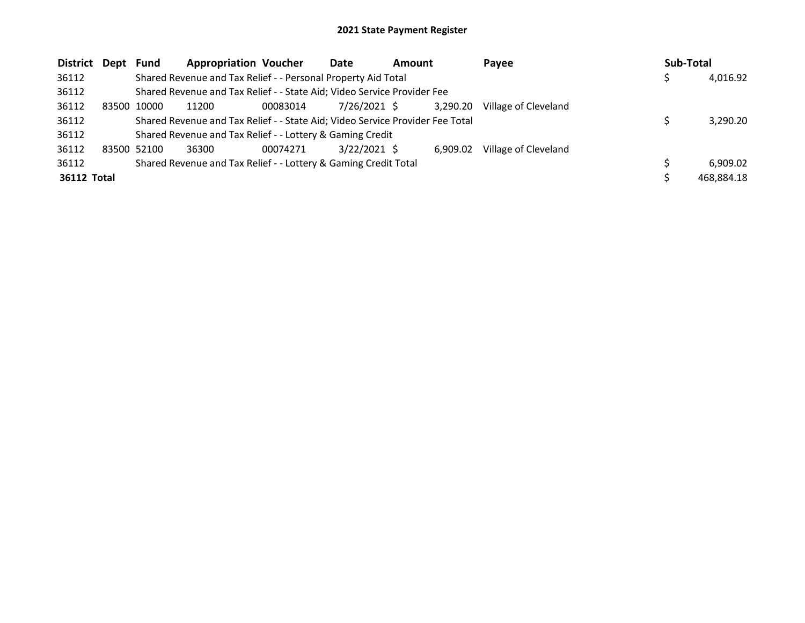| District Dept      |       | Fund        | <b>Appropriation Voucher</b>                                                  |          | Date           | <b>Amount</b> |          | Payee                | Sub-Total |            |
|--------------------|-------|-------------|-------------------------------------------------------------------------------|----------|----------------|---------------|----------|----------------------|-----------|------------|
| 36112              |       |             | Shared Revenue and Tax Relief - - Personal Property Aid Total                 |          |                |               |          |                      |           | 4,016.92   |
| 36112              |       |             | Shared Revenue and Tax Relief - - State Aid; Video Service Provider Fee       |          |                |               |          |                      |           |            |
| 36112              | 83500 | 10000       | 11200                                                                         | 00083014 | 7/26/2021 \$   |               | 3,290.20 | Village of Cleveland |           |            |
| 36112              |       |             | Shared Revenue and Tax Relief - - State Aid; Video Service Provider Fee Total |          |                |               |          |                      |           | 3,290.20   |
| 36112              |       |             | Shared Revenue and Tax Relief - - Lottery & Gaming Credit                     |          |                |               |          |                      |           |            |
| 36112              |       | 83500 52100 | 36300                                                                         | 00074271 | $3/22/2021$ \$ |               | 6.909.02 | Village of Cleveland |           |            |
| 36112              |       |             | Shared Revenue and Tax Relief - - Lottery & Gaming Credit Total               |          |                |               |          |                      |           | 6.909.02   |
| <b>36112 Total</b> |       |             |                                                                               |          |                |               |          |                      |           | 468.884.18 |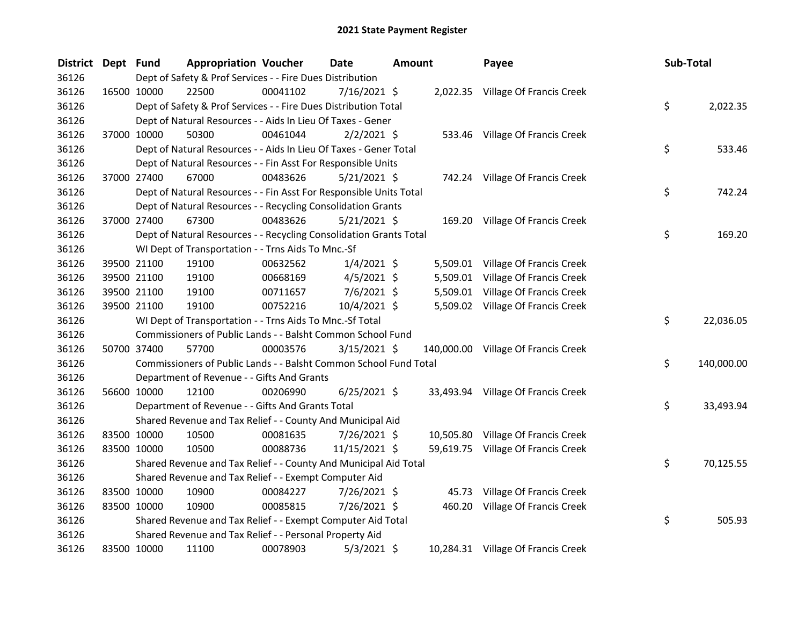| <b>District</b> | Dept Fund |             | <b>Appropriation Voucher</b>                                       |          | Date           | <b>Amount</b> |       | Payee                               | Sub-Total |            |
|-----------------|-----------|-------------|--------------------------------------------------------------------|----------|----------------|---------------|-------|-------------------------------------|-----------|------------|
| 36126           |           |             | Dept of Safety & Prof Services - - Fire Dues Distribution          |          |                |               |       |                                     |           |            |
| 36126           |           | 16500 10000 | 22500                                                              | 00041102 | 7/16/2021 \$   |               |       | 2,022.35 Village Of Francis Creek   |           |            |
| 36126           |           |             | Dept of Safety & Prof Services - - Fire Dues Distribution Total    |          |                |               |       |                                     | \$        | 2,022.35   |
| 36126           |           |             | Dept of Natural Resources - - Aids In Lieu Of Taxes - Gener        |          |                |               |       |                                     |           |            |
| 36126           |           | 37000 10000 | 50300                                                              | 00461044 | $2/2/2021$ \$  |               |       | 533.46 Village Of Francis Creek     |           |            |
| 36126           |           |             | Dept of Natural Resources - - Aids In Lieu Of Taxes - Gener Total  |          |                |               |       |                                     | \$        | 533.46     |
| 36126           |           |             | Dept of Natural Resources - - Fin Asst For Responsible Units       |          |                |               |       |                                     |           |            |
| 36126           |           | 37000 27400 | 67000                                                              | 00483626 | $5/21/2021$ \$ |               |       | 742.24 Village Of Francis Creek     |           |            |
| 36126           |           |             | Dept of Natural Resources - - Fin Asst For Responsible Units Total |          |                |               |       |                                     | \$        | 742.24     |
| 36126           |           |             | Dept of Natural Resources - - Recycling Consolidation Grants       |          |                |               |       |                                     |           |            |
| 36126           |           | 37000 27400 | 67300                                                              | 00483626 | $5/21/2021$ \$ |               |       | 169.20 Village Of Francis Creek     |           |            |
| 36126           |           |             | Dept of Natural Resources - - Recycling Consolidation Grants Total |          |                |               |       |                                     | \$        | 169.20     |
| 36126           |           |             | WI Dept of Transportation - - Trns Aids To Mnc.-Sf                 |          |                |               |       |                                     |           |            |
| 36126           |           | 39500 21100 | 19100                                                              | 00632562 | $1/4/2021$ \$  |               |       | 5,509.01 Village Of Francis Creek   |           |            |
| 36126           |           | 39500 21100 | 19100                                                              | 00668169 | $4/5/2021$ \$  |               |       | 5,509.01 Village Of Francis Creek   |           |            |
| 36126           |           | 39500 21100 | 19100                                                              | 00711657 | $7/6/2021$ \$  |               |       | 5,509.01 Village Of Francis Creek   |           |            |
| 36126           |           | 39500 21100 | 19100                                                              | 00752216 | 10/4/2021 \$   |               |       | 5,509.02 Village Of Francis Creek   |           |            |
| 36126           |           |             | WI Dept of Transportation - - Trns Aids To Mnc.-Sf Total           |          |                |               |       |                                     | \$        | 22,036.05  |
| 36126           |           |             | Commissioners of Public Lands - - Balsht Common School Fund        |          |                |               |       |                                     |           |            |
| 36126           |           | 50700 37400 | 57700                                                              | 00003576 | $3/15/2021$ \$ |               |       | 140,000.00 Village Of Francis Creek |           |            |
| 36126           |           |             | Commissioners of Public Lands - - Balsht Common School Fund Total  |          |                |               |       |                                     | \$        | 140,000.00 |
| 36126           |           |             | Department of Revenue - - Gifts And Grants                         |          |                |               |       |                                     |           |            |
| 36126           |           | 56600 10000 | 12100                                                              | 00206990 | $6/25/2021$ \$ |               |       | 33,493.94 Village Of Francis Creek  |           |            |
| 36126           |           |             | Department of Revenue - - Gifts And Grants Total                   |          |                |               |       |                                     | \$        | 33,493.94  |
| 36126           |           |             | Shared Revenue and Tax Relief - - County And Municipal Aid         |          |                |               |       |                                     |           |            |
| 36126           |           | 83500 10000 | 10500                                                              | 00081635 | 7/26/2021 \$   |               |       | 10,505.80 Village Of Francis Creek  |           |            |
| 36126           |           | 83500 10000 | 10500                                                              | 00088736 | 11/15/2021 \$  |               |       | 59,619.75 Village Of Francis Creek  |           |            |
| 36126           |           |             | Shared Revenue and Tax Relief - - County And Municipal Aid Total   |          |                |               |       |                                     | \$        | 70,125.55  |
| 36126           |           |             | Shared Revenue and Tax Relief - - Exempt Computer Aid              |          |                |               |       |                                     |           |            |
| 36126           |           | 83500 10000 | 10900                                                              | 00084227 | 7/26/2021 \$   |               | 45.73 | <b>Village Of Francis Creek</b>     |           |            |
| 36126           |           | 83500 10000 | 10900                                                              | 00085815 | 7/26/2021 \$   |               |       | 460.20 Village Of Francis Creek     |           |            |
| 36126           |           |             | Shared Revenue and Tax Relief - - Exempt Computer Aid Total        |          |                |               |       |                                     | \$        | 505.93     |
| 36126           |           |             | Shared Revenue and Tax Relief - - Personal Property Aid            |          |                |               |       |                                     |           |            |
| 36126           |           | 83500 10000 | 11100                                                              | 00078903 | $5/3/2021$ \$  |               |       | 10,284.31 Village Of Francis Creek  |           |            |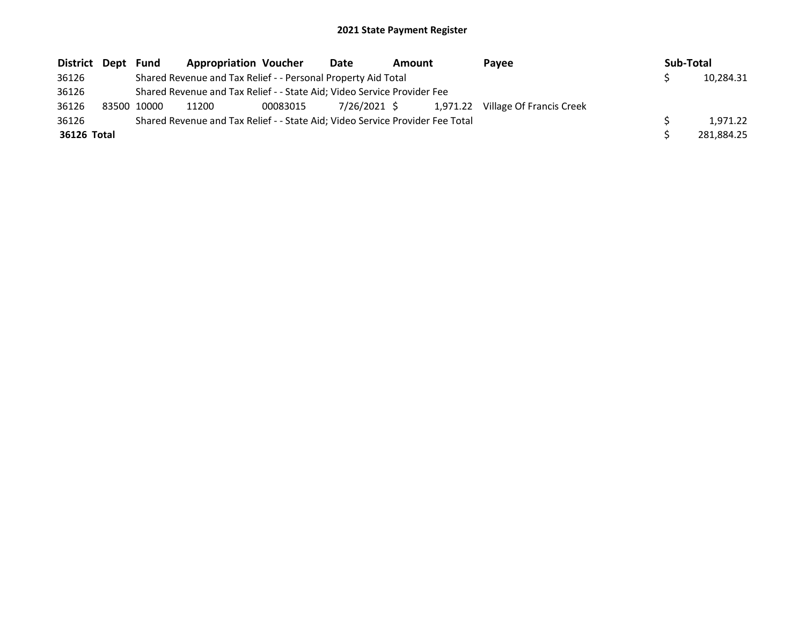| District Dept | Fund        | <b>Appropriation Voucher</b>                                                  |          | Date         | Amount |  | Payee                             |  | Sub-Total |            |
|---------------|-------------|-------------------------------------------------------------------------------|----------|--------------|--------|--|-----------------------------------|--|-----------|------------|
| 36126         |             | Shared Revenue and Tax Relief - - Personal Property Aid Total                 |          |              |        |  |                                   |  |           | 10,284.31  |
| 36126         |             | Shared Revenue and Tax Relief - - State Aid; Video Service Provider Fee       |          |              |        |  |                                   |  |           |            |
| 36126         | 83500 10000 | 11200                                                                         | 00083015 | 7/26/2021 \$ |        |  | 1,971.22 Village Of Francis Creek |  |           |            |
| 36126         |             | Shared Revenue and Tax Relief - - State Aid; Video Service Provider Fee Total |          |              |        |  |                                   |  |           | 1.971.22   |
| 36126 Total   |             |                                                                               |          |              |        |  |                                   |  |           | 281,884.25 |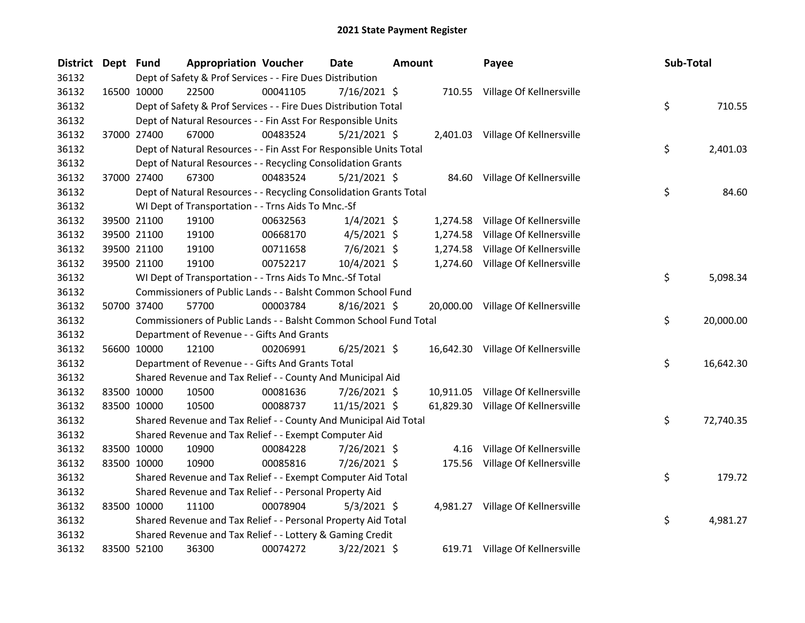| <b>District</b> | Dept Fund |             | <b>Appropriation Voucher</b>                                       |          | Date           | Amount |      | Payee                              | Sub-Total |           |
|-----------------|-----------|-------------|--------------------------------------------------------------------|----------|----------------|--------|------|------------------------------------|-----------|-----------|
| 36132           |           |             | Dept of Safety & Prof Services - - Fire Dues Distribution          |          |                |        |      |                                    |           |           |
| 36132           |           | 16500 10000 | 22500                                                              | 00041105 | $7/16/2021$ \$ |        |      | 710.55 Village Of Kellnersville    |           |           |
| 36132           |           |             | Dept of Safety & Prof Services - - Fire Dues Distribution Total    |          |                |        |      |                                    | \$        | 710.55    |
| 36132           |           |             | Dept of Natural Resources - - Fin Asst For Responsible Units       |          |                |        |      |                                    |           |           |
| 36132           |           | 37000 27400 | 67000                                                              | 00483524 | $5/21/2021$ \$ |        |      | 2,401.03 Village Of Kellnersville  |           |           |
| 36132           |           |             | Dept of Natural Resources - - Fin Asst For Responsible Units Total |          |                |        |      |                                    | \$        | 2,401.03  |
| 36132           |           |             | Dept of Natural Resources - - Recycling Consolidation Grants       |          |                |        |      |                                    |           |           |
| 36132           |           | 37000 27400 | 67300                                                              | 00483524 | $5/21/2021$ \$ |        |      | 84.60 Village Of Kellnersville     |           |           |
| 36132           |           |             | Dept of Natural Resources - - Recycling Consolidation Grants Total |          |                |        |      |                                    | \$        | 84.60     |
| 36132           |           |             | WI Dept of Transportation - - Trns Aids To Mnc.-Sf                 |          |                |        |      |                                    |           |           |
| 36132           |           | 39500 21100 | 19100                                                              | 00632563 | $1/4/2021$ \$  |        |      | 1,274.58 Village Of Kellnersville  |           |           |
| 36132           |           | 39500 21100 | 19100                                                              | 00668170 | $4/5/2021$ \$  |        |      | 1,274.58 Village Of Kellnersville  |           |           |
| 36132           |           | 39500 21100 | 19100                                                              | 00711658 | $7/6/2021$ \$  |        |      | 1,274.58 Village Of Kellnersville  |           |           |
| 36132           |           | 39500 21100 | 19100                                                              | 00752217 | 10/4/2021 \$   |        |      | 1,274.60 Village Of Kellnersville  |           |           |
| 36132           |           |             | WI Dept of Transportation - - Trns Aids To Mnc.-Sf Total           |          |                |        |      |                                    | \$        | 5,098.34  |
| 36132           |           |             | Commissioners of Public Lands - - Balsht Common School Fund        |          |                |        |      |                                    |           |           |
| 36132           |           | 50700 37400 | 57700                                                              | 00003784 | 8/16/2021 \$   |        |      | 20,000.00 Village Of Kellnersville |           |           |
| 36132           |           |             | Commissioners of Public Lands - - Balsht Common School Fund Total  |          |                |        |      |                                    | \$        | 20,000.00 |
| 36132           |           |             | Department of Revenue - - Gifts And Grants                         |          |                |        |      |                                    |           |           |
| 36132           |           | 56600 10000 | 12100                                                              | 00206991 | $6/25/2021$ \$ |        |      | 16,642.30 Village Of Kellnersville |           |           |
| 36132           |           |             | Department of Revenue - - Gifts And Grants Total                   |          |                |        |      |                                    | \$.       | 16,642.30 |
| 36132           |           |             | Shared Revenue and Tax Relief - - County And Municipal Aid         |          |                |        |      |                                    |           |           |
| 36132           |           | 83500 10000 | 10500                                                              | 00081636 | 7/26/2021 \$   |        |      | 10,911.05 Village Of Kellnersville |           |           |
| 36132           |           | 83500 10000 | 10500                                                              | 00088737 | 11/15/2021 \$  |        |      | 61,829.30 Village Of Kellnersville |           |           |
| 36132           |           |             | Shared Revenue and Tax Relief - - County And Municipal Aid Total   |          |                |        |      |                                    | \$        | 72,740.35 |
| 36132           |           |             | Shared Revenue and Tax Relief - - Exempt Computer Aid              |          |                |        |      |                                    |           |           |
| 36132           |           | 83500 10000 | 10900                                                              | 00084228 | 7/26/2021 \$   |        | 4.16 | Village Of Kellnersville           |           |           |
| 36132           |           | 83500 10000 | 10900                                                              | 00085816 | 7/26/2021 \$   |        |      | 175.56 Village Of Kellnersville    |           |           |
| 36132           |           |             | Shared Revenue and Tax Relief - - Exempt Computer Aid Total        |          |                |        |      |                                    | \$        | 179.72    |
| 36132           |           |             | Shared Revenue and Tax Relief - - Personal Property Aid            |          |                |        |      |                                    |           |           |
| 36132           |           | 83500 10000 | 11100                                                              | 00078904 | $5/3/2021$ \$  |        |      | 4,981.27 Village Of Kellnersville  |           |           |
| 36132           |           |             | Shared Revenue and Tax Relief - - Personal Property Aid Total      |          |                |        |      |                                    | \$        | 4,981.27  |
| 36132           |           |             | Shared Revenue and Tax Relief - - Lottery & Gaming Credit          |          |                |        |      |                                    |           |           |
| 36132           |           | 83500 52100 | 36300                                                              | 00074272 | 3/22/2021 \$   |        |      | 619.71 Village Of Kellnersville    |           |           |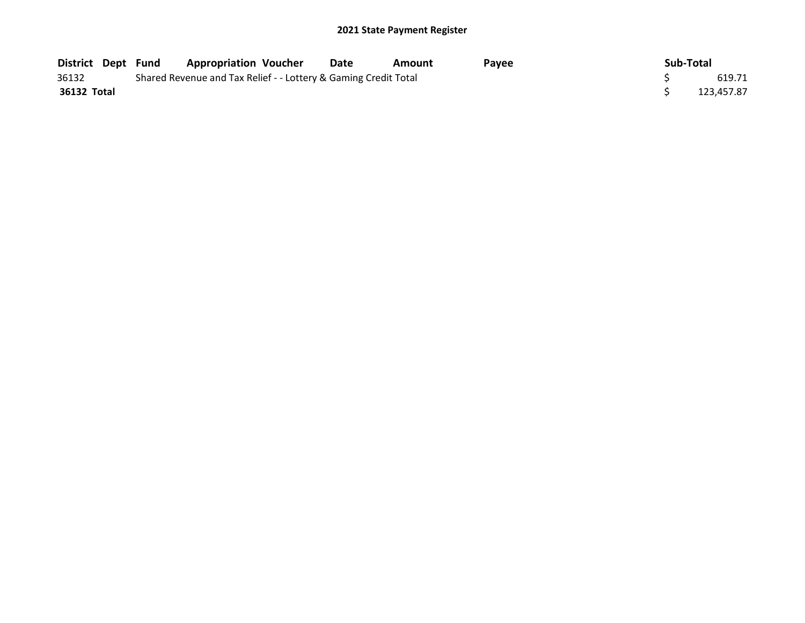| <b>District Dept Fund</b> |  | <b>Appropriation Voucher</b>                                    | Date | Amount | <b>Pavee</b> | Sub-Total |            |
|---------------------------|--|-----------------------------------------------------------------|------|--------|--------------|-----------|------------|
| 36132                     |  | Shared Revenue and Tax Relief - - Lottery & Gaming Credit Total |      |        |              |           | 619.71     |
| 36132 Total               |  |                                                                 |      |        |              |           | 123.457.87 |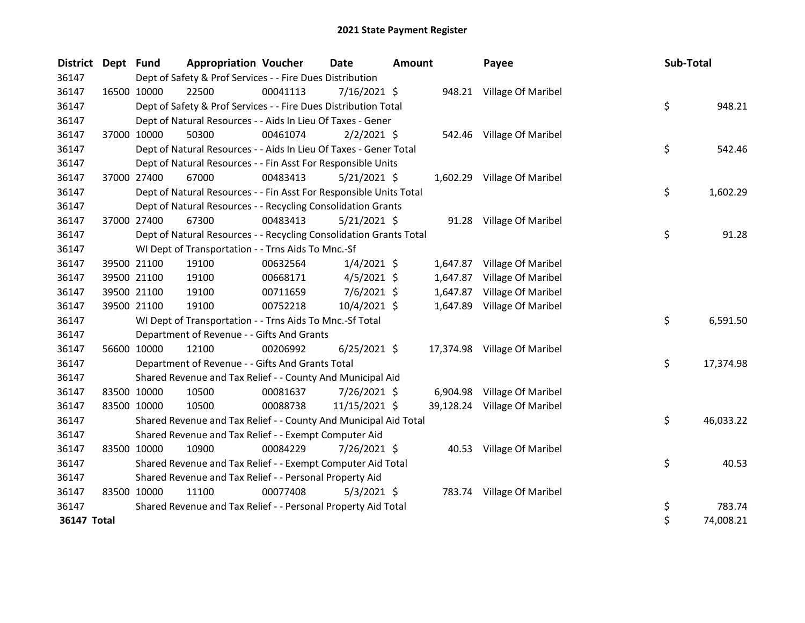| District Dept Fund |             |             | <b>Appropriation Voucher</b>                                       |          | <b>Date</b>    | <b>Amount</b> |          | Payee                        | Sub-Total |           |
|--------------------|-------------|-------------|--------------------------------------------------------------------|----------|----------------|---------------|----------|------------------------------|-----------|-----------|
| 36147              |             |             | Dept of Safety & Prof Services - - Fire Dues Distribution          |          |                |               |          |                              |           |           |
| 36147              | 16500 10000 |             | 22500                                                              | 00041113 | $7/16/2021$ \$ |               |          | 948.21 Village Of Maribel    |           |           |
| 36147              |             |             | Dept of Safety & Prof Services - - Fire Dues Distribution Total    |          |                |               |          |                              | \$        | 948.21    |
| 36147              |             |             | Dept of Natural Resources - - Aids In Lieu Of Taxes - Gener        |          |                |               |          |                              |           |           |
| 36147              | 37000 10000 |             | 50300                                                              | 00461074 | $2/2/2021$ \$  |               | 542.46   | Village Of Maribel           |           |           |
| 36147              |             |             | Dept of Natural Resources - - Aids In Lieu Of Taxes - Gener Total  |          |                |               |          |                              | \$        | 542.46    |
| 36147              |             |             | Dept of Natural Resources - - Fin Asst For Responsible Units       |          |                |               |          |                              |           |           |
| 36147              | 37000 27400 |             | 67000                                                              | 00483413 | $5/21/2021$ \$ |               |          | 1,602.29 Village Of Maribel  |           |           |
| 36147              |             |             | Dept of Natural Resources - - Fin Asst For Responsible Units Total |          |                |               |          |                              | \$        | 1,602.29  |
| 36147              |             |             | Dept of Natural Resources - - Recycling Consolidation Grants       |          |                |               |          |                              |           |           |
| 36147              | 37000 27400 |             | 67300                                                              | 00483413 | $5/21/2021$ \$ |               |          | 91.28 Village Of Maribel     |           |           |
| 36147              |             |             | Dept of Natural Resources - - Recycling Consolidation Grants Total |          |                |               |          |                              | \$        | 91.28     |
| 36147              |             |             | WI Dept of Transportation - - Trns Aids To Mnc.-Sf                 |          |                |               |          |                              |           |           |
| 36147              |             | 39500 21100 | 19100                                                              | 00632564 | $1/4/2021$ \$  |               | 1,647.87 | Village Of Maribel           |           |           |
| 36147              | 39500 21100 |             | 19100                                                              | 00668171 | $4/5/2021$ \$  |               | 1,647.87 | Village Of Maribel           |           |           |
| 36147              | 39500 21100 |             | 19100                                                              | 00711659 | $7/6/2021$ \$  |               | 1,647.87 | Village Of Maribel           |           |           |
| 36147              | 39500 21100 |             | 19100                                                              | 00752218 | 10/4/2021 \$   |               |          | 1,647.89 Village Of Maribel  |           |           |
| 36147              |             |             | WI Dept of Transportation - - Trns Aids To Mnc.-Sf Total           |          |                |               |          |                              | \$        | 6,591.50  |
| 36147              |             |             | Department of Revenue - - Gifts And Grants                         |          |                |               |          |                              |           |           |
| 36147              | 56600 10000 |             | 12100                                                              | 00206992 | $6/25/2021$ \$ |               |          | 17,374.98 Village Of Maribel |           |           |
| 36147              |             |             | Department of Revenue - - Gifts And Grants Total                   |          |                |               |          |                              | \$        | 17,374.98 |
| 36147              |             |             | Shared Revenue and Tax Relief - - County And Municipal Aid         |          |                |               |          |                              |           |           |
| 36147              | 83500 10000 |             | 10500                                                              | 00081637 | 7/26/2021 \$   |               |          | 6,904.98 Village Of Maribel  |           |           |
| 36147              | 83500 10000 |             | 10500                                                              | 00088738 | 11/15/2021 \$  |               |          | 39,128.24 Village Of Maribel |           |           |
| 36147              |             |             | Shared Revenue and Tax Relief - - County And Municipal Aid Total   |          |                |               |          |                              | \$        | 46,033.22 |
| 36147              |             |             | Shared Revenue and Tax Relief - - Exempt Computer Aid              |          |                |               |          |                              |           |           |
| 36147              | 83500 10000 |             | 10900                                                              | 00084229 | 7/26/2021 \$   |               |          | 40.53 Village Of Maribel     |           |           |
| 36147              |             |             | Shared Revenue and Tax Relief - - Exempt Computer Aid Total        |          |                |               |          |                              | \$        | 40.53     |
| 36147              |             |             | Shared Revenue and Tax Relief - - Personal Property Aid            |          |                |               |          |                              |           |           |
| 36147              | 83500 10000 |             | 11100                                                              | 00077408 | $5/3/2021$ \$  |               |          | 783.74 Village Of Maribel    |           |           |
| 36147              |             |             | Shared Revenue and Tax Relief - - Personal Property Aid Total      |          |                |               |          |                              | \$        | 783.74    |
| <b>36147 Total</b> |             |             |                                                                    |          |                |               |          |                              | \$        | 74,008.21 |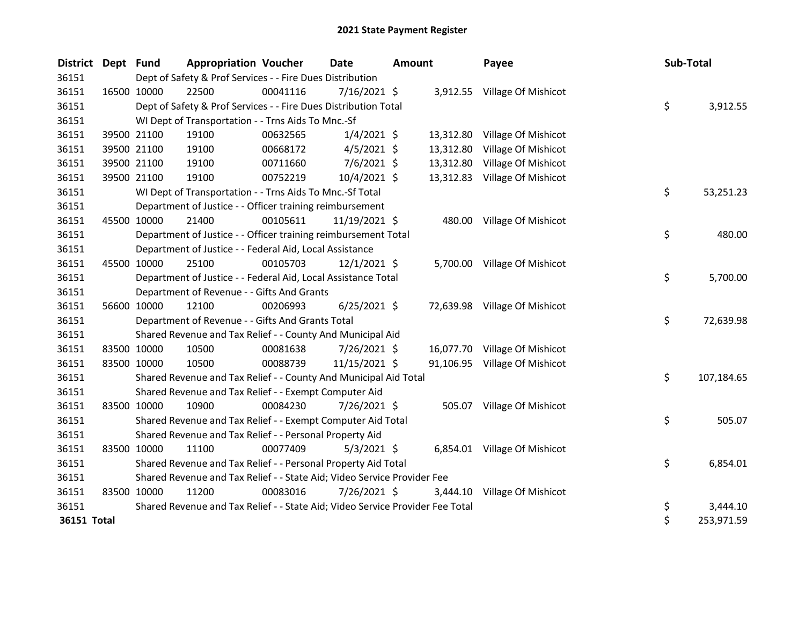| <b>District</b> | Dept Fund |             | <b>Appropriation Voucher</b>                                                  |          | <b>Date</b>    | <b>Amount</b> |           | Payee                         | Sub-Total |            |
|-----------------|-----------|-------------|-------------------------------------------------------------------------------|----------|----------------|---------------|-----------|-------------------------------|-----------|------------|
| 36151           |           |             | Dept of Safety & Prof Services - - Fire Dues Distribution                     |          |                |               |           |                               |           |            |
| 36151           |           | 16500 10000 | 22500                                                                         | 00041116 | $7/16/2021$ \$ |               |           | 3,912.55 Village Of Mishicot  |           |            |
| 36151           |           |             | Dept of Safety & Prof Services - - Fire Dues Distribution Total               |          |                |               |           |                               | \$        | 3,912.55   |
| 36151           |           |             | WI Dept of Transportation - - Trns Aids To Mnc.-Sf                            |          |                |               |           |                               |           |            |
| 36151           |           | 39500 21100 | 19100                                                                         | 00632565 | $1/4/2021$ \$  |               | 13,312.80 | Village Of Mishicot           |           |            |
| 36151           |           | 39500 21100 | 19100                                                                         | 00668172 | $4/5/2021$ \$  |               | 13,312.80 | Village Of Mishicot           |           |            |
| 36151           |           | 39500 21100 | 19100                                                                         | 00711660 | 7/6/2021 \$    |               | 13,312.80 | Village Of Mishicot           |           |            |
| 36151           |           | 39500 21100 | 19100                                                                         | 00752219 | 10/4/2021 \$   |               | 13,312.83 | Village Of Mishicot           |           |            |
| 36151           |           |             | WI Dept of Transportation - - Trns Aids To Mnc.-Sf Total                      |          |                |               |           |                               | \$        | 53,251.23  |
| 36151           |           |             | Department of Justice - - Officer training reimbursement                      |          |                |               |           |                               |           |            |
| 36151           |           | 45500 10000 | 21400                                                                         | 00105611 | 11/19/2021 \$  |               |           | 480.00 Village Of Mishicot    |           |            |
| 36151           |           |             | Department of Justice - - Officer training reimbursement Total                |          |                |               |           |                               | \$        | 480.00     |
| 36151           |           |             | Department of Justice - - Federal Aid, Local Assistance                       |          |                |               |           |                               |           |            |
| 36151           |           | 45500 10000 | 25100                                                                         | 00105703 | $12/1/2021$ \$ |               |           | 5,700.00 Village Of Mishicot  |           |            |
| 36151           |           |             | Department of Justice - - Federal Aid, Local Assistance Total                 |          |                |               |           |                               | \$        | 5,700.00   |
| 36151           |           |             | Department of Revenue - - Gifts And Grants                                    |          |                |               |           |                               |           |            |
| 36151           |           | 56600 10000 | 12100                                                                         | 00206993 | $6/25/2021$ \$ |               |           | 72,639.98 Village Of Mishicot |           |            |
| 36151           |           |             | Department of Revenue - - Gifts And Grants Total                              |          |                |               |           |                               | \$        | 72,639.98  |
| 36151           |           |             | Shared Revenue and Tax Relief - - County And Municipal Aid                    |          |                |               |           |                               |           |            |
| 36151           |           | 83500 10000 | 10500                                                                         | 00081638 | 7/26/2021 \$   |               |           | 16,077.70 Village Of Mishicot |           |            |
| 36151           |           | 83500 10000 | 10500                                                                         | 00088739 | 11/15/2021 \$  |               |           | 91,106.95 Village Of Mishicot |           |            |
| 36151           |           |             | Shared Revenue and Tax Relief - - County And Municipal Aid Total              |          |                |               |           |                               | \$        | 107,184.65 |
| 36151           |           |             | Shared Revenue and Tax Relief - - Exempt Computer Aid                         |          |                |               |           |                               |           |            |
| 36151           |           | 83500 10000 | 10900                                                                         | 00084230 | $7/26/2021$ \$ |               |           | 505.07 Village Of Mishicot    |           |            |
| 36151           |           |             | Shared Revenue and Tax Relief - - Exempt Computer Aid Total                   |          |                |               |           |                               | \$        | 505.07     |
| 36151           |           |             | Shared Revenue and Tax Relief - - Personal Property Aid                       |          |                |               |           |                               |           |            |
| 36151           |           | 83500 10000 | 11100                                                                         | 00077409 | $5/3/2021$ \$  |               |           | 6,854.01 Village Of Mishicot  |           |            |
| 36151           |           |             | Shared Revenue and Tax Relief - - Personal Property Aid Total                 |          |                |               |           |                               | \$        | 6,854.01   |
| 36151           |           |             | Shared Revenue and Tax Relief - - State Aid; Video Service Provider Fee       |          |                |               |           |                               |           |            |
| 36151           |           | 83500 10000 | 11200                                                                         | 00083016 | $7/26/2021$ \$ |               | 3,444.10  | Village Of Mishicot           |           |            |
| 36151           |           |             | Shared Revenue and Tax Relief - - State Aid; Video Service Provider Fee Total |          |                |               |           |                               | \$        | 3,444.10   |
| 36151 Total     |           |             |                                                                               |          |                |               |           |                               | \$        | 253,971.59 |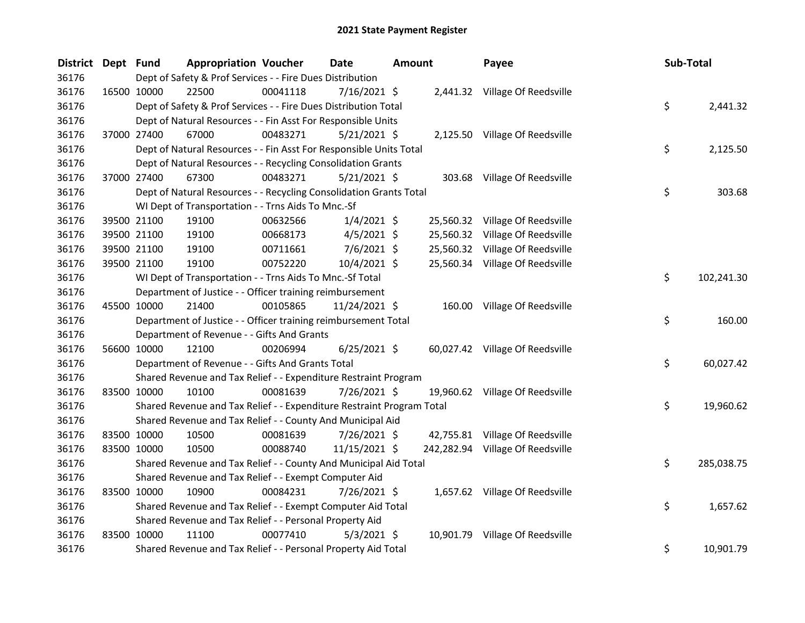| <b>District</b> | Dept Fund | <b>Appropriation Voucher</b>                                          |          | Date           | Amount | Payee                            | Sub-Total        |
|-----------------|-----------|-----------------------------------------------------------------------|----------|----------------|--------|----------------------------------|------------------|
| 36176           |           | Dept of Safety & Prof Services - - Fire Dues Distribution             |          |                |        |                                  |                  |
| 36176           |           | 16500 10000<br>22500                                                  | 00041118 | 7/16/2021 \$   |        | 2,441.32 Village Of Reedsville   |                  |
| 36176           |           | Dept of Safety & Prof Services - - Fire Dues Distribution Total       |          |                |        |                                  | \$<br>2,441.32   |
| 36176           |           | Dept of Natural Resources - - Fin Asst For Responsible Units          |          |                |        |                                  |                  |
| 36176           |           | 37000 27400<br>67000                                                  | 00483271 | $5/21/2021$ \$ |        | 2,125.50 Village Of Reedsville   |                  |
| 36176           |           | Dept of Natural Resources - - Fin Asst For Responsible Units Total    |          |                |        |                                  | \$<br>2,125.50   |
| 36176           |           | Dept of Natural Resources - - Recycling Consolidation Grants          |          |                |        |                                  |                  |
| 36176           |           | 37000 27400<br>67300                                                  | 00483271 | $5/21/2021$ \$ |        | 303.68 Village Of Reedsville     |                  |
| 36176           |           | Dept of Natural Resources - - Recycling Consolidation Grants Total    |          |                |        |                                  | \$<br>303.68     |
| 36176           |           | WI Dept of Transportation - - Trns Aids To Mnc.-Sf                    |          |                |        |                                  |                  |
| 36176           |           | 39500 21100<br>19100                                                  | 00632566 | $1/4/2021$ \$  |        | 25,560.32 Village Of Reedsville  |                  |
| 36176           |           | 39500 21100<br>19100                                                  | 00668173 | $4/5/2021$ \$  |        | 25,560.32 Village Of Reedsville  |                  |
| 36176           |           | 39500 21100<br>19100                                                  | 00711661 | $7/6/2021$ \$  |        | 25,560.32 Village Of Reedsville  |                  |
| 36176           |           | 39500 21100<br>19100                                                  | 00752220 | 10/4/2021 \$   |        | 25,560.34 Village Of Reedsville  |                  |
| 36176           |           | WI Dept of Transportation - - Trns Aids To Mnc.-Sf Total              |          |                |        |                                  | \$<br>102,241.30 |
| 36176           |           | Department of Justice - - Officer training reimbursement              |          |                |        |                                  |                  |
| 36176           |           | 45500 10000<br>21400                                                  | 00105865 | 11/24/2021 \$  |        | 160.00 Village Of Reedsville     |                  |
| 36176           |           | Department of Justice - - Officer training reimbursement Total        |          |                |        |                                  | \$<br>160.00     |
| 36176           |           | Department of Revenue - - Gifts And Grants                            |          |                |        |                                  |                  |
| 36176           |           | 56600 10000<br>12100                                                  | 00206994 | $6/25/2021$ \$ |        | 60,027.42 Village Of Reedsville  |                  |
| 36176           |           | Department of Revenue - - Gifts And Grants Total                      |          |                |        |                                  | \$<br>60,027.42  |
| 36176           |           | Shared Revenue and Tax Relief - - Expenditure Restraint Program       |          |                |        |                                  |                  |
| 36176           |           | 83500 10000<br>10100                                                  | 00081639 | 7/26/2021 \$   |        | 19,960.62 Village Of Reedsville  |                  |
| 36176           |           | Shared Revenue and Tax Relief - - Expenditure Restraint Program Total |          |                |        |                                  | \$<br>19,960.62  |
| 36176           |           | Shared Revenue and Tax Relief - - County And Municipal Aid            |          |                |        |                                  |                  |
| 36176           |           | 83500 10000<br>10500                                                  | 00081639 | 7/26/2021 \$   |        | 42,755.81 Village Of Reedsville  |                  |
| 36176           |           | 83500 10000<br>10500                                                  | 00088740 | 11/15/2021 \$  |        | 242,282.94 Village Of Reedsville |                  |
| 36176           |           | Shared Revenue and Tax Relief - - County And Municipal Aid Total      |          |                |        |                                  | \$<br>285,038.75 |
| 36176           |           | Shared Revenue and Tax Relief - - Exempt Computer Aid                 |          |                |        |                                  |                  |
| 36176           |           | 83500 10000<br>10900                                                  | 00084231 | $7/26/2021$ \$ |        | 1,657.62 Village Of Reedsville   |                  |
| 36176           |           | Shared Revenue and Tax Relief - - Exempt Computer Aid Total           |          |                |        |                                  | \$<br>1,657.62   |
| 36176           |           | Shared Revenue and Tax Relief - - Personal Property Aid               |          |                |        |                                  |                  |
| 36176           |           | 83500 10000<br>11100                                                  | 00077410 | $5/3/2021$ \$  |        | 10,901.79 Village Of Reedsville  |                  |
| 36176           |           | Shared Revenue and Tax Relief - - Personal Property Aid Total         |          |                |        |                                  | \$<br>10,901.79  |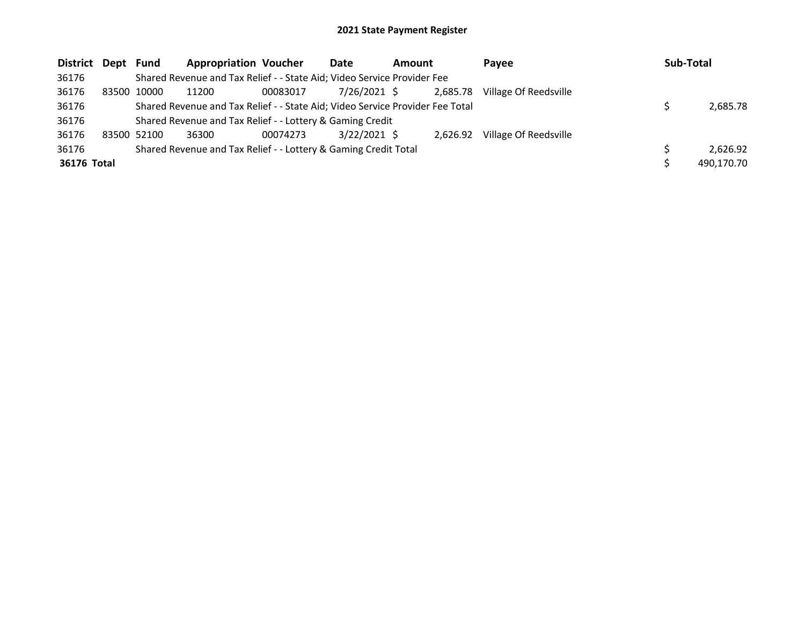| District Dept Fund |             | <b>Appropriation Voucher</b>                                                  |          | Date           | Amount |          | Payee                 | Sub-Total |            |
|--------------------|-------------|-------------------------------------------------------------------------------|----------|----------------|--------|----------|-----------------------|-----------|------------|
| 36176              |             | Shared Revenue and Tax Relief - - State Aid; Video Service Provider Fee       |          |                |        |          |                       |           |            |
| 36176              | 83500 10000 | 11200                                                                         | 00083017 | 7/26/2021 \$   |        | 2.685.78 | Village Of Reedsville |           |            |
| 36176              |             | Shared Revenue and Tax Relief - - State Aid; Video Service Provider Fee Total |          |                |        |          |                       |           | 2,685.78   |
| 36176              |             | Shared Revenue and Tax Relief - - Lottery & Gaming Credit                     |          |                |        |          |                       |           |            |
| 36176              | 83500 52100 | 36300                                                                         | 00074273 | $3/22/2021$ \$ |        | 2.626.92 | Village Of Reedsville |           |            |
| 36176              |             | Shared Revenue and Tax Relief - - Lottery & Gaming Credit Total               |          |                |        |          |                       |           | 2,626.92   |
| 36176 Total        |             |                                                                               |          |                |        |          |                       |           | 490,170.70 |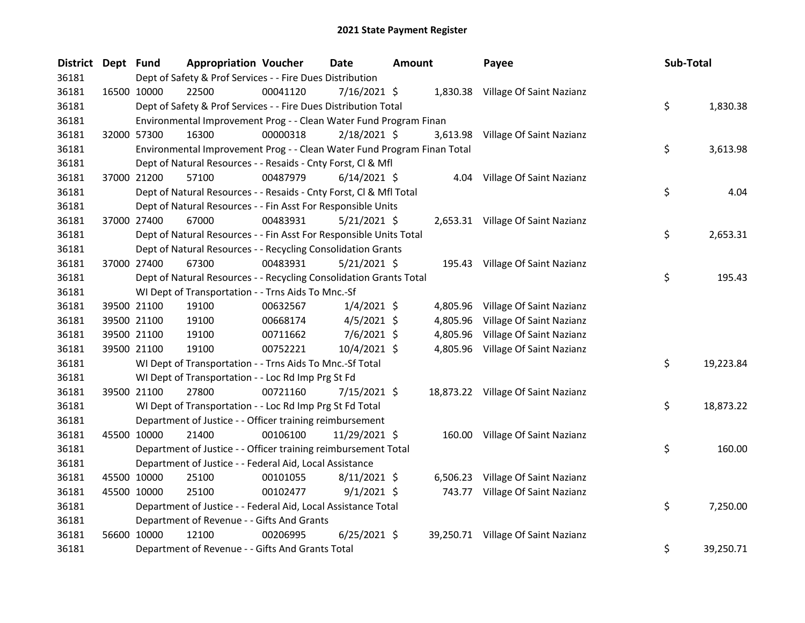| District Dept Fund |             |             | <b>Appropriation Voucher</b>                                            |          | <b>Date</b>    | <b>Amount</b> |          | Payee                              | <b>Sub-Total</b> |           |
|--------------------|-------------|-------------|-------------------------------------------------------------------------|----------|----------------|---------------|----------|------------------------------------|------------------|-----------|
| 36181              |             |             | Dept of Safety & Prof Services - - Fire Dues Distribution               |          |                |               |          |                                    |                  |           |
| 36181              |             | 16500 10000 | 22500                                                                   | 00041120 | 7/16/2021 \$   |               |          | 1,830.38 Village Of Saint Nazianz  |                  |           |
| 36181              |             |             | Dept of Safety & Prof Services - - Fire Dues Distribution Total         |          |                |               |          |                                    | \$               | 1,830.38  |
| 36181              |             |             | Environmental Improvement Prog - - Clean Water Fund Program Finan       |          |                |               |          |                                    |                  |           |
| 36181              |             | 32000 57300 | 16300                                                                   | 00000318 | 2/18/2021 \$   |               |          | 3,613.98 Village Of Saint Nazianz  |                  |           |
| 36181              |             |             | Environmental Improvement Prog - - Clean Water Fund Program Finan Total |          |                |               |          |                                    | \$               | 3,613.98  |
| 36181              |             |             | Dept of Natural Resources - - Resaids - Cnty Forst, Cl & Mfl            |          |                |               |          |                                    |                  |           |
| 36181              |             | 37000 21200 | 57100                                                                   | 00487979 | $6/14/2021$ \$ |               |          | 4.04 Village Of Saint Nazianz      |                  |           |
| 36181              |             |             | Dept of Natural Resources - - Resaids - Cnty Forst, Cl & Mfl Total      |          |                |               |          |                                    | \$               | 4.04      |
| 36181              |             |             | Dept of Natural Resources - - Fin Asst For Responsible Units            |          |                |               |          |                                    |                  |           |
| 36181              |             | 37000 27400 | 67000                                                                   | 00483931 | $5/21/2021$ \$ |               |          | 2,653.31 Village Of Saint Nazianz  |                  |           |
| 36181              |             |             | Dept of Natural Resources - - Fin Asst For Responsible Units Total      |          |                |               |          |                                    | \$               | 2,653.31  |
| 36181              |             |             | Dept of Natural Resources - - Recycling Consolidation Grants            |          |                |               |          |                                    |                  |           |
| 36181              |             | 37000 27400 | 67300                                                                   | 00483931 | $5/21/2021$ \$ |               |          | 195.43 Village Of Saint Nazianz    |                  |           |
| 36181              |             |             | Dept of Natural Resources - - Recycling Consolidation Grants Total      |          |                |               |          |                                    | \$               | 195.43    |
| 36181              |             |             | WI Dept of Transportation - - Trns Aids To Mnc.-Sf                      |          |                |               |          |                                    |                  |           |
| 36181              |             | 39500 21100 | 19100                                                                   | 00632567 | $1/4/2021$ \$  |               | 4,805.96 | Village Of Saint Nazianz           |                  |           |
| 36181              |             | 39500 21100 | 19100                                                                   | 00668174 | $4/5/2021$ \$  |               | 4,805.96 | Village Of Saint Nazianz           |                  |           |
| 36181              |             | 39500 21100 | 19100                                                                   | 00711662 | 7/6/2021 \$    |               | 4,805.96 | Village Of Saint Nazianz           |                  |           |
| 36181              |             | 39500 21100 | 19100                                                                   | 00752221 | 10/4/2021 \$   |               |          | 4,805.96 Village Of Saint Nazianz  |                  |           |
| 36181              |             |             | WI Dept of Transportation - - Trns Aids To Mnc.-Sf Total                |          |                |               |          |                                    | \$               | 19,223.84 |
| 36181              |             |             | WI Dept of Transportation - - Loc Rd Imp Prg St Fd                      |          |                |               |          |                                    |                  |           |
| 36181              | 39500 21100 |             | 27800                                                                   | 00721160 | 7/15/2021 \$   |               |          | 18,873.22 Village Of Saint Nazianz |                  |           |
| 36181              |             |             | WI Dept of Transportation - - Loc Rd Imp Prg St Fd Total                |          |                |               |          |                                    | \$               | 18,873.22 |
| 36181              |             |             | Department of Justice - - Officer training reimbursement                |          |                |               |          |                                    |                  |           |
| 36181              |             | 45500 10000 | 21400                                                                   | 00106100 | 11/29/2021 \$  |               |          | 160.00 Village Of Saint Nazianz    |                  |           |
| 36181              |             |             | Department of Justice - - Officer training reimbursement Total          |          |                |               |          |                                    | \$               | 160.00    |
| 36181              |             |             | Department of Justice - - Federal Aid, Local Assistance                 |          |                |               |          |                                    |                  |           |
| 36181              |             | 45500 10000 | 25100                                                                   | 00101055 | $8/11/2021$ \$ |               |          | 6,506.23 Village Of Saint Nazianz  |                  |           |
| 36181              |             | 45500 10000 | 25100                                                                   | 00102477 | $9/1/2021$ \$  |               |          | 743.77 Village Of Saint Nazianz    |                  |           |
| 36181              |             |             | Department of Justice - - Federal Aid, Local Assistance Total           |          |                |               |          |                                    | \$               | 7,250.00  |
| 36181              |             |             | Department of Revenue - - Gifts And Grants                              |          |                |               |          |                                    |                  |           |
| 36181              |             | 56600 10000 | 12100                                                                   | 00206995 | $6/25/2021$ \$ |               |          | 39,250.71 Village Of Saint Nazianz |                  |           |
| 36181              |             |             | Department of Revenue - - Gifts And Grants Total                        |          |                |               |          |                                    | \$               | 39,250.71 |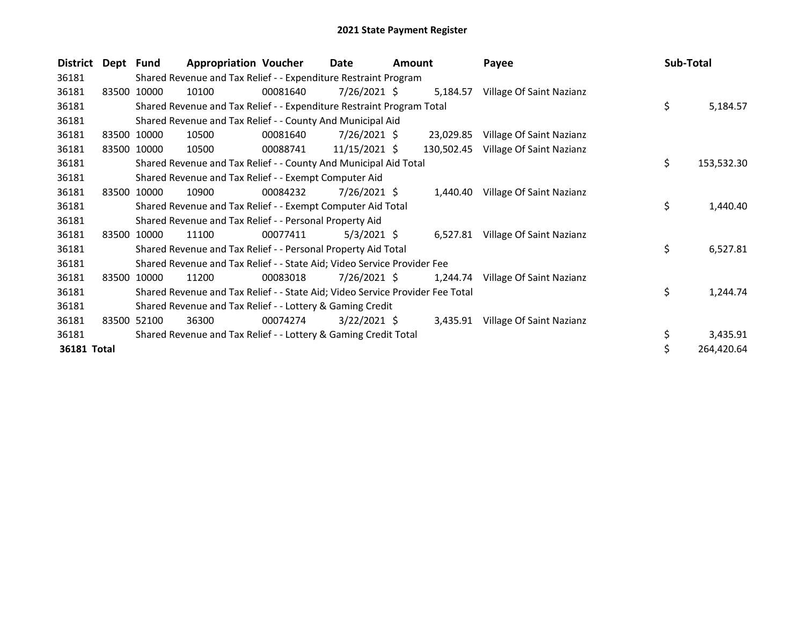| <b>District</b> | Dept Fund |             | <b>Appropriation Voucher</b>                                                  |          | Date            | <b>Amount</b> |            | Payee                             | Sub-Total |            |
|-----------------|-----------|-------------|-------------------------------------------------------------------------------|----------|-----------------|---------------|------------|-----------------------------------|-----------|------------|
| 36181           |           |             | Shared Revenue and Tax Relief - - Expenditure Restraint Program               |          |                 |               |            |                                   |           |            |
| 36181           |           | 83500 10000 | 10100                                                                         | 00081640 | 7/26/2021 \$    |               | 5,184.57   | Village Of Saint Nazianz          |           |            |
| 36181           |           |             | Shared Revenue and Tax Relief - - Expenditure Restraint Program Total         |          |                 |               |            |                                   | \$        | 5,184.57   |
| 36181           |           |             | Shared Revenue and Tax Relief - - County And Municipal Aid                    |          |                 |               |            |                                   |           |            |
| 36181           |           | 83500 10000 | 10500                                                                         | 00081640 | $7/26/2021$ \$  |               | 23,029.85  | Village Of Saint Nazianz          |           |            |
| 36181           |           | 83500 10000 | 10500                                                                         | 00088741 | $11/15/2021$ \$ |               | 130,502.45 | Village Of Saint Nazianz          |           |            |
| 36181           |           |             | Shared Revenue and Tax Relief - - County And Municipal Aid Total              |          |                 |               |            |                                   | \$        | 153,532.30 |
| 36181           |           |             | Shared Revenue and Tax Relief - - Exempt Computer Aid                         |          |                 |               |            |                                   |           |            |
| 36181           |           | 83500 10000 | 10900                                                                         | 00084232 | 7/26/2021 \$    |               | 1,440.40   | Village Of Saint Nazianz          |           |            |
| 36181           |           |             | Shared Revenue and Tax Relief - - Exempt Computer Aid Total                   |          |                 |               |            |                                   | \$        | 1,440.40   |
| 36181           |           |             | Shared Revenue and Tax Relief - - Personal Property Aid                       |          |                 |               |            |                                   |           |            |
| 36181           | 83500     | 10000       | 11100                                                                         | 00077411 | $5/3/2021$ \$   |               |            | 6,527.81 Village Of Saint Nazianz |           |            |
| 36181           |           |             | Shared Revenue and Tax Relief - - Personal Property Aid Total                 |          |                 |               |            |                                   | \$        | 6,527.81   |
| 36181           |           |             | Shared Revenue and Tax Relief - - State Aid; Video Service Provider Fee       |          |                 |               |            |                                   |           |            |
| 36181           | 83500     | 10000       | 11200                                                                         | 00083018 | 7/26/2021 \$    |               | 1,244.74   | Village Of Saint Nazianz          |           |            |
| 36181           |           |             | Shared Revenue and Tax Relief - - State Aid; Video Service Provider Fee Total |          |                 |               |            |                                   | \$        | 1,244.74   |
| 36181           |           |             | Shared Revenue and Tax Relief - - Lottery & Gaming Credit                     |          |                 |               |            |                                   |           |            |
| 36181           | 83500     | 52100       | 36300                                                                         | 00074274 | $3/22/2021$ \$  |               |            | 3,435.91 Village Of Saint Nazianz |           |            |
| 36181           |           |             | Shared Revenue and Tax Relief - - Lottery & Gaming Credit Total               |          |                 |               |            |                                   | \$        | 3,435.91   |
| 36181 Total     |           |             |                                                                               |          |                 |               |            |                                   |           | 264,420.64 |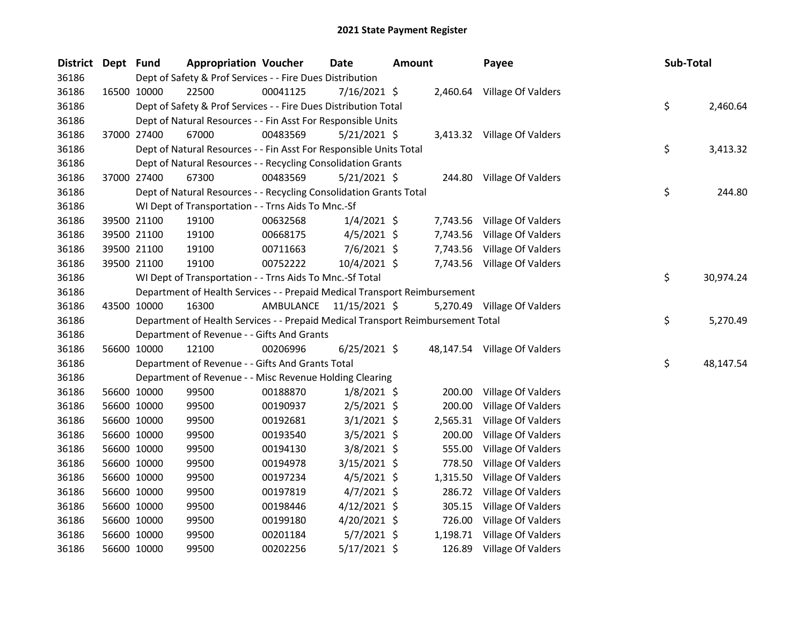| District Dept Fund |             | <b>Appropriation Voucher</b>                                                    |          | Date                    | <b>Amount</b> |          | Payee                        | Sub-Total |           |
|--------------------|-------------|---------------------------------------------------------------------------------|----------|-------------------------|---------------|----------|------------------------------|-----------|-----------|
| 36186              |             | Dept of Safety & Prof Services - - Fire Dues Distribution                       |          |                         |               |          |                              |           |           |
| 36186              | 16500 10000 | 22500                                                                           | 00041125 | $7/16/2021$ \$          |               |          | 2,460.64 Village Of Valders  |           |           |
| 36186              |             | Dept of Safety & Prof Services - - Fire Dues Distribution Total                 |          |                         |               |          |                              | \$        | 2,460.64  |
| 36186              |             | Dept of Natural Resources - - Fin Asst For Responsible Units                    |          |                         |               |          |                              |           |           |
| 36186              | 37000 27400 | 67000                                                                           | 00483569 | $5/21/2021$ \$          |               |          | 3,413.32 Village Of Valders  |           |           |
| 36186              |             | Dept of Natural Resources - - Fin Asst For Responsible Units Total              |          |                         |               |          |                              | \$        | 3,413.32  |
| 36186              |             | Dept of Natural Resources - - Recycling Consolidation Grants                    |          |                         |               |          |                              |           |           |
| 36186              | 37000 27400 | 67300                                                                           | 00483569 | $5/21/2021$ \$          |               |          | 244.80 Village Of Valders    |           |           |
| 36186              |             | Dept of Natural Resources - - Recycling Consolidation Grants Total              |          |                         |               |          |                              | \$        | 244.80    |
| 36186              |             | WI Dept of Transportation - - Trns Aids To Mnc.-Sf                              |          |                         |               |          |                              |           |           |
| 36186              | 39500 21100 | 19100                                                                           | 00632568 | $1/4/2021$ \$           |               |          | 7,743.56 Village Of Valders  |           |           |
| 36186              | 39500 21100 | 19100                                                                           | 00668175 | $4/5/2021$ \$           |               | 7,743.56 | Village Of Valders           |           |           |
| 36186              | 39500 21100 | 19100                                                                           | 00711663 | $7/6/2021$ \$           |               |          | 7,743.56 Village Of Valders  |           |           |
| 36186              | 39500 21100 | 19100                                                                           | 00752222 | 10/4/2021 \$            |               |          | 7,743.56 Village Of Valders  |           |           |
| 36186              |             | WI Dept of Transportation - - Trns Aids To Mnc.-Sf Total                        |          |                         |               |          |                              | \$        | 30,974.24 |
| 36186              |             | Department of Health Services - - Prepaid Medical Transport Reimbursement       |          |                         |               |          |                              |           |           |
| 36186              | 43500 10000 | 16300                                                                           |          | AMBULANCE 11/15/2021 \$ |               |          | 5,270.49 Village Of Valders  |           |           |
| 36186              |             | Department of Health Services - - Prepaid Medical Transport Reimbursement Total |          |                         |               |          |                              | \$        | 5,270.49  |
| 36186              |             | Department of Revenue - - Gifts And Grants                                      |          |                         |               |          |                              |           |           |
| 36186              | 56600 10000 | 12100                                                                           | 00206996 | $6/25/2021$ \$          |               |          | 48,147.54 Village Of Valders |           |           |
| 36186              |             | Department of Revenue - - Gifts And Grants Total                                |          |                         |               |          |                              | \$        | 48,147.54 |
| 36186              |             | Department of Revenue - - Misc Revenue Holding Clearing                         |          |                         |               |          |                              |           |           |
| 36186              | 56600 10000 | 99500                                                                           | 00188870 | $1/8/2021$ \$           |               | 200.00   | Village Of Valders           |           |           |
| 36186              | 56600 10000 | 99500                                                                           | 00190937 | $2/5/2021$ \$           |               | 200.00   | Village Of Valders           |           |           |
| 36186              | 56600 10000 | 99500                                                                           | 00192681 | $3/1/2021$ \$           |               | 2,565.31 | Village Of Valders           |           |           |
| 36186              | 56600 10000 | 99500                                                                           | 00193540 | $3/5/2021$ \$           |               | 200.00   | Village Of Valders           |           |           |
| 36186              | 56600 10000 | 99500                                                                           | 00194130 | $3/8/2021$ \$           |               | 555.00   | Village Of Valders           |           |           |
| 36186              | 56600 10000 | 99500                                                                           | 00194978 | $3/15/2021$ \$          |               | 778.50   | Village Of Valders           |           |           |
| 36186              | 56600 10000 | 99500                                                                           | 00197234 | $4/5/2021$ \$           |               | 1,315.50 | Village Of Valders           |           |           |
| 36186              | 56600 10000 | 99500                                                                           | 00197819 | $4/7/2021$ \$           |               | 286.72   | Village Of Valders           |           |           |
| 36186              | 56600 10000 | 99500                                                                           | 00198446 | $4/12/2021$ \$          |               | 305.15   | Village Of Valders           |           |           |
| 36186              | 56600 10000 | 99500                                                                           | 00199180 | $4/20/2021$ \$          |               | 726.00   | Village Of Valders           |           |           |
| 36186              | 56600 10000 | 99500                                                                           | 00201184 | $5/7/2021$ \$           |               | 1,198.71 | Village Of Valders           |           |           |
| 36186              | 56600 10000 | 99500                                                                           | 00202256 | $5/17/2021$ \$          |               | 126.89   | Village Of Valders           |           |           |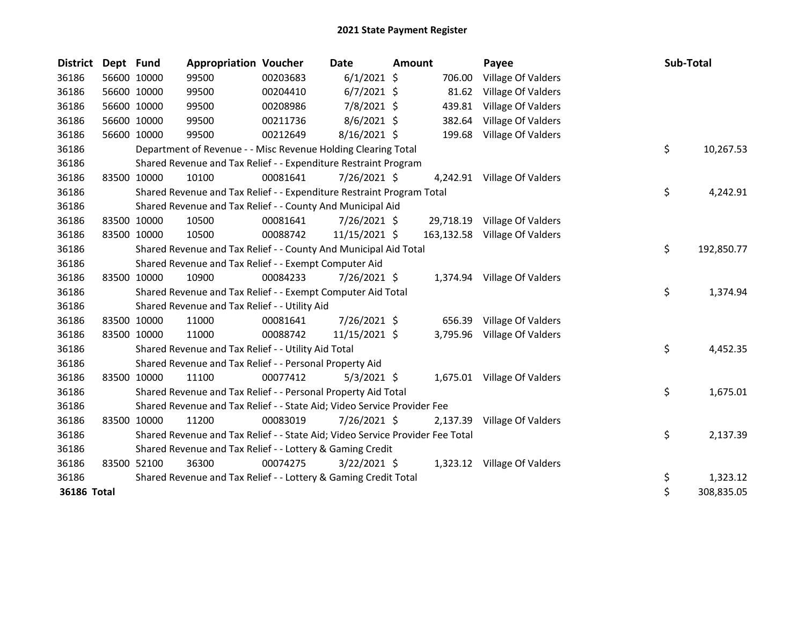| <b>District</b>    | Dept Fund   |             | <b>Appropriation Voucher</b>                                                  |          | Date           | <b>Amount</b> |          | Payee                         | Sub-Total |            |
|--------------------|-------------|-------------|-------------------------------------------------------------------------------|----------|----------------|---------------|----------|-------------------------------|-----------|------------|
| 36186              |             | 56600 10000 | 99500                                                                         | 00203683 | $6/1/2021$ \$  |               | 706.00   | Village Of Valders            |           |            |
| 36186              |             | 56600 10000 | 99500                                                                         | 00204410 | $6/7/2021$ \$  |               | 81.62    | Village Of Valders            |           |            |
| 36186              |             | 56600 10000 | 99500                                                                         | 00208986 | 7/8/2021 \$    |               | 439.81   | Village Of Valders            |           |            |
| 36186              |             | 56600 10000 | 99500                                                                         | 00211736 | $8/6/2021$ \$  |               | 382.64   | Village Of Valders            |           |            |
| 36186              |             | 56600 10000 | 99500                                                                         | 00212649 | 8/16/2021 \$   |               | 199.68   | Village Of Valders            |           |            |
| 36186              |             |             | Department of Revenue - - Misc Revenue Holding Clearing Total                 |          |                |               |          |                               | \$        | 10,267.53  |
| 36186              |             |             | Shared Revenue and Tax Relief - - Expenditure Restraint Program               |          |                |               |          |                               |           |            |
| 36186              |             | 83500 10000 | 10100                                                                         | 00081641 | 7/26/2021 \$   |               |          | 4,242.91 Village Of Valders   |           |            |
| 36186              |             |             | Shared Revenue and Tax Relief - - Expenditure Restraint Program Total         |          |                |               |          |                               | \$        | 4,242.91   |
| 36186              |             |             | Shared Revenue and Tax Relief - - County And Municipal Aid                    |          |                |               |          |                               |           |            |
| 36186              |             | 83500 10000 | 10500                                                                         | 00081641 | $7/26/2021$ \$ |               |          | 29,718.19 Village Of Valders  |           |            |
| 36186              |             | 83500 10000 | 10500                                                                         | 00088742 | 11/15/2021 \$  |               |          | 163,132.58 Village Of Valders |           |            |
| 36186              |             |             | Shared Revenue and Tax Relief - - County And Municipal Aid Total              |          |                |               |          |                               | \$        | 192,850.77 |
| 36186              |             |             | Shared Revenue and Tax Relief - - Exempt Computer Aid                         |          |                |               |          |                               |           |            |
| 36186              |             | 83500 10000 | 10900                                                                         | 00084233 | 7/26/2021 \$   |               |          | 1,374.94 Village Of Valders   |           |            |
| 36186              |             |             | Shared Revenue and Tax Relief - - Exempt Computer Aid Total                   |          |                |               |          |                               | \$        | 1,374.94   |
| 36186              |             |             | Shared Revenue and Tax Relief - - Utility Aid                                 |          |                |               |          |                               |           |            |
| 36186              |             | 83500 10000 | 11000                                                                         | 00081641 | 7/26/2021 \$   |               | 656.39   | Village Of Valders            |           |            |
| 36186              |             | 83500 10000 | 11000                                                                         | 00088742 | 11/15/2021 \$  |               | 3,795.96 | Village Of Valders            |           |            |
| 36186              |             |             | Shared Revenue and Tax Relief - - Utility Aid Total                           |          |                |               |          |                               | \$        | 4,452.35   |
| 36186              |             |             | Shared Revenue and Tax Relief - - Personal Property Aid                       |          |                |               |          |                               |           |            |
| 36186              |             | 83500 10000 | 11100                                                                         | 00077412 | $5/3/2021$ \$  |               |          | 1,675.01 Village Of Valders   |           |            |
| 36186              |             |             | Shared Revenue and Tax Relief - - Personal Property Aid Total                 |          |                |               |          |                               | \$        | 1,675.01   |
| 36186              |             |             | Shared Revenue and Tax Relief - - State Aid; Video Service Provider Fee       |          |                |               |          |                               |           |            |
| 36186              |             | 83500 10000 | 11200                                                                         | 00083019 | $7/26/2021$ \$ |               | 2,137.39 | Village Of Valders            |           |            |
| 36186              |             |             | Shared Revenue and Tax Relief - - State Aid; Video Service Provider Fee Total |          |                |               |          |                               | \$        | 2,137.39   |
| 36186              |             |             | Shared Revenue and Tax Relief - - Lottery & Gaming Credit                     |          |                |               |          |                               |           |            |
| 36186              | 83500 52100 |             | 36300                                                                         | 00074275 | $3/22/2021$ \$ |               |          | 1,323.12 Village Of Valders   |           |            |
| 36186              |             |             | Shared Revenue and Tax Relief - - Lottery & Gaming Credit Total               |          |                |               |          |                               | \$        | 1,323.12   |
| <b>36186 Total</b> |             |             |                                                                               |          |                |               |          |                               | \$        | 308,835.05 |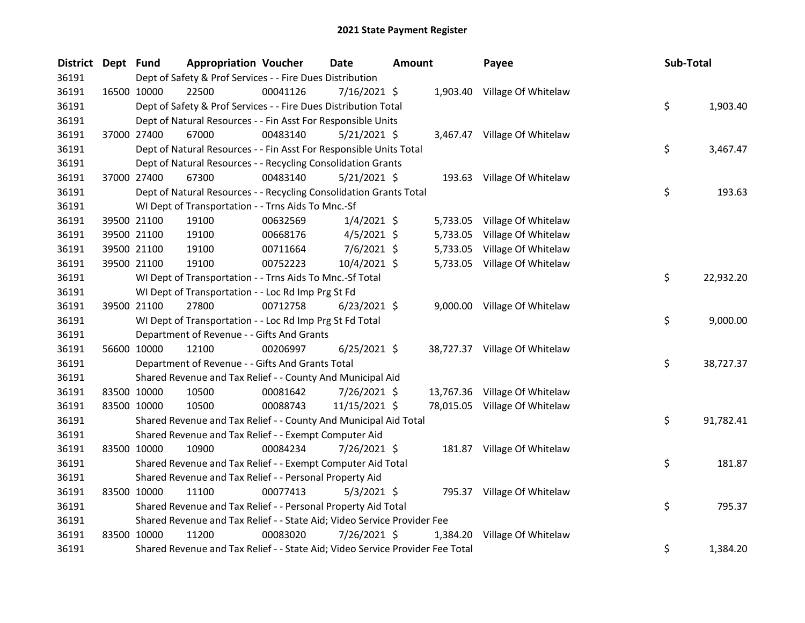| <b>District</b> | Dept Fund |             | <b>Appropriation Voucher</b>                                                  |          | Date           | <b>Amount</b> | Payee                         | Sub-Total |           |
|-----------------|-----------|-------------|-------------------------------------------------------------------------------|----------|----------------|---------------|-------------------------------|-----------|-----------|
| 36191           |           |             | Dept of Safety & Prof Services - - Fire Dues Distribution                     |          |                |               |                               |           |           |
| 36191           |           | 16500 10000 | 22500                                                                         | 00041126 | 7/16/2021 \$   |               | 1,903.40 Village Of Whitelaw  |           |           |
| 36191           |           |             | Dept of Safety & Prof Services - - Fire Dues Distribution Total               |          |                |               |                               | \$        | 1,903.40  |
| 36191           |           |             | Dept of Natural Resources - - Fin Asst For Responsible Units                  |          |                |               |                               |           |           |
| 36191           |           | 37000 27400 | 67000                                                                         | 00483140 | $5/21/2021$ \$ |               | 3,467.47 Village Of Whitelaw  |           |           |
| 36191           |           |             | Dept of Natural Resources - - Fin Asst For Responsible Units Total            |          |                |               |                               | \$        | 3,467.47  |
| 36191           |           |             | Dept of Natural Resources - - Recycling Consolidation Grants                  |          |                |               |                               |           |           |
| 36191           |           | 37000 27400 | 67300                                                                         | 00483140 | $5/21/2021$ \$ |               | 193.63 Village Of Whitelaw    |           |           |
| 36191           |           |             | Dept of Natural Resources - - Recycling Consolidation Grants Total            |          |                |               |                               | \$        | 193.63    |
| 36191           |           |             | WI Dept of Transportation - - Trns Aids To Mnc.-Sf                            |          |                |               |                               |           |           |
| 36191           |           | 39500 21100 | 19100                                                                         | 00632569 | $1/4/2021$ \$  |               | 5,733.05 Village Of Whitelaw  |           |           |
| 36191           |           | 39500 21100 | 19100                                                                         | 00668176 | $4/5/2021$ \$  |               | 5,733.05 Village Of Whitelaw  |           |           |
| 36191           |           | 39500 21100 | 19100                                                                         | 00711664 | $7/6/2021$ \$  |               | 5,733.05 Village Of Whitelaw  |           |           |
| 36191           |           | 39500 21100 | 19100                                                                         | 00752223 | 10/4/2021 \$   |               | 5,733.05 Village Of Whitelaw  |           |           |
| 36191           |           |             | WI Dept of Transportation - - Trns Aids To Mnc.-Sf Total                      |          |                |               |                               | \$        | 22,932.20 |
| 36191           |           |             | WI Dept of Transportation - - Loc Rd Imp Prg St Fd                            |          |                |               |                               |           |           |
| 36191           |           | 39500 21100 | 27800                                                                         | 00712758 | $6/23/2021$ \$ |               | 9,000.00 Village Of Whitelaw  |           |           |
| 36191           |           |             | WI Dept of Transportation - - Loc Rd Imp Prg St Fd Total                      |          |                |               |                               | \$        | 9,000.00  |
| 36191           |           |             | Department of Revenue - - Gifts And Grants                                    |          |                |               |                               |           |           |
| 36191           |           | 56600 10000 | 12100                                                                         | 00206997 | $6/25/2021$ \$ |               | 38,727.37 Village Of Whitelaw |           |           |
| 36191           |           |             | Department of Revenue - - Gifts And Grants Total                              |          |                |               |                               | \$        | 38,727.37 |
| 36191           |           |             | Shared Revenue and Tax Relief - - County And Municipal Aid                    |          |                |               |                               |           |           |
| 36191           |           | 83500 10000 | 10500                                                                         | 00081642 | 7/26/2021 \$   |               | 13,767.36 Village Of Whitelaw |           |           |
| 36191           |           | 83500 10000 | 10500                                                                         | 00088743 | 11/15/2021 \$  |               | 78,015.05 Village Of Whitelaw |           |           |
| 36191           |           |             | Shared Revenue and Tax Relief - - County And Municipal Aid Total              |          |                |               |                               | \$        | 91,782.41 |
| 36191           |           |             | Shared Revenue and Tax Relief - - Exempt Computer Aid                         |          |                |               |                               |           |           |
| 36191           |           | 83500 10000 | 10900                                                                         | 00084234 | 7/26/2021 \$   |               | 181.87 Village Of Whitelaw    |           |           |
| 36191           |           |             | Shared Revenue and Tax Relief - - Exempt Computer Aid Total                   |          |                |               |                               | \$        | 181.87    |
| 36191           |           |             | Shared Revenue and Tax Relief - - Personal Property Aid                       |          |                |               |                               |           |           |
| 36191           |           | 83500 10000 | 11100                                                                         | 00077413 | $5/3/2021$ \$  |               | 795.37 Village Of Whitelaw    |           |           |
| 36191           |           |             | Shared Revenue and Tax Relief - - Personal Property Aid Total                 |          |                |               |                               | \$        | 795.37    |
| 36191           |           |             | Shared Revenue and Tax Relief - - State Aid; Video Service Provider Fee       |          |                |               |                               |           |           |
| 36191           |           | 83500 10000 | 11200                                                                         | 00083020 | 7/26/2021 \$   |               | 1,384.20 Village Of Whitelaw  |           |           |
| 36191           |           |             | Shared Revenue and Tax Relief - - State Aid; Video Service Provider Fee Total |          |                |               |                               | \$        | 1,384.20  |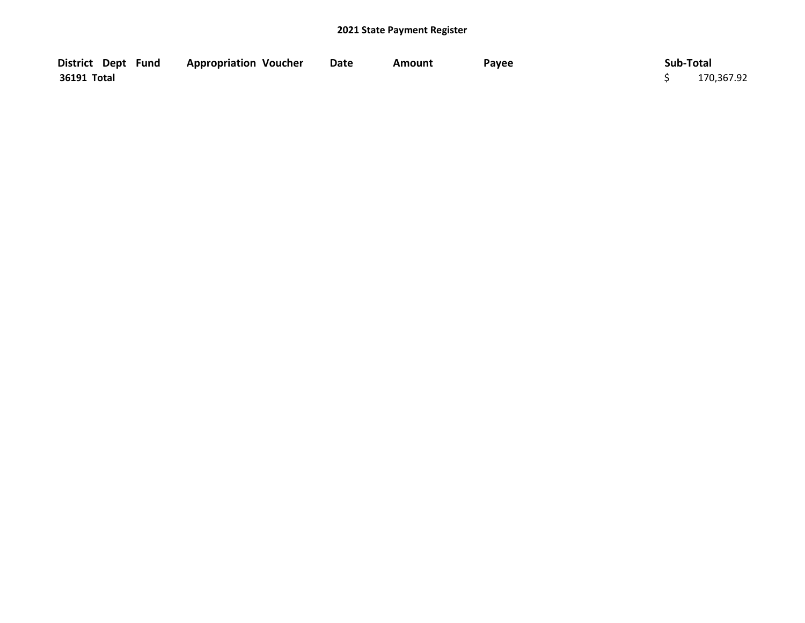| District Dept Fund | <b>Appropriation Voucher</b> | <b>Date</b> | Amount | Payee | Sub-Total  |
|--------------------|------------------------------|-------------|--------|-------|------------|
| 36191 Total        |                              |             |        |       | 170,367.92 |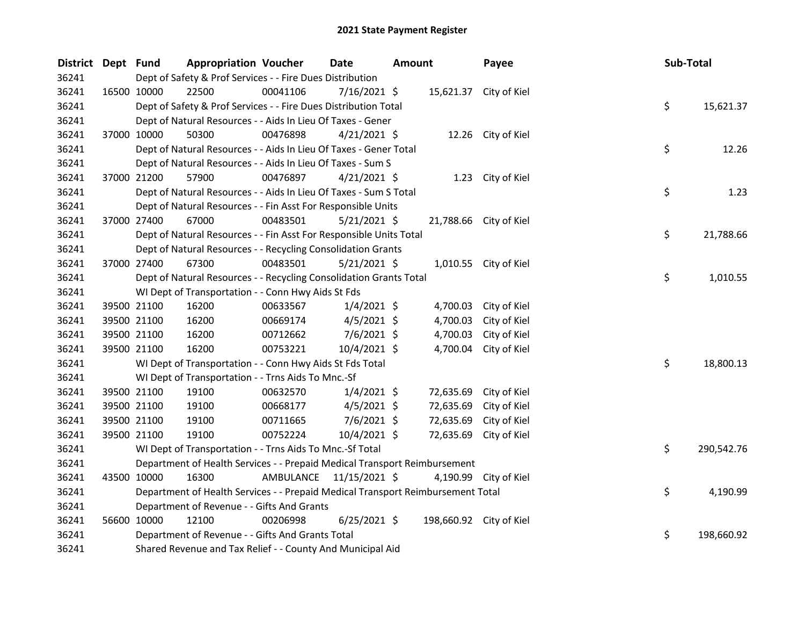| <b>District</b> | Dept Fund |                                                                                 | <b>Appropriation Voucher</b> | <b>Date</b>    | Amount |                         | Payee                  | Sub-Total |            |
|-----------------|-----------|---------------------------------------------------------------------------------|------------------------------|----------------|--------|-------------------------|------------------------|-----------|------------|
| 36241           |           | Dept of Safety & Prof Services - - Fire Dues Distribution                       |                              |                |        |                         |                        |           |            |
| 36241           |           | 22500<br>16500 10000                                                            | 00041106                     | $7/16/2021$ \$ |        |                         | 15,621.37 City of Kiel |           |            |
| 36241           |           | Dept of Safety & Prof Services - - Fire Dues Distribution Total                 |                              |                |        |                         |                        | \$        | 15,621.37  |
| 36241           |           | Dept of Natural Resources - - Aids In Lieu Of Taxes - Gener                     |                              |                |        |                         |                        |           |            |
| 36241           |           | 37000 10000<br>50300                                                            | 00476898                     | $4/21/2021$ \$ |        |                         | 12.26 City of Kiel     |           |            |
| 36241           |           | Dept of Natural Resources - - Aids In Lieu Of Taxes - Gener Total               |                              |                |        |                         |                        | \$        | 12.26      |
| 36241           |           | Dept of Natural Resources - - Aids In Lieu Of Taxes - Sum S                     |                              |                |        |                         |                        |           |            |
| 36241           |           | 57900<br>37000 21200                                                            | 00476897                     | $4/21/2021$ \$ |        |                         | 1.23 City of Kiel      |           |            |
| 36241           |           | Dept of Natural Resources - - Aids In Lieu Of Taxes - Sum S Total               |                              |                |        |                         |                        | \$        | 1.23       |
| 36241           |           | Dept of Natural Resources - - Fin Asst For Responsible Units                    |                              |                |        |                         |                        |           |            |
| 36241           |           | 67000<br>37000 27400                                                            | 00483501                     | 5/21/2021 \$   |        |                         | 21,788.66 City of Kiel |           |            |
| 36241           |           | Dept of Natural Resources - - Fin Asst For Responsible Units Total              |                              |                |        |                         |                        | \$        | 21,788.66  |
| 36241           |           | Dept of Natural Resources - - Recycling Consolidation Grants                    |                              |                |        |                         |                        |           |            |
| 36241           |           | 37000 27400<br>67300                                                            | 00483501                     | $5/21/2021$ \$ |        |                         | 1,010.55 City of Kiel  |           |            |
| 36241           |           | Dept of Natural Resources - - Recycling Consolidation Grants Total              |                              |                |        |                         |                        | \$        | 1,010.55   |
| 36241           |           | WI Dept of Transportation - - Conn Hwy Aids St Fds                              |                              |                |        |                         |                        |           |            |
| 36241           |           | 39500 21100<br>16200                                                            | 00633567                     | $1/4/2021$ \$  |        |                         | 4,700.03 City of Kiel  |           |            |
| 36241           |           | 39500 21100<br>16200                                                            | 00669174                     | $4/5/2021$ \$  |        | 4,700.03                | City of Kiel           |           |            |
| 36241           |           | 39500 21100<br>16200                                                            | 00712662                     | $7/6/2021$ \$  |        | 4,700.03                | City of Kiel           |           |            |
| 36241           |           | 39500 21100<br>16200                                                            | 00753221                     | 10/4/2021 \$   |        |                         | 4,700.04 City of Kiel  |           |            |
| 36241           |           | WI Dept of Transportation - - Conn Hwy Aids St Fds Total                        |                              |                |        |                         |                        | \$        | 18,800.13  |
| 36241           |           | WI Dept of Transportation - - Trns Aids To Mnc.-Sf                              |                              |                |        |                         |                        |           |            |
| 36241           |           | 39500 21100<br>19100                                                            | 00632570                     | $1/4/2021$ \$  |        | 72,635.69               | City of Kiel           |           |            |
| 36241           |           | 39500 21100<br>19100                                                            | 00668177                     | $4/5/2021$ \$  |        | 72,635.69               | City of Kiel           |           |            |
| 36241           |           | 39500 21100<br>19100                                                            | 00711665                     | $7/6/2021$ \$  |        | 72,635.69               | City of Kiel           |           |            |
| 36241           |           | 39500 21100<br>19100                                                            | 00752224                     | 10/4/2021 \$   |        |                         | 72,635.69 City of Kiel |           |            |
| 36241           |           | WI Dept of Transportation - - Trns Aids To Mnc.-Sf Total                        |                              |                |        |                         |                        | \$        | 290,542.76 |
| 36241           |           | Department of Health Services - - Prepaid Medical Transport Reimbursement       |                              |                |        |                         |                        |           |            |
| 36241           |           | 43500 10000<br>16300                                                            | AMBULANCE 11/15/2021 \$      |                |        |                         | 4,190.99 City of Kiel  |           |            |
| 36241           |           | Department of Health Services - - Prepaid Medical Transport Reimbursement Total |                              |                |        |                         |                        | \$        | 4,190.99   |
| 36241           |           | Department of Revenue - - Gifts And Grants                                      |                              |                |        |                         |                        |           |            |
| 36241           |           | 56600 10000<br>12100                                                            | 00206998                     | $6/25/2021$ \$ |        | 198,660.92 City of Kiel |                        |           |            |
| 36241           |           | Department of Revenue - - Gifts And Grants Total                                |                              |                |        |                         |                        | \$        | 198,660.92 |
| 36241           |           | Shared Revenue and Tax Relief - - County And Municipal Aid                      |                              |                |        |                         |                        |           |            |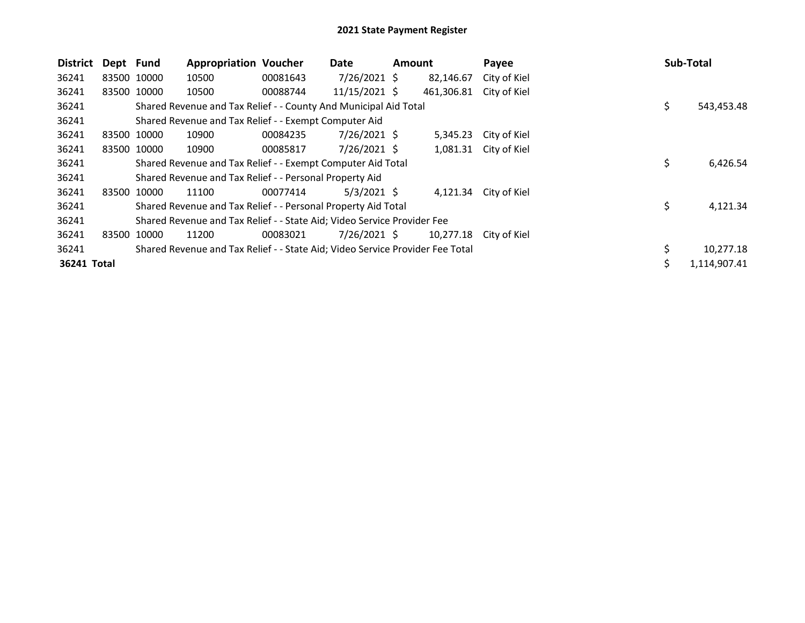| <b>District</b> | Dept Fund   |             | <b>Appropriation Voucher</b>                                                  |          | Date           | <b>Amount</b> |            | Payee        |    | Sub-Total    |
|-----------------|-------------|-------------|-------------------------------------------------------------------------------|----------|----------------|---------------|------------|--------------|----|--------------|
| 36241           | 83500 10000 |             | 10500                                                                         | 00081643 | 7/26/2021 \$   |               | 82,146.67  | City of Kiel |    |              |
| 36241           | 83500 10000 |             | 10500                                                                         | 00088744 | 11/15/2021 \$  |               | 461,306.81 | City of Kiel |    |              |
| 36241           |             |             | Shared Revenue and Tax Relief - - County And Municipal Aid Total              |          |                |               |            |              | \$ | 543,453.48   |
| 36241           |             |             | Shared Revenue and Tax Relief - - Exempt Computer Aid                         |          |                |               |            |              |    |              |
| 36241           | 83500 10000 |             | 10900                                                                         | 00084235 | 7/26/2021 \$   |               | 5,345.23   | City of Kiel |    |              |
| 36241           |             | 83500 10000 | 10900                                                                         | 00085817 | 7/26/2021 \$   |               | 1,081.31   | City of Kiel |    |              |
| 36241           |             |             | Shared Revenue and Tax Relief - - Exempt Computer Aid Total                   |          |                |               |            |              | \$ | 6,426.54     |
| 36241           |             |             | Shared Revenue and Tax Relief - - Personal Property Aid                       |          |                |               |            |              |    |              |
| 36241           | 83500 10000 |             | 11100                                                                         | 00077414 | $5/3/2021$ \$  |               | 4,121.34   | City of Kiel |    |              |
| 36241           |             |             | Shared Revenue and Tax Relief - - Personal Property Aid Total                 |          |                |               |            |              | \$ | 4,121.34     |
| 36241           |             |             | Shared Revenue and Tax Relief - - State Aid; Video Service Provider Fee       |          |                |               |            |              |    |              |
| 36241           | 83500       | 10000       | 11200                                                                         | 00083021 | $7/26/2021$ \$ |               | 10.277.18  | City of Kiel |    |              |
| 36241           |             |             | Shared Revenue and Tax Relief - - State Aid; Video Service Provider Fee Total |          |                |               |            |              |    | 10,277.18    |
| 36241 Total     |             |             |                                                                               |          |                |               |            |              | Ś  | 1,114,907.41 |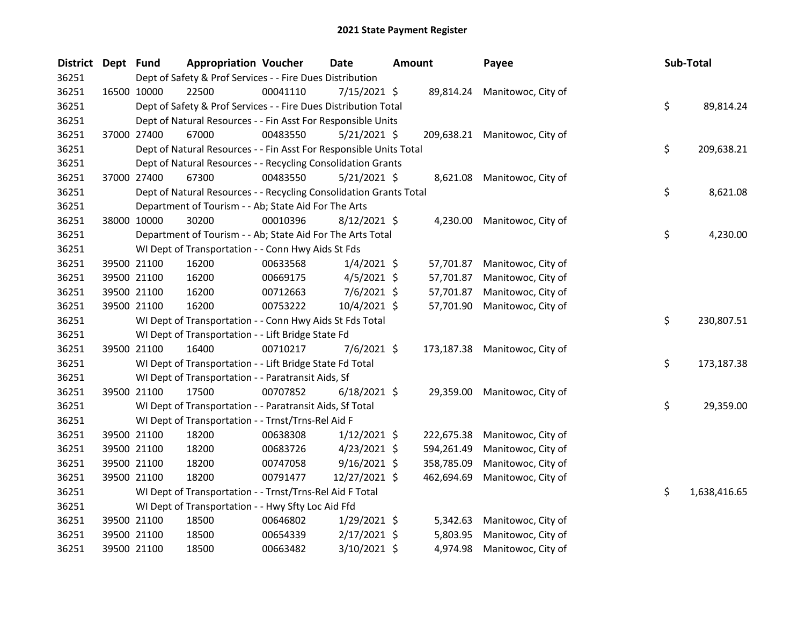| <b>District</b> | Dept Fund |             | <b>Appropriation Voucher</b>                                       |          | Date           | <b>Amount</b> |            | Payee                         |    | Sub-Total    |
|-----------------|-----------|-------------|--------------------------------------------------------------------|----------|----------------|---------------|------------|-------------------------------|----|--------------|
| 36251           |           |             | Dept of Safety & Prof Services - - Fire Dues Distribution          |          |                |               |            |                               |    |              |
| 36251           |           | 16500 10000 | 22500                                                              | 00041110 | 7/15/2021 \$   |               | 89,814.24  | Manitowoc, City of            |    |              |
| 36251           |           |             | Dept of Safety & Prof Services - - Fire Dues Distribution Total    |          |                |               |            |                               | \$ | 89,814.24    |
| 36251           |           |             | Dept of Natural Resources - - Fin Asst For Responsible Units       |          |                |               |            |                               |    |              |
| 36251           |           | 37000 27400 | 67000                                                              | 00483550 | $5/21/2021$ \$ |               |            | 209,638.21 Manitowoc, City of |    |              |
| 36251           |           |             | Dept of Natural Resources - - Fin Asst For Responsible Units Total |          |                |               |            |                               | \$ | 209,638.21   |
| 36251           |           |             | Dept of Natural Resources - - Recycling Consolidation Grants       |          |                |               |            |                               |    |              |
| 36251           |           | 37000 27400 | 67300                                                              | 00483550 | $5/21/2021$ \$ |               | 8,621.08   | Manitowoc, City of            |    |              |
| 36251           |           |             | Dept of Natural Resources - - Recycling Consolidation Grants Total |          |                |               |            |                               | \$ | 8,621.08     |
| 36251           |           |             | Department of Tourism - - Ab; State Aid For The Arts               |          |                |               |            |                               |    |              |
| 36251           |           | 38000 10000 | 30200                                                              | 00010396 | $8/12/2021$ \$ |               | 4,230.00   | Manitowoc, City of            |    |              |
| 36251           |           |             | Department of Tourism - - Ab; State Aid For The Arts Total         |          |                |               |            |                               | \$ | 4,230.00     |
| 36251           |           |             | WI Dept of Transportation - - Conn Hwy Aids St Fds                 |          |                |               |            |                               |    |              |
| 36251           |           | 39500 21100 | 16200                                                              | 00633568 | $1/4/2021$ \$  |               | 57,701.87  | Manitowoc, City of            |    |              |
| 36251           |           | 39500 21100 | 16200                                                              | 00669175 | $4/5/2021$ \$  |               | 57,701.87  | Manitowoc, City of            |    |              |
| 36251           |           | 39500 21100 | 16200                                                              | 00712663 | $7/6/2021$ \$  |               | 57,701.87  | Manitowoc, City of            |    |              |
| 36251           |           | 39500 21100 | 16200                                                              | 00753222 | 10/4/2021 \$   |               | 57,701.90  | Manitowoc, City of            |    |              |
| 36251           |           |             | WI Dept of Transportation - - Conn Hwy Aids St Fds Total           |          |                |               |            |                               | \$ | 230,807.51   |
| 36251           |           |             | WI Dept of Transportation - - Lift Bridge State Fd                 |          |                |               |            |                               |    |              |
| 36251           |           | 39500 21100 | 16400                                                              | 00710217 | $7/6/2021$ \$  |               | 173,187.38 | Manitowoc, City of            |    |              |
| 36251           |           |             | WI Dept of Transportation - - Lift Bridge State Fd Total           |          |                |               |            |                               | \$ | 173,187.38   |
| 36251           |           |             | WI Dept of Transportation - - Paratransit Aids, Sf                 |          |                |               |            |                               |    |              |
| 36251           |           | 39500 21100 | 17500                                                              | 00707852 | $6/18/2021$ \$ |               | 29,359.00  | Manitowoc, City of            |    |              |
| 36251           |           |             | WI Dept of Transportation - - Paratransit Aids, Sf Total           |          |                |               |            |                               | \$ | 29,359.00    |
| 36251           |           |             | WI Dept of Transportation - - Trnst/Trns-Rel Aid F                 |          |                |               |            |                               |    |              |
| 36251           |           | 39500 21100 | 18200                                                              | 00638308 | $1/12/2021$ \$ |               | 222,675.38 | Manitowoc, City of            |    |              |
| 36251           |           | 39500 21100 | 18200                                                              | 00683726 | $4/23/2021$ \$ |               | 594,261.49 | Manitowoc, City of            |    |              |
| 36251           |           | 39500 21100 | 18200                                                              | 00747058 | 9/16/2021 \$   |               | 358,785.09 | Manitowoc, City of            |    |              |
| 36251           |           | 39500 21100 | 18200                                                              | 00791477 | 12/27/2021 \$  |               | 462,694.69 | Manitowoc, City of            |    |              |
| 36251           |           |             | WI Dept of Transportation - - Trnst/Trns-Rel Aid F Total           |          |                |               |            |                               | \$ | 1,638,416.65 |
| 36251           |           |             | WI Dept of Transportation - - Hwy Sfty Loc Aid Ffd                 |          |                |               |            |                               |    |              |
| 36251           |           | 39500 21100 | 18500                                                              | 00646802 | 1/29/2021 \$   |               | 5,342.63   | Manitowoc, City of            |    |              |
| 36251           |           | 39500 21100 | 18500                                                              | 00654339 | $2/17/2021$ \$ |               | 5,803.95   | Manitowoc, City of            |    |              |
| 36251           |           | 39500 21100 | 18500                                                              | 00663482 | 3/10/2021 \$   |               | 4,974.98   | Manitowoc, City of            |    |              |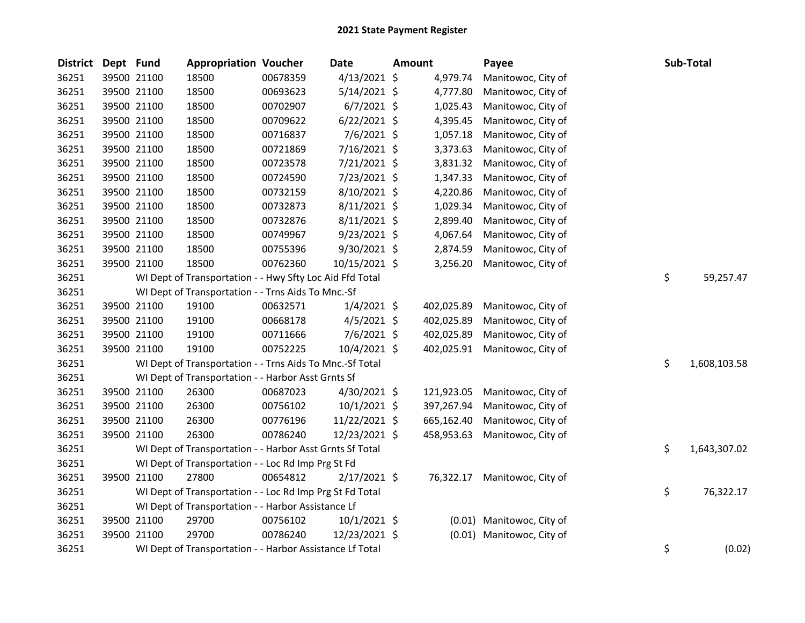| <b>District</b> | Dept Fund |             | <b>Appropriation Voucher</b>                             |          | Date           | Amount     | Payee                     | Sub-Total          |
|-----------------|-----------|-------------|----------------------------------------------------------|----------|----------------|------------|---------------------------|--------------------|
| 36251           |           | 39500 21100 | 18500                                                    | 00678359 | $4/13/2021$ \$ | 4,979.74   | Manitowoc, City of        |                    |
| 36251           |           | 39500 21100 | 18500                                                    | 00693623 | 5/14/2021 \$   | 4,777.80   | Manitowoc, City of        |                    |
| 36251           |           | 39500 21100 | 18500                                                    | 00702907 | $6/7/2021$ \$  | 1,025.43   | Manitowoc, City of        |                    |
| 36251           |           | 39500 21100 | 18500                                                    | 00709622 | $6/22/2021$ \$ | 4,395.45   | Manitowoc, City of        |                    |
| 36251           |           | 39500 21100 | 18500                                                    | 00716837 | $7/6/2021$ \$  | 1,057.18   | Manitowoc, City of        |                    |
| 36251           |           | 39500 21100 | 18500                                                    | 00721869 | 7/16/2021 \$   | 3,373.63   | Manitowoc, City of        |                    |
| 36251           |           | 39500 21100 | 18500                                                    | 00723578 | 7/21/2021 \$   | 3,831.32   | Manitowoc, City of        |                    |
| 36251           |           | 39500 21100 | 18500                                                    | 00724590 | 7/23/2021 \$   | 1,347.33   | Manitowoc, City of        |                    |
| 36251           |           | 39500 21100 | 18500                                                    | 00732159 | 8/10/2021 \$   | 4,220.86   | Manitowoc, City of        |                    |
| 36251           |           | 39500 21100 | 18500                                                    | 00732873 | 8/11/2021 \$   | 1,029.34   | Manitowoc, City of        |                    |
| 36251           |           | 39500 21100 | 18500                                                    | 00732876 | $8/11/2021$ \$ | 2,899.40   | Manitowoc, City of        |                    |
| 36251           |           | 39500 21100 | 18500                                                    | 00749967 | $9/23/2021$ \$ | 4,067.64   | Manitowoc, City of        |                    |
| 36251           |           | 39500 21100 | 18500                                                    | 00755396 | 9/30/2021 \$   | 2,874.59   | Manitowoc, City of        |                    |
| 36251           |           | 39500 21100 | 18500                                                    | 00762360 | 10/15/2021 \$  | 3,256.20   | Manitowoc, City of        |                    |
| 36251           |           |             | WI Dept of Transportation - - Hwy Sfty Loc Aid Ffd Total |          |                |            |                           | \$<br>59,257.47    |
| 36251           |           |             | WI Dept of Transportation - - Trns Aids To Mnc.-Sf       |          |                |            |                           |                    |
| 36251           |           | 39500 21100 | 19100                                                    | 00632571 | $1/4/2021$ \$  | 402,025.89 | Manitowoc, City of        |                    |
| 36251           |           | 39500 21100 | 19100                                                    | 00668178 | $4/5/2021$ \$  | 402,025.89 | Manitowoc, City of        |                    |
| 36251           |           | 39500 21100 | 19100                                                    | 00711666 | $7/6/2021$ \$  | 402,025.89 | Manitowoc, City of        |                    |
| 36251           |           | 39500 21100 | 19100                                                    | 00752225 | $10/4/2021$ \$ | 402,025.91 | Manitowoc, City of        |                    |
| 36251           |           |             | WI Dept of Transportation - - Trns Aids To Mnc.-Sf Total |          |                |            |                           | \$<br>1,608,103.58 |
| 36251           |           |             | WI Dept of Transportation - - Harbor Asst Grnts Sf       |          |                |            |                           |                    |
| 36251           |           | 39500 21100 | 26300                                                    | 00687023 | $4/30/2021$ \$ | 121,923.05 | Manitowoc, City of        |                    |
| 36251           |           | 39500 21100 | 26300                                                    | 00756102 | $10/1/2021$ \$ | 397,267.94 | Manitowoc, City of        |                    |
| 36251           |           | 39500 21100 | 26300                                                    | 00776196 | 11/22/2021 \$  | 665,162.40 | Manitowoc, City of        |                    |
| 36251           |           | 39500 21100 | 26300                                                    | 00786240 | 12/23/2021 \$  | 458,953.63 | Manitowoc, City of        |                    |
| 36251           |           |             | WI Dept of Transportation - - Harbor Asst Grnts Sf Total |          |                |            |                           | \$<br>1,643,307.02 |
| 36251           |           |             | WI Dept of Transportation - - Loc Rd Imp Prg St Fd       |          |                |            |                           |                    |
| 36251           |           | 39500 21100 | 27800                                                    | 00654812 | $2/17/2021$ \$ | 76,322.17  | Manitowoc, City of        |                    |
| 36251           |           |             | WI Dept of Transportation - - Loc Rd Imp Prg St Fd Total |          |                |            |                           | \$<br>76,322.17    |
| 36251           |           |             | WI Dept of Transportation - - Harbor Assistance Lf       |          |                |            |                           |                    |
| 36251           |           | 39500 21100 | 29700                                                    | 00756102 | $10/1/2021$ \$ |            | (0.01) Manitowoc, City of |                    |
| 36251           |           | 39500 21100 | 29700                                                    | 00786240 | 12/23/2021 \$  |            | (0.01) Manitowoc, City of |                    |
| 36251           |           |             | WI Dept of Transportation - - Harbor Assistance Lf Total |          |                |            |                           | \$<br>(0.02)       |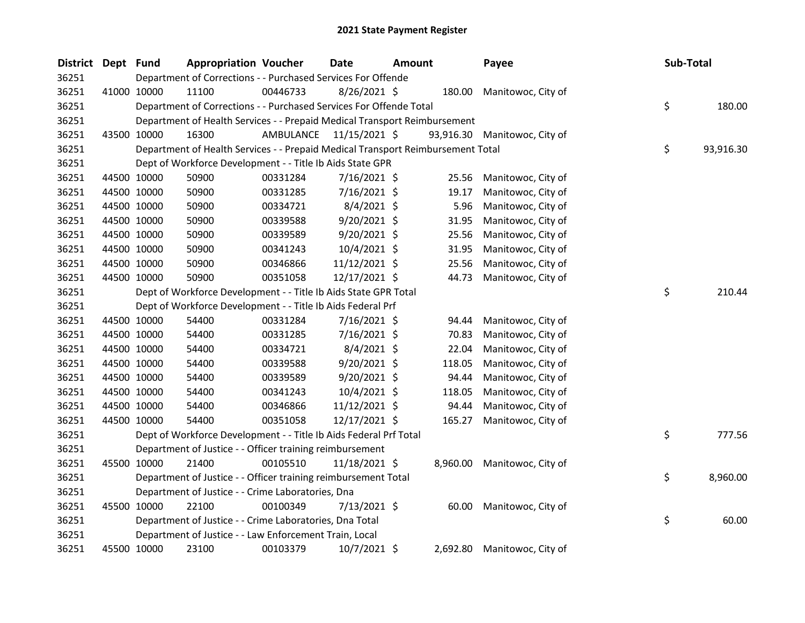| <b>District</b> | Dept Fund |             | <b>Appropriation Voucher</b>                                                    |           | <b>Date</b>     | <b>Amount</b> |          | Payee                        | Sub-Total |           |
|-----------------|-----------|-------------|---------------------------------------------------------------------------------|-----------|-----------------|---------------|----------|------------------------------|-----------|-----------|
| 36251           |           |             | Department of Corrections - - Purchased Services For Offende                    |           |                 |               |          |                              |           |           |
| 36251           |           | 41000 10000 | 11100                                                                           | 00446733  | 8/26/2021 \$    |               | 180.00   | Manitowoc, City of           |           |           |
| 36251           |           |             | Department of Corrections - - Purchased Services For Offende Total              |           |                 |               |          |                              | \$        | 180.00    |
| 36251           |           |             | Department of Health Services - - Prepaid Medical Transport Reimbursement       |           |                 |               |          |                              |           |           |
| 36251           |           | 43500 10000 | 16300                                                                           | AMBULANCE | 11/15/2021 \$   |               |          | 93,916.30 Manitowoc, City of |           |           |
| 36251           |           |             | Department of Health Services - - Prepaid Medical Transport Reimbursement Total |           |                 |               |          |                              | \$        | 93,916.30 |
| 36251           |           |             | Dept of Workforce Development - - Title Ib Aids State GPR                       |           |                 |               |          |                              |           |           |
| 36251           |           | 44500 10000 | 50900                                                                           | 00331284  | 7/16/2021 \$    |               | 25.56    | Manitowoc, City of           |           |           |
| 36251           |           | 44500 10000 | 50900                                                                           | 00331285  | 7/16/2021 \$    |               | 19.17    | Manitowoc, City of           |           |           |
| 36251           |           | 44500 10000 | 50900                                                                           | 00334721  | $8/4/2021$ \$   |               | 5.96     | Manitowoc, City of           |           |           |
| 36251           |           | 44500 10000 | 50900                                                                           | 00339588  | $9/20/2021$ \$  |               | 31.95    | Manitowoc, City of           |           |           |
| 36251           |           | 44500 10000 | 50900                                                                           | 00339589  | $9/20/2021$ \$  |               | 25.56    | Manitowoc, City of           |           |           |
| 36251           |           | 44500 10000 | 50900                                                                           | 00341243  | $10/4/2021$ \$  |               | 31.95    | Manitowoc, City of           |           |           |
| 36251           |           | 44500 10000 | 50900                                                                           | 00346866  | 11/12/2021 \$   |               | 25.56    | Manitowoc, City of           |           |           |
| 36251           |           | 44500 10000 | 50900                                                                           | 00351058  | 12/17/2021 \$   |               | 44.73    | Manitowoc, City of           |           |           |
| 36251           |           |             | Dept of Workforce Development - - Title Ib Aids State GPR Total                 |           |                 |               |          |                              | \$        | 210.44    |
| 36251           |           |             | Dept of Workforce Development - - Title Ib Aids Federal Prf                     |           |                 |               |          |                              |           |           |
| 36251           |           | 44500 10000 | 54400                                                                           | 00331284  | 7/16/2021 \$    |               | 94.44    | Manitowoc, City of           |           |           |
| 36251           |           | 44500 10000 | 54400                                                                           | 00331285  | 7/16/2021 \$    |               | 70.83    | Manitowoc, City of           |           |           |
| 36251           |           | 44500 10000 | 54400                                                                           | 00334721  | $8/4/2021$ \$   |               | 22.04    | Manitowoc, City of           |           |           |
| 36251           |           | 44500 10000 | 54400                                                                           | 00339588  | $9/20/2021$ \$  |               | 118.05   | Manitowoc, City of           |           |           |
| 36251           |           | 44500 10000 | 54400                                                                           | 00339589  | $9/20/2021$ \$  |               | 94.44    | Manitowoc, City of           |           |           |
| 36251           |           | 44500 10000 | 54400                                                                           | 00341243  | 10/4/2021 \$    |               | 118.05   | Manitowoc, City of           |           |           |
| 36251           |           | 44500 10000 | 54400                                                                           | 00346866  | $11/12/2021$ \$ |               | 94.44    | Manitowoc, City of           |           |           |
| 36251           |           | 44500 10000 | 54400                                                                           | 00351058  | 12/17/2021 \$   |               | 165.27   | Manitowoc, City of           |           |           |
| 36251           |           |             | Dept of Workforce Development - - Title Ib Aids Federal Prf Total               |           |                 |               |          |                              | \$        | 777.56    |
| 36251           |           |             | Department of Justice - - Officer training reimbursement                        |           |                 |               |          |                              |           |           |
| 36251           |           | 45500 10000 | 21400                                                                           | 00105510  | 11/18/2021 \$   |               | 8,960.00 | Manitowoc, City of           |           |           |
| 36251           |           |             | Department of Justice - - Officer training reimbursement Total                  |           |                 |               |          |                              | \$        | 8,960.00  |
| 36251           |           |             | Department of Justice - - Crime Laboratories, Dna                               |           |                 |               |          |                              |           |           |
| 36251           |           | 45500 10000 | 22100                                                                           | 00100349  | $7/13/2021$ \$  |               | 60.00    | Manitowoc, City of           |           |           |
| 36251           |           |             | Department of Justice - - Crime Laboratories, Dna Total                         |           |                 |               |          |                              | \$        | 60.00     |
| 36251           |           |             | Department of Justice - - Law Enforcement Train, Local                          |           |                 |               |          |                              |           |           |
| 36251           |           | 45500 10000 | 23100                                                                           | 00103379  | 10/7/2021 \$    |               | 2,692.80 | Manitowoc, City of           |           |           |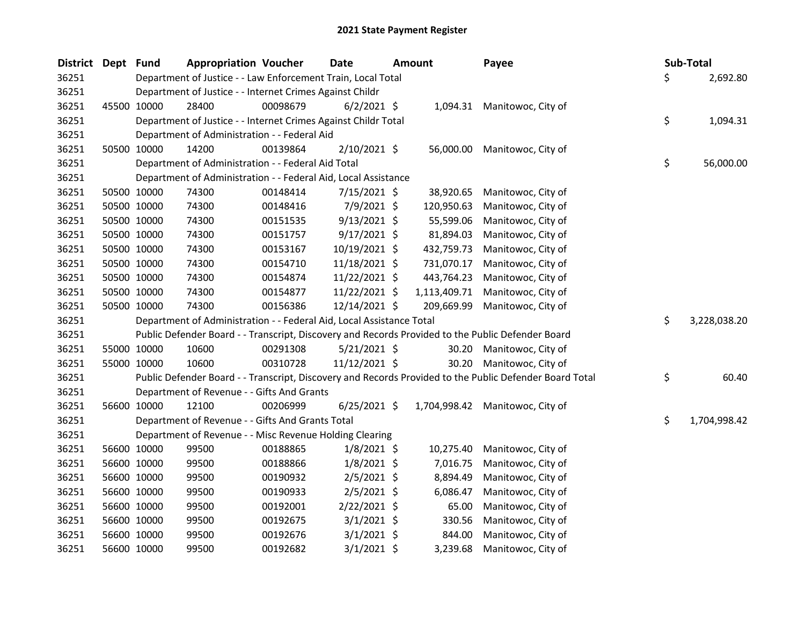| <b>District</b> | Dept Fund |             | <b>Appropriation Voucher</b>                                         |          | <b>Date</b>    | Amount       | Payee                                                                                                   | Sub-Total          |
|-----------------|-----------|-------------|----------------------------------------------------------------------|----------|----------------|--------------|---------------------------------------------------------------------------------------------------------|--------------------|
| 36251           |           |             | Department of Justice - - Law Enforcement Train, Local Total         |          |                |              |                                                                                                         | \$<br>2,692.80     |
| 36251           |           |             | Department of Justice - - Internet Crimes Against Childr             |          |                |              |                                                                                                         |                    |
| 36251           |           | 45500 10000 | 28400                                                                | 00098679 | $6/2/2021$ \$  |              | 1,094.31 Manitowoc, City of                                                                             |                    |
| 36251           |           |             | Department of Justice - - Internet Crimes Against Childr Total       |          |                |              |                                                                                                         | \$<br>1,094.31     |
| 36251           |           |             | Department of Administration - - Federal Aid                         |          |                |              |                                                                                                         |                    |
| 36251           |           | 50500 10000 | 14200                                                                | 00139864 | $2/10/2021$ \$ | 56,000.00    | Manitowoc, City of                                                                                      |                    |
| 36251           |           |             | Department of Administration - - Federal Aid Total                   |          |                |              |                                                                                                         | \$<br>56,000.00    |
| 36251           |           |             | Department of Administration - - Federal Aid, Local Assistance       |          |                |              |                                                                                                         |                    |
| 36251           |           | 50500 10000 | 74300                                                                | 00148414 | 7/15/2021 \$   | 38,920.65    | Manitowoc, City of                                                                                      |                    |
| 36251           |           | 50500 10000 | 74300                                                                | 00148416 | 7/9/2021 \$    | 120,950.63   | Manitowoc, City of                                                                                      |                    |
| 36251           |           | 50500 10000 | 74300                                                                | 00151535 | $9/13/2021$ \$ | 55,599.06    | Manitowoc, City of                                                                                      |                    |
| 36251           |           | 50500 10000 | 74300                                                                | 00151757 | $9/17/2021$ \$ | 81,894.03    | Manitowoc, City of                                                                                      |                    |
| 36251           |           | 50500 10000 | 74300                                                                | 00153167 | 10/19/2021 \$  | 432,759.73   | Manitowoc, City of                                                                                      |                    |
| 36251           |           | 50500 10000 | 74300                                                                | 00154710 | 11/18/2021 \$  | 731,070.17   | Manitowoc, City of                                                                                      |                    |
| 36251           |           | 50500 10000 | 74300                                                                | 00154874 | 11/22/2021 \$  | 443,764.23   | Manitowoc, City of                                                                                      |                    |
| 36251           |           | 50500 10000 | 74300                                                                | 00154877 | 11/22/2021 \$  | 1,113,409.71 | Manitowoc, City of                                                                                      |                    |
| 36251           |           | 50500 10000 | 74300                                                                | 00156386 | 12/14/2021 \$  | 209,669.99   | Manitowoc, City of                                                                                      |                    |
| 36251           |           |             | Department of Administration - - Federal Aid, Local Assistance Total |          |                |              |                                                                                                         | \$<br>3,228,038.20 |
| 36251           |           |             |                                                                      |          |                |              | Public Defender Board - - Transcript, Discovery and Records Provided to the Public Defender Board       |                    |
| 36251           |           | 55000 10000 | 10600                                                                | 00291308 | $5/21/2021$ \$ |              | 30.20 Manitowoc, City of                                                                                |                    |
| 36251           |           | 55000 10000 | 10600                                                                | 00310728 | 11/12/2021 \$  | 30.20        | Manitowoc, City of                                                                                      |                    |
| 36251           |           |             |                                                                      |          |                |              | Public Defender Board - - Transcript, Discovery and Records Provided to the Public Defender Board Total | \$<br>60.40        |
| 36251           |           |             | Department of Revenue - - Gifts And Grants                           |          |                |              |                                                                                                         |                    |
| 36251           |           | 56600 10000 | 12100                                                                | 00206999 | $6/25/2021$ \$ | 1,704,998.42 | Manitowoc, City of                                                                                      |                    |
| 36251           |           |             | Department of Revenue - - Gifts And Grants Total                     |          |                |              |                                                                                                         | \$<br>1,704,998.42 |
| 36251           |           |             | Department of Revenue - - Misc Revenue Holding Clearing              |          |                |              |                                                                                                         |                    |
| 36251           |           | 56600 10000 | 99500                                                                | 00188865 | $1/8/2021$ \$  | 10,275.40    | Manitowoc, City of                                                                                      |                    |
| 36251           |           | 56600 10000 | 99500                                                                | 00188866 | $1/8/2021$ \$  | 7,016.75     | Manitowoc, City of                                                                                      |                    |
| 36251           |           | 56600 10000 | 99500                                                                | 00190932 | $2/5/2021$ \$  | 8,894.49     | Manitowoc, City of                                                                                      |                    |
| 36251           |           | 56600 10000 | 99500                                                                | 00190933 | $2/5/2021$ \$  | 6,086.47     | Manitowoc, City of                                                                                      |                    |
| 36251           |           | 56600 10000 | 99500                                                                | 00192001 | $2/22/2021$ \$ | 65.00        | Manitowoc, City of                                                                                      |                    |
| 36251           |           | 56600 10000 | 99500                                                                | 00192675 | $3/1/2021$ \$  | 330.56       | Manitowoc, City of                                                                                      |                    |
| 36251           |           | 56600 10000 | 99500                                                                | 00192676 | $3/1/2021$ \$  | 844.00       | Manitowoc, City of                                                                                      |                    |
| 36251           |           | 56600 10000 | 99500                                                                | 00192682 | $3/1/2021$ \$  | 3,239.68     | Manitowoc, City of                                                                                      |                    |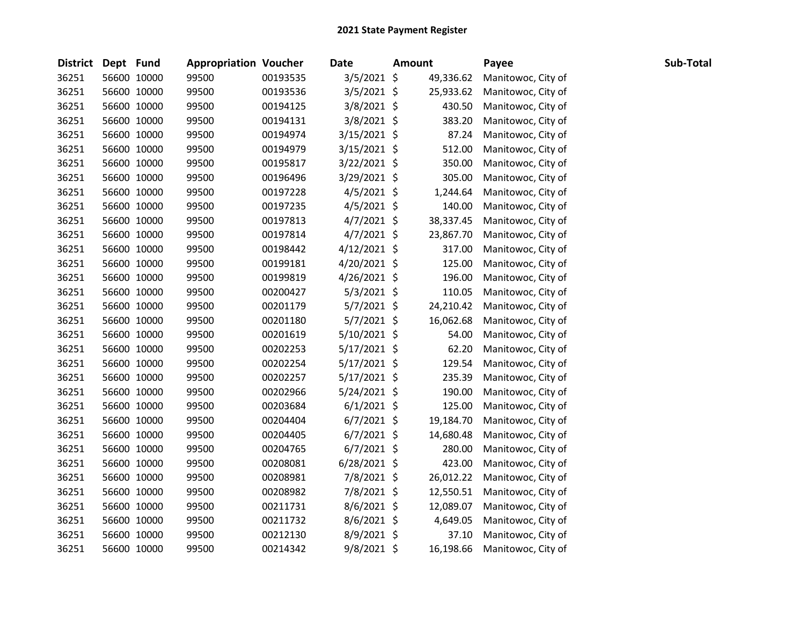| District Dept Fund |             | <b>Appropriation Voucher</b> |          | <b>Date</b>    | <b>Amount</b> |           | Payee              | Sub-Total |
|--------------------|-------------|------------------------------|----------|----------------|---------------|-----------|--------------------|-----------|
| 36251              | 56600 10000 | 99500                        | 00193535 | $3/5/2021$ \$  |               | 49,336.62 | Manitowoc, City of |           |
| 36251              | 56600 10000 | 99500                        | 00193536 | 3/5/2021 \$    |               | 25,933.62 | Manitowoc, City of |           |
| 36251              | 56600 10000 | 99500                        | 00194125 | $3/8/2021$ \$  |               | 430.50    | Manitowoc, City of |           |
| 36251              | 56600 10000 | 99500                        | 00194131 | $3/8/2021$ \$  |               | 383.20    | Manitowoc, City of |           |
| 36251              | 56600 10000 | 99500                        | 00194974 | $3/15/2021$ \$ |               | 87.24     | Manitowoc, City of |           |
| 36251              | 56600 10000 | 99500                        | 00194979 | $3/15/2021$ \$ |               | 512.00    | Manitowoc, City of |           |
| 36251              | 56600 10000 | 99500                        | 00195817 | $3/22/2021$ \$ |               | 350.00    | Manitowoc, City of |           |
| 36251              | 56600 10000 | 99500                        | 00196496 | 3/29/2021 \$   |               | 305.00    | Manitowoc, City of |           |
| 36251              | 56600 10000 | 99500                        | 00197228 | $4/5/2021$ \$  |               | 1,244.64  | Manitowoc, City of |           |
| 36251              | 56600 10000 | 99500                        | 00197235 | $4/5/2021$ \$  |               | 140.00    | Manitowoc, City of |           |
| 36251              | 56600 10000 | 99500                        | 00197813 | $4/7/2021$ \$  |               | 38,337.45 | Manitowoc, City of |           |
| 36251              | 56600 10000 | 99500                        | 00197814 | $4/7/2021$ \$  |               | 23,867.70 | Manitowoc, City of |           |
| 36251              | 56600 10000 | 99500                        | 00198442 | $4/12/2021$ \$ |               | 317.00    | Manitowoc, City of |           |
| 36251              | 56600 10000 | 99500                        | 00199181 | $4/20/2021$ \$ |               | 125.00    | Manitowoc, City of |           |
| 36251              | 56600 10000 | 99500                        | 00199819 | $4/26/2021$ \$ |               | 196.00    | Manitowoc, City of |           |
| 36251              | 56600 10000 | 99500                        | 00200427 | $5/3/2021$ \$  |               | 110.05    | Manitowoc, City of |           |
| 36251              | 56600 10000 | 99500                        | 00201179 | $5/7/2021$ \$  |               | 24,210.42 | Manitowoc, City of |           |
| 36251              | 56600 10000 | 99500                        | 00201180 | $5/7/2021$ \$  |               | 16,062.68 | Manitowoc, City of |           |
| 36251              | 56600 10000 | 99500                        | 00201619 | $5/10/2021$ \$ |               | 54.00     | Manitowoc, City of |           |
| 36251              | 56600 10000 | 99500                        | 00202253 | $5/17/2021$ \$ |               | 62.20     | Manitowoc, City of |           |
| 36251              | 56600 10000 | 99500                        | 00202254 | $5/17/2021$ \$ |               | 129.54    | Manitowoc, City of |           |
| 36251              | 56600 10000 | 99500                        | 00202257 | $5/17/2021$ \$ |               | 235.39    | Manitowoc, City of |           |
| 36251              | 56600 10000 | 99500                        | 00202966 | $5/24/2021$ \$ |               | 190.00    | Manitowoc, City of |           |
| 36251              | 56600 10000 | 99500                        | 00203684 | $6/1/2021$ \$  |               | 125.00    | Manitowoc, City of |           |
| 36251              | 56600 10000 | 99500                        | 00204404 | $6/7/2021$ \$  |               | 19,184.70 | Manitowoc, City of |           |
| 36251              | 56600 10000 | 99500                        | 00204405 | $6/7/2021$ \$  |               | 14,680.48 | Manitowoc, City of |           |
| 36251              | 56600 10000 | 99500                        | 00204765 | $6/7/2021$ \$  |               | 280.00    | Manitowoc, City of |           |
| 36251              | 56600 10000 | 99500                        | 00208081 | $6/28/2021$ \$ |               | 423.00    | Manitowoc, City of |           |
| 36251              | 56600 10000 | 99500                        | 00208981 | 7/8/2021 \$    |               | 26,012.22 | Manitowoc, City of |           |
| 36251              | 56600 10000 | 99500                        | 00208982 | 7/8/2021 \$    |               | 12,550.51 | Manitowoc, City of |           |
| 36251              | 56600 10000 | 99500                        | 00211731 | 8/6/2021 \$    |               | 12,089.07 | Manitowoc, City of |           |
| 36251              | 56600 10000 | 99500                        | 00211732 | 8/6/2021 \$    |               | 4,649.05  | Manitowoc, City of |           |
| 36251              | 56600 10000 | 99500                        | 00212130 | 8/9/2021 \$    |               | 37.10     | Manitowoc, City of |           |
| 36251              | 56600 10000 | 99500                        | 00214342 | 9/8/2021 \$    |               | 16,198.66 | Manitowoc, City of |           |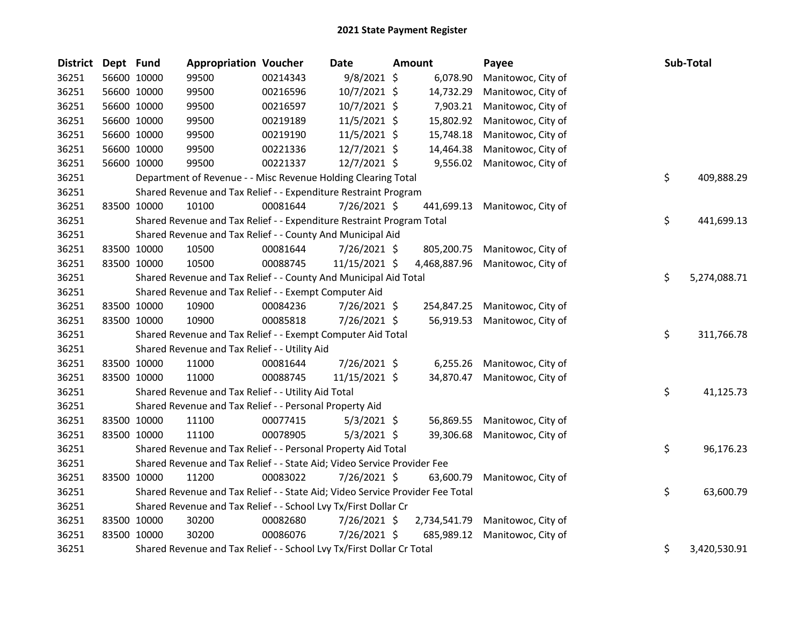| <b>District</b> | Dept Fund |             | <b>Appropriation Voucher</b>                                                  |          | <b>Date</b>    | <b>Amount</b> | Payee                         | Sub-Total          |
|-----------------|-----------|-------------|-------------------------------------------------------------------------------|----------|----------------|---------------|-------------------------------|--------------------|
| 36251           |           | 56600 10000 | 99500                                                                         | 00214343 | $9/8/2021$ \$  | 6,078.90      | Manitowoc, City of            |                    |
| 36251           |           | 56600 10000 | 99500                                                                         | 00216596 | 10/7/2021 \$   | 14,732.29     | Manitowoc, City of            |                    |
| 36251           |           | 56600 10000 | 99500                                                                         | 00216597 | 10/7/2021 \$   | 7,903.21      | Manitowoc, City of            |                    |
| 36251           |           | 56600 10000 | 99500                                                                         | 00219189 | 11/5/2021 \$   | 15,802.92     | Manitowoc, City of            |                    |
| 36251           |           | 56600 10000 | 99500                                                                         | 00219190 | $11/5/2021$ \$ | 15,748.18     | Manitowoc, City of            |                    |
| 36251           |           | 56600 10000 | 99500                                                                         | 00221336 | $12/7/2021$ \$ | 14,464.38     | Manitowoc, City of            |                    |
| 36251           |           | 56600 10000 | 99500                                                                         | 00221337 | 12/7/2021 \$   | 9,556.02      | Manitowoc, City of            |                    |
| 36251           |           |             | Department of Revenue - - Misc Revenue Holding Clearing Total                 |          |                |               |                               | \$<br>409,888.29   |
| 36251           |           |             | Shared Revenue and Tax Relief - - Expenditure Restraint Program               |          |                |               |                               |                    |
| 36251           |           | 83500 10000 | 10100                                                                         | 00081644 | 7/26/2021 \$   | 441,699.13    | Manitowoc, City of            |                    |
| 36251           |           |             | Shared Revenue and Tax Relief - - Expenditure Restraint Program Total         |          |                |               |                               | \$<br>441,699.13   |
| 36251           |           |             | Shared Revenue and Tax Relief - - County And Municipal Aid                    |          |                |               |                               |                    |
| 36251           |           | 83500 10000 | 10500                                                                         | 00081644 | $7/26/2021$ \$ |               | 805,200.75 Manitowoc, City of |                    |
| 36251           |           | 83500 10000 | 10500                                                                         | 00088745 | 11/15/2021 \$  | 4,468,887.96  | Manitowoc, City of            |                    |
| 36251           |           |             | Shared Revenue and Tax Relief - - County And Municipal Aid Total              |          |                |               |                               | \$<br>5,274,088.71 |
| 36251           |           |             | Shared Revenue and Tax Relief - - Exempt Computer Aid                         |          |                |               |                               |                    |
| 36251           |           | 83500 10000 | 10900                                                                         | 00084236 | 7/26/2021 \$   | 254,847.25    | Manitowoc, City of            |                    |
| 36251           |           | 83500 10000 | 10900                                                                         | 00085818 | 7/26/2021 \$   | 56,919.53     | Manitowoc, City of            |                    |
| 36251           |           |             | Shared Revenue and Tax Relief - - Exempt Computer Aid Total                   |          |                |               |                               | \$<br>311,766.78   |
| 36251           |           |             | Shared Revenue and Tax Relief - - Utility Aid                                 |          |                |               |                               |                    |
| 36251           |           | 83500 10000 | 11000                                                                         | 00081644 | 7/26/2021 \$   | 6,255.26      | Manitowoc, City of            |                    |
| 36251           |           | 83500 10000 | 11000                                                                         | 00088745 | 11/15/2021 \$  | 34,870.47     | Manitowoc, City of            |                    |
| 36251           |           |             | Shared Revenue and Tax Relief - - Utility Aid Total                           |          |                |               |                               | \$<br>41,125.73    |
| 36251           |           |             | Shared Revenue and Tax Relief - - Personal Property Aid                       |          |                |               |                               |                    |
| 36251           |           | 83500 10000 | 11100                                                                         | 00077415 | $5/3/2021$ \$  | 56,869.55     | Manitowoc, City of            |                    |
| 36251           |           | 83500 10000 | 11100                                                                         | 00078905 | $5/3/2021$ \$  | 39,306.68     | Manitowoc, City of            |                    |
| 36251           |           |             | Shared Revenue and Tax Relief - - Personal Property Aid Total                 |          |                |               |                               | \$<br>96,176.23    |
| 36251           |           |             | Shared Revenue and Tax Relief - - State Aid; Video Service Provider Fee       |          |                |               |                               |                    |
| 36251           |           | 83500 10000 | 11200                                                                         | 00083022 | 7/26/2021 \$   | 63,600.79     | Manitowoc, City of            |                    |
| 36251           |           |             | Shared Revenue and Tax Relief - - State Aid; Video Service Provider Fee Total |          |                |               |                               | \$<br>63,600.79    |
| 36251           |           |             | Shared Revenue and Tax Relief - - School Lvy Tx/First Dollar Cr               |          |                |               |                               |                    |
| 36251           |           | 83500 10000 | 30200                                                                         | 00082680 | 7/26/2021 \$   | 2,734,541.79  | Manitowoc, City of            |                    |
| 36251           |           | 83500 10000 | 30200                                                                         | 00086076 | 7/26/2021 \$   | 685,989.12    | Manitowoc, City of            |                    |
| 36251           |           |             | Shared Revenue and Tax Relief - - School Lvy Tx/First Dollar Cr Total         |          |                |               |                               | \$<br>3,420,530.91 |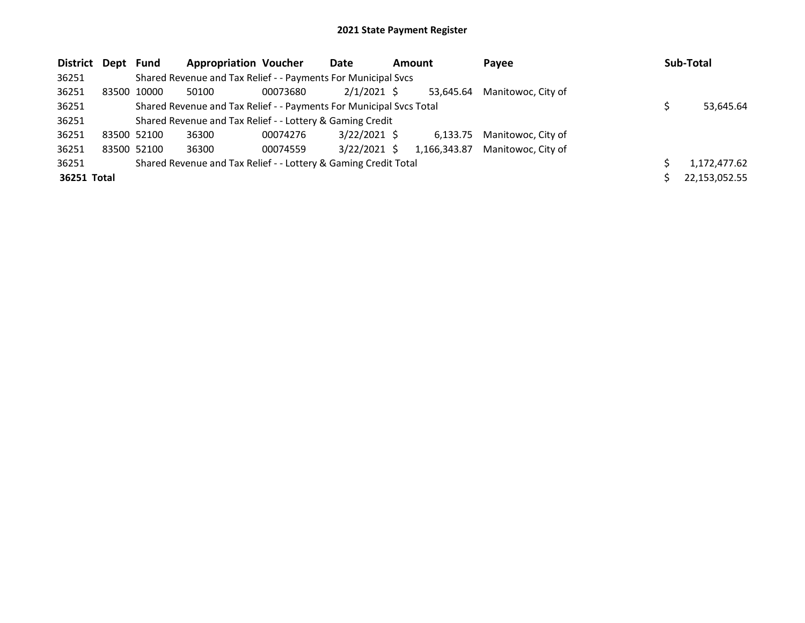| District Dept Fund |             | <b>Appropriation Voucher</b>                                        |          | Date           | <b>Amount</b> |              | Payee              | Sub-Total     |
|--------------------|-------------|---------------------------------------------------------------------|----------|----------------|---------------|--------------|--------------------|---------------|
| 36251              |             | Shared Revenue and Tax Relief - - Payments For Municipal Svcs       |          |                |               |              |                    |               |
| 36251              | 83500 10000 | 50100                                                               | 00073680 | $2/1/2021$ \$  |               | 53.645.64    | Manitowoc. City of |               |
| 36251              |             | Shared Revenue and Tax Relief - - Payments For Municipal Svcs Total |          |                |               |              |                    | 53,645.64     |
| 36251              |             | Shared Revenue and Tax Relief - - Lottery & Gaming Credit           |          |                |               |              |                    |               |
| 36251              | 83500 52100 | 36300                                                               | 00074276 | $3/22/2021$ \$ |               | 6.133.75     | Manitowoc, City of |               |
| 36251              | 83500 52100 | 36300                                                               | 00074559 | $3/22/2021$ \$ |               | 1,166,343.87 | Manitowoc, City of |               |
| 36251              |             | Shared Revenue and Tax Relief - - Lottery & Gaming Credit Total     |          |                |               |              |                    | 1,172,477.62  |
| 36251 Total        |             |                                                                     |          |                |               |              |                    | 22,153,052.55 |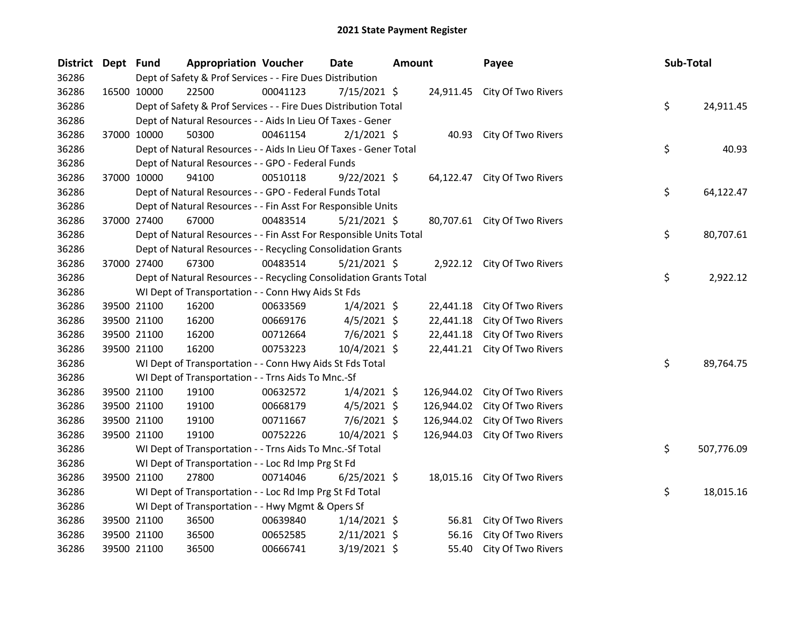| <b>District</b> | Dept Fund   |             | <b>Appropriation Voucher</b>                                       |          | <b>Date</b>    | <b>Amount</b> |            | Payee                        | Sub-Total |            |
|-----------------|-------------|-------------|--------------------------------------------------------------------|----------|----------------|---------------|------------|------------------------------|-----------|------------|
| 36286           |             |             | Dept of Safety & Prof Services - - Fire Dues Distribution          |          |                |               |            |                              |           |            |
| 36286           |             | 16500 10000 | 22500                                                              | 00041123 | 7/15/2021 \$   |               |            | 24,911.45 City Of Two Rivers |           |            |
| 36286           |             |             | Dept of Safety & Prof Services - - Fire Dues Distribution Total    |          |                |               |            |                              | \$        | 24,911.45  |
| 36286           |             |             | Dept of Natural Resources - - Aids In Lieu Of Taxes - Gener        |          |                |               |            |                              |           |            |
| 36286           |             | 37000 10000 | 50300                                                              | 00461154 | $2/1/2021$ \$  |               |            | 40.93 City Of Two Rivers     |           |            |
| 36286           |             |             | Dept of Natural Resources - - Aids In Lieu Of Taxes - Gener Total  |          |                |               |            |                              | \$        | 40.93      |
| 36286           |             |             | Dept of Natural Resources - - GPO - Federal Funds                  |          |                |               |            |                              |           |            |
| 36286           |             | 37000 10000 | 94100                                                              | 00510118 | $9/22/2021$ \$ |               |            | 64,122.47 City Of Two Rivers |           |            |
| 36286           |             |             | Dept of Natural Resources - - GPO - Federal Funds Total            |          |                |               |            |                              | \$        | 64,122.47  |
| 36286           |             |             | Dept of Natural Resources - - Fin Asst For Responsible Units       |          |                |               |            |                              |           |            |
| 36286           |             | 37000 27400 | 67000                                                              | 00483514 | $5/21/2021$ \$ |               |            | 80,707.61 City Of Two Rivers |           |            |
| 36286           |             |             | Dept of Natural Resources - - Fin Asst For Responsible Units Total |          |                |               |            |                              | \$        | 80,707.61  |
| 36286           |             |             | Dept of Natural Resources - - Recycling Consolidation Grants       |          |                |               |            |                              |           |            |
| 36286           |             | 37000 27400 | 67300                                                              | 00483514 | $5/21/2021$ \$ |               |            | 2,922.12 City Of Two Rivers  |           |            |
| 36286           |             |             | Dept of Natural Resources - - Recycling Consolidation Grants Total |          |                |               |            |                              | \$        | 2,922.12   |
| 36286           |             |             | WI Dept of Transportation - - Conn Hwy Aids St Fds                 |          |                |               |            |                              |           |            |
| 36286           |             | 39500 21100 | 16200                                                              | 00633569 | $1/4/2021$ \$  |               | 22,441.18  | City Of Two Rivers           |           |            |
| 36286           |             | 39500 21100 | 16200                                                              | 00669176 | 4/5/2021 \$    |               | 22,441.18  | City Of Two Rivers           |           |            |
| 36286           | 39500 21100 |             | 16200                                                              | 00712664 | $7/6/2021$ \$  |               | 22,441.18  | City Of Two Rivers           |           |            |
| 36286           |             | 39500 21100 | 16200                                                              | 00753223 | $10/4/2021$ \$ |               |            | 22,441.21 City Of Two Rivers |           |            |
| 36286           |             |             | WI Dept of Transportation - - Conn Hwy Aids St Fds Total           |          |                |               |            |                              | \$        | 89,764.75  |
| 36286           |             |             | WI Dept of Transportation - - Trns Aids To Mnc.-Sf                 |          |                |               |            |                              |           |            |
| 36286           |             | 39500 21100 | 19100                                                              | 00632572 | $1/4/2021$ \$  |               | 126,944.02 | City Of Two Rivers           |           |            |
| 36286           |             | 39500 21100 | 19100                                                              | 00668179 | $4/5/2021$ \$  |               | 126,944.02 | City Of Two Rivers           |           |            |
| 36286           |             | 39500 21100 | 19100                                                              | 00711667 | $7/6/2021$ \$  |               | 126,944.02 | City Of Two Rivers           |           |            |
| 36286           |             | 39500 21100 | 19100                                                              | 00752226 | 10/4/2021 \$   |               | 126,944.03 | City Of Two Rivers           |           |            |
| 36286           |             |             | WI Dept of Transportation - - Trns Aids To Mnc.-Sf Total           |          |                |               |            |                              | \$        | 507,776.09 |
| 36286           |             |             | WI Dept of Transportation - - Loc Rd Imp Prg St Fd                 |          |                |               |            |                              |           |            |
| 36286           |             | 39500 21100 | 27800                                                              | 00714046 | $6/25/2021$ \$ |               |            | 18,015.16 City Of Two Rivers |           |            |
| 36286           |             |             | WI Dept of Transportation - - Loc Rd Imp Prg St Fd Total           |          |                |               |            |                              | \$        | 18,015.16  |
| 36286           |             |             | WI Dept of Transportation - - Hwy Mgmt & Opers Sf                  |          |                |               |            |                              |           |            |
| 36286           |             | 39500 21100 | 36500                                                              | 00639840 | $1/14/2021$ \$ |               |            | 56.81 City Of Two Rivers     |           |            |
| 36286           |             | 39500 21100 | 36500                                                              | 00652585 | $2/11/2021$ \$ |               | 56.16      | City Of Two Rivers           |           |            |
| 36286           |             | 39500 21100 | 36500                                                              | 00666741 | 3/19/2021 \$   |               | 55.40      | City Of Two Rivers           |           |            |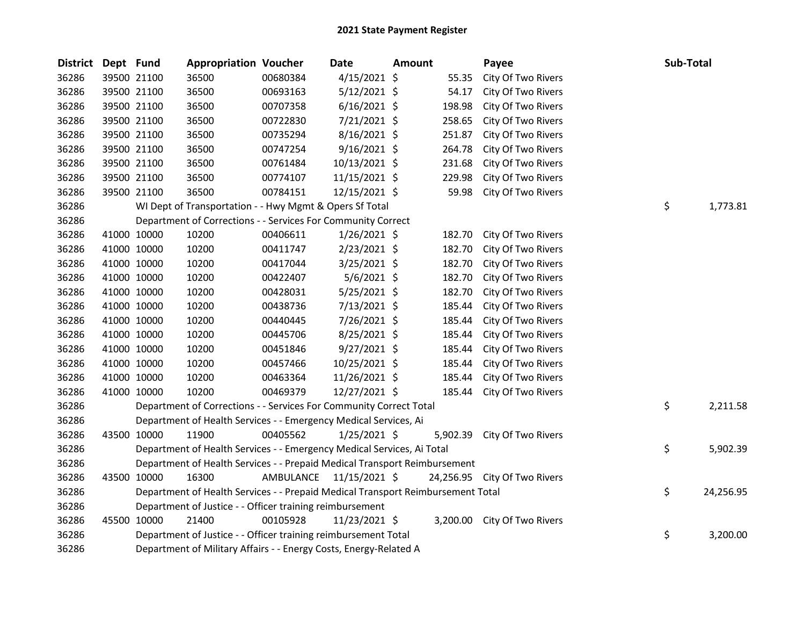| District Dept Fund |             | <b>Appropriation Voucher</b>                                                    |                         | Date           | Amount |        | Payee                        | Sub-Total |           |
|--------------------|-------------|---------------------------------------------------------------------------------|-------------------------|----------------|--------|--------|------------------------------|-----------|-----------|
| 36286              | 39500 21100 | 36500                                                                           | 00680384                | $4/15/2021$ \$ |        | 55.35  | City Of Two Rivers           |           |           |
| 36286              | 39500 21100 | 36500                                                                           | 00693163                | $5/12/2021$ \$ |        | 54.17  | City Of Two Rivers           |           |           |
| 36286              | 39500 21100 | 36500                                                                           | 00707358                | $6/16/2021$ \$ |        | 198.98 | City Of Two Rivers           |           |           |
| 36286              | 39500 21100 | 36500                                                                           | 00722830                | 7/21/2021 \$   |        | 258.65 | City Of Two Rivers           |           |           |
| 36286              | 39500 21100 | 36500                                                                           | 00735294                | $8/16/2021$ \$ |        | 251.87 | City Of Two Rivers           |           |           |
| 36286              | 39500 21100 | 36500                                                                           | 00747254                | $9/16/2021$ \$ |        | 264.78 | City Of Two Rivers           |           |           |
| 36286              | 39500 21100 | 36500                                                                           | 00761484                | 10/13/2021 \$  |        | 231.68 | City Of Two Rivers           |           |           |
| 36286              | 39500 21100 | 36500                                                                           | 00774107                | 11/15/2021 \$  |        | 229.98 | City Of Two Rivers           |           |           |
| 36286              | 39500 21100 | 36500                                                                           | 00784151                | 12/15/2021 \$  |        | 59.98  | City Of Two Rivers           |           |           |
| 36286              |             | WI Dept of Transportation - - Hwy Mgmt & Opers Sf Total                         |                         |                |        |        |                              | \$        | 1,773.81  |
| 36286              |             | Department of Corrections - - Services For Community Correct                    |                         |                |        |        |                              |           |           |
| 36286              | 41000 10000 | 10200                                                                           | 00406611                | $1/26/2021$ \$ |        | 182.70 | City Of Two Rivers           |           |           |
| 36286              | 41000 10000 | 10200                                                                           | 00411747                | 2/23/2021 \$   |        | 182.70 | City Of Two Rivers           |           |           |
| 36286              | 41000 10000 | 10200                                                                           | 00417044                | $3/25/2021$ \$ |        | 182.70 | City Of Two Rivers           |           |           |
| 36286              | 41000 10000 | 10200                                                                           | 00422407                | $5/6/2021$ \$  |        | 182.70 | City Of Two Rivers           |           |           |
| 36286              | 41000 10000 | 10200                                                                           | 00428031                | $5/25/2021$ \$ |        | 182.70 | City Of Two Rivers           |           |           |
| 36286              | 41000 10000 | 10200                                                                           | 00438736                | 7/13/2021 \$   |        | 185.44 | City Of Two Rivers           |           |           |
| 36286              | 41000 10000 | 10200                                                                           | 00440445                | 7/26/2021 \$   |        | 185.44 | City Of Two Rivers           |           |           |
| 36286              | 41000 10000 | 10200                                                                           | 00445706                | $8/25/2021$ \$ |        | 185.44 | City Of Two Rivers           |           |           |
| 36286              | 41000 10000 | 10200                                                                           | 00451846                | $9/27/2021$ \$ |        | 185.44 | City Of Two Rivers           |           |           |
| 36286              | 41000 10000 | 10200                                                                           | 00457466                | 10/25/2021 \$  |        | 185.44 | City Of Two Rivers           |           |           |
| 36286              | 41000 10000 | 10200                                                                           | 00463364                | 11/26/2021 \$  |        | 185.44 | City Of Two Rivers           |           |           |
| 36286              | 41000 10000 | 10200                                                                           | 00469379                | 12/27/2021 \$  |        | 185.44 | City Of Two Rivers           |           |           |
| 36286              |             | Department of Corrections - - Services For Community Correct Total              |                         |                |        |        |                              | \$        | 2,211.58  |
| 36286              |             | Department of Health Services - - Emergency Medical Services, Ai                |                         |                |        |        |                              |           |           |
| 36286              | 43500 10000 | 11900                                                                           | 00405562                | $1/25/2021$ \$ |        |        | 5,902.39 City Of Two Rivers  |           |           |
| 36286              |             | Department of Health Services - - Emergency Medical Services, Ai Total          |                         |                |        |        |                              | \$        | 5,902.39  |
| 36286              |             | Department of Health Services - - Prepaid Medical Transport Reimbursement       |                         |                |        |        |                              |           |           |
| 36286              | 43500 10000 | 16300                                                                           | AMBULANCE 11/15/2021 \$ |                |        |        | 24,256.95 City Of Two Rivers |           |           |
| 36286              |             | Department of Health Services - - Prepaid Medical Transport Reimbursement Total |                         |                |        |        |                              | \$        | 24,256.95 |
| 36286              |             | Department of Justice - - Officer training reimbursement                        |                         |                |        |        |                              |           |           |
| 36286              | 45500 10000 | 21400                                                                           | 00105928                | 11/23/2021 \$  |        |        | 3,200.00 City Of Two Rivers  |           |           |
| 36286              |             | Department of Justice - - Officer training reimbursement Total                  |                         |                |        |        |                              | \$        | 3,200.00  |
| 36286              |             | Department of Military Affairs - - Energy Costs, Energy-Related A               |                         |                |        |        |                              |           |           |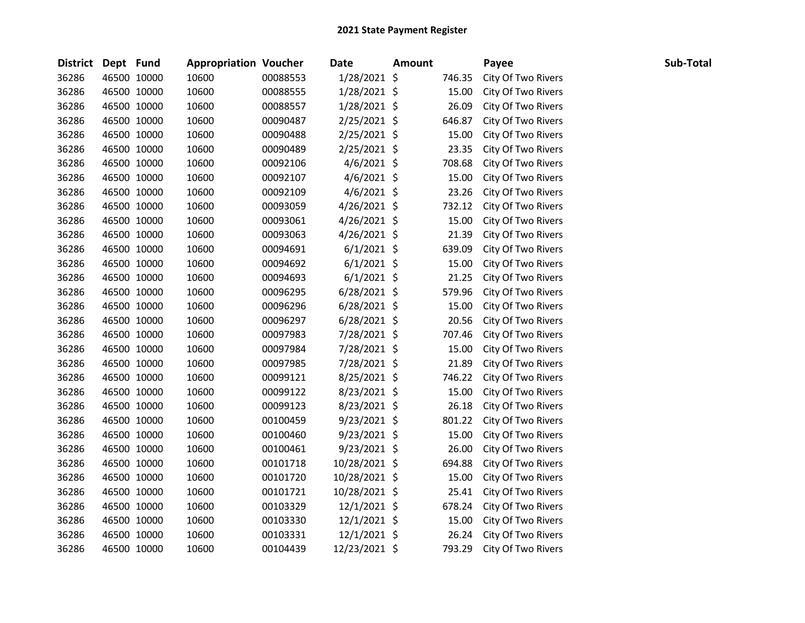| District Dept Fund |             | <b>Appropriation Voucher</b> |          | <b>Date</b>    | <b>Amount</b> |        | Payee              | Sub-Total |
|--------------------|-------------|------------------------------|----------|----------------|---------------|--------|--------------------|-----------|
| 36286              | 46500 10000 | 10600                        | 00088553 | $1/28/2021$ \$ |               | 746.35 | City Of Two Rivers |           |
| 36286              | 46500 10000 | 10600                        | 00088555 | 1/28/2021 \$   |               | 15.00  | City Of Two Rivers |           |
| 36286              | 46500 10000 | 10600                        | 00088557 | 1/28/2021 \$   |               | 26.09  | City Of Two Rivers |           |
| 36286              | 46500 10000 | 10600                        | 00090487 | $2/25/2021$ \$ |               | 646.87 | City Of Two Rivers |           |
| 36286              | 46500 10000 | 10600                        | 00090488 | 2/25/2021 \$   |               | 15.00  | City Of Two Rivers |           |
| 36286              | 46500 10000 | 10600                        | 00090489 | 2/25/2021 \$   |               | 23.35  | City Of Two Rivers |           |
| 36286              | 46500 10000 | 10600                        | 00092106 | $4/6/2021$ \$  |               | 708.68 | City Of Two Rivers |           |
| 36286              | 46500 10000 | 10600                        | 00092107 | $4/6/2021$ \$  |               | 15.00  | City Of Two Rivers |           |
| 36286              | 46500 10000 | 10600                        | 00092109 | $4/6/2021$ \$  |               | 23.26  | City Of Two Rivers |           |
| 36286              | 46500 10000 | 10600                        | 00093059 | 4/26/2021 \$   |               | 732.12 | City Of Two Rivers |           |
| 36286              | 46500 10000 | 10600                        | 00093061 | $4/26/2021$ \$ |               | 15.00  | City Of Two Rivers |           |
| 36286              | 46500 10000 | 10600                        | 00093063 | $4/26/2021$ \$ |               | 21.39  | City Of Two Rivers |           |
| 36286              | 46500 10000 | 10600                        | 00094691 | $6/1/2021$ \$  |               | 639.09 | City Of Two Rivers |           |
| 36286              | 46500 10000 | 10600                        | 00094692 | $6/1/2021$ \$  |               | 15.00  | City Of Two Rivers |           |
| 36286              | 46500 10000 | 10600                        | 00094693 | $6/1/2021$ \$  |               | 21.25  | City Of Two Rivers |           |
| 36286              | 46500 10000 | 10600                        | 00096295 | $6/28/2021$ \$ |               | 579.96 | City Of Two Rivers |           |
| 36286              | 46500 10000 | 10600                        | 00096296 | $6/28/2021$ \$ |               | 15.00  | City Of Two Rivers |           |
| 36286              | 46500 10000 | 10600                        | 00096297 | $6/28/2021$ \$ |               | 20.56  | City Of Two Rivers |           |
| 36286              | 46500 10000 | 10600                        | 00097983 | 7/28/2021 \$   |               | 707.46 | City Of Two Rivers |           |
| 36286              | 46500 10000 | 10600                        | 00097984 | 7/28/2021 \$   |               | 15.00  | City Of Two Rivers |           |
| 36286              | 46500 10000 | 10600                        | 00097985 | 7/28/2021 \$   |               | 21.89  | City Of Two Rivers |           |
| 36286              | 46500 10000 | 10600                        | 00099121 | 8/25/2021 \$   |               | 746.22 | City Of Two Rivers |           |
| 36286              | 46500 10000 | 10600                        | 00099122 | $8/23/2021$ \$ |               | 15.00  | City Of Two Rivers |           |
| 36286              | 46500 10000 | 10600                        | 00099123 | $8/23/2021$ \$ |               | 26.18  | City Of Two Rivers |           |
| 36286              | 46500 10000 | 10600                        | 00100459 | 9/23/2021 \$   |               | 801.22 | City Of Two Rivers |           |
| 36286              | 46500 10000 | 10600                        | 00100460 | $9/23/2021$ \$ |               | 15.00  | City Of Two Rivers |           |
| 36286              | 46500 10000 | 10600                        | 00100461 | $9/23/2021$ \$ |               | 26.00  | City Of Two Rivers |           |
| 36286              | 46500 10000 | 10600                        | 00101718 | 10/28/2021 \$  |               | 694.88 | City Of Two Rivers |           |
| 36286              | 46500 10000 | 10600                        | 00101720 | 10/28/2021 \$  |               | 15.00  | City Of Two Rivers |           |
| 36286              | 46500 10000 | 10600                        | 00101721 | 10/28/2021 \$  |               | 25.41  | City Of Two Rivers |           |
| 36286              | 46500 10000 | 10600                        | 00103329 | $12/1/2021$ \$ |               | 678.24 | City Of Two Rivers |           |
| 36286              | 46500 10000 | 10600                        | 00103330 | $12/1/2021$ \$ |               | 15.00  | City Of Two Rivers |           |
| 36286              | 46500 10000 | 10600                        | 00103331 | 12/1/2021 \$   |               | 26.24  | City Of Two Rivers |           |
| 36286              | 46500 10000 | 10600                        | 00104439 | 12/23/2021 \$  |               | 793.29 | City Of Two Rivers |           |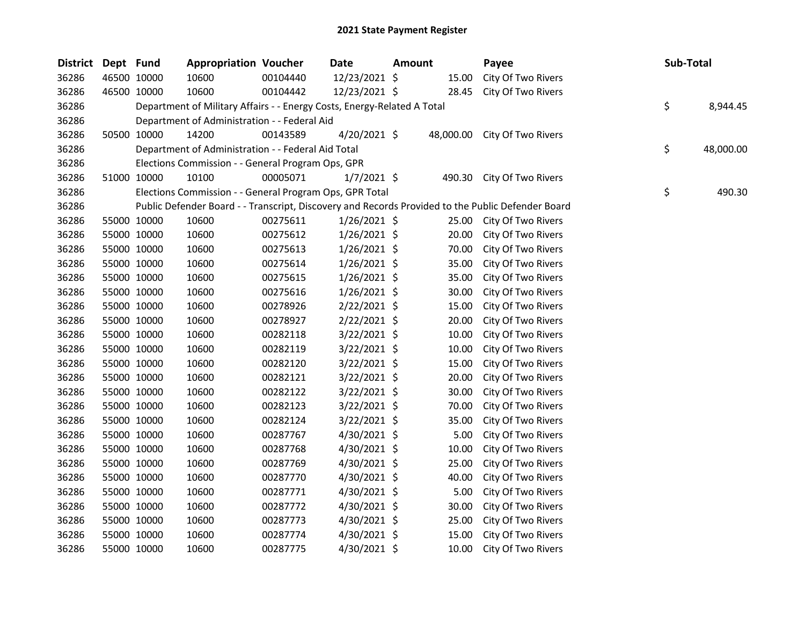| District | Dept Fund |             | <b>Appropriation Voucher</b>                                            |          | Date           | <b>Amount</b> |        | Payee                                                                                             | Sub-Total       |
|----------|-----------|-------------|-------------------------------------------------------------------------|----------|----------------|---------------|--------|---------------------------------------------------------------------------------------------------|-----------------|
| 36286    |           | 46500 10000 | 10600                                                                   | 00104440 | 12/23/2021 \$  |               | 15.00  | City Of Two Rivers                                                                                |                 |
| 36286    |           | 46500 10000 | 10600                                                                   | 00104442 | 12/23/2021 \$  |               | 28.45  | City Of Two Rivers                                                                                |                 |
| 36286    |           |             | Department of Military Affairs - - Energy Costs, Energy-Related A Total |          |                |               |        |                                                                                                   | \$<br>8,944.45  |
| 36286    |           |             | Department of Administration - - Federal Aid                            |          |                |               |        |                                                                                                   |                 |
| 36286    |           | 50500 10000 | 14200                                                                   | 00143589 | $4/20/2021$ \$ |               |        | 48,000.00 City Of Two Rivers                                                                      |                 |
| 36286    |           |             | Department of Administration - - Federal Aid Total                      |          |                |               |        |                                                                                                   | \$<br>48,000.00 |
| 36286    |           |             | Elections Commission - - General Program Ops, GPR                       |          |                |               |        |                                                                                                   |                 |
| 36286    |           | 51000 10000 | 10100                                                                   | 00005071 | $1/7/2021$ \$  |               | 490.30 | City Of Two Rivers                                                                                |                 |
| 36286    |           |             | Elections Commission - - General Program Ops, GPR Total                 |          |                |               |        |                                                                                                   | \$<br>490.30    |
| 36286    |           |             |                                                                         |          |                |               |        | Public Defender Board - - Transcript, Discovery and Records Provided to the Public Defender Board |                 |
| 36286    |           | 55000 10000 | 10600                                                                   | 00275611 | $1/26/2021$ \$ |               | 25.00  | City Of Two Rivers                                                                                |                 |
| 36286    |           | 55000 10000 | 10600                                                                   | 00275612 | $1/26/2021$ \$ |               | 20.00  | City Of Two Rivers                                                                                |                 |
| 36286    |           | 55000 10000 | 10600                                                                   | 00275613 | $1/26/2021$ \$ |               | 70.00  | City Of Two Rivers                                                                                |                 |
| 36286    |           | 55000 10000 | 10600                                                                   | 00275614 | $1/26/2021$ \$ |               | 35.00  | City Of Two Rivers                                                                                |                 |
| 36286    |           | 55000 10000 | 10600                                                                   | 00275615 | $1/26/2021$ \$ |               | 35.00  | City Of Two Rivers                                                                                |                 |
| 36286    |           | 55000 10000 | 10600                                                                   | 00275616 | $1/26/2021$ \$ |               | 30.00  | City Of Two Rivers                                                                                |                 |
| 36286    |           | 55000 10000 | 10600                                                                   | 00278926 | 2/22/2021 \$   |               | 15.00  | City Of Two Rivers                                                                                |                 |
| 36286    |           | 55000 10000 | 10600                                                                   | 00278927 | $2/22/2021$ \$ |               | 20.00  | City Of Two Rivers                                                                                |                 |
| 36286    |           | 55000 10000 | 10600                                                                   | 00282118 | $3/22/2021$ \$ |               | 10.00  | City Of Two Rivers                                                                                |                 |
| 36286    |           | 55000 10000 | 10600                                                                   | 00282119 | $3/22/2021$ \$ |               | 10.00  | City Of Two Rivers                                                                                |                 |
| 36286    |           | 55000 10000 | 10600                                                                   | 00282120 | 3/22/2021 \$   |               | 15.00  | City Of Two Rivers                                                                                |                 |
| 36286    |           | 55000 10000 | 10600                                                                   | 00282121 | 3/22/2021 \$   |               | 20.00  | City Of Two Rivers                                                                                |                 |
| 36286    |           | 55000 10000 | 10600                                                                   | 00282122 | 3/22/2021 \$   |               | 30.00  | City Of Two Rivers                                                                                |                 |
| 36286    |           | 55000 10000 | 10600                                                                   | 00282123 | $3/22/2021$ \$ |               | 70.00  | City Of Two Rivers                                                                                |                 |
| 36286    |           | 55000 10000 | 10600                                                                   | 00282124 | $3/22/2021$ \$ |               | 35.00  | City Of Two Rivers                                                                                |                 |
| 36286    |           | 55000 10000 | 10600                                                                   | 00287767 | 4/30/2021 \$   |               | 5.00   | City Of Two Rivers                                                                                |                 |
| 36286    |           | 55000 10000 | 10600                                                                   | 00287768 | 4/30/2021 \$   |               | 10.00  | City Of Two Rivers                                                                                |                 |
| 36286    |           | 55000 10000 | 10600                                                                   | 00287769 | 4/30/2021 \$   |               | 25.00  | City Of Two Rivers                                                                                |                 |
| 36286    |           | 55000 10000 | 10600                                                                   | 00287770 | 4/30/2021 \$   |               | 40.00  | City Of Two Rivers                                                                                |                 |
| 36286    |           | 55000 10000 | 10600                                                                   | 00287771 | 4/30/2021 \$   |               | 5.00   | City Of Two Rivers                                                                                |                 |
| 36286    |           | 55000 10000 | 10600                                                                   | 00287772 | 4/30/2021 \$   |               | 30.00  | City Of Two Rivers                                                                                |                 |
| 36286    |           | 55000 10000 | 10600                                                                   | 00287773 | 4/30/2021 \$   |               | 25.00  | City Of Two Rivers                                                                                |                 |
| 36286    |           | 55000 10000 | 10600                                                                   | 00287774 | 4/30/2021 \$   |               | 15.00  | City Of Two Rivers                                                                                |                 |
| 36286    |           | 55000 10000 | 10600                                                                   | 00287775 | 4/30/2021 \$   |               | 10.00  | City Of Two Rivers                                                                                |                 |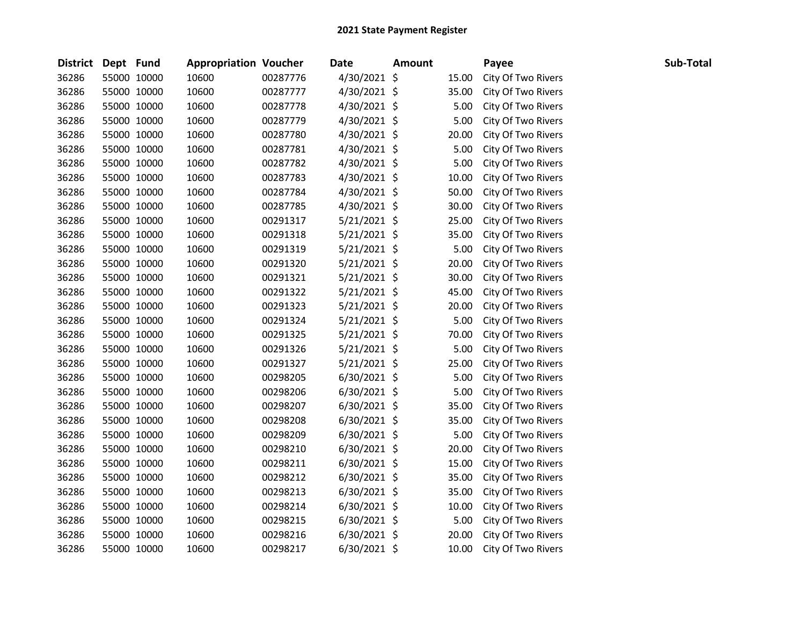| District Dept Fund |             | <b>Appropriation Voucher</b> |          | <b>Date</b>    | <b>Amount</b> |       | Payee              | Sub-Total |
|--------------------|-------------|------------------------------|----------|----------------|---------------|-------|--------------------|-----------|
| 36286              | 55000 10000 | 10600                        | 00287776 | 4/30/2021 \$   |               | 15.00 | City Of Two Rivers |           |
| 36286              | 55000 10000 | 10600                        | 00287777 | 4/30/2021 \$   |               | 35.00 | City Of Two Rivers |           |
| 36286              | 55000 10000 | 10600                        | 00287778 | 4/30/2021 \$   |               | 5.00  | City Of Two Rivers |           |
| 36286              | 55000 10000 | 10600                        | 00287779 | 4/30/2021 \$   |               | 5.00  | City Of Two Rivers |           |
| 36286              | 55000 10000 | 10600                        | 00287780 | 4/30/2021 \$   |               | 20.00 | City Of Two Rivers |           |
| 36286              | 55000 10000 | 10600                        | 00287781 | 4/30/2021 \$   |               | 5.00  | City Of Two Rivers |           |
| 36286              | 55000 10000 | 10600                        | 00287782 | $4/30/2021$ \$ |               | 5.00  | City Of Two Rivers |           |
| 36286              | 55000 10000 | 10600                        | 00287783 | 4/30/2021 \$   |               | 10.00 | City Of Two Rivers |           |
| 36286              | 55000 10000 | 10600                        | 00287784 | 4/30/2021 \$   |               | 50.00 | City Of Two Rivers |           |
| 36286              | 55000 10000 | 10600                        | 00287785 | 4/30/2021 \$   |               | 30.00 | City Of Two Rivers |           |
| 36286              | 55000 10000 | 10600                        | 00291317 | $5/21/2021$ \$ |               | 25.00 | City Of Two Rivers |           |
| 36286              | 55000 10000 | 10600                        | 00291318 | $5/21/2021$ \$ |               | 35.00 | City Of Two Rivers |           |
| 36286              | 55000 10000 | 10600                        | 00291319 | $5/21/2021$ \$ |               | 5.00  | City Of Two Rivers |           |
| 36286              | 55000 10000 | 10600                        | 00291320 | $5/21/2021$ \$ |               | 20.00 | City Of Two Rivers |           |
| 36286              | 55000 10000 | 10600                        | 00291321 | $5/21/2021$ \$ |               | 30.00 | City Of Two Rivers |           |
| 36286              | 55000 10000 | 10600                        | 00291322 | 5/21/2021 \$   |               | 45.00 | City Of Two Rivers |           |
| 36286              | 55000 10000 | 10600                        | 00291323 | $5/21/2021$ \$ |               | 20.00 | City Of Two Rivers |           |
| 36286              | 55000 10000 | 10600                        | 00291324 | $5/21/2021$ \$ |               | 5.00  | City Of Two Rivers |           |
| 36286              | 55000 10000 | 10600                        | 00291325 | 5/21/2021 \$   |               | 70.00 | City Of Two Rivers |           |
| 36286              | 55000 10000 | 10600                        | 00291326 | $5/21/2021$ \$ |               | 5.00  | City Of Two Rivers |           |
| 36286              | 55000 10000 | 10600                        | 00291327 | $5/21/2021$ \$ |               | 25.00 | City Of Two Rivers |           |
| 36286              | 55000 10000 | 10600                        | 00298205 | $6/30/2021$ \$ |               | 5.00  | City Of Two Rivers |           |
| 36286              | 55000 10000 | 10600                        | 00298206 | 6/30/2021 \$   |               | 5.00  | City Of Two Rivers |           |
| 36286              | 55000 10000 | 10600                        | 00298207 | 6/30/2021 \$   |               | 35.00 | City Of Two Rivers |           |
| 36286              | 55000 10000 | 10600                        | 00298208 | $6/30/2021$ \$ |               | 35.00 | City Of Two Rivers |           |
| 36286              | 55000 10000 | 10600                        | 00298209 | $6/30/2021$ \$ |               | 5.00  | City Of Two Rivers |           |
| 36286              | 55000 10000 | 10600                        | 00298210 | $6/30/2021$ \$ |               | 20.00 | City Of Two Rivers |           |
| 36286              | 55000 10000 | 10600                        | 00298211 | $6/30/2021$ \$ |               | 15.00 | City Of Two Rivers |           |
| 36286              | 55000 10000 | 10600                        | 00298212 | 6/30/2021 \$   |               | 35.00 | City Of Two Rivers |           |
| 36286              | 55000 10000 | 10600                        | 00298213 | 6/30/2021 \$   |               | 35.00 | City Of Two Rivers |           |
| 36286              | 55000 10000 | 10600                        | 00298214 | 6/30/2021 \$   |               | 10.00 | City Of Two Rivers |           |
| 36286              | 55000 10000 | 10600                        | 00298215 | $6/30/2021$ \$ |               | 5.00  | City Of Two Rivers |           |
| 36286              | 55000 10000 | 10600                        | 00298216 | $6/30/2021$ \$ |               | 20.00 | City Of Two Rivers |           |
| 36286              | 55000 10000 | 10600                        | 00298217 | 6/30/2021 \$   |               | 10.00 | City Of Two Rivers |           |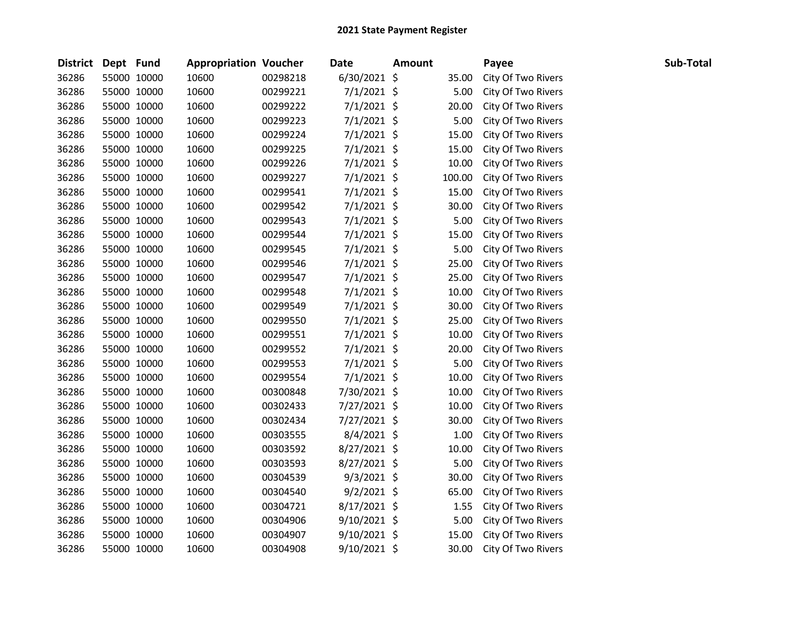| District Dept Fund |             | <b>Appropriation Voucher</b> |          | Date           | <b>Amount</b> |        | Payee              | Sub-Total |
|--------------------|-------------|------------------------------|----------|----------------|---------------|--------|--------------------|-----------|
| 36286              | 55000 10000 | 10600                        | 00298218 | $6/30/2021$ \$ |               | 35.00  | City Of Two Rivers |           |
| 36286              | 55000 10000 | 10600                        | 00299221 | $7/1/2021$ \$  |               | 5.00   | City Of Two Rivers |           |
| 36286              | 55000 10000 | 10600                        | 00299222 | $7/1/2021$ \$  |               | 20.00  | City Of Two Rivers |           |
| 36286              | 55000 10000 | 10600                        | 00299223 | $7/1/2021$ \$  |               | 5.00   | City Of Two Rivers |           |
| 36286              | 55000 10000 | 10600                        | 00299224 | $7/1/2021$ \$  |               | 15.00  | City Of Two Rivers |           |
| 36286              | 55000 10000 | 10600                        | 00299225 | $7/1/2021$ \$  |               | 15.00  | City Of Two Rivers |           |
| 36286              | 55000 10000 | 10600                        | 00299226 | $7/1/2021$ \$  |               | 10.00  | City Of Two Rivers |           |
| 36286              | 55000 10000 | 10600                        | 00299227 | $7/1/2021$ \$  |               | 100.00 | City Of Two Rivers |           |
| 36286              | 55000 10000 | 10600                        | 00299541 | $7/1/2021$ \$  |               | 15.00  | City Of Two Rivers |           |
| 36286              | 55000 10000 | 10600                        | 00299542 | $7/1/2021$ \$  |               | 30.00  | City Of Two Rivers |           |
| 36286              | 55000 10000 | 10600                        | 00299543 | 7/1/2021 \$    |               | 5.00   | City Of Two Rivers |           |
| 36286              | 55000 10000 | 10600                        | 00299544 | $7/1/2021$ \$  |               | 15.00  | City Of Two Rivers |           |
| 36286              | 55000 10000 | 10600                        | 00299545 | $7/1/2021$ \$  |               | 5.00   | City Of Two Rivers |           |
| 36286              | 55000 10000 | 10600                        | 00299546 | $7/1/2021$ \$  |               | 25.00  | City Of Two Rivers |           |
| 36286              | 55000 10000 | 10600                        | 00299547 | $7/1/2021$ \$  |               | 25.00  | City Of Two Rivers |           |
| 36286              | 55000 10000 | 10600                        | 00299548 | $7/1/2021$ \$  |               | 10.00  | City Of Two Rivers |           |
| 36286              | 55000 10000 | 10600                        | 00299549 | 7/1/2021 \$    |               | 30.00  | City Of Two Rivers |           |
| 36286              | 55000 10000 | 10600                        | 00299550 | $7/1/2021$ \$  |               | 25.00  | City Of Two Rivers |           |
| 36286              | 55000 10000 | 10600                        | 00299551 | $7/1/2021$ \$  |               | 10.00  | City Of Two Rivers |           |
| 36286              | 55000 10000 | 10600                        | 00299552 | $7/1/2021$ \$  |               | 20.00  | City Of Two Rivers |           |
| 36286              | 55000 10000 | 10600                        | 00299553 | $7/1/2021$ \$  |               | 5.00   | City Of Two Rivers |           |
| 36286              | 55000 10000 | 10600                        | 00299554 | $7/1/2021$ \$  |               | 10.00  | City Of Two Rivers |           |
| 36286              | 55000 10000 | 10600                        | 00300848 | 7/30/2021 \$   |               | 10.00  | City Of Two Rivers |           |
| 36286              | 55000 10000 | 10600                        | 00302433 | 7/27/2021 \$   |               | 10.00  | City Of Two Rivers |           |
| 36286              | 55000 10000 | 10600                        | 00302434 | 7/27/2021 \$   |               | 30.00  | City Of Two Rivers |           |
| 36286              | 55000 10000 | 10600                        | 00303555 | 8/4/2021 \$    |               | 1.00   | City Of Two Rivers |           |
| 36286              | 55000 10000 | 10600                        | 00303592 | $8/27/2021$ \$ |               | 10.00  | City Of Two Rivers |           |
| 36286              | 55000 10000 | 10600                        | 00303593 | 8/27/2021 \$   |               | 5.00   | City Of Two Rivers |           |
| 36286              | 55000 10000 | 10600                        | 00304539 | $9/3/2021$ \$  |               | 30.00  | City Of Two Rivers |           |
| 36286              | 55000 10000 | 10600                        | 00304540 | $9/2/2021$ \$  |               | 65.00  | City Of Two Rivers |           |
| 36286              | 55000 10000 | 10600                        | 00304721 | $8/17/2021$ \$ |               | 1.55   | City Of Two Rivers |           |
| 36286              | 55000 10000 | 10600                        | 00304906 | $9/10/2021$ \$ |               | 5.00   | City Of Two Rivers |           |
| 36286              | 55000 10000 | 10600                        | 00304907 | $9/10/2021$ \$ |               | 15.00  | City Of Two Rivers |           |
| 36286              | 55000 10000 | 10600                        | 00304908 | 9/10/2021 \$   |               | 30.00  | City Of Two Rivers |           |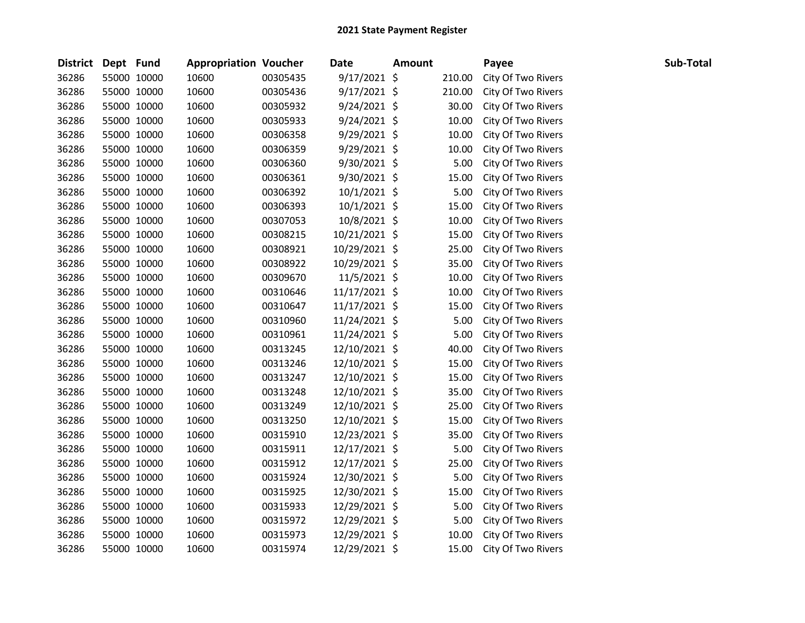| District Dept Fund |             | <b>Appropriation Voucher</b> |          | <b>Date</b>    | Amount |        | Payee              | Sub-Total |
|--------------------|-------------|------------------------------|----------|----------------|--------|--------|--------------------|-----------|
| 36286              | 55000 10000 | 10600                        | 00305435 | $9/17/2021$ \$ |        | 210.00 | City Of Two Rivers |           |
| 36286              | 55000 10000 | 10600                        | 00305436 | 9/17/2021 \$   |        | 210.00 | City Of Two Rivers |           |
| 36286              | 55000 10000 | 10600                        | 00305932 | $9/24/2021$ \$ |        | 30.00  | City Of Two Rivers |           |
| 36286              | 55000 10000 | 10600                        | 00305933 | 9/24/2021 \$   |        | 10.00  | City Of Two Rivers |           |
| 36286              | 55000 10000 | 10600                        | 00306358 | 9/29/2021 \$   |        | 10.00  | City Of Two Rivers |           |
| 36286              | 55000 10000 | 10600                        | 00306359 | 9/29/2021 \$   |        | 10.00  | City Of Two Rivers |           |
| 36286              | 55000 10000 | 10600                        | 00306360 | $9/30/2021$ \$ |        | 5.00   | City Of Two Rivers |           |
| 36286              | 55000 10000 | 10600                        | 00306361 | $9/30/2021$ \$ |        | 15.00  | City Of Two Rivers |           |
| 36286              | 55000 10000 | 10600                        | 00306392 | $10/1/2021$ \$ |        | 5.00   | City Of Two Rivers |           |
| 36286              | 55000 10000 | 10600                        | 00306393 | 10/1/2021 \$   |        | 15.00  | City Of Two Rivers |           |
| 36286              | 55000 10000 | 10600                        | 00307053 | 10/8/2021 \$   |        | 10.00  | City Of Two Rivers |           |
| 36286              | 55000 10000 | 10600                        | 00308215 | 10/21/2021 \$  |        | 15.00  | City Of Two Rivers |           |
| 36286              | 55000 10000 | 10600                        | 00308921 | 10/29/2021 \$  |        | 25.00  | City Of Two Rivers |           |
| 36286              | 55000 10000 | 10600                        | 00308922 | 10/29/2021 \$  |        | 35.00  | City Of Two Rivers |           |
| 36286              | 55000 10000 | 10600                        | 00309670 | 11/5/2021 \$   |        | 10.00  | City Of Two Rivers |           |
| 36286              | 55000 10000 | 10600                        | 00310646 | 11/17/2021 \$  |        | 10.00  | City Of Two Rivers |           |
| 36286              | 55000 10000 | 10600                        | 00310647 | 11/17/2021 \$  |        | 15.00  | City Of Two Rivers |           |
| 36286              | 55000 10000 | 10600                        | 00310960 | 11/24/2021 \$  |        | 5.00   | City Of Two Rivers |           |
| 36286              | 55000 10000 | 10600                        | 00310961 | 11/24/2021 \$  |        | 5.00   | City Of Two Rivers |           |
| 36286              | 55000 10000 | 10600                        | 00313245 | 12/10/2021 \$  |        | 40.00  | City Of Two Rivers |           |
| 36286              | 55000 10000 | 10600                        | 00313246 | 12/10/2021 \$  |        | 15.00  | City Of Two Rivers |           |
| 36286              | 55000 10000 | 10600                        | 00313247 | 12/10/2021 \$  |        | 15.00  | City Of Two Rivers |           |
| 36286              | 55000 10000 | 10600                        | 00313248 | 12/10/2021 \$  |        | 35.00  | City Of Two Rivers |           |
| 36286              | 55000 10000 | 10600                        | 00313249 | 12/10/2021 \$  |        | 25.00  | City Of Two Rivers |           |
| 36286              | 55000 10000 | 10600                        | 00313250 | 12/10/2021 \$  |        | 15.00  | City Of Two Rivers |           |
| 36286              | 55000 10000 | 10600                        | 00315910 | 12/23/2021 \$  |        | 35.00  | City Of Two Rivers |           |
| 36286              | 55000 10000 | 10600                        | 00315911 | 12/17/2021 \$  |        | 5.00   | City Of Two Rivers |           |
| 36286              | 55000 10000 | 10600                        | 00315912 | 12/17/2021 \$  |        | 25.00  | City Of Two Rivers |           |
| 36286              | 55000 10000 | 10600                        | 00315924 | 12/30/2021 \$  |        | 5.00   | City Of Two Rivers |           |
| 36286              | 55000 10000 | 10600                        | 00315925 | 12/30/2021 \$  |        | 15.00  | City Of Two Rivers |           |
| 36286              | 55000 10000 | 10600                        | 00315933 | 12/29/2021 \$  |        | 5.00   | City Of Two Rivers |           |
| 36286              | 55000 10000 | 10600                        | 00315972 | 12/29/2021 \$  |        | 5.00   | City Of Two Rivers |           |
| 36286              | 55000 10000 | 10600                        | 00315973 | 12/29/2021 \$  |        | 10.00  | City Of Two Rivers |           |
| 36286              | 55000 10000 | 10600                        | 00315974 | 12/29/2021 \$  |        | 15.00  | City Of Two Rivers |           |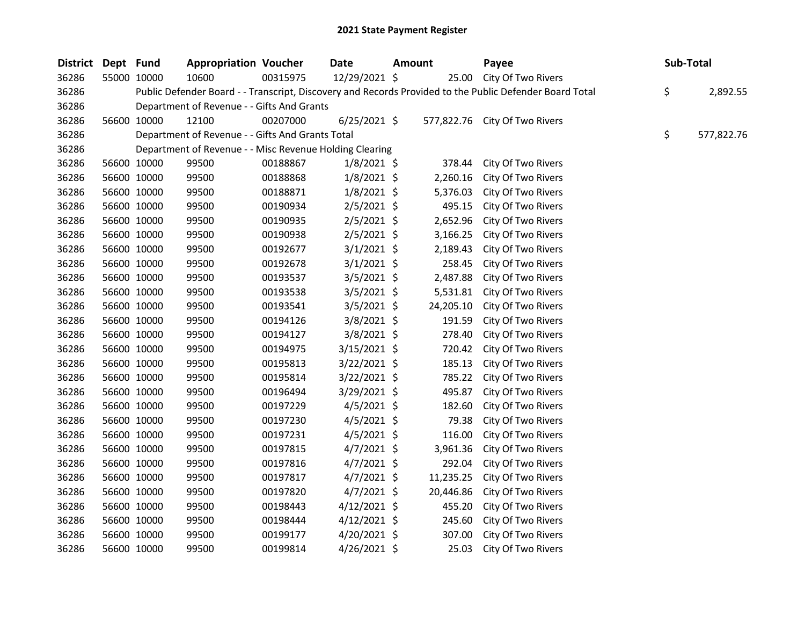| District Dept Fund |             | <b>Appropriation Voucher</b>                            |          | Date           | <b>Amount</b> |           | Payee                                                                                                   | Sub-Total        |
|--------------------|-------------|---------------------------------------------------------|----------|----------------|---------------|-----------|---------------------------------------------------------------------------------------------------------|------------------|
| 36286              | 55000 10000 | 10600                                                   | 00315975 | 12/29/2021 \$  |               |           | 25.00 City Of Two Rivers                                                                                |                  |
| 36286              |             |                                                         |          |                |               |           | Public Defender Board - - Transcript, Discovery and Records Provided to the Public Defender Board Total | \$<br>2,892.55   |
| 36286              |             | Department of Revenue - - Gifts And Grants              |          |                |               |           |                                                                                                         |                  |
| 36286              | 56600 10000 | 12100                                                   | 00207000 | $6/25/2021$ \$ |               |           | 577,822.76 City Of Two Rivers                                                                           |                  |
| 36286              |             | Department of Revenue - - Gifts And Grants Total        |          |                |               |           |                                                                                                         | \$<br>577,822.76 |
| 36286              |             | Department of Revenue - - Misc Revenue Holding Clearing |          |                |               |           |                                                                                                         |                  |
| 36286              | 56600 10000 | 99500                                                   | 00188867 | $1/8/2021$ \$  |               | 378.44    | City Of Two Rivers                                                                                      |                  |
| 36286              | 56600 10000 | 99500                                                   | 00188868 | $1/8/2021$ \$  |               | 2,260.16  | City Of Two Rivers                                                                                      |                  |
| 36286              | 56600 10000 | 99500                                                   | 00188871 | $1/8/2021$ \$  |               | 5,376.03  | City Of Two Rivers                                                                                      |                  |
| 36286              | 56600 10000 | 99500                                                   | 00190934 | $2/5/2021$ \$  |               | 495.15    | City Of Two Rivers                                                                                      |                  |
| 36286              | 56600 10000 | 99500                                                   | 00190935 | $2/5/2021$ \$  |               | 2,652.96  | City Of Two Rivers                                                                                      |                  |
| 36286              | 56600 10000 | 99500                                                   | 00190938 | $2/5/2021$ \$  |               | 3,166.25  | City Of Two Rivers                                                                                      |                  |
| 36286              | 56600 10000 | 99500                                                   | 00192677 | $3/1/2021$ \$  |               | 2,189.43  | City Of Two Rivers                                                                                      |                  |
| 36286              | 56600 10000 | 99500                                                   | 00192678 | $3/1/2021$ \$  |               | 258.45    | City Of Two Rivers                                                                                      |                  |
| 36286              | 56600 10000 | 99500                                                   | 00193537 | $3/5/2021$ \$  |               | 2,487.88  | City Of Two Rivers                                                                                      |                  |
| 36286              | 56600 10000 | 99500                                                   | 00193538 | $3/5/2021$ \$  |               | 5,531.81  | City Of Two Rivers                                                                                      |                  |
| 36286              | 56600 10000 | 99500                                                   | 00193541 | $3/5/2021$ \$  |               | 24,205.10 | City Of Two Rivers                                                                                      |                  |
| 36286              | 56600 10000 | 99500                                                   | 00194126 | $3/8/2021$ \$  |               | 191.59    | City Of Two Rivers                                                                                      |                  |
| 36286              | 56600 10000 | 99500                                                   | 00194127 | $3/8/2021$ \$  |               | 278.40    | City Of Two Rivers                                                                                      |                  |
| 36286              | 56600 10000 | 99500                                                   | 00194975 | $3/15/2021$ \$ |               | 720.42    | City Of Two Rivers                                                                                      |                  |
| 36286              | 56600 10000 | 99500                                                   | 00195813 | $3/22/2021$ \$ |               | 185.13    | City Of Two Rivers                                                                                      |                  |
| 36286              | 56600 10000 | 99500                                                   | 00195814 | $3/22/2021$ \$ |               | 785.22    | City Of Two Rivers                                                                                      |                  |
| 36286              | 56600 10000 | 99500                                                   | 00196494 | $3/29/2021$ \$ |               | 495.87    | City Of Two Rivers                                                                                      |                  |
| 36286              | 56600 10000 | 99500                                                   | 00197229 | $4/5/2021$ \$  |               | 182.60    | City Of Two Rivers                                                                                      |                  |
| 36286              | 56600 10000 | 99500                                                   | 00197230 | $4/5/2021$ \$  |               | 79.38     | City Of Two Rivers                                                                                      |                  |
| 36286              | 56600 10000 | 99500                                                   | 00197231 | $4/5/2021$ \$  |               | 116.00    | City Of Two Rivers                                                                                      |                  |
| 36286              | 56600 10000 | 99500                                                   | 00197815 | $4/7/2021$ \$  |               | 3,961.36  | City Of Two Rivers                                                                                      |                  |
| 36286              | 56600 10000 | 99500                                                   | 00197816 | $4/7/2021$ \$  |               | 292.04    | City Of Two Rivers                                                                                      |                  |
| 36286              | 56600 10000 | 99500                                                   | 00197817 | $4/7/2021$ \$  |               | 11,235.25 | City Of Two Rivers                                                                                      |                  |
| 36286              | 56600 10000 | 99500                                                   | 00197820 | $4/7/2021$ \$  |               | 20,446.86 | City Of Two Rivers                                                                                      |                  |
| 36286              | 56600 10000 | 99500                                                   | 00198443 | $4/12/2021$ \$ |               | 455.20    | City Of Two Rivers                                                                                      |                  |
| 36286              | 56600 10000 | 99500                                                   | 00198444 | $4/12/2021$ \$ |               | 245.60    | City Of Two Rivers                                                                                      |                  |
| 36286              | 56600 10000 | 99500                                                   | 00199177 | $4/20/2021$ \$ |               | 307.00    | City Of Two Rivers                                                                                      |                  |
| 36286              | 56600 10000 | 99500                                                   | 00199814 | 4/26/2021 \$   |               | 25.03     | City Of Two Rivers                                                                                      |                  |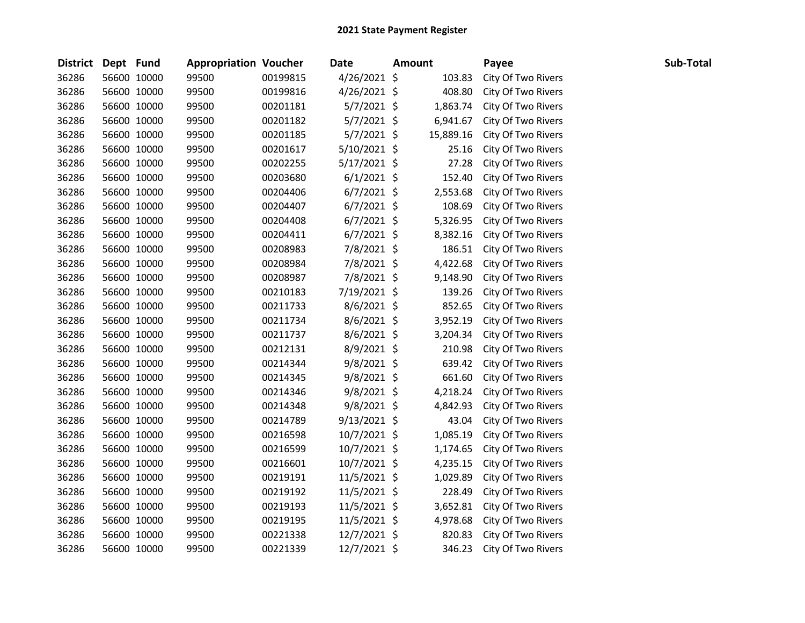| District Dept Fund |             | <b>Appropriation Voucher</b> |          | <b>Date</b>    | <b>Amount</b> | Payee              | Sub-Total |
|--------------------|-------------|------------------------------|----------|----------------|---------------|--------------------|-----------|
| 36286              | 56600 10000 | 99500                        | 00199815 | $4/26/2021$ \$ | 103.83        | City Of Two Rivers |           |
| 36286              | 56600 10000 | 99500                        | 00199816 | $4/26/2021$ \$ | 408.80        | City Of Two Rivers |           |
| 36286              | 56600 10000 | 99500                        | 00201181 | $5/7/2021$ \$  | 1,863.74      | City Of Two Rivers |           |
| 36286              | 56600 10000 | 99500                        | 00201182 | $5/7/2021$ \$  | 6,941.67      | City Of Two Rivers |           |
| 36286              | 56600 10000 | 99500                        | 00201185 | $5/7/2021$ \$  | 15,889.16     | City Of Two Rivers |           |
| 36286              | 56600 10000 | 99500                        | 00201617 | $5/10/2021$ \$ | 25.16         | City Of Two Rivers |           |
| 36286              | 56600 10000 | 99500                        | 00202255 | $5/17/2021$ \$ | 27.28         | City Of Two Rivers |           |
| 36286              | 56600 10000 | 99500                        | 00203680 | $6/1/2021$ \$  | 152.40        | City Of Two Rivers |           |
| 36286              | 56600 10000 | 99500                        | 00204406 | $6/7/2021$ \$  | 2,553.68      | City Of Two Rivers |           |
| 36286              | 56600 10000 | 99500                        | 00204407 | $6/7/2021$ \$  | 108.69        | City Of Two Rivers |           |
| 36286              | 56600 10000 | 99500                        | 00204408 | $6/7/2021$ \$  | 5,326.95      | City Of Two Rivers |           |
| 36286              | 56600 10000 | 99500                        | 00204411 | $6/7/2021$ \$  | 8,382.16      | City Of Two Rivers |           |
| 36286              | 56600 10000 | 99500                        | 00208983 | 7/8/2021 \$    | 186.51        | City Of Two Rivers |           |
| 36286              | 56600 10000 | 99500                        | 00208984 | 7/8/2021 \$    | 4,422.68      | City Of Two Rivers |           |
| 36286              | 56600 10000 | 99500                        | 00208987 | 7/8/2021 \$    | 9,148.90      | City Of Two Rivers |           |
| 36286              | 56600 10000 | 99500                        | 00210183 | 7/19/2021 \$   | 139.26        | City Of Two Rivers |           |
| 36286              | 56600 10000 | 99500                        | 00211733 | 8/6/2021 \$    | 852.65        | City Of Two Rivers |           |
| 36286              | 56600 10000 | 99500                        | 00211734 | 8/6/2021 \$    | 3,952.19      | City Of Two Rivers |           |
| 36286              | 56600 10000 | 99500                        | 00211737 | 8/6/2021 \$    | 3,204.34      | City Of Two Rivers |           |
| 36286              | 56600 10000 | 99500                        | 00212131 | $8/9/2021$ \$  | 210.98        | City Of Two Rivers |           |
| 36286              | 56600 10000 | 99500                        | 00214344 | $9/8/2021$ \$  | 639.42        | City Of Two Rivers |           |
| 36286              | 56600 10000 | 99500                        | 00214345 | $9/8/2021$ \$  | 661.60        | City Of Two Rivers |           |
| 36286              | 56600 10000 | 99500                        | 00214346 | $9/8/2021$ \$  | 4,218.24      | City Of Two Rivers |           |
| 36286              | 56600 10000 | 99500                        | 00214348 | $9/8/2021$ \$  | 4,842.93      | City Of Two Rivers |           |
| 36286              | 56600 10000 | 99500                        | 00214789 | $9/13/2021$ \$ | 43.04         | City Of Two Rivers |           |
| 36286              | 56600 10000 | 99500                        | 00216598 | $10/7/2021$ \$ | 1,085.19      | City Of Two Rivers |           |
| 36286              | 56600 10000 | 99500                        | 00216599 | 10/7/2021 \$   | 1,174.65      | City Of Two Rivers |           |
| 36286              | 56600 10000 | 99500                        | 00216601 | 10/7/2021 \$   | 4,235.15      | City Of Two Rivers |           |
| 36286              | 56600 10000 | 99500                        | 00219191 | 11/5/2021 \$   | 1,029.89      | City Of Two Rivers |           |
| 36286              | 56600 10000 | 99500                        | 00219192 | 11/5/2021 \$   | 228.49        | City Of Two Rivers |           |
| 36286              | 56600 10000 | 99500                        | 00219193 | 11/5/2021 \$   | 3,652.81      | City Of Two Rivers |           |
| 36286              | 56600 10000 | 99500                        | 00219195 | $11/5/2021$ \$ | 4,978.68      | City Of Two Rivers |           |
| 36286              | 56600 10000 | 99500                        | 00221338 | $12/7/2021$ \$ | 820.83        | City Of Two Rivers |           |
| 36286              | 56600 10000 | 99500                        | 00221339 | 12/7/2021 \$   | 346.23        | City Of Two Rivers |           |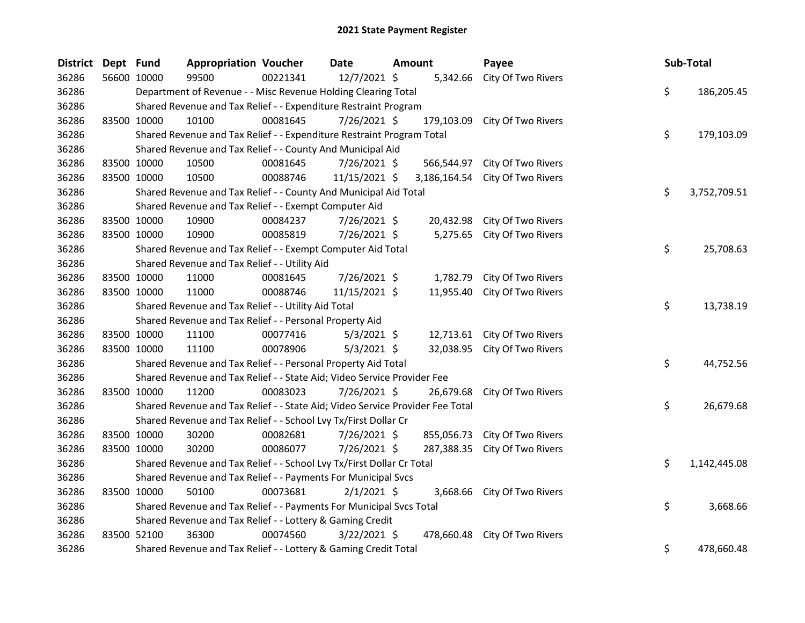| <b>District</b> | Dept Fund |             | <b>Appropriation Voucher</b>                                                  |          | Date           | Amount       | Payee                         | Sub-Total |              |
|-----------------|-----------|-------------|-------------------------------------------------------------------------------|----------|----------------|--------------|-------------------------------|-----------|--------------|
| 36286           |           | 56600 10000 | 99500                                                                         | 00221341 | 12/7/2021 \$   | 5,342.66     | City Of Two Rivers            |           |              |
| 36286           |           |             | Department of Revenue - - Misc Revenue Holding Clearing Total                 |          |                |              |                               | \$        | 186,205.45   |
| 36286           |           |             | Shared Revenue and Tax Relief - - Expenditure Restraint Program               |          |                |              |                               |           |              |
| 36286           |           | 83500 10000 | 10100                                                                         | 00081645 | 7/26/2021 \$   | 179,103.09   | City Of Two Rivers            |           |              |
| 36286           |           |             | Shared Revenue and Tax Relief - - Expenditure Restraint Program Total         |          |                |              |                               | \$        | 179,103.09   |
| 36286           |           |             | Shared Revenue and Tax Relief - - County And Municipal Aid                    |          |                |              |                               |           |              |
| 36286           |           | 83500 10000 | 10500                                                                         | 00081645 | 7/26/2021 \$   |              | 566,544.97 City Of Two Rivers |           |              |
| 36286           |           | 83500 10000 | 10500                                                                         | 00088746 | 11/15/2021 \$  | 3,186,164.54 | City Of Two Rivers            |           |              |
| 36286           |           |             | Shared Revenue and Tax Relief - - County And Municipal Aid Total              |          |                |              |                               | \$        | 3,752,709.51 |
| 36286           |           |             | Shared Revenue and Tax Relief - - Exempt Computer Aid                         |          |                |              |                               |           |              |
| 36286           |           | 83500 10000 | 10900                                                                         | 00084237 | 7/26/2021 \$   | 20,432.98    | City Of Two Rivers            |           |              |
| 36286           |           | 83500 10000 | 10900                                                                         | 00085819 | 7/26/2021 \$   |              | 5,275.65 City Of Two Rivers   |           |              |
| 36286           |           |             | Shared Revenue and Tax Relief - - Exempt Computer Aid Total                   |          |                |              |                               | \$        | 25,708.63    |
| 36286           |           |             | Shared Revenue and Tax Relief - - Utility Aid                                 |          |                |              |                               |           |              |
| 36286           |           | 83500 10000 | 11000                                                                         | 00081645 | 7/26/2021 \$   | 1,782.79     | City Of Two Rivers            |           |              |
| 36286           |           | 83500 10000 | 11000                                                                         | 00088746 | 11/15/2021 \$  | 11,955.40    | City Of Two Rivers            |           |              |
| 36286           |           |             | Shared Revenue and Tax Relief - - Utility Aid Total                           |          |                |              |                               | \$        | 13,738.19    |
| 36286           |           |             | Shared Revenue and Tax Relief - - Personal Property Aid                       |          |                |              |                               |           |              |
| 36286           |           | 83500 10000 | 11100                                                                         | 00077416 | $5/3/2021$ \$  |              | 12,713.61 City Of Two Rivers  |           |              |
| 36286           |           | 83500 10000 | 11100                                                                         | 00078906 | $5/3/2021$ \$  | 32,038.95    | City Of Two Rivers            |           |              |
| 36286           |           |             | Shared Revenue and Tax Relief - - Personal Property Aid Total                 |          |                |              |                               | \$        | 44,752.56    |
| 36286           |           |             | Shared Revenue and Tax Relief - - State Aid; Video Service Provider Fee       |          |                |              |                               |           |              |
| 36286           |           | 83500 10000 | 11200                                                                         | 00083023 | 7/26/2021 \$   | 26,679.68    | City Of Two Rivers            |           |              |
| 36286           |           |             | Shared Revenue and Tax Relief - - State Aid; Video Service Provider Fee Total |          |                |              |                               | \$        | 26,679.68    |
| 36286           |           |             | Shared Revenue and Tax Relief - - School Lvy Tx/First Dollar Cr               |          |                |              |                               |           |              |
| 36286           |           | 83500 10000 | 30200                                                                         | 00082681 | 7/26/2021 \$   |              | 855,056.73 City Of Two Rivers |           |              |
| 36286           |           | 83500 10000 | 30200                                                                         | 00086077 | 7/26/2021 \$   | 287,388.35   | City Of Two Rivers            |           |              |
| 36286           |           |             | Shared Revenue and Tax Relief - - School Lvy Tx/First Dollar Cr Total         |          |                |              |                               | \$        | 1,142,445.08 |
| 36286           |           |             | Shared Revenue and Tax Relief - - Payments For Municipal Svcs                 |          |                |              |                               |           |              |
| 36286           |           | 83500 10000 | 50100                                                                         | 00073681 | $2/1/2021$ \$  | 3,668.66     | City Of Two Rivers            |           |              |
| 36286           |           |             | Shared Revenue and Tax Relief - - Payments For Municipal Svcs Total           |          |                |              |                               | \$        | 3,668.66     |
| 36286           |           |             | Shared Revenue and Tax Relief - - Lottery & Gaming Credit                     |          |                |              |                               |           |              |
| 36286           |           | 83500 52100 | 36300                                                                         | 00074560 | $3/22/2021$ \$ |              | 478,660.48 City Of Two Rivers |           |              |
| 36286           |           |             | Shared Revenue and Tax Relief - - Lottery & Gaming Credit Total               |          |                |              |                               | \$        | 478,660.48   |